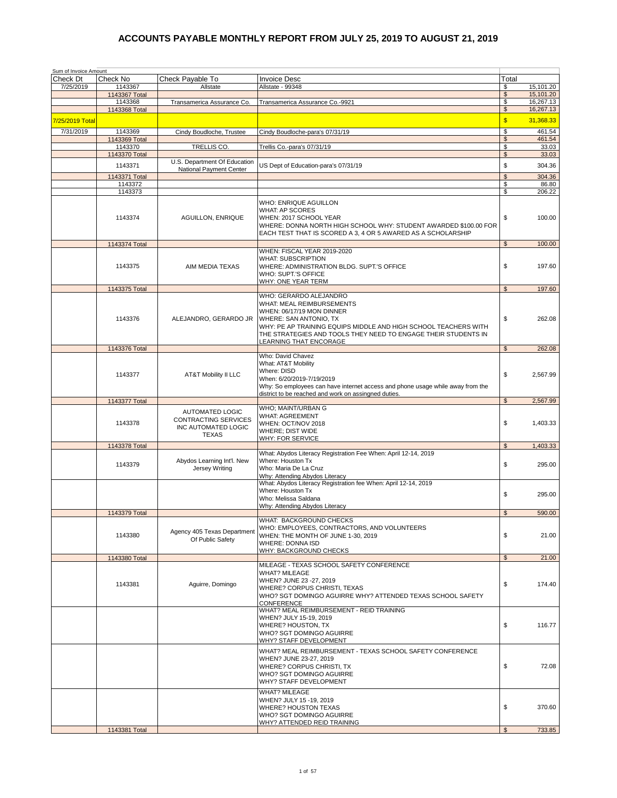| Sum of Invoice Amount<br>Check Dt | Check No                 | Check Pavable To                                                                      | <b>Invoice Desc</b>                                                                                                                                                                                                                                                              | Total                |                        |
|-----------------------------------|--------------------------|---------------------------------------------------------------------------------------|----------------------------------------------------------------------------------------------------------------------------------------------------------------------------------------------------------------------------------------------------------------------------------|----------------------|------------------------|
| 7/25/2019                         | 1143367                  | Allstate                                                                              | Allstate - 99348                                                                                                                                                                                                                                                                 | \$                   | 15,101.20              |
|                                   | 1143367 Total            |                                                                                       |                                                                                                                                                                                                                                                                                  | $\$\$                | 15,101.20              |
|                                   | 1143368<br>1143368 Total | Transamerica Assurance Co.                                                            | Transamerica Assurance Co.-9921                                                                                                                                                                                                                                                  | \$<br>$\$\$          | 16.267.13<br>16,267.13 |
| 7/25/2019 Total                   |                          |                                                                                       |                                                                                                                                                                                                                                                                                  | $\sqrt{3}$           | 31,368.33              |
| 7/31/2019                         | 1143369                  | Cindy Boudloche, Trustee                                                              | Cindy Boudloche-para's 07/31/19                                                                                                                                                                                                                                                  | \$                   | 461.54                 |
|                                   | 1143369 Total            |                                                                                       |                                                                                                                                                                                                                                                                                  | $\mathfrak{s}$       | 461.54                 |
|                                   | 1143370                  | TRELLIS CO.                                                                           | Trellis Co.-para's 07/31/19                                                                                                                                                                                                                                                      | \$                   | 33.03                  |
|                                   | 1143370 Total            | U.S. Department Of Education                                                          |                                                                                                                                                                                                                                                                                  | $\mathfrak s$        | 33.03                  |
|                                   | 1143371                  | National Payment Center                                                               | US Dept of Education-para's 07/31/19                                                                                                                                                                                                                                             | \$                   | 304.36                 |
|                                   | 1143371 Total<br>1143372 |                                                                                       |                                                                                                                                                                                                                                                                                  | $\mathfrak{s}$<br>\$ | 304.36<br>86.80        |
|                                   | 1143373                  |                                                                                       |                                                                                                                                                                                                                                                                                  | \$                   | 206.22                 |
|                                   | 1143374                  | <b>AGUILLON, ENRIQUE</b>                                                              | WHO: ENRIQUE AGUILLON<br><b>WHAT: AP SCORES</b><br>WHEN: 2017 SCHOOL YEAR<br>WHERE: DONNA NORTH HIGH SCHOOL WHY: STUDENT AWARDED \$100.00 FOR<br>EACH TEST THAT IS SCORED A 3, 4 OR 5 AWARED AS A SCHOLARSHIP                                                                    | \$                   | 100.00                 |
|                                   | 1143374 Total            |                                                                                       | WHEN: FISCAL YEAR 2019-2020                                                                                                                                                                                                                                                      | $\mathfrak{L}$       | 100.00                 |
|                                   | 1143375                  | AIM MEDIA TEXAS                                                                       | <b>WHAT: SUBSCRIPTION</b><br>WHERE: ADMINISTRATION BLDG. SUPT.'S OFFICE<br>WHO: SUPT.'S OFFICE<br><b>WHY: ONE YEAR TERM</b>                                                                                                                                                      | \$                   | 197.60                 |
|                                   | 1143375 Total            |                                                                                       |                                                                                                                                                                                                                                                                                  | $\mathfrak{s}$       | 197.60                 |
|                                   | 1143376                  | ALEJANDRO, GERARDO JR                                                                 | WHO: GERARDO ALEJANDRO<br>WHAT: MEAL REIMBURSEMENTS<br>WHEN: 06/17/19 MON DINNER<br>WHERE: SAN ANTONIO, TX<br>WHY: PE AP TRAINING EQUIPS MIDDLE AND HIGH SCHOOL TEACHERS WITH<br>THE STRATEGIES AND TOOLS THEY NEED TO ENGAGE THEIR STUDENTS IN<br><b>LEARNING THAT ENCORAGE</b> | \$                   | 262.08                 |
|                                   | 1143376 Total            |                                                                                       |                                                                                                                                                                                                                                                                                  | $\mathfrak s$        | 262.08                 |
|                                   | 1143377                  | <b>AT&amp;T Mobility II LLC</b>                                                       | Who: David Chavez<br>What: AT&T Mobility<br>Where: DISD<br>When: 6/20/2019-7/19/2019<br>Why: So employees can have internet access and phone usage while away from the<br>district to be reached and work on assingned duties.                                                   | \$                   | 2,567.99               |
|                                   | 1143377 Total            |                                                                                       |                                                                                                                                                                                                                                                                                  | $\mathfrak{S}$       | 2,567.99               |
|                                   | 1143378                  | AUTOMATED LOGIC<br><b>CONTRACTING SERVICES</b><br>INC AUTOMATED LOGIC<br><b>TEXAS</b> | WHO; MAINT/URBAN G<br><b>WHAT: AGREEMENT</b><br>WHEN: OCT/NOV 2018<br><b>WHERE: DIST WIDE</b><br>WHY: FOR SERVICE                                                                                                                                                                | \$                   | 1,403.33               |
|                                   | 1143378 Total            |                                                                                       |                                                                                                                                                                                                                                                                                  | $\mathfrak s$        | 1,403.33               |
|                                   | 1143379                  | Abydos Learning Int'l. New<br>Jersey Writing                                          | What: Abydos Literacy Registration Fee When: April 12-14, 2019<br>Where: Houston Tx<br>Who: Maria De La Cruz<br>Why: Attending Abydos Literacy                                                                                                                                   | \$                   | 295.00                 |
|                                   |                          |                                                                                       | What: Abydos Literacy Registration fee When: April 12-14, 2019<br>Where: Houston Tx<br>Who: Melissa Saldana<br>Why: Attending Abydos Literacy                                                                                                                                    | \$                   | 295.00                 |
|                                   | 1143379 Total            |                                                                                       | WHAT: BACKGROUND CHECKS                                                                                                                                                                                                                                                          | $\mathfrak{L}$       | 590.00                 |
|                                   | 1143380                  | Agency 405 Texas Department<br>Of Public Safety                                       | WHO: EMPLOYEES, CONTRACTORS, AND VOLUNTEERS<br>WHEN: THE MONTH OF JUNE 1-30, 2019<br><b>WHERE: DONNA ISD</b><br>WHY: BACKGROUND CHECKS                                                                                                                                           | \$                   | 21.00                  |
|                                   | 1143380 Total            |                                                                                       |                                                                                                                                                                                                                                                                                  | $\mathfrak{s}$       | 21.00                  |
|                                   | 1143381                  | Aguirre, Domingo                                                                      | MILEAGE - TEXAS SCHOOL SAFETY CONFERENCE<br><b>WHAT? MILEAGE</b><br>WHEN? JUNE 23 -27, 2019<br>WHERE? CORPUS CHRISTI, TEXAS<br>WHO? SGT DOMINGO AGUIRRE WHY? ATTENDED TEXAS SCHOOL SAFETY<br>CONFERENCE                                                                          | \$                   | 174.40                 |
|                                   |                          |                                                                                       | WHAT? MEAL REIMBURSEMENT - REID TRAINING<br>WHEN? JULY 15-19, 2019<br>WHERE? HOUSTON, TX<br>WHO? SGT DOMINGO AGUIRRE<br>WHY? STAFF DEVELOPMENT                                                                                                                                   | \$                   | 116.77                 |
|                                   |                          |                                                                                       | WHAT? MEAL REIMBURSEMENT - TEXAS SCHOOL SAFETY CONFERENCE<br>WHEN? JUNE 23-27, 2019<br>WHERE? CORPUS CHRISTI, TX<br>WHO? SGT DOMINGO AGUIRRE<br>WHY? STAFF DEVELOPMENT                                                                                                           | \$                   | 72.08                  |
|                                   |                          |                                                                                       | <b>WHAT? MILEAGE</b><br>WHEN? JULY 15 -19, 2019<br><b>WHERE? HOUSTON TEXAS</b><br>WHO? SGT DOMINGO AGUIRRE<br>WHY? ATTENDED REID TRAINING                                                                                                                                        | \$                   | 370.60                 |
|                                   | 1143381 Total            |                                                                                       |                                                                                                                                                                                                                                                                                  | $\mathfrak{s}$       | 733.85                 |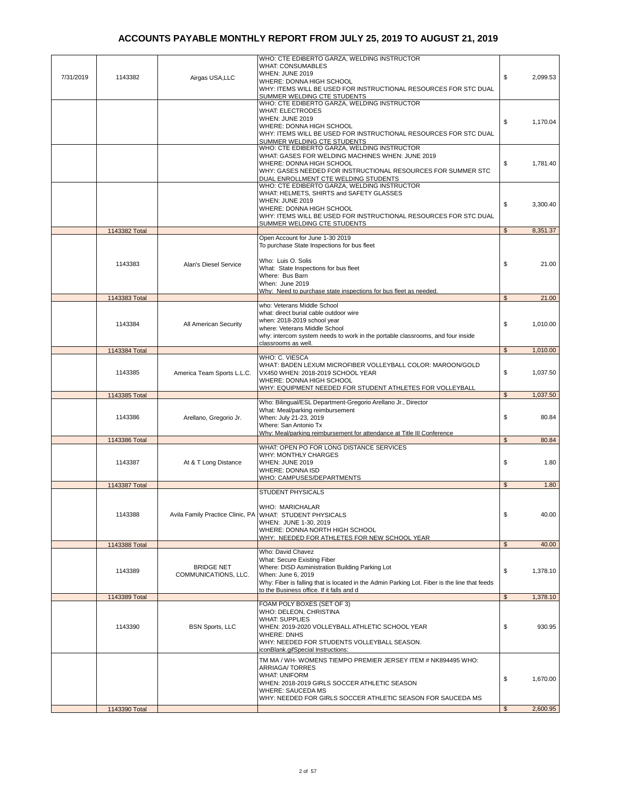| 7/31/2019 | 1143382       | Airgas USA, LLC                           | WHO: CTE EDIBERTO GARZA, WELDING INSTRUCTOR<br><b>WHAT: CONSUMABLES</b><br>WHEN: JUNE 2019<br>WHERE: DONNA HIGH SCHOOL<br>WHY: ITEMS WILL BE USED FOR INSTRUCTIONAL RESOURCES FOR STC DUAL<br>SUMMER WELDING CTE STUDENTS                                              | \$             | 2,099.53 |
|-----------|---------------|-------------------------------------------|------------------------------------------------------------------------------------------------------------------------------------------------------------------------------------------------------------------------------------------------------------------------|----------------|----------|
|           |               |                                           | WHO: CTE EDIBERTO GARZA, WELDING INSTRUCTOR<br><b>WHAT: ELECTRODES</b><br><b>WHEN: JUNE 2019</b><br>WHERE: DONNA HIGH SCHOOL<br>WHY: ITEMS WILL BE USED FOR INSTRUCTIONAL RESOURCES FOR STC DUAL                                                                       | \$             | 1,170.04 |
|           |               |                                           | SUMMER WELDING CTE STUDENTS<br>WHO: CTE EDIBERTO GARZA, WELDING INSTRUCTOR<br>WHAT: GASES FOR WELDING MACHINES WHEN: JUNE 2019<br>WHERE: DONNA HIGH SCHOOL<br>WHY: GASES NEEDED FOR INSTRUCTIONAL RESOURCES FOR SUMMER STC<br>DUAL ENROLLMENT CTE WELDING STUDENTS     | \$             | 1,781.40 |
|           |               |                                           | WHO: CTE EDIBERTO GARZA, WELDING INSTRUCTOR<br>WHAT: HELMETS, SHIRTS and SAFETY GLASSES<br><b>WHEN: JUNE 2019</b><br>WHERE: DONNA HIGH SCHOOL<br>WHY: ITEMS WILL BE USED FOR INSTRUCTIONAL RESOURCES FOR STC DUAL<br>SUMMER WELDING CTE STUDENTS                       | \$             | 3,300.40 |
|           | 1143382 Total |                                           | Open Account for June 1-30 2019                                                                                                                                                                                                                                        | $\mathfrak s$  | 8,351.37 |
|           | 1143383       | Alan's Diesel Service                     | To purchase State Inspections for bus fleet<br>Who: Luis O. Solis<br>What: State Inspections for bus fleet<br>Where: Bus Barn<br>When: June 2019<br>Why: Need to purchase state inspections for bus fleet as needed.                                                   | \$             | 21.00    |
|           | 1143383 Total |                                           |                                                                                                                                                                                                                                                                        | $\mathfrak{L}$ | 21.00    |
|           | 1143384       | All American Security                     | who: Veterans Middle School<br>what: direct burial cable outdoor wire<br>when: 2018-2019 school year<br>where: Veterans Middle School<br>why: intercom system needs to work in the portable classrooms, and four inside                                                | \$             | 1,010.00 |
|           | 1143384 Total |                                           | classrooms as well.                                                                                                                                                                                                                                                    | $\mathfrak{S}$ | 1,010.00 |
|           | 1143385       | America Team Sports L.L.C.                | WHO: C. VIESCA<br>WHAT: BADEN LEXUM MICROFIBER VOLLEYBALL COLOR: MAROON/GOLD<br>VX450 WHEN: 2018-2019 SCHOOL YEAR<br>WHERE: DONNA HIGH SCHOOL<br>WHY: EQUIPMENT NEEDED FOR STUDENT ATHLETES FOR VOLLEYBALL                                                             | \$             | 1,037.50 |
|           | 1143385 Total |                                           | Who: Bilingual/ESL Department-Gregorio Arellano Jr., Director                                                                                                                                                                                                          | $\mathfrak{L}$ | 1,037.50 |
|           | 1143386       | Arellano, Gregorio Jr.                    | What: Meal/parking reimbursement<br>When: July 21-23, 2019<br>Where: San Antonio Tx<br>Why: Meal/parking reimbursement for attendance at Title III Conference                                                                                                          | \$             | 80.84    |
|           | 1143386 Total |                                           | WHAT: OPEN PO FOR LONG DISTANCE SERVICES                                                                                                                                                                                                                               | $\mathfrak{L}$ | 80.84    |
|           | 1143387       | At & T Long Distance                      | <b>WHY: MONTHLY CHARGES</b><br>WHEN: JUNE 2019<br><b>WHERE: DONNA ISD</b><br>WHO: CAMPUSES/DEPARTMENTS                                                                                                                                                                 | \$             | 1.80     |
|           | 1143387 Total |                                           | <b>STUDENT PHYSICALS</b>                                                                                                                                                                                                                                               | $\mathfrak{L}$ | 1.80     |
|           | 1143388       | Avila Family Practice Clinic, PA          | WHO: MARICHALAR<br>WHAT: STUDENT PHYSICALS<br>WHEN: JUNE 1-30, 2019<br>WHERE: DONNA NORTH HIGH SCHOOL<br>WHY: NEEDED FOR ATHLETES FOR NEW SCHOOL YEAR                                                                                                                  | \$             | 40.00    |
|           | 1143388 Total |                                           |                                                                                                                                                                                                                                                                        | $\mathfrak{S}$ | 40.00    |
|           | 1143389       | <b>BRIDGE NET</b><br>COMMUNICATIONS, LLC. | Who: David Chavez<br>What: Secure Existing Fiber<br>Where: DISD Asministration Building Parking Lot<br>When: June 6, 2019<br>Why: Fiber is falling that is located in the Admin Parking Lot. Fiber is the line that feeds<br>to the Business office. If it falls and d | \$             | 1,378.10 |
|           | 1143389 Total |                                           |                                                                                                                                                                                                                                                                        | $\mathfrak{S}$ | 1,378.10 |
|           | 1143390       | <b>BSN Sports, LLC</b>                    | FOAM POLY BOXES (SET OF 3)<br>WHO: DELEON, CHRISTINA<br><b>WHAT: SUPPLIES</b><br>WHEN: 2019-2020 VOLLEYBALL ATHLETIC SCHOOL YEAR<br><b>WHERE: DNHS</b><br>WHY: NEEDED FOR STUDENTS VOLLEYBALL SEASON.<br>iconBlank.gifSpecial Instructions:                            | \$             | 930.95   |
|           |               |                                           | TM MA / WH- WOMENS TIEMPO PREMIER JERSEY ITEM # NK894495 WHO:<br><b>ARRIAGA/TORRES</b><br><b>WHAT: UNIFORM</b><br>WHEN: 2018-2019 GIRLS SOCCER ATHLETIC SEASON<br><b>WHERE: SAUCEDA MS</b>                                                                             | \$             | 1,670.00 |
|           |               |                                           | WHY: NEEDED FOR GIRLS SOCCER ATHLETIC SEASON FOR SAUCEDA MS                                                                                                                                                                                                            |                |          |
|           | 1143390 Total |                                           |                                                                                                                                                                                                                                                                        | $\mathfrak{s}$ | 2,600.95 |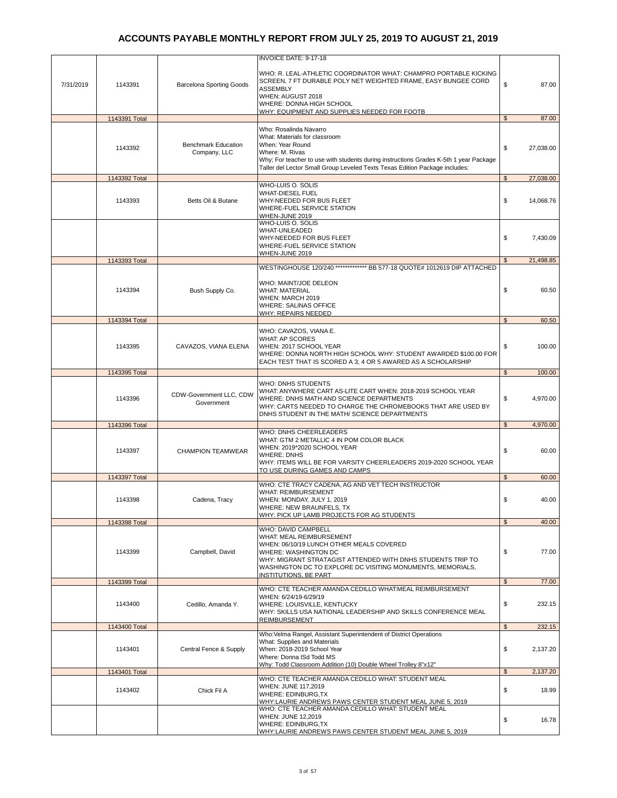|           |               |                                            | INVOICE DATE: 9-17-18                                                                                                                                                                                                                                                  |                |           |
|-----------|---------------|--------------------------------------------|------------------------------------------------------------------------------------------------------------------------------------------------------------------------------------------------------------------------------------------------------------------------|----------------|-----------|
| 7/31/2019 | 1143391       | <b>Barcelona Sporting Goods</b>            | WHO: R. LEAL-ATHLETIC COORDINATOR WHAT: CHAMPRO PORTABLE KICKING<br>SCREEN, 7 FT DURABLE POLY NET WEIGHTED FRAME, EASY BUNGEE CORD<br><b>ASSEMBLY</b><br>WHEN: AUGUST 2018<br>WHERE: DONNA HIGH SCHOOL<br>WHY: EQUIPMENT AND SUPPLIES NEEDED FOR FOOTB                 | \$             | 87.00     |
|           | 1143391 Total |                                            |                                                                                                                                                                                                                                                                        | $\mathbb{S}$   | 87.00     |
|           | 1143392       | <b>Benchmark Education</b><br>Company, LLC | Who: Rosalinda Navarro<br>What: Materials for classroom<br>When: Year Round<br>Where: M. Rivas<br>Why; For teacher to use with students during instructions Grades K-5th 1 year Package<br>Taller del Lector Small Group Leveled Texts Texas Edition Package includes: | \$             | 27,038.00 |
|           | 1143392 Total |                                            |                                                                                                                                                                                                                                                                        | $\mathfrak s$  | 27,038.00 |
|           | 1143393       | Betts Oil & Butane                         | WHO-LUIS O. SOLIS<br><b>WHAT-DIESEL FUEL</b><br>WHY-NEEDED FOR BUS FLEET<br>WHERE-FUEL SERVICE STATION<br>WHEN-JUNE 2019<br>WHO-LUIS O. SOLIS                                                                                                                          | \$             | 14,068.76 |
|           |               |                                            | WHAT-UNLEADED<br>WHY-NEEDED FOR BUS FLEET<br>WHERE-FUEL SERVICE STATION<br><b>WHEN-JUNE 2019</b>                                                                                                                                                                       | \$             | 7,430.09  |
|           | 1143393 Total |                                            | WESTINGHOUSE 120/240 ************* BB 577-18 QUOTE# 1012619 DIP ATTACHED                                                                                                                                                                                               | $\mathbb{S}$   | 21,498.85 |
|           | 1143394       | Bush Supply Co.                            | WHO: MAINT/JOE DELEON<br><b>WHAT: MATERIAL</b><br>WHEN: MARCH 2019<br><b>WHERE: SALINAS OFFICE</b><br>WHY: REPAIRS NEEDED                                                                                                                                              | \$             | 60.50     |
|           | 1143394 Total |                                            |                                                                                                                                                                                                                                                                        | $\mathfrak s$  | 60.50     |
|           | 1143395       | CAVAZOS, VIANA ELENA                       | WHO: CAVAZOS, VIANA E.<br>WHAT: AP SCORES<br>WHEN: 2017 SCHOOL YEAR<br>WHERE: DONNA NORTH HIGH SCHOOL WHY: STUDENT AWARDED \$100.00 FOR<br>EACH TEST THAT IS SCORED A 3, 4 OR 5 AWARED AS A SCHOLARSHIP                                                                | \$             | 100.00    |
|           | 1143395 Total |                                            |                                                                                                                                                                                                                                                                        | $\mathfrak s$  | 100.00    |
|           | 1143396       | CDW-Government LLC, CDW<br>Government      | WHO: DNHS STUDENTS<br>WHAT: ANYWHERE CART AS-LITE CART WHEN: 2018-2019 SCHOOL YEAR<br>WHERE: DNHS MATH AND SCIENCE DEPARTMENTS<br>WHY: CARTS NEEDED TO CHARGE THE CHROMEBOOKS THAT ARE USED BY<br>DNHS STUDENT IN THE MATH/ SCIENCE DEPARTMENTS                        | \$             | 4,970.00  |
|           | 1143396 Total |                                            |                                                                                                                                                                                                                                                                        | $\mathfrak s$  | 4,970.00  |
|           | 1143397       | <b>CHAMPION TEAMWEAR</b>                   | WHO: DNHS CHEERLEADERS<br>WHAT: GTM 2 METALLIC 4 IN POM COLOR BLACK<br>WHEN: 2019*2020 SCHOOL YEAR<br><b>WHERE: DNHS</b><br>WHY: ITEMS WILL BE FOR VARSITY CHEERLEADERS 2019-2020 SCHOOL YEAR<br>TO USE DURING GAMES AND CAMPS                                         | \$             | 60.00     |
|           | 1143397 Total |                                            | WHO: CTE TRACY CADENA, AG AND VET TECH INSTRUCTOR                                                                                                                                                                                                                      | \$             | 60.00     |
|           | 1143398       | Cadena, Tracy                              | <b>WHAT: REIMBURSEMENT</b><br>WHEN: MONDAY, JULY 1, 2019<br>WHERE: NEW BRAUNFELS, TX<br>WHY: PICK UP LAMB PROJECTS FOR AG STUDENTS                                                                                                                                     | \$             | 40.00     |
|           | 1143398 Total |                                            | <b>WHO: DAVID CAMPBELL</b>                                                                                                                                                                                                                                             | \$             | 40.00     |
|           | 1143399       | Campbell, David                            | WHAT: MEAL REIMBURSEMENT<br>WHEN: 06/10/19 LUNCH OTHER MEALS COVERED<br><b>WHERE: WASHINGTON DC</b><br>WHY: MIGRANT STRATAGIST ATTENDED WITH DNHS STUDENTS TRIP TO<br>WASHINGTON DC TO EXPLORE DC VISITING MONUMENTS, MEMORIALS,<br><b>INSTITUTIONS, BE PART</b>       | \$             | 77.00     |
|           | 1143399 Total |                                            |                                                                                                                                                                                                                                                                        | $\mathfrak s$  | 77.00     |
|           | 1143400       | Cedillo, Amanda Y.                         | WHO: CTE TEACHER AMANDA CEDILLO WHAT:MEAL REIMBURSEMENT<br>WHEN: 6/24/19-6/29/19<br>WHERE: LOUISVILLE, KENTUCKY<br>WHY: SKILLS USA NATIONAL LEADERSHIP AND SKILLS CONFERENCE MEAL<br>REIMBURSEMENT                                                                     | \$             | 232.15    |
|           | 1143400 Total |                                            | Who: Velma Rangel, Assistant Superintendent of District Operations                                                                                                                                                                                                     | $\mathfrak{S}$ | 232.15    |
|           | 1143401       | Central Fence & Supply                     | What: Supplies and Materials<br>When: 2018-2019 School Year<br>Where: Donna ISd Todd MS<br>Why: Todd Classroom Addition (10) Double Wheel Trolley 8"x12"                                                                                                               | \$             | 2,137.20  |
|           | 1143401 Total |                                            |                                                                                                                                                                                                                                                                        | $\mathfrak s$  | 2,137.20  |
|           | 1143402       | Chick Fil A                                | WHO: CTE TEACHER AMANDA CEDILLO WHAT: STUDENT MEAL<br>WHEN: JUNE 117,2019<br><b>WHERE: EDINBURG,TX</b><br>WHY:LAURIE ANDREWS PAWS CENTER STUDENT MEAL JUNE 5, 2019                                                                                                     | \$             | 18.99     |
|           |               |                                            | WHO: CTE TEACHER AMANDA CEDILLO WHAT: STUDENT MEAL<br>WHEN: JUNE 12,2019<br><b>WHERE: EDINBURG,TX</b><br>WHY:LAURIE ANDREWS PAWS CENTER STUDENT MEAL JUNE 5, 2019                                                                                                      | \$             | 16.78     |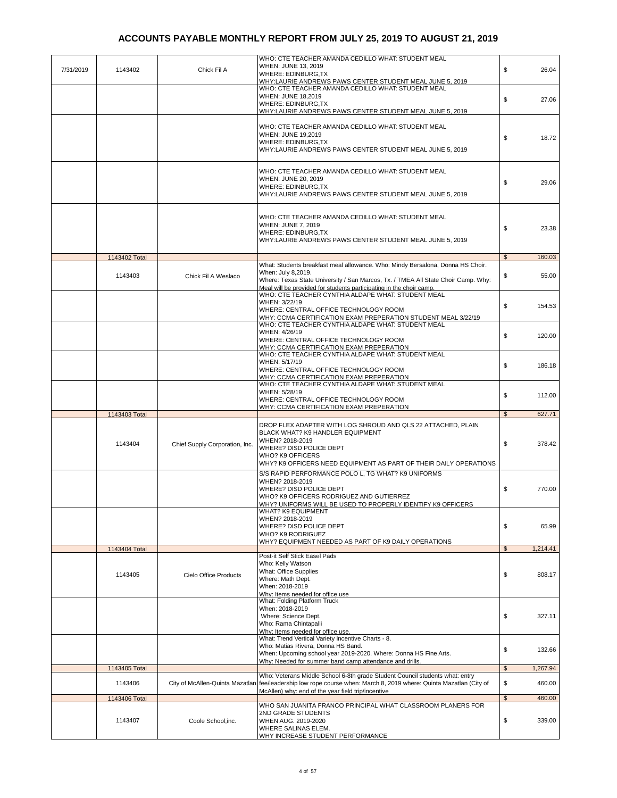| 7/31/2019 | 1143402                  | Chick Fil A                     | WHO: CTE TEACHER AMANDA CEDILLO WHAT: STUDENT MEAL<br>WHEN: JUNE 13, 2019<br>WHERE: EDINBURG, TX<br>WHY:LAURIE ANDREWS PAWS CENTER STUDENT MEAL JUNE 5, 2019                                                                                                     | \$                   | 26.04            |
|-----------|--------------------------|---------------------------------|------------------------------------------------------------------------------------------------------------------------------------------------------------------------------------------------------------------------------------------------------------------|----------------------|------------------|
|           |                          |                                 | WHO: CTE TEACHER AMANDA CEDILLO WHAT: STUDENT MEAL<br><b>WHEN: JUNE 18,2019</b><br>WHERE: EDINBURG, TX<br>WHY:LAURIE ANDREWS PAWS CENTER STUDENT MEAL JUNE 5, 2019                                                                                               | \$                   | 27.06            |
|           |                          |                                 | WHO: CTE TEACHER AMANDA CEDILLO WHAT: STUDENT MEAL<br>WHEN: JUNE 19,2019<br>WHERE: EDINBURG, TX<br>WHY:LAURIE ANDREWS PAWS CENTER STUDENT MEAL JUNE 5, 2019                                                                                                      | \$                   | 18.72            |
|           |                          |                                 | WHO: CTE TEACHER AMANDA CEDILLO WHAT: STUDENT MEAL<br>WHEN: JUNE 20, 2019<br>WHERE: EDINBURG, TX<br>WHY:LAURIE ANDREWS PAWS CENTER STUDENT MEAL JUNE 5, 2019                                                                                                     | \$                   | 29.06            |
|           |                          |                                 | WHO: CTE TEACHER AMANDA CEDILLO WHAT: STUDENT MEAL<br>WHEN: JUNE 7, 2019<br>WHERE: EDINBURG, TX<br>WHY:LAURIE ANDREWS PAWS CENTER STUDENT MEAL JUNE 5, 2019                                                                                                      | \$                   | 23.38            |
|           | 1143402 Total            |                                 |                                                                                                                                                                                                                                                                  | $\mathfrak{S}$       | 160.03           |
|           | 1143403                  | Chick Fil A Weslaco             | What: Students breakfast meal allowance. Who: Mindy Bersalona, Donna HS Choir.<br>When: July 8,2019.<br>Where: Texas State University / San Marcos, Tx. / TMEA All State Choir Camp. Why:<br>Meal will be provided for students participating in the choir camp. | \$                   | 55.00            |
|           |                          |                                 | WHO: CTE TEACHER CYNTHIA ALDAPE WHAT: STUDENT MEAL<br>WHEN: 3/22/19<br>WHERE: CENTRAL OFFICE TECHNOLOGY ROOM<br>WHY: CCMA CERTIFICATION EXAM PREPERATION STUDENT MEAL 3/22/19                                                                                    | \$                   | 154.53           |
|           |                          |                                 | WHO: CTE TEACHER CYNTHIA ALDAPE WHAT: STUDENT MEAL<br>WHEN: 4/26/19<br>WHERE: CENTRAL OFFICE TECHNOLOGY ROOM<br>WHY: CCMA CERTIFICATION EXAM PREPERATION                                                                                                         | \$                   | 120.00           |
|           |                          |                                 | WHO: CTE TEACHER CYNTHIA ALDAPE WHAT: STUDENT MEAL<br>WHEN: 5/17/19<br>WHERE: CENTRAL OFFICE TECHNOLOGY ROOM<br>WHY: CCMA CERTIFICATION EXAM PREPERATION                                                                                                         | \$                   | 186.18           |
|           |                          |                                 | WHO: CTE TEACHER CYNTHIA ALDAPE WHAT: STUDENT MEAL<br>WHEN: 5/28/19<br>WHERE: CENTRAL OFFICE TECHNOLOGY ROOM<br>WHY: CCMA CERTIFICATION EXAM PREPERATION                                                                                                         | \$                   | 112.00           |
|           | 1143403 Total            |                                 |                                                                                                                                                                                                                                                                  | $\mathbb{S}$         | 627.71           |
|           | 1143404                  | Chief Supply Corporation, Inc.  | DROP FLEX ADAPTER WITH LOG SHROUD AND QLS 22 ATTACHED, PLAIN<br>BLACK WHAT? K9 HANDLER EQUIPMENT<br>WHEN? 2018-2019<br>WHERE? DISD POLICE DEPT<br>WHO? K9 OFFICERS<br>WHY? K9 OFFICERS NEED EQUIPMENT AS PART OF THEIR DAILY OPERATIONS                          | \$                   | 378.42           |
|           |                          |                                 | S/S RAPID PERFORMANCE POLO L, TG WHAT? K9 UNIFORMS<br>WHEN? 2018-2019<br>WHERE? DISD POLICE DEPT<br>WHO? K9 OFFICERS RODRIGUEZ AND GUTIERREZ<br>WHY? UNIFORMS WILL BE USED TO PROPERLY IDENTIFY K9 OFFICERS                                                      | \$                   | 770.00           |
|           |                          |                                 | WHAT? K9 EQUIPMENT<br>WHEN? 2018-2019<br>WHERE? DISD POLICE DEPT<br>WHO? K9 RODRIGUEZ<br>WHY? EQUIPMENT NEEDED AS PART OF K9 DAILY OPERATIONS                                                                                                                    | \$                   | 65.99            |
|           | 1143404 Total            |                                 |                                                                                                                                                                                                                                                                  | $\mathfrak{s}$       | 1,214.41         |
|           | 1143405                  | Cielo Office Products           | Post-it Self Stick Easel Pads<br>Who: Kelly Watson<br>What: Office Supplies<br>Where: Math Dept.<br>When: 2018-2019<br>Why: Items needed for office use                                                                                                          | \$                   | 808.17           |
|           |                          |                                 | What: Folding Platform Truck<br>When: 2018-2019<br>Where: Science Dept.<br>Who: Rama Chintapalli<br>Why: Items needed for office use.                                                                                                                            | \$                   | 327.11           |
|           |                          |                                 | What: Trend Vertical Variety Incentive Charts - 8.<br>Who: Matias Rivera, Donna HS Band.<br>When: Upcoming school year 2019-2020. Where: Donna HS Fine Arts.<br>Why: Needed for summer band camp attendance and drills.                                          | \$                   | 132.66           |
|           | 1143405 Total            |                                 |                                                                                                                                                                                                                                                                  | $\mathfrak{S}$       | 1,267.94         |
|           | 1143406<br>1143406 Total | City of McAllen-Quinta Mazatlan | Who: Veterans Middle School 6-8th grade Student Council students what: entry<br>fee/leadership low rope course when: March 8, 2019 where: Quinta Mazatlan (City of<br>McAllen) why: end of the year field trip/incentive                                         | \$<br>$\mathfrak{S}$ | 460.00<br>460.00 |
|           |                          |                                 | WHO SAN JUANITA FRANCO PRINCIPAL WHAT CLASSROOM PLANERS FOR                                                                                                                                                                                                      |                      |                  |
|           | 1143407                  | Coole School, inc.              | 2ND GRADE STUDENTS<br>WHEN AUG. 2019-2020<br>WHERE SALINAS ELEM.<br>WHY INCREASE STUDENT PERFORMANCE                                                                                                                                                             | \$                   | 339.00           |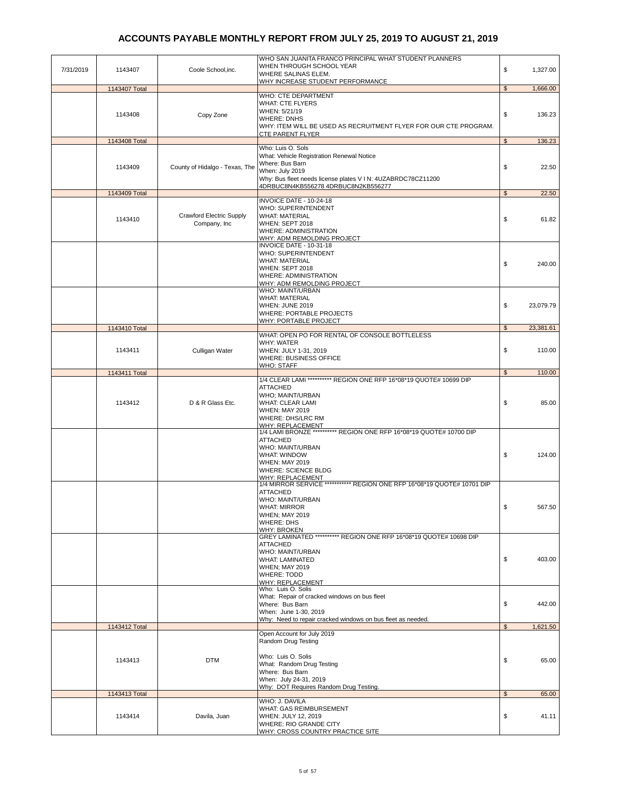|           |               |                                 | WHO SAN JUANITA FRANCO PRINCIPAL WHAT STUDENT PLANNERS<br>WHEN THROUGH SCHOOL YEAR              |                |           |
|-----------|---------------|---------------------------------|-------------------------------------------------------------------------------------------------|----------------|-----------|
| 7/31/2019 | 1143407       | Coole School, inc.              | WHERE SALINAS ELEM.                                                                             | \$             | 1,327.00  |
|           |               |                                 | WHY INCREASE STUDENT PERFORMANCE                                                                |                |           |
|           | 1143407 Total |                                 |                                                                                                 | $\frac{1}{2}$  | 1,666.00  |
|           |               |                                 | WHO: CTE DEPARTMENT                                                                             |                |           |
|           |               |                                 | <b>WHAT: CTE FLYERS</b><br>WHEN: 5/21/19                                                        |                |           |
|           | 1143408       | Copy Zone                       | <b>WHERE: DNHS</b>                                                                              | \$             | 136.23    |
|           |               |                                 | WHY: ITEM WILL BE USED AS RECRUITMENT FLYER FOR OUR CTE PROGRAM.                                |                |           |
|           |               |                                 | <b>CTE PARENT FLYER</b>                                                                         |                |           |
|           | 1143408 Total |                                 |                                                                                                 | $\mathfrak{S}$ | 136.23    |
|           |               |                                 | Who: Luis O. Sols<br>What: Vehicle Registration Renewal Notice                                  |                |           |
|           |               |                                 | Where: Bus Barn                                                                                 |                |           |
|           | 1143409       | County of Hidalgo - Texas, The  | When: July 2019                                                                                 | \$             | 22.50     |
|           |               |                                 | Why: Bus fleet needs license plates V I N: 4UZABRDC78CZ11200                                    |                |           |
|           | 1143409 Total |                                 | 4DRBUC8N4KB556278 4DRBUC8N2KB556277                                                             | $\mathfrak{s}$ | 22.50     |
|           |               |                                 | INVOICE DATE - 10-24-18                                                                         |                |           |
|           |               |                                 | WHO: SUPERINTENDENT                                                                             |                |           |
|           | 1143410       | <b>Crawford Electric Supply</b> | <b>WHAT: MATERIAL</b>                                                                           | \$             | 61.82     |
|           |               | Company, Inc                    | WHEN: SEPT 2018                                                                                 |                |           |
|           |               |                                 | <b>WHERE: ADMINISTRATION</b>                                                                    |                |           |
|           |               |                                 | WHY: ADM REMOLDING PROJECT<br>INVOICE DATE - 10-31-18                                           |                |           |
|           |               |                                 | WHO: SUPERINTENDENT                                                                             |                |           |
|           |               |                                 | <b>WHAT: MATERIAL</b>                                                                           | \$             | 240.00    |
|           |               |                                 | WHEN: SEPT 2018                                                                                 |                |           |
|           |               |                                 | <b>WHERE: ADMINISTRATION</b>                                                                    |                |           |
|           |               |                                 | <b>WHY: ADM REMOLDING PROJECT</b><br>WHO: MAINT/URBAN                                           |                |           |
|           |               |                                 | <b>WHAT: MATERIAL</b>                                                                           |                |           |
|           |               |                                 | WHEN: JUNE 2019                                                                                 | \$             | 23,079.79 |
|           |               |                                 | <b>WHERE: PORTABLE PROJECTS</b>                                                                 |                |           |
|           |               |                                 | WHY: PORTABLE PROJECT                                                                           |                |           |
|           | 1143410 Total |                                 | WHAT: OPEN PO FOR RENTAL OF CONSOLE BOTTLELESS                                                  | \$             | 23,381.61 |
|           |               |                                 | <b>WHY: WATER</b>                                                                               |                |           |
|           | 1143411       | Culligan Water                  | WHEN: JULY 1-31, 2019                                                                           | \$             | 110.00    |
|           |               |                                 | WHERE: BUSINESS OFFICE                                                                          |                |           |
|           |               |                                 | <b>WHO: STAFF</b>                                                                               |                |           |
|           | 1143411 Total |                                 | 1/4 CLEAR LAMI ********** REGION ONE RFP 16*08*19 QUOTE# 10699 DIP                              | $\mathfrak{S}$ | 110.00    |
|           |               |                                 | ATTACHED                                                                                        |                |           |
|           |               |                                 | WHO; MAINT/URBAN                                                                                |                |           |
|           | 1143412       | D & R Glass Etc.                | <b>WHAT: CLEAR LAMI</b>                                                                         | \$             | 85.00     |
|           |               |                                 | <b>WHEN: MAY 2019</b>                                                                           |                |           |
|           |               |                                 | WHERE: DHS/LRC RM                                                                               |                |           |
|           |               |                                 | <u> WHY: REPLACEMENT</u><br>1/4 LAMI BRONZE ********** REGION ONE RFP 16*08*19 QUOTE# 10700 DIP |                |           |
|           |               |                                 | ATTACHED                                                                                        |                |           |
|           |               |                                 | WHO: MAINT/URBAN                                                                                |                |           |
|           |               |                                 | <b>WHAT: WINDOW</b>                                                                             | \$             | 124.00    |
|           |               |                                 | <b>WHEN: MAY 2019</b><br><b>WHERE: SCIENCE BLDG</b>                                             |                |           |
|           |               |                                 | WHY: REPLACEMENT                                                                                |                |           |
|           |               |                                 | 1/4 MIRROR SERVICE *********** REGION ONE RFP 16*08*19 QUOTE# 10701 DIP                         |                |           |
|           |               |                                 | <b>ATTACHED</b>                                                                                 |                |           |
|           |               |                                 | WHO: MAINT/URBAN                                                                                |                |           |
|           |               |                                 | <b>WHAT: MIRROR</b><br><b>WHEN; MAY 2019</b>                                                    | \$             | 567.50    |
|           |               |                                 | <b>WHERE: DHS</b>                                                                               |                |           |
|           |               |                                 | <b>WHY: BROKEN</b>                                                                              |                |           |
|           |               |                                 | GREY LAMINATED ********** REGION ONE RFP 16*08*19 QUOTE# 10698 DIP                              |                |           |
|           |               |                                 | <b>ATTACHED</b>                                                                                 |                |           |
|           |               |                                 | WHO: MAINT/URBAN<br><b>WHAT: LAMINATED</b>                                                      | \$             | 403.00    |
|           |               |                                 | <b>WHEN; MAY 2019</b>                                                                           |                |           |
|           |               |                                 | <b>WHERE: TODD</b>                                                                              |                |           |
|           |               |                                 | WHY: REPLACEMENT                                                                                |                |           |
|           |               |                                 | Who: Luis O. Solis                                                                              |                |           |
|           |               |                                 | What: Repair of cracked windows on bus fleet<br>Where: Bus Barn                                 | \$             | 442.00    |
|           |               |                                 | When: June 1-30, 2019                                                                           |                |           |
|           |               |                                 | Why: Need to repair cracked windows on bus fleet as needed.                                     |                |           |
|           | 1143412 Total |                                 |                                                                                                 | $\frac{1}{2}$  | 1,621.50  |
|           |               |                                 | Open Account for July 2019                                                                      |                |           |
|           |               |                                 | Random Drug Testing                                                                             |                |           |
|           |               |                                 | Who: Luis O. Solis                                                                              |                |           |
|           | 1143413       | <b>DTM</b>                      | What: Random Drug Testing                                                                       | \$             | 65.00     |
|           |               |                                 | Where: Bus Barn                                                                                 |                |           |
|           |               |                                 | When: July 24-31, 2019                                                                          |                |           |
|           | 1143413 Total |                                 | Why: DOT Requires Random Drug Testing                                                           | $\mathfrak{S}$ | 65.00     |
|           |               |                                 | WHO: J. DAVILA                                                                                  |                |           |
|           |               |                                 | WHAT: GAS REIMBURSEMENT                                                                         |                |           |
|           | 1143414       | Davila, Juan                    | WHEN: JULY 12, 2019                                                                             | \$             | 41.11     |
|           |               |                                 | WHERE: RIO GRANDE CITY                                                                          |                |           |
|           |               |                                 | WHY: CROSS COUNTRY PRACTICE SITE                                                                |                |           |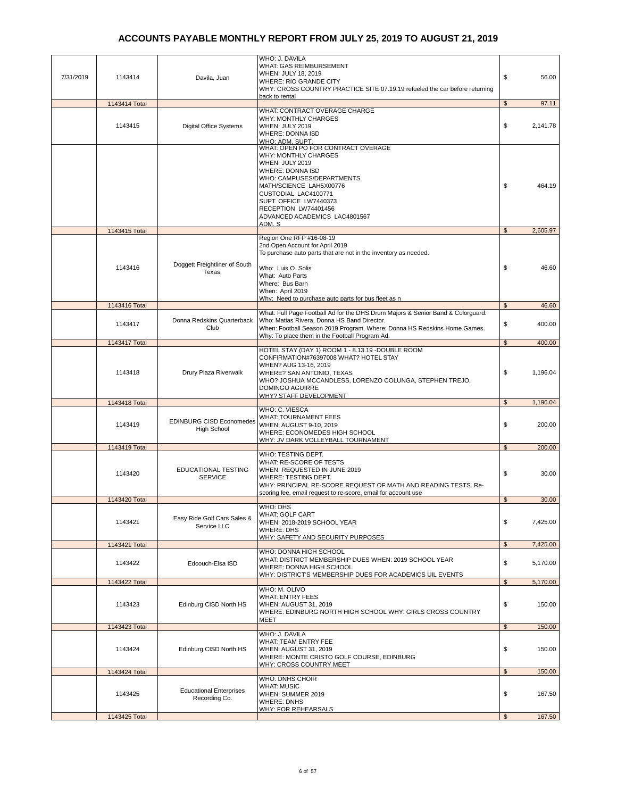| 7/31/2019 | 1143414                  | Davila, Juan                                          | WHO: J. DAVILA<br>WHAT: GAS REIMBURSEMENT<br>WHEN: JULY 18, 2019<br>WHERE: RIO GRANDE CITY<br>WHY: CROSS COUNTRY PRACTICE SITE 07.19.19 refueled the car before returning                                                                                                      | \$<br>56.00                |
|-----------|--------------------------|-------------------------------------------------------|--------------------------------------------------------------------------------------------------------------------------------------------------------------------------------------------------------------------------------------------------------------------------------|----------------------------|
|           |                          |                                                       | back to rental                                                                                                                                                                                                                                                                 | $\mathfrak s$<br>97.11     |
|           | 1143414 Total<br>1143415 | <b>Digital Office Systems</b>                         | WHAT: CONTRACT OVERAGE CHARGE<br><b>WHY: MONTHLY CHARGES</b><br>WHEN: JULY 2019<br><b>WHERE: DONNA ISD</b><br>WHO: ADM. SUPT.                                                                                                                                                  | \$<br>2,141.78             |
|           |                          |                                                       | WHAT: OPEN PO FOR CONTRACT OVERAGE<br>WHY: MONTHLY CHARGES<br>WHEN: JULY 2019<br>WHERE: DONNA ISD<br>WHO: CAMPUSES/DEPARTMENTS<br>MATH/SCIENCE LAH5X00776<br>CUSTODIAL LAC4100771<br>SUPT. OFFICE LW7440373<br>RECEPTION LW74401456<br>ADVANCED ACADEMICS LAC4801567<br>ADM. S | \$<br>464.19               |
|           | 1143415 Total            |                                                       | Region One RFP #16-08-19                                                                                                                                                                                                                                                       | $\mathfrak s$<br>2,605.97  |
|           | 1143416                  | Doggett Freightliner of South<br>Texas,               | 2nd Open Account for April 2019<br>To purchase auto parts that are not in the inventory as needed.<br>Who: Luis O. Solis<br>What: Auto Parts<br>Where: Bus Barn<br>When: April 2019<br>Why: Need to purchase auto parts for bus fleet as n                                     | \$<br>46.60                |
|           | 1143416 Total            |                                                       |                                                                                                                                                                                                                                                                                | $\mathfrak{S}$<br>46.60    |
|           | 1143417                  | Donna Redskins Quarterback<br>Club                    | What: Full Page Football Ad for the DHS Drum Majors & Senior Band & Colorguard.<br>Who: Matias Rivera, Donna HS Band Director.<br>When: Football Season 2019 Program. Where: Donna HS Redskins Home Games.<br>Why: To place them in the Football Program Ad.                   | \$<br>400.00               |
|           | 1143417 Total            |                                                       |                                                                                                                                                                                                                                                                                | $\mathfrak{S}$<br>400.00   |
|           | 1143418                  | Drury Plaza Riverwalk                                 | HOTEL STAY (DAY 1) ROOM 1 - 8.13.19 -DOUBLE ROOM<br>CONFIRMATION#76397008 WHAT? HOTEL STAY<br>WHEN? AUG 13-16, 2019<br>WHERE? SAN ANTONIO, TEXAS<br>WHO? JOSHUA MCCANDLESS, LORENZO COLUNGA, STEPHEN TREJO,<br><b>DOMINGO AGUIRRE</b><br><b>WHY? STAFF DEVELOPMENT</b>         | \$<br>1,196.04             |
|           | 1143418 Total            |                                                       |                                                                                                                                                                                                                                                                                | $\mathfrak s$<br>1,196.04  |
|           | 1143419                  | <b>EDINBURG CISD Economedes</b><br><b>High School</b> | WHO: C. VIESCA<br>WHAT: TOURNAMENT FEES<br>WHEN: AUGUST 9-10, 2019<br>WHERE: ECONOMEDES HIGH SCHOOL<br>WHY: JV DARK VOLLEYBALL TOURNAMENT                                                                                                                                      | \$<br>200.00               |
|           | 1143419 Total            |                                                       | WHO: TESTING DEPT.                                                                                                                                                                                                                                                             | $\mathfrak s$<br>200.00    |
|           | 1143420                  | EDUCATIONAL TESTING<br><b>SERVICE</b>                 | WHAT: RE-SCORE OF TESTS<br>WHEN: REQUESTED IN JUNE 2019<br>WHERE: TESTING DEPT.<br>WHY: PRINCIPAL RE-SCORE REQUEST OF MATH AND READING TESTS. Re-<br>scoring fee, email request to re-score, email for account use                                                             | \$<br>30.00                |
|           | 1143420 Total            |                                                       | WHO: DHS                                                                                                                                                                                                                                                                       | 30.00<br>$\mathfrak{S}$    |
|           | 1143421                  | Easy Ride Golf Cars Sales &<br>Service LLC            | WHAT; GOLF CART<br>WHEN: 2018-2019 SCHOOL YEAR<br><b>WHERE: DHS</b><br>WHY: SAFETY AND SECURITY PURPOSES                                                                                                                                                                       | \$<br>7,425.00             |
|           | 1143421 Total            |                                                       |                                                                                                                                                                                                                                                                                | 7,425.00<br>$\mathfrak{s}$ |
|           | 1143422                  | Edcouch-Elsa ISD                                      | WHO: DONNA HIGH SCHOOL<br>WHAT: DISTRICT MEMBERSHIP DUES WHEN: 2019 SCHOOL YEAR<br>WHERE: DONNA HIGH SCHOOL<br>WHY: DISTRICT'S MEMBERSHIP DUES FOR ACADEMICS UIL EVENTS                                                                                                        | \$<br>5,170.00             |
|           | 1143422 Total            |                                                       |                                                                                                                                                                                                                                                                                | 5,170.00<br>$\mathfrak{S}$ |
|           | 1143423                  | Edinburg CISD North HS                                | WHO: M. OLIVO<br><b>WHAT: ENTRY FEES</b><br>WHEN: AUGUST 31, 2019<br>WHERE: EDINBURG NORTH HIGH SCHOOL WHY: GIRLS CROSS COUNTRY<br>MEET                                                                                                                                        | \$<br>150.00               |
|           | 1143423 Total            |                                                       |                                                                                                                                                                                                                                                                                | 150.00<br>\$               |
|           | 1143424                  | Edinburg CISD North HS                                | WHO: J. DAVILA<br>WHAT: TEAM ENTRY FEE<br>WHEN: AUGUST 31, 2019<br>WHERE: MONTE CRISTO GOLF COURSE, EDINBURG<br>WHY: CROSS COUNTRY MEET                                                                                                                                        | \$<br>150.00               |
|           | 1143424 Total            |                                                       |                                                                                                                                                                                                                                                                                | $\mathfrak{S}$<br>150.00   |
|           | 1143425                  | <b>Educational Enterprises</b><br>Recording Co.       | WHO: DNHS CHOIR<br><b>WHAT: MUSIC</b><br>WHEN: SUMMER 2019<br><b>WHERE: DNHS</b>                                                                                                                                                                                               | \$<br>167.50               |
|           | 1143425 Total            |                                                       | <u> WHY: FOR REHEARSALS</u>                                                                                                                                                                                                                                                    | 167.50<br>$\mathfrak{S}$   |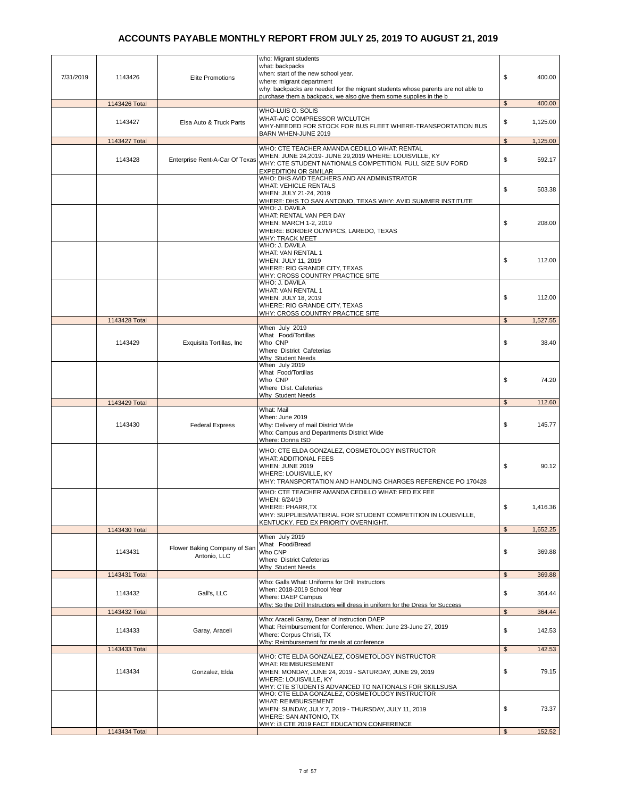| 7/31/2019 | 1143426                  | <b>Elite Promotions</b>                      | who: Migrant students<br>what: backpacks<br>when: start of the new school year.<br>where: migrant department<br>why: backpacks are needed for the migrant students whose parents are not able to                        | \$                      | 400.00   |
|-----------|--------------------------|----------------------------------------------|-------------------------------------------------------------------------------------------------------------------------------------------------------------------------------------------------------------------------|-------------------------|----------|
|           |                          |                                              | purchase them a backpack, we also give them some supplies in the b                                                                                                                                                      | \$                      | 400.00   |
|           | 1143426 Total<br>1143427 | Elsa Auto & Truck Parts                      | WHO-LUIS O. SOLIS<br>WHAT-A/C COMPRESSOR W/CLUTCH<br>WHY-NEEDED FOR STOCK FOR BUS FLEET WHERE-TRANSPORTATION BUS                                                                                                        | \$                      | 1,125.00 |
|           | 1143427 Total            |                                              | BARN WHEN-JUNE 2019                                                                                                                                                                                                     | $\sqrt[6]{\frac{1}{2}}$ | 1,125.00 |
|           | 1143428                  | Enterprise Rent-A-Car Of Texas               | WHO: CTE TEACHER AMANDA CEDILLO WHAT: RENTAL<br>WHEN: JUNE 24,2019- JUNE 29,2019 WHERE: LOUISVILLE, KY<br>WHY: CTE STUDENT NATIONALS COMPETITION. FULL SIZE SUV FORD<br><b>EXPEDITION OR SIMILAR</b>                    | \$                      | 592.17   |
|           |                          |                                              | WHO: DHS AVID TEACHERS AND AN ADMINISTRATOR<br><b>WHAT: VEHICLE RENTALS</b><br>WHEN: JULY 21-24, 2019<br>WHERE: DHS TO SAN ANTONIO, TEXAS WHY: AVID SUMMER INSTITUTE                                                    | \$                      | 503.38   |
|           |                          |                                              | WHO: J. DAVILA<br>WHAT: RENTAL VAN PER DAY<br>WHEN: MARCH 1-2, 2019<br>WHERE: BORDER OLYMPICS, LAREDO, TEXAS<br>WHY: TRACK MEET                                                                                         | \$                      | 208.00   |
|           |                          |                                              | WHO: J. DAVILA<br>WHAT: VAN RENTAL 1<br>WHEN: JULY 11, 2019<br>WHERE: RIO GRANDE CITY, TEXAS<br>WHY: CROSS COUNTRY PRACTICE SITE                                                                                        | \$                      | 112.00   |
|           |                          |                                              | WHO: J. DAVILA<br>WHAT: VAN RENTAL 1<br>WHEN: JULY 18, 2019<br>WHERE: RIO GRANDE CITY, TEXAS<br>WHY: CROSS COUNTRY PRACTICE SITE                                                                                        | \$                      | 112.00   |
|           | 1143428 Total            |                                              |                                                                                                                                                                                                                         | $\mathfrak{s}$          | 1,527.55 |
|           | 1143429                  | Exquisita Tortillas, Inc                     | When July 2019<br>What Food/Tortillas<br>Who CNP<br>Where District Cafeterias<br>Why Student Needs                                                                                                                      | \$                      | 38.40    |
|           |                          |                                              | When July 2019<br>What Food/Tortillas<br>Who CNP<br>Where Dist. Cafeterias<br><b>Why Student Needs</b>                                                                                                                  | \$                      | 74.20    |
|           | 1143429 Total            |                                              |                                                                                                                                                                                                                         | $\mathfrak{s}$          | 112.60   |
|           |                          |                                              | What: Mail                                                                                                                                                                                                              |                         |          |
|           | 1143430                  | <b>Federal Express</b>                       | When: June 2019<br>Why: Delivery of mail District Wide<br>Who: Campus and Departments District Wide<br>Where: Donna ISD                                                                                                 | \$                      | 145.77   |
|           |                          |                                              | WHO: CTE ELDA GONZALEZ, COSMETOLOGY INSTRUCTOR<br><b>WHAT: ADDITIONAL FEES</b><br>WHEN: JUNE 2019<br>WHERE: LOUISVILLE, KY<br>WHY: TRANSPORTATION AND HANDLING CHARGES REFERENCE PO 170428                              | \$                      | 90.12    |
|           |                          |                                              | WHO: CTE TEACHER AMANDA CEDILLO WHAT: FED EX FEE<br>WHEN: 6/24/19<br><b>WHERE: PHARR,TX</b><br>WHY: SUPPLIES/MATERIAL FOR STUDENT COMPETITION IN LOUISVILLE,<br>KENTUCKY. FED EX PRIORITY OVERNIGHT.                    | \$                      | 1,416.36 |
|           | 1143430 Total            |                                              |                                                                                                                                                                                                                         | \$                      | 1.652.25 |
|           | 1143431                  | Flower Baking Company of San<br>Antonio, LLC | When July 2019<br>What Food/Bread<br>Who CNP<br>Where District Cafeterias                                                                                                                                               | \$                      | 369.88   |
|           | 1143431 Total            |                                              | Why Student Needs                                                                                                                                                                                                       | \$                      | 369.88   |
|           | 1143432                  | Gall's, LLC                                  | Who: Galls What: Uniforms for Drill Instructors<br>When: 2018-2019 School Year<br>Where: DAEP Campus<br>Why: So the Drill Instructors will dress in uniform for the Dress for Success                                   | \$                      | 364.44   |
|           | 1143432 Total            |                                              |                                                                                                                                                                                                                         | $\mathfrak{s}$          | 364.44   |
|           | 1143433                  | Garay, Araceli                               | Who: Araceli Garay, Dean of Instruction DAEP<br>What: Reimbursement for Conference. When: June 23-June 27, 2019<br>Where: Corpus Christi, TX<br>Why: Reimbursement for meals at conference                              | \$                      | 142.53   |
|           | 1143433 Total            |                                              |                                                                                                                                                                                                                         | $\sqrt[6]{2}$           | 142.53   |
|           | 1143434                  | Gonzalez, Elda                               | WHO: CTE ELDA GONZALEZ, COSMETOLOGY INSTRUCTOR<br><b>WHAT: REIMBURSEMENT</b><br>WHEN: MONDAY, JUNE 24, 2019 - SATURDAY, JUNE 29, 2019<br>WHERE: LOUISVILLE, KY<br>WHY: CTE STUDENTS ADVANCED TO NATIONALS FOR SKILLSUSA | \$                      | 79.15    |
|           |                          |                                              | WHO: CTE ELDA GONZALEZ, COSMETOLOGY INSTRUCTOR<br><b>WHAT: REIMBURSEMENT</b><br>WHEN: SUNDAY, JULY 7, 2019 - THURSDAY, JULY 11, 2019<br>WHERE: SAN ANTONIO, TX                                                          | \$                      | 73.37    |
|           | 1143434 Total            |                                              | WHY: i3 CTE 2019 FACT EDUCATION CONFERENCE                                                                                                                                                                              | \$                      | 152.52   |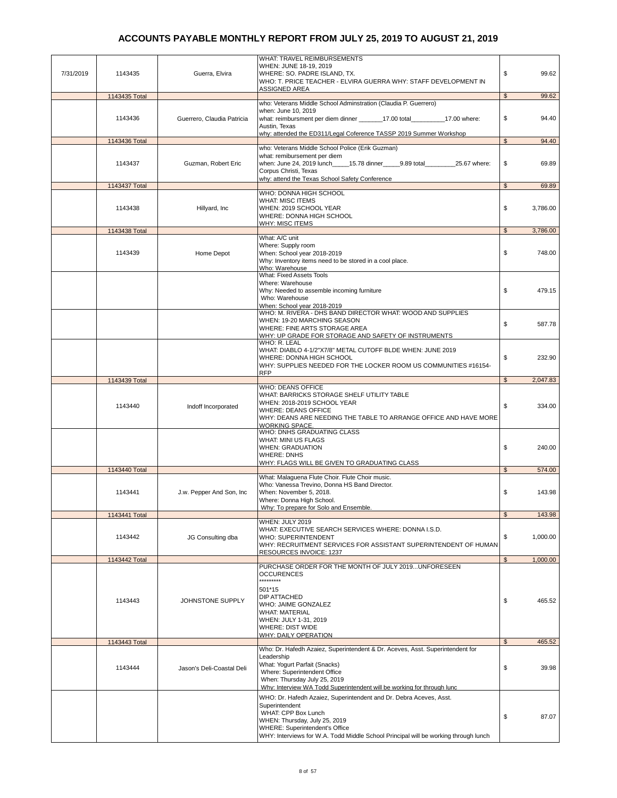| 7/31/2019 | 1143435       | Guerra, Elvira             | WHAT: TRAVEL REIMBURSEMENTS<br>WHEN: JUNE 18-19, 2019<br>WHERE: SO. PADRE ISLAND, TX.<br>WHO: T. PRICE TEACHER - ELVIRA GUERRA WHY: STAFF DEVELOPMENT IN                                                                                                               | \$                         | 99.62  |
|-----------|---------------|----------------------------|------------------------------------------------------------------------------------------------------------------------------------------------------------------------------------------------------------------------------------------------------------------------|----------------------------|--------|
|           |               |                            | ASSIGNED AREA                                                                                                                                                                                                                                                          |                            |        |
|           | 1143435 Total |                            |                                                                                                                                                                                                                                                                        | $\mathfrak{S}$             | 99.62  |
|           | 1143436       | Guerrero, Claudia Patricia | who: Veterans Middle School Adminstration (Claudia P. Guerrero)<br>when: June 10, 2019<br>what: reimbursment per diem dinner _________17.00 total____________17.00 where:<br>Austin, Texas                                                                             | \$                         | 94.40  |
|           | 1143436 Total |                            | why: attended the ED311/Legal Coference TASSP 2019 Summer Workshop                                                                                                                                                                                                     | $\mathfrak s$              | 94.40  |
|           |               |                            | who: Veterans Middle School Police (Erik Guzman)                                                                                                                                                                                                                       |                            |        |
|           | 1143437       | Guzman, Robert Eric        | what: remibursement per diem<br>when: June 24, 2019 lunch______15.78 dinner______9.89 total___________25.67 where:<br>Corpus Christi, Texas<br>why: attend the Texas School Safety Conference                                                                          | \$                         | 69.89  |
|           | 1143437 Total |                            |                                                                                                                                                                                                                                                                        | $\mathbb{S}$               | 69.89  |
|           | 1143438       | Hillyard, Inc.             | WHO: DONNA HIGH SCHOOL<br><b>WHAT: MISC ITEMS</b><br>WHEN: 2019 SCHOOL YEAR<br>WHERE: DONNA HIGH SCHOOL<br>WHY: MISC ITEMS                                                                                                                                             | \$<br>3,786.00             |        |
|           | 1143438 Total |                            |                                                                                                                                                                                                                                                                        | $\mathfrak{S}$<br>3,786.00 |        |
|           |               |                            | What: A/C unit                                                                                                                                                                                                                                                         |                            |        |
|           | 1143439       | Home Depot                 | Where: Supply room<br>When: School year 2018-2019<br>Why: Inventory items need to be stored in a cool place.<br>Who: Warehouse                                                                                                                                         | \$<br>748.00               |        |
|           |               |                            | What: Fixed Assets Tools<br>Where: Warehouse<br>Why: Needed to assemble incoming furniture<br>Who: Warehouse<br>When: School year 2018-2019                                                                                                                            | \$                         | 479.15 |
|           |               |                            | WHO: M. RIVERA - DHS BAND DIRECTOR WHAT: WOOD AND SUPPLIES<br>WHEN: 19-20 MARCHING SEASON<br>WHERE: FINE ARTS STORAGE AREA<br>WHY: UP GRADE FOR STORAGE AND SAFETY OF INSTRUMENTS                                                                                      | \$                         | 587.78 |
|           |               |                            | WHO: R. LEAL<br>WHAT: DIABLO 4-1/2"X7/8" METAL CUTOFF BLDE WHEN: JUNE 2019<br>WHERE: DONNA HIGH SCHOOL<br>WHY: SUPPLIES NEEDED FOR THE LOCKER ROOM US COMMUNITIES #16154-                                                                                              | \$                         | 232.90 |
|           | 1143439 Total |                            | <b>RFP</b>                                                                                                                                                                                                                                                             | $\mathfrak{S}$<br>2,047.83 |        |
|           | 1143440       | Indoff Incorporated        | <b>WHO: DEANS OFFICE</b><br>WHAT: BARRICKS STORAGE SHELF UTILITY TABLE<br>WHEN: 2018-2019 SCHOOL YEAR<br><b>WHERE: DEANS OFFICE</b><br>WHY: DEANS ARE NEEDING THE TABLE TO ARRANGE OFFICE AND HAVE MORE<br>WORKING SPACE.                                              | \$                         | 334.00 |
|           |               |                            | WHO: DNHS GRADUATING CLASS<br><b>WHAT: MINI US FLAGS</b><br><b>WHEN: GRADUATION</b><br><b>WHERE: DNHS</b><br>WHY: FLAGS WILL BE GIVEN TO GRADUATING CLASS                                                                                                              | \$<br>240.00               |        |
|           | 1143440 Total |                            |                                                                                                                                                                                                                                                                        | $\mathfrak{L}$<br>574.00   |        |
|           | 1143441       | J.w. Pepper And Son, Inc.  | What: Malaguena Flute Choir. Flute Choir music.<br>Who: Vanessa Trevino, Donna HS Band Director.<br>When: November 5, 2018.<br>Where: Donna High School.<br>Why: To prepare for Solo and Ensemble.                                                                     | \$<br>143.98               |        |
|           | 1143441 Total |                            |                                                                                                                                                                                                                                                                        | 143.98<br>\$               |        |
|           | 1143442       | JG Consulting dba          | WHEN: JULY 2019<br>WHAT: EXECUTIVE SEARCH SERVICES WHERE: DONNA I.S.D.<br><b>WHO: SUPERINTENDENT</b><br>WHY: RECRUITMENT SERVICES FOR ASSISTANT SUPERINTENDENT OF HUMAN<br>RESOURCES INVOICE: 1237                                                                     | \$<br>1,000.00             |        |
|           | 1143442 Total |                            |                                                                                                                                                                                                                                                                        | $\mathfrak{S}$<br>1,000.00 |        |
|           | 1143443       | JOHNSTONE SUPPLY           | PURCHASE ORDER FOR THE MONTH OF JULY 2019UNFORESEEN<br><b>OCCURENCES</b><br>*********<br>501*15<br><b>DIP ATTACHED</b><br>WHO: JAIME GONZALEZ<br><b>WHAT: MATERIAL</b><br>WHEN: JULY 1-31, 2019<br><b>WHERE: DIST WIDE</b><br><u> WHY: DAILY OPERATION</u>             | \$                         | 465.52 |
|           | 1143443 Total |                            |                                                                                                                                                                                                                                                                        | $\mathfrak{L}$<br>465.52   |        |
|           | 1143444       | Jason's Deli-Coastal Deli  | Who: Dr. Hafedh Azaiez, Superintendent & Dr. Aceves, Asst. Superintendent for<br>Leadership<br>What: Yogurt Parfait (Snacks)<br>Where: Superintendent Office<br>When: Thursday July 25, 2019<br>Why: Interview WA Todd Superintendent will be working for through lunc | \$                         | 39.98  |
|           |               |                            | WHO: Dr. Hafedh Azaiez, Superintendent and Dr. Debra Aceves, Asst.<br>Superintendent<br>WHAT: CPP Box Lunch<br>WHEN: Thursday, July 25, 2019<br>WHERE: Superintendent's Office<br>WHY: Interviews for W.A. Todd Middle School Principal will be working through lunch  | \$                         | 87.07  |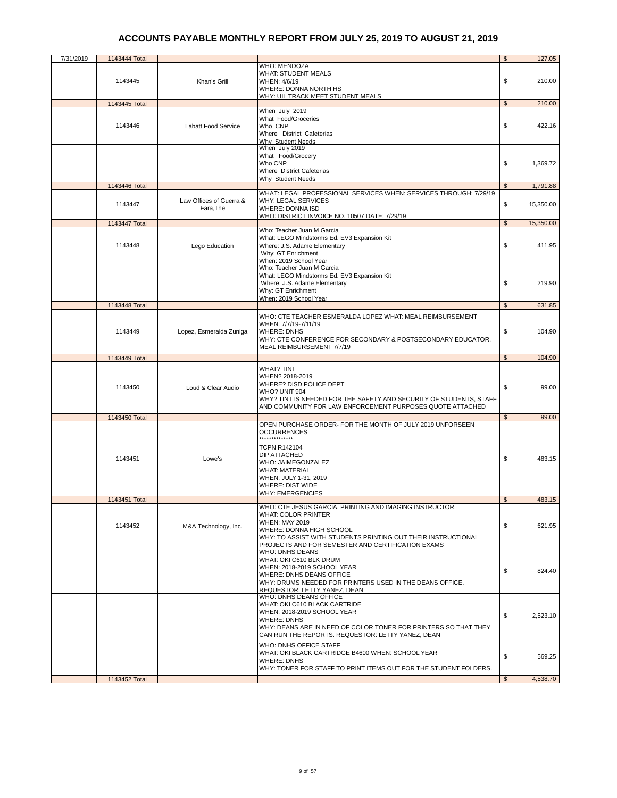| 7/31/2019 | 1143444 Total            |                                      |                                                                                                                                                                                                                                                                               | \$                   | 127.05               |
|-----------|--------------------------|--------------------------------------|-------------------------------------------------------------------------------------------------------------------------------------------------------------------------------------------------------------------------------------------------------------------------------|----------------------|----------------------|
|           | 1143445                  | Khan's Grill                         | WHO: MENDOZA<br><b>WHAT: STUDENT MEALS</b><br>WHEN: 4/6/19<br>WHERE: DONNA NORTH HS                                                                                                                                                                                           | \$                   | 210.00               |
|           |                          |                                      | WHY: UIL TRACK MEET STUDENT MEALS                                                                                                                                                                                                                                             |                      |                      |
|           | 1143445 Total<br>1143446 | Labatt Food Service                  | When July 2019<br>What Food/Groceries<br>Who CNP<br>Where District Cafeterias                                                                                                                                                                                                 | $\mathfrak s$<br>\$  | 210.00<br>422.16     |
|           | 1143446 Total            |                                      | Why Student Needs<br>When July 2019<br>What Food/Grocery<br>Who CNP<br>Where District Cafeterias<br>Why Student Needs                                                                                                                                                         | \$<br>$\mathfrak{L}$ | 1,369.72<br>1,791.88 |
|           |                          |                                      | WHAT: LEGAL PROFESSIONAL SERVICES WHEN: SERVICES THROUGH: 7/29/19                                                                                                                                                                                                             |                      |                      |
|           | 1143447                  | Law Offices of Guerra &<br>Fara, The | <b>WHY: LEGAL SERVICES</b><br><b>WHERE: DONNA ISD</b><br>WHO: DISTRICT INVOICE NO. 10507 DATE: 7/29/19                                                                                                                                                                        | \$                   | 15,350.00            |
|           | 1143447 Total            |                                      |                                                                                                                                                                                                                                                                               | $\mathfrak{S}$       | 15,350.00            |
|           | 1143448                  | Lego Education                       | Who: Teacher Juan M Garcia<br>What: LEGO Mindstorms Ed. EV3 Expansion Kit<br>Where: J.S. Adame Elementary<br>Why: GT Enrichment<br>When: 2019 School Year                                                                                                                     | \$                   | 411.95               |
|           |                          |                                      | Who: Teacher Juan M Garcia<br>What: LEGO Mindstorms Ed. EV3 Expansion Kit<br>Where: J.S. Adame Elementary<br>Why: GT Enrichment<br>When: 2019 School Year                                                                                                                     | \$                   | 219.90               |
|           | 1143448 Total            |                                      |                                                                                                                                                                                                                                                                               | \$                   | 631.85               |
|           | 1143449                  | Lopez, Esmeralda Zuniga              | WHO: CTE TEACHER ESMERALDA LOPEZ WHAT: MEAL REIMBURSEMENT<br>WHEN: 7/7/19-7/11/19<br><b>WHERE: DNHS</b><br>WHY: CTE CONFERENCE FOR SECONDARY & POSTSECONDARY EDUCATOR.<br>MEAL REIMBURSEMENT 7/7/19                                                                           | \$                   | 104.90               |
|           | 1143449 Total            |                                      |                                                                                                                                                                                                                                                                               | $\mathfrak s$        | 104.90               |
|           | 1143450                  | Loud & Clear Audio                   | WHAT? TINT<br>WHEN? 2018-2019<br>WHERE? DISD POLICE DEPT<br>WHO? UNIT 904<br>WHY? TINT IS NEEDED FOR THE SAFETY AND SECURITY OF STUDENTS, STAFF<br>AND COMMUNITY FOR LAW ENFORCEMENT PURPOSES QUOTE ATTACHED                                                                  | \$                   | 99.00                |
|           | 1143450 Total            |                                      |                                                                                                                                                                                                                                                                               | $\mathfrak s$        | 99.00                |
|           | 1143451                  | Lowe's                               | OPEN PURCHASE ORDER- FOR THE MONTH OF JULY 2019 UNFORSEEN<br><b>OCCURRENCES</b><br>**************<br><b>TCPN R142104</b><br><b>DIP ATTACHED</b><br>WHO: JAIMEGONZALEZ<br><b>WHAT: MATERIAL</b><br>WHEN: JULY 1-31, 2019<br><b>WHERE: DIST WIDE</b><br><b>WHY: EMERGENCIES</b> | \$                   | 483.15               |
|           | 1143451 Total            |                                      |                                                                                                                                                                                                                                                                               | \$                   | 483.15               |
|           | 1143452                  | M&A Technology, Inc.                 | WHO: CTE JESUS GARCIA, PRINTING AND IMAGING INSTRUCTOR<br><b>WHAT: COLOR PRINTER</b><br><b>WHEN: MAY 2019</b><br>WHERE: DONNA HIGH SCHOOL<br>WHY: TO ASSIST WITH STUDENTS PRINTING OUT THEIR INSTRUCTIONAL<br>PROJECTS AND FOR SEMESTER AND CERTIFICATION EXAMS               | \$                   | 621.95               |
|           |                          |                                      | <b>WHO: DNHS DEANS</b><br>WHAT: OKI C610 BLK DRUM<br>WHEN: 2018-2019 SCHOOL YEAR<br>WHERE: DNHS DEANS OFFICE<br>WHY: DRUMS NEEDED FOR PRINTERS USED IN THE DEANS OFFICE.<br>REQUESTOR: LETTY YANEZ, DEAN                                                                      | \$                   | 824.40               |
|           |                          |                                      | WHO: DNHS DEANS OFFICE<br>WHAT: OKI C610 BLACK CARTRIDE<br>WHEN: 2018-2019 SCHOOL YEAR<br><b>WHERE: DNHS</b><br>WHY: DEANS ARE IN NEED OF COLOR TONER FOR PRINTERS SO THAT THEY<br>CAN RUN THE REPORTS. REQUESTOR: LETTY YANEZ, DEAN                                          | \$                   | 2,523.10             |
|           |                          |                                      | WHO: DNHS OFFICE STAFF<br>WHAT: OKI BLACK CARTRIDGE B4600 WHEN: SCHOOL YEAR<br><b>WHERE: DNHS</b><br>WHY: TONER FOR STAFF TO PRINT ITEMS OUT FOR THE STUDENT FOLDERS.                                                                                                         | \$                   | 569.25               |
|           | 1143452 Total            |                                      |                                                                                                                                                                                                                                                                               | \$                   | 4,538.70             |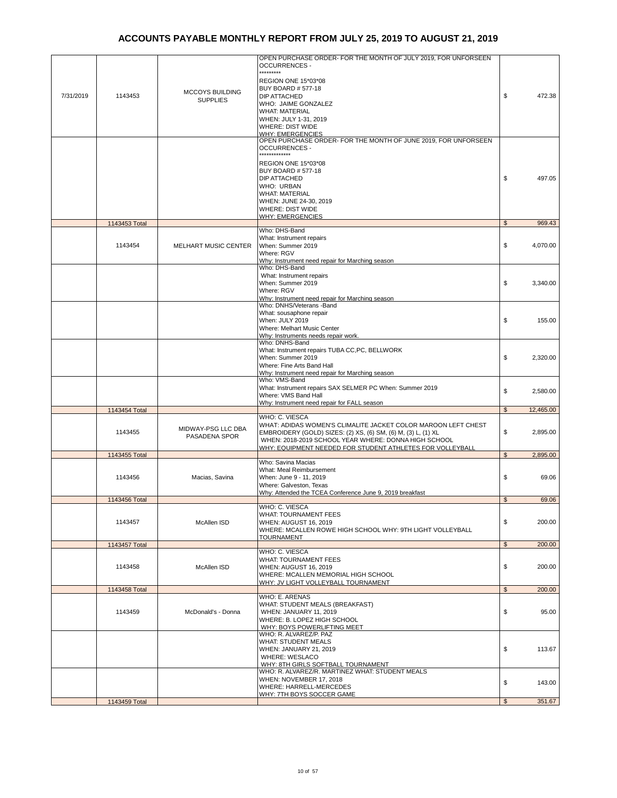| 7/31/2019 | 1143453       | <b>MCCOYS BUILDING</b><br><b>SUPPLIES</b> | OPEN PURCHASE ORDER- FOR THE MONTH OF JULY 2019, FOR UNFORSEEN<br><b>OCCURRENCES-</b><br>*********<br>REGION ONE 15*03*08<br><b>BUY BOARD # 577-18</b><br><b>DIP ATTACHED</b><br>WHO: JAIME GONZALEZ<br><b>WHAT: MATERIAL</b><br>WHEN: JULY 1-31, 2019<br><b>WHERE: DIST WIDE</b>                                               | \$             | 472.38    |
|-----------|---------------|-------------------------------------------|---------------------------------------------------------------------------------------------------------------------------------------------------------------------------------------------------------------------------------------------------------------------------------------------------------------------------------|----------------|-----------|
|           |               |                                           | <u> WHY: EMERGENCIES</u><br>OPEN PURCHASE ORDER- FOR THE MONTH OF JUNE 2019, FOR UNFORSEEN<br><b>OCCURRENCES -</b><br><br>REGION ONE 15*03*08<br><b>BUY BOARD # 577-18</b><br><b>DIP ATTACHED</b><br><b>WHO: URBAN</b><br><b>WHAT: MATERIAL</b><br>WHEN: JUNE 24-30, 2019<br><b>WHERE: DIST WIDE</b><br><b>WHY: EMERGENCIES</b> | \$             | 497.05    |
|           | 1143453 Total |                                           |                                                                                                                                                                                                                                                                                                                                 | \$             | 969.43    |
|           | 1143454       | <b>MELHART MUSIC CENTER</b>               | Who: DHS-Band<br>What: Instrument repairs<br>When: Summer 2019<br>Where: RGV<br>Why: Instrument need repair for Marching season                                                                                                                                                                                                 | \$             | 4,070.00  |
|           |               |                                           | Who: DHS-Band<br>What: Instrument repairs<br>When: Summer 2019<br>Where: RGV<br>Why: Instrument need repair for Marching season                                                                                                                                                                                                 | \$             | 3,340.00  |
|           |               |                                           | Who: DNHS/Veterans -Band<br>What: sousaphone repair<br>When: JULY 2019<br>Where: Melhart Music Center<br>Why: Instruments needs repair work.                                                                                                                                                                                    | \$             | 155.00    |
|           |               |                                           | Who: DNHS-Band<br>What: Instrument repairs TUBA CC,PC, BELLWORK<br>When: Summer 2019<br>Where: Fine Arts Band Hall<br>Why: Instrument need repair for Marching season                                                                                                                                                           | \$             | 2,320.00  |
|           |               |                                           | Who: VMS-Band<br>What: Instrument repairs SAX SELMER PC When: Summer 2019<br>Where: VMS Band Hall<br>Why: Instrument need repair for FALL season                                                                                                                                                                                | \$             | 2,580.00  |
|           | 1143454 Total |                                           |                                                                                                                                                                                                                                                                                                                                 | $\mathfrak s$  | 12,465.00 |
|           | 1143455       | MIDWAY-PSG LLC DBA<br>PASADENA SPOR       | WHO: C. VIESCA<br>WHAT: ADIDAS WOMEN'S CLIMALITE JACKET COLOR MAROON LEFT CHEST<br>EMBROIDERY (GOLD) SIZES: (2) XS, (6) SM, (6) M, (3) L, (1) XL<br>WHEN: 2018-2019 SCHOOL YEAR WHERE: DONNA HIGH SCHOOL<br>WHY: EQUIPMENT NEEDED FOR STUDENT ATHLETES FOR VOLLEYBALL                                                           | \$             | 2,895.00  |
|           | 1143455 Total |                                           |                                                                                                                                                                                                                                                                                                                                 | \$             | 2,895.00  |
|           | 1143456       | Macias, Savina                            | Who: Savina Macias<br>What: Meal Reimbursement<br>When: June 9 - 11, 2019<br>Where: Galveston, Texas<br>Why: Attended the TCEA Conference June 9, 2019 breakfast                                                                                                                                                                | \$             | 69.06     |
|           | 1143456 Total |                                           |                                                                                                                                                                                                                                                                                                                                 | \$             | 69.06     |
|           | 1143457       | McAllen ISD                               | WHO: C. VIESCA<br><b>WHAT: TOURNAMENT FEES</b><br><b>WHEN: AUGUST 16, 2019</b><br>WHERE: MCALLEN ROWE HIGH SCHOOL WHY: 9TH LIGHT VOLLEYBALL<br><b>TOURNAMENT</b>                                                                                                                                                                | \$             | 200.00    |
|           | 1143457 Total |                                           |                                                                                                                                                                                                                                                                                                                                 | $\mathfrak{S}$ | 200.00    |
|           | 1143458       | McAllen ISD                               | WHO: C. VIESCA<br><b>WHAT: TOURNAMENT FEES</b><br>WHEN: AUGUST 16, 2019<br>WHERE: MCALLEN MEMORIAL HIGH SCHOOL<br>WHY: JV LIGHT VOLLEYBALL TOURNAMENT                                                                                                                                                                           | \$             | 200.00    |
|           | 1143458 Total |                                           |                                                                                                                                                                                                                                                                                                                                 | $\mathfrak{s}$ | 200.00    |
|           | 1143459       | McDonald's - Donna                        | WHO: E. ARENAS<br>WHAT: STUDENT MEALS (BREAKFAST)<br>WHEN: JANUARY 11, 2019<br>WHERE: B. LOPEZ HIGH SCHOOL<br>WHY: BOYS POWERLIFTING MEET                                                                                                                                                                                       | \$             | 95.00     |
|           |               |                                           | WHO: R. ALVAREZ/P. PAZ<br><b>WHAT: STUDENT MEALS</b><br>WHEN: JANUARY 21, 2019<br>WHERE: WESLACO<br>WHY: 8TH GIRLS SOFTBALL TOURNAMENT<br>WHO: R. ALVAREZ/R. MARTINEZ WHAT: STUDENT MEALS                                                                                                                                       | \$             | 113.67    |
|           |               |                                           | WHEN: NOVEMBER 17, 2018<br>WHERE: HARRELL-MERCEDES<br>WHY: 7TH BOYS SOCCER GAME                                                                                                                                                                                                                                                 | \$             | 143.00    |
|           | 1143459 Total |                                           |                                                                                                                                                                                                                                                                                                                                 | $\mathfrak{S}$ | 351.67    |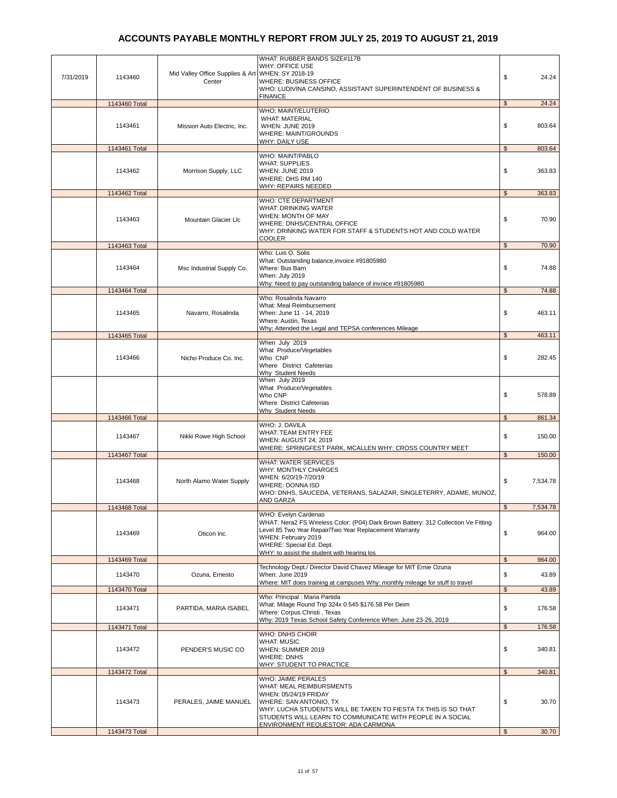| 7/31/2019 | 1143460                  | Mid Valley Office Supplies & Art WHEN: SY 2018-19<br>Center | WHAT: RUBBER BANDS SIZE#117B<br>WHY: OFFICE USE<br>WHERE: BUSINESS OFFICE<br>WHO: LUDIVINA CANSINO, ASSISTANT SUPERINTENDENT OF BUSINESS &                                                                                                                              | \$<br>24.24                  |
|-----------|--------------------------|-------------------------------------------------------------|-------------------------------------------------------------------------------------------------------------------------------------------------------------------------------------------------------------------------------------------------------------------------|------------------------------|
|           | 1143460 Total            |                                                             | <b>FINANCE</b>                                                                                                                                                                                                                                                          | $\mathfrak{S}$<br>24.24      |
|           | 1143461                  | Mission Auto Electric, Inc.                                 | WHO; MAINT/ELUTERIO<br><b>WHAT: MATERIAL</b><br>WHEN: JUNE 2019<br><b>WHERE: MAINT/GROUNDS</b><br>WHY: DAILY USE                                                                                                                                                        | \$<br>803.64                 |
|           | 1143461 Total            |                                                             |                                                                                                                                                                                                                                                                         | $\mathfrak{s}$<br>803.64     |
|           | 1143462                  | Morrison Supply, LLC                                        | <b>WHO: MAINT/PABLO</b><br><b>WHAT: SUPPLIES</b><br>WHEN: JUNE 2019<br>WHERE: DHS RM 140<br>WHY: REPAIRS NEEDED                                                                                                                                                         | \$<br>363.83                 |
|           | 1143462 Total            |                                                             |                                                                                                                                                                                                                                                                         | 363.83<br>$\mathfrak{s}$     |
|           | 1143463                  | Mountain Glacier Llc                                        | WHO: CTE DEPARTMENT<br>WHAT: DRINKING WATER<br>WHEN: MONTH OF MAY<br>WHERE: DNHS/CENTRAL OFFICE<br>WHY: DRINKING WATER FOR STAFF & STUDENTS HOT AND COLD WATER<br><b>COOLER</b>                                                                                         | \$<br>70.90                  |
|           | 1143463 Total            |                                                             |                                                                                                                                                                                                                                                                         | $\mathfrak{S}$<br>70.90      |
|           | 1143464                  | Msc Industrial Supply Co.                                   | Who: Luis O. Solis<br>What: Outstanding balance, invoice #91805980<br>Where: Bus Barn<br>When: July 2019<br>Why: Need to pay outstanding balance of invoice #91805980                                                                                                   | \$<br>74.88                  |
|           | 1143464 Total            |                                                             |                                                                                                                                                                                                                                                                         | $\mathfrak{s}$<br>74.88      |
|           | 1143465<br>1143465 Total | Navarro, Rosalinda                                          | Who: Rosalinda Navarro<br>What: Meal Reimbursement<br>When: June 11 - 14, 2019<br>Where: Austin, Texas<br>Why; Attended the Legal and TEPSA conferences Mileage                                                                                                         | \$<br>463.11<br>\$<br>463.11 |
|           |                          |                                                             | When July 2019                                                                                                                                                                                                                                                          |                              |
|           | 1143466                  | Nicho Produce Co. Inc.                                      | What Produce/Vegetables<br>Who CNP<br>Where District Cafeterias<br><b>Why Student Needs</b>                                                                                                                                                                             | \$<br>282.45                 |
|           |                          |                                                             | When July 2019<br>What Produce/Vegetables<br>Who CNP<br>Where District Cafeterias<br><b>Why Student Needs</b>                                                                                                                                                           | \$<br>578.89                 |
|           | 1143466 Total            |                                                             |                                                                                                                                                                                                                                                                         | $\mathfrak{s}$<br>861.34     |
|           | 1143467                  | Nikki Rowe High School                                      | WHO: J. DAVILA<br>WHAT: TEAM ENTRY FEE<br><b>WHEN: AUGUST 24, 2019</b><br>WHERE: SPRINGFEST PARK, MCALLEN WHY: CROSS COUNTRY MEET                                                                                                                                       | \$<br>150.00                 |
|           | 1143467 Total            |                                                             |                                                                                                                                                                                                                                                                         | \$<br>150.00                 |
|           | 1143468                  | North Alamo Water Supply                                    | <b>WHAT: WATER SERVICES</b><br>WHY: MONTHLY CHARGES<br>WHEN: 6/20/19-7/20/19<br>WHERE: DONNA ISD<br>WHO: DNHS, SAUCEDA, VETERANS, SALAZAR, SINGLETERRY, ADAME, MUNOZ,<br>AND GARZA                                                                                      | \$<br>7,534.78               |
|           | 1143468 Total            |                                                             | WHO: Evelyn Cardenas                                                                                                                                                                                                                                                    | $\mathfrak{S}$<br>7,534.78   |
|           | 1143469                  | Oticon Inc.                                                 | WHAT: Nera2 FS Wireless Color: (P04) Dark Brown Battery: 312 Collection Ve Fitting<br>Level 85 Two Year Repair/Two Year Replacement Warranty<br>WHEN: February 2019<br>WHERE: Special Ed. Dept.<br>WHY: to assist the student with hearing los                          | \$<br>964.00                 |
|           | 1143469 Total            |                                                             |                                                                                                                                                                                                                                                                         | $\mathfrak{S}$<br>964.00     |
|           | 1143470                  | Ozuna, Ernesto                                              | Technology Dept./ Director David Chavez Mileage for MIT Ernie Ozuna<br>When: June 2019                                                                                                                                                                                  | \$<br>43.89                  |
|           |                          |                                                             | Where: MIT does training at campuses Why: monthly mileage for stuff to travel                                                                                                                                                                                           |                              |
|           | 1143470 Total            |                                                             |                                                                                                                                                                                                                                                                         | $\mathfrak{s}$<br>43.89      |
|           | 1143471                  | PARTIDA, MARIA ISABEL                                       | Who: Principal : Maria Partida<br>What: Milage Round Trip 324x 0.545 \$176.58 Per Deim<br>Where: Corpus Christi, Texas<br>Why: 2019 Texas School Safety Conference When: June 23-26, 2019                                                                               | \$<br>176.58                 |
|           | 1143471 Total            |                                                             | WHO: DNHS CHOIR                                                                                                                                                                                                                                                         | \$<br>176.58                 |
|           | 1143472                  | PENDER'S MUSIC CO                                           | <b>WHAT: MUSIC</b><br>WHEN: SUMMER 2019<br><b>WHERE: DNHS</b><br>WHY: STUDENT TO PRACTICE                                                                                                                                                                               | \$<br>340.81                 |
|           | 1143472 Total            |                                                             |                                                                                                                                                                                                                                                                         | $\mathfrak{S}$<br>340.81     |
|           | 1143473                  | PERALES, JAIME MANUEL                                       | WHO: JAIME PERALES<br>WHAT: MEAL REIMBURSMENTS<br>WHEN: 05/24/19 FRIDAY<br>WHERE: SAN ANTONIO, TX<br>WHY: LUCHA STUDENTS WILL BE TAKEN TO FIESTA TX THIS IS SO THAT<br>STUDENTS WILL LEARN TO COMMUNICATE WITH PEOPLE IN A SOCIAL<br>ENVIRONMENT REQUESTOR: ADA CARMONA | \$<br>30.70                  |
|           | 1143473 Total            |                                                             |                                                                                                                                                                                                                                                                         | $\mathfrak{s}$<br>30.70      |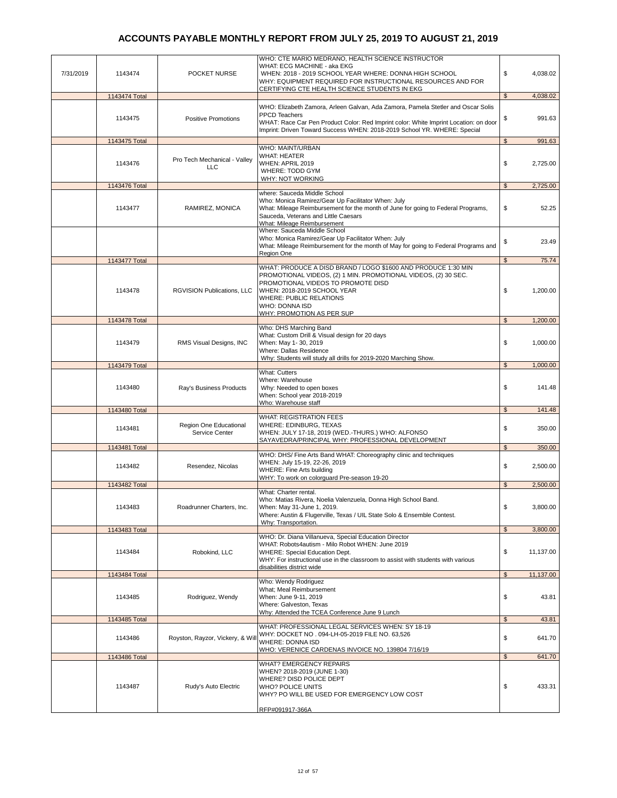| 7/31/2019 | 1143474       | POCKET NURSE                               | WHO: CTE MARIO MEDRANO, HEALTH SCIENCE INSTRUCTOR<br>WHAT: ECG MACHINE - aka EKG<br>WHEN: 2018 - 2019 SCHOOL YEAR WHERE: DONNA HIGH SCHOOL<br>WHY: EQUIPMENT REQUIRED FOR INSTRUCTIONAL RESOURCES AND FOR                                                                                    | \$             | 4,038.02  |
|-----------|---------------|--------------------------------------------|----------------------------------------------------------------------------------------------------------------------------------------------------------------------------------------------------------------------------------------------------------------------------------------------|----------------|-----------|
|           | 1143474 Total |                                            | CERTIFYING CTE HEALTH SCIENCE STUDENTS IN EKG                                                                                                                                                                                                                                                | $\mathfrak{L}$ | 4,038.02  |
|           |               |                                            |                                                                                                                                                                                                                                                                                              |                |           |
|           | 1143475       | <b>Positive Promotions</b>                 | WHO: Elizabeth Zamora, Arleen Galvan, Ada Zamora, Pamela Stetler and Oscar Solis<br><b>PPCD Teachers</b><br>WHAT: Race Car Pen Product Color: Red Imprint color: White Imprint Location: on door<br>Imprint: Driven Toward Success WHEN: 2018-2019 School YR. WHERE: Special                 | \$             | 991.63    |
|           | 1143475 Total |                                            |                                                                                                                                                                                                                                                                                              | $\mathfrak{s}$ | 991.63    |
|           | 1143476       | Pro Tech Mechanical - Valley<br><b>LLC</b> | WHO: MAINT/URBAN<br>WHAT: HEATER<br>WHEN: APRIL 2019<br>WHERE: TODD GYM<br><b>WHY: NOT WORKING</b>                                                                                                                                                                                           | \$             | 2,725.00  |
|           | 1143476 Total |                                            |                                                                                                                                                                                                                                                                                              | $\mathfrak{L}$ | 2,725.00  |
|           | 1143477       | RAMIREZ, MONICA                            | where: Sauceda Middle School<br>Who: Monica Ramirez/Gear Up Facilitator When: July<br>What: Mileage Reimbursement for the month of June for going to Federal Programs,<br>Sauceda, Veterans and Little Caesars<br>What: Mileage Reimbursement                                                | \$             | 52.25     |
|           |               |                                            | Where: Sauceda Middle School<br>Who: Monica Ramirez/Gear Up Facilitator When: July<br>What: Mileage Reimbursement for the month of May for going to Federal Programs and<br>Region One                                                                                                       | \$             | 23.49     |
|           | 1143477 Total |                                            |                                                                                                                                                                                                                                                                                              | $\mathfrak{s}$ | 75.74     |
|           | 1143478       | RGVISION Publications, LLC                 | WHAT: PRODUCE A DISD BRAND / LOGO \$1600 AND PRODUCE 1:30 MIN<br>PROMOTIONAL VIDEOS, (2) 1 MIN. PROMOTIONAL VIDEOS, (2) 30 SEC.<br>PROMOTIONAL VIDEOS TO PROMOTE DISD<br>WHEN: 2018-2019 SCHOOL YEAR<br><b>WHERE: PUBLIC RELATIONS</b><br><b>WHO: DONNA ISD</b><br>WHY: PROMOTION AS PER SUP | \$             | 1,200.00  |
|           | 1143478 Total |                                            |                                                                                                                                                                                                                                                                                              | \$             | 1,200.00  |
|           | 1143479       | RMS Visual Designs, INC                    | Who: DHS Marching Band<br>What: Custom Drill & Visual design for 20 days<br>When: May 1-30, 2019                                                                                                                                                                                             | \$             | 1,000.00  |
|           |               |                                            | Where: Dallas Residence<br>Why: Students will study all drills for 2019-2020 Marching Show.                                                                                                                                                                                                  |                |           |
|           | 1143479 Total |                                            |                                                                                                                                                                                                                                                                                              | $\mathfrak{s}$ | 1,000.00  |
|           | 1143480       | Ray's Business Products                    | <b>What: Cutters</b><br>Where: Warehouse<br>Why: Needed to open boxes<br>When: School year 2018-2019<br>Who: Warehouse staff                                                                                                                                                                 | \$             | 141.48    |
|           | 1143480 Total |                                            |                                                                                                                                                                                                                                                                                              | \$             | 141.48    |
|           | 1143481       | Region One Educational<br>Service Center   | <b>WHAT: REGISTRATION FEES</b><br>WHERE: EDINBURG, TEXAS<br>WHEN: JULY 17-18, 2019 (WED.-THURS.) WHO: ALFONSO<br>SAYAVEDRA/PRINCIPAL WHY: PROFESSIONAL DEVELOPMENT                                                                                                                           | \$             | 350.00    |
|           | 1143481 Total |                                            |                                                                                                                                                                                                                                                                                              | $\mathfrak{s}$ | 350.00    |
|           | 1143482       | Resendez, Nicolas                          | WHO: DHS/ Fine Arts Band WHAT: Choreography clinic and techniques<br>WHEN: July 15-19, 22-26, 2019<br><b>WHERE: Fine Arts building</b><br>WHY: To work on colorguard Pre-season 19-20                                                                                                        | \$             | 2,500.00  |
|           | 1143482 Total |                                            |                                                                                                                                                                                                                                                                                              | $\mathfrak{s}$ | 2,500.00  |
|           | 1143483       | Roadrunner Charters, Inc.                  | What: Charter rental.<br>Who: Matias Rivera, Noelia Valenzuela, Donna High School Band.<br>When: May 31-June 1, 2019.<br>Where: Austin & Flugerville, Texas / UIL State Solo & Ensemble Contest.<br>Why: Transportation.                                                                     | \$             | 3,800.00  |
|           | 1143483 Total |                                            |                                                                                                                                                                                                                                                                                              | $\mathfrak{L}$ | 3,800.00  |
|           | 1143484       | Robokind, LLC                              | WHO: Dr. Diana Villanueva, Special Education Director<br>WHAT: Robots4autism - Milo Robot WHEN: June 2019<br>WHERE: Special Education Dept.<br>WHY: For instructional use in the classroom to assist with students with various<br>disabilities district wide                                | \$             | 11,137.00 |
|           | 1143484 Total |                                            |                                                                                                                                                                                                                                                                                              | $\mathfrak{s}$ | 11,137.00 |
|           | 1143485       | Rodriguez, Wendy                           | Who: Wendy Rodriguez<br>What; Meal Reimbursement<br>When: June 9-11, 2019<br>Where: Galveston, Texas<br>Why: Attended the TCEA Conference June 9 Lunch                                                                                                                                       | \$             | 43.81     |
|           | 1143485 Total |                                            |                                                                                                                                                                                                                                                                                              | $\mathfrak{L}$ | 43.81     |
|           | 1143486       | Royston, Rayzor, Vickery, & Will           | WHAT: PROFESSIONAL LEGAL SERVICES WHEN: SY 18-19<br>WHY: DOCKET NO . 094-LH-05-2019 FILE NO. 63,526<br>WHERE: DONNA ISD<br>WHO: VERENICE CARDENAS INVOICE NO. 139804 7/16/19                                                                                                                 | \$             | 641.70    |
|           | 1143486 Total |                                            |                                                                                                                                                                                                                                                                                              | $\mathfrak{S}$ | 641.70    |
|           | 1143487       | Rudy's Auto Electric                       | <b>WHAT? EMERGENCY REPAIRS</b><br>WHEN? 2018-2019 (JUNE 1-30)<br>WHERE? DISD POLICE DEPT<br><b>WHO? POLICE UNITS</b><br>WHY? PO WILL BE USED FOR EMERGENCY LOW COST<br>RFP#091917-366A                                                                                                       | \$             | 433.31    |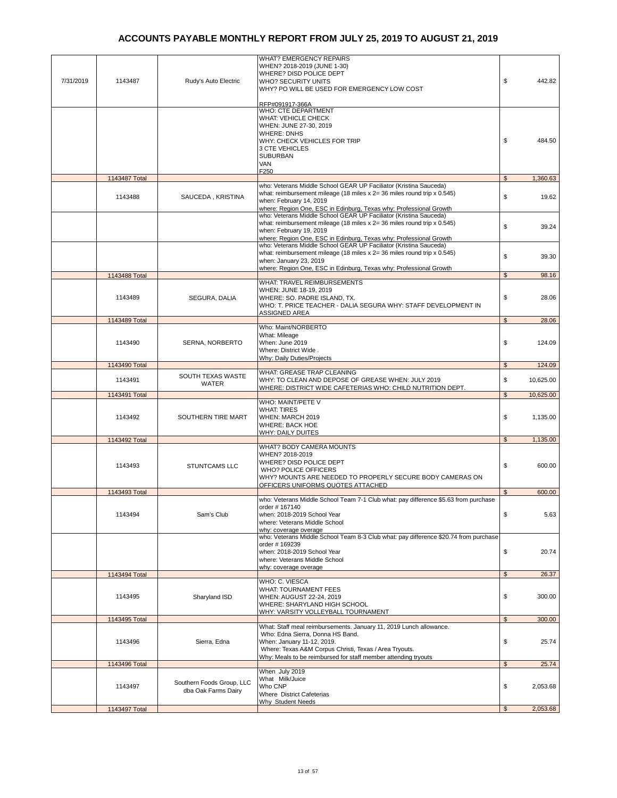| 7/31/2019 | 1143487       | Rudy's Auto Electric                             | <b>WHAT? EMERGENCY REPAIRS</b><br>WHEN? 2018-2019 (JUNE 1-30)<br>WHERE? DISD POLICE DEPT<br><b>WHO? SECURITY UNITS</b><br>WHY? PO WILL BE USED FOR EMERGENCY LOW COST<br>RFP#091917-366A                                                                         | \$<br>442.82                |
|-----------|---------------|--------------------------------------------------|------------------------------------------------------------------------------------------------------------------------------------------------------------------------------------------------------------------------------------------------------------------|-----------------------------|
|           |               |                                                  | <b>WHO: CTE DEPARTMENT</b><br><b>WHAT: VEHICLE CHECK</b><br>WHEN: JUNE 27-30, 2019<br><b>WHERE: DNHS</b><br>WHY: CHECK VEHICLES FOR TRIP<br>3 CTE VEHICLES<br><b>SUBURBAN</b><br>VAN<br>F250                                                                     | \$<br>484.50                |
|           | 1143487 Total |                                                  |                                                                                                                                                                                                                                                                  | $\mathfrak{s}$<br>1,360.63  |
|           | 1143488       | SAUCEDA, KRISTINA                                | who: Veterans Middle School GEAR UP Faciliator (Kristina Sauceda)<br>what: reimbursement mileage (18 miles $x = 36$ miles round trip $x = 0.545$ )<br>when: February 14, 2019<br>where: Region One, ESC in Edinburg, Texas why: Professional Growth              | \$<br>19.62                 |
|           |               |                                                  | who: Veterans Middle School GEAR UP Faciliator (Kristina Sauceda)<br>what: reimbursement mileage (18 miles $x = 36$ miles round trip $x = 0.545$ )<br>when: February 19, 2019<br>where: Region One, ESC in Edinburg, Texas why: Professional Growth              | \$<br>39.24                 |
|           |               |                                                  | who: Veterans Middle School GEAR UP Faciliator (Kristina Sauceda)<br>what: reimbursement mileage (18 miles x 2= 36 miles round trip x 0.545)<br>when: January 23, 2019<br>where: Region One, ESC in Edinburg, Texas why: Professional Growth                     | \$<br>39.30                 |
|           | 1143488 Total |                                                  |                                                                                                                                                                                                                                                                  | $\mathfrak{s}$<br>98.16     |
|           | 1143489       | SEGURA, DALIA                                    | WHAT: TRAVEL REIMBURSEMENTS<br>WHEN: JUNE 18-19, 2019<br>WHERE: SO. PADRE ISLAND, TX.<br>WHO: T. PRICE TEACHER - DALIA SEGURA WHY: STAFF DEVELOPMENT IN<br>ASSIGNED AREA                                                                                         | \$<br>28.06                 |
|           | 1143489 Total |                                                  |                                                                                                                                                                                                                                                                  | $\mathfrak{s}$<br>28.06     |
|           | 1143490       | SERNA, NORBERTO                                  | Who: Maint/NORBERTO<br>What: Mileage<br>When: June 2019<br>Where: District Wide.                                                                                                                                                                                 | \$<br>124.09                |
|           | 1143490 Total |                                                  | Why: Daily Duties/Projects                                                                                                                                                                                                                                       | $\mathfrak{s}$<br>124.09    |
|           | 1143491       | SOUTH TEXAS WASTE<br>WATER                       | WHAT: GREASE TRAP CLEANING<br>WHY: TO CLEAN AND DEPOSE OF GREASE WHEN: JULY 2019<br>WHERE: DISTRICT WIDE CAFETERIAS WHO: CHILD NUTRITION DEPT.                                                                                                                   | \$<br>10,625.00             |
|           | 1143491 Total |                                                  |                                                                                                                                                                                                                                                                  | $\mathfrak{s}$<br>10,625.00 |
|           | 1143492       | SOUTHERN TIRE MART                               | WHO: MAINT/PETE V<br><b>WHAT: TIRES</b><br>WHEN: MARCH 2019<br><b>WHERE: BACK HOE</b><br>WHY: DAILY DUITES                                                                                                                                                       | \$<br>1,135.00              |
|           | 1143492 Total |                                                  |                                                                                                                                                                                                                                                                  | $\mathfrak{S}$<br>1,135.00  |
|           | 1143493       | STUNTCAMS LLC                                    | <b>WHAT? BODY CAMERA MOUNTS</b><br>WHEN? 2018-2019<br>WHERE? DISD POLICE DEPT<br><b>WHO? POLICE OFFICERS</b><br>WHY? MOUNTS ARE NEEDED TO PROPERLY SECURE BODY CAMERAS ON<br><u>OFFICERS UNIFORMS QUOTES ATTACHED</u>                                            | \$<br>600.00                |
|           | 1143493 Total |                                                  |                                                                                                                                                                                                                                                                  | $\mathfrak{L}$<br>600.00    |
|           | 1143494       | Sam's Club                                       | who: Veterans Middle School Team 7-1 Club what: pay difference \$5.63 from purchase<br>order # 167140<br>when: 2018-2019 School Year<br>where: Veterans Middle School<br>why: coverage overage                                                                   | \$<br>5.63                  |
|           |               |                                                  | who: Veterans Middle School Team 8-3 Club what: pay difference \$20.74 from purchase<br>order #169239<br>when: 2018-2019 School Year<br>where: Veterans Middle School<br>why: coverage overage                                                                   | \$<br>20.74                 |
|           | 1143494 Total |                                                  |                                                                                                                                                                                                                                                                  | $\mathfrak{s}$<br>26.37     |
|           | 1143495       | Sharyland ISD                                    | WHO: C. VIESCA<br><b>WHAT: TOURNAMENT FEES</b><br>WHEN: AUGUST 22-24, 2019<br>WHERE: SHARYLAND HIGH SCHOOL<br>WHY: VARSITY VOLLEYBALL TOURNAMENT                                                                                                                 | \$<br>300.00                |
|           | 1143495 Total |                                                  |                                                                                                                                                                                                                                                                  | $\mathfrak{s}$<br>300.00    |
|           | 1143496       | Sierra, Edna                                     | What: Staff meal reimbursements. January 11, 2019 Lunch allowance.<br>Who: Edna Sierra, Donna HS Band.<br>When: January 11-12, 2019.<br>Where: Texas A&M Corpus Christi, Texas / Area Tryouts.<br>Why: Meals to be reimbursed for staff member attending tryouts | \$<br>25.74                 |
|           | 1143496 Total |                                                  |                                                                                                                                                                                                                                                                  | $\mathfrak{S}$<br>25.74     |
|           | 1143497       | Southern Foods Group, LLC<br>dba Oak Farms Dairy | When July 2019<br>What Milk/Juice<br>Who CNP<br>Where District Cafeterias                                                                                                                                                                                        | \$<br>2,053.68              |
|           | 1143497 Total |                                                  | <b>Why Student Needs</b>                                                                                                                                                                                                                                         | $\mathfrak{S}$<br>2,053.68  |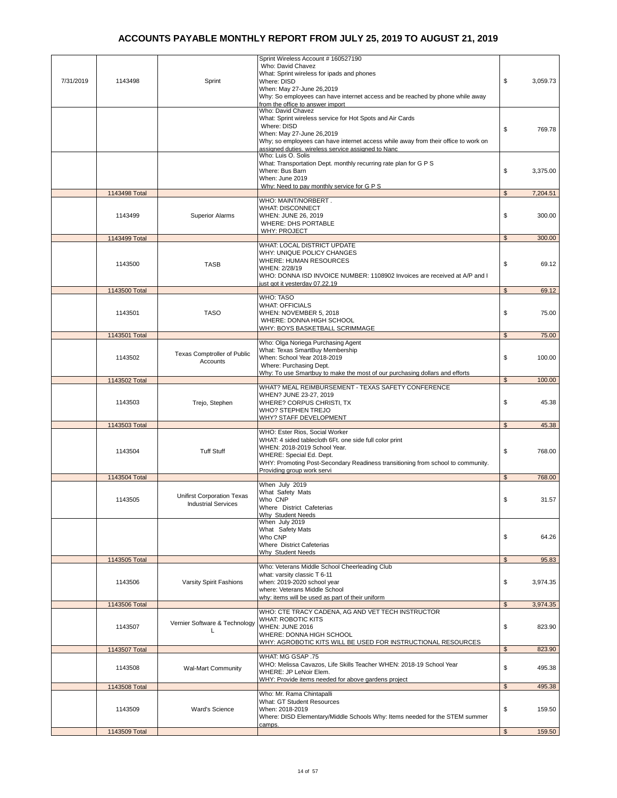| 7/31/2019 | 1143498       | Sprint                                                   | Sprint Wireless Account # 160527190<br>Who: David Chavez<br>What: Sprint wireless for ipads and phones<br>Where: DISD<br>When: May 27-June 26,2019<br>Why: So employees can have internet access and be reached by phone while away<br>from the office to answer import<br>Who: David Chavez | \$             | 3,059.73 |
|-----------|---------------|----------------------------------------------------------|----------------------------------------------------------------------------------------------------------------------------------------------------------------------------------------------------------------------------------------------------------------------------------------------|----------------|----------|
|           |               |                                                          | What: Sprint wireless service for Hot Spots and Air Cards<br>Where: DISD<br>When: May 27-June 26,2019<br>Why; so employees can have internet access while away from their office to work on<br>assigned duties. wireless service assigned to Nanc                                            | \$             | 769.78   |
|           |               |                                                          | Who: Luis O. Solis<br>What: Transportation Dept. monthly recurring rate plan for G P S<br>Where: Bus Barn<br>When: June 2019<br>Why: Need to pay monthly service for G P S                                                                                                                   | \$             | 3,375.00 |
|           | 1143498 Total |                                                          |                                                                                                                                                                                                                                                                                              | \$             | 7,204.51 |
|           | 1143499       | <b>Superior Alarms</b>                                   | WHO: MAINT/NORBERT.<br>WHAT: DISCONNECT<br>WHEN: JUNE 26, 2019<br><b>WHERE: DHS PORTABLE</b><br><b>WHY: PROJECT</b>                                                                                                                                                                          | \$             | 300.00   |
|           | 1143499 Total |                                                          | WHAT: LOCAL DISTRICT UPDATE                                                                                                                                                                                                                                                                  | $\mathfrak{s}$ | 300.00   |
|           | 1143500       | <b>TASB</b>                                              | WHY: UNIQUE POLICY CHANGES<br>WHERE: HUMAN RESOURCES<br>WHEN: 2/28/19<br>WHO: DONNA ISD INVOICE NUMBER: 1108902 Invoices are received at A/P and I<br>just got it yesterday 07.22.19                                                                                                         | \$             | 69.12    |
|           | 1143500 Total |                                                          |                                                                                                                                                                                                                                                                                              | $\mathbb{S}$   | 69.12    |
|           | 1143501       | <b>TASO</b>                                              | WHO: TASO<br><b>WHAT: OFFICIALS</b><br>WHEN: NOVEMBER 5, 2018<br>WHERE: DONNA HIGH SCHOOL<br><u> WHY: BOYS BASKETBALL SCRIMMAGE</u>                                                                                                                                                          | \$             | 75.00    |
|           | 1143501 Total |                                                          |                                                                                                                                                                                                                                                                                              | \$             | 75.00    |
|           | 1143502       | Texas Comptroller of Public<br>Accounts                  | Who: Olga Noriega Purchasing Agent<br>What: Texas SmartBuy Membership<br>When: School Year 2018-2019<br>Where: Purchasing Dept.<br>Why: To use Smartbuy to make the most of our purchasing dollars and efforts                                                                               | \$             | 100.00   |
|           | 1143502 Total |                                                          |                                                                                                                                                                                                                                                                                              | $\frac{1}{2}$  | 100.00   |
|           | 1143503       | Trejo, Stephen                                           | WHAT? MEAL REIMBURSEMENT - TEXAS SAFETY CONFERENCE<br>WHEN? JUNE 23-27, 2019<br>WHERE? CORPUS CHRISTI, TX<br>WHO? STEPHEN TREJO<br><u>WHY? STAFF DEVELOPMENT</u>                                                                                                                             | \$             | 45.38    |
|           | 1143503 Total |                                                          | WHO: Ester Rios, Social Worker                                                                                                                                                                                                                                                               | $\mathfrak s$  | 45.38    |
|           | 1143504       | <b>Tuff Stuff</b>                                        | WHAT: 4 sided tablecloth 6Ft. one side full color print<br>WHEN: 2018-2019 School Year.<br>WHERE: Special Ed. Dept.<br>WHY: Promoting Post-Secondary Readiness transitioning from school to community.<br>Providing group work servi                                                         | \$             | 768.00   |
|           | 1143504 Total |                                                          |                                                                                                                                                                                                                                                                                              | $\mathfrak s$  | 768.00   |
|           | 1143505       | Unifirst Corporation Texas<br><b>Industrial Services</b> | When July 2019<br>What Safety Mats<br>Who CNP<br>Where District Cafeterias<br>Why Student Needs                                                                                                                                                                                              | \$             | 31.57    |
|           |               |                                                          | When July 2019<br>What Safety Mats<br>Who CNP<br>Where District Cafeterias<br>Why Student Needs                                                                                                                                                                                              | \$             | 64.26    |
|           | 1143505 Total |                                                          |                                                                                                                                                                                                                                                                                              | $\mathfrak{s}$ | 95.83    |
|           | 1143506       | Varsity Spirit Fashions                                  | Who: Veterans Middle School Cheerleading Club<br>what: varsity classic T 6-11<br>when: 2019-2020 school year<br>where: Veterans Middle School                                                                                                                                                | \$             | 3,974.35 |
|           | 1143506 Total |                                                          | why: items will be used as part of their uniform                                                                                                                                                                                                                                             | $\mathfrak{s}$ | 3,974.35 |
|           | 1143507       | Vernier Software & Technology                            | WHO: CTE TRACY CADENA, AG AND VET TECH INSTRUCTOR<br>WHAT: ROBOTIC KITS<br><b>WHEN: JUNE 2016</b><br>WHERE: DONNA HIGH SCHOOL<br>WHY: AGROBOTIC KITS WILL BE USED FOR INSTRUCTIONAL RESOURCES                                                                                                | \$             | 823.90   |
|           | 1143507 Total |                                                          |                                                                                                                                                                                                                                                                                              | \$             | 823.90   |
|           | 1143508       | Wal-Mart Community                                       | WHAT: MG GSAP .75<br>WHO: Melissa Cavazos, Life Skills Teacher WHEN: 2018-19 School Year<br>WHERE: JP LeNoir Elem.<br>WHY: Provide items needed for above gardens project                                                                                                                    | \$             | 495.38   |
|           | 1143508 Total |                                                          |                                                                                                                                                                                                                                                                                              | $\mathfrak{s}$ | 495.38   |
|           | 1143509       | Ward's Science                                           | Who: Mr. Rama Chintapalli<br>What: GT Student Resources<br>When: 2018-2019<br>Where: DISD Elementary/Middle Schools Why: Items needed for the STEM summer<br>camps.                                                                                                                          | \$             | 159.50   |
|           | 1143509 Total |                                                          |                                                                                                                                                                                                                                                                                              | \$             | 159.50   |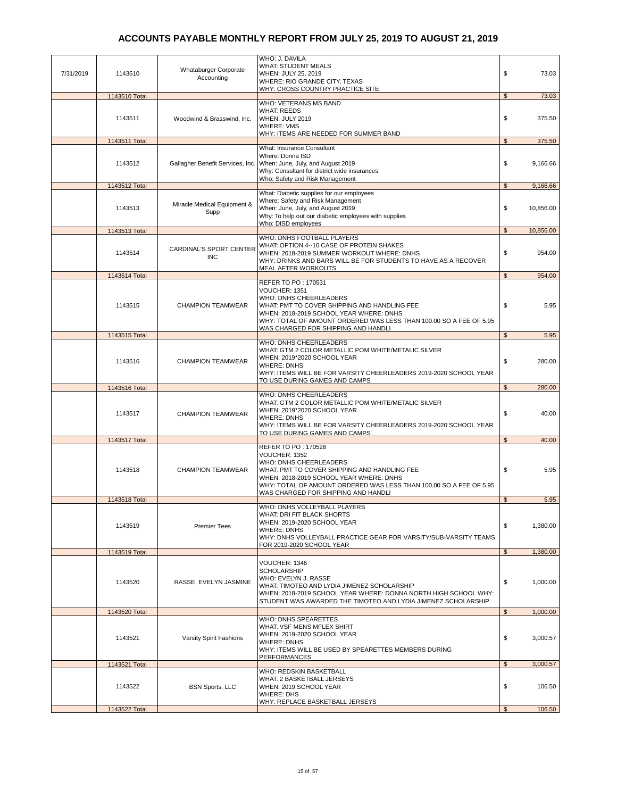| 7/31/2019 | 1143510       | Whataburger Corporate<br>Accounting   | WHO: J. DAVILA<br><b>WHAT: STUDENT MEALS</b><br>WHEN: JULY 25, 2019<br>WHERE: RIO GRANDE CITY, TEXAS<br><b>WHY: CROSS COUNTRY PRACTICE SITE</b>                                                                                                                        | \$             | 73.03     |
|-----------|---------------|---------------------------------------|------------------------------------------------------------------------------------------------------------------------------------------------------------------------------------------------------------------------------------------------------------------------|----------------|-----------|
|           | 1143510 Total |                                       | WHO: VETERANS MS BAND                                                                                                                                                                                                                                                  | \$             | 73.03     |
|           | 1143511       | Woodwind & Brasswind, Inc.            | <b>WHAT: REEDS</b><br>WHEN: JULY 2019<br><b>WHERE: VMS</b><br>WHY: ITEMS ARE NEEDED FOR SUMMER BAND                                                                                                                                                                    | \$             | 375.50    |
|           | 1143511 Total |                                       |                                                                                                                                                                                                                                                                        | $\mathfrak s$  | 375.50    |
|           | 1143512       | Gallagher Benefit Services, Inc.      | <b>What: Insurance Consultant</b><br>Where: Donna ISD<br>When: June, July, and August 2019<br>Why: Consultant for district wide insurances<br>Who: Safety and Risk Management                                                                                          | \$             | 9,166.66  |
|           | 1143512 Total |                                       |                                                                                                                                                                                                                                                                        | \$             | 9,166.66  |
|           | 1143513       | Miracle Medical Equipment &<br>Supp   | What: Diabetic supplies for our employees<br>Where: Safety and Risk Management<br>When: June, July, and August 2019<br>Why: To help out our diabetic employees with supplies<br>Who: DISD employees                                                                    | \$             | 10,856.00 |
|           | 1143513 Total |                                       | WHO: DNHS FOOTBALL PLAYERS                                                                                                                                                                                                                                             | $\mathfrak{S}$ | 10,856.00 |
|           | 1143514       | CARDINAL'S SPORT CENTER<br><b>INC</b> | WHAT: OPTION 4--10 CASE OF PROTEIN SHAKES<br>WHEN: 2018-2019 SUMMER WORKOUT WHERE: DNHS<br>WHY: DRINKS AND BARS WILL BE FOR STUDENTS TO HAVE AS A RECOVER<br><b>MEAL AFTER WORKOUTS</b>                                                                                | \$             | 954.00    |
|           | 1143514 Total |                                       | REFER TO PO: 170531                                                                                                                                                                                                                                                    | $\mathfrak{S}$ | 954.00    |
|           | 1143515       | <b>CHAMPION TEAMWEAR</b>              | VOUCHER: 1351<br>WHO: DNHS CHEERLEADERS<br>WHAT: PMT TO COVER SHIPPING AND HANDLING FEE<br>WHEN: 2018-2019 SCHOOL YEAR WHERE: DNHS<br>WHY: TOTAL OF AMOUNT ORDERED WAS LESS THAN 100.00 SO A FEE OF 5.95<br>WAS CHARGED FOR SHIPPING AND HANDLI                        | \$             | 5.95      |
|           | 1143515 Total |                                       |                                                                                                                                                                                                                                                                        | $\mathfrak{L}$ | 5.95      |
|           | 1143516       | <b>CHAMPION TEAMWEAR</b>              | WHO: DNHS CHEERLEADERS<br>WHAT: GTM 2 COLOR METALLIC POM WHITE/METALIC SILVER<br>WHEN: 2019*2020 SCHOOL YEAR<br><b>WHERE: DNHS</b><br>WHY: ITEMS WILL BE FOR VARSITY CHEERLEADERS 2019-2020 SCHOOL YEAR                                                                | \$             | 280.00    |
|           |               |                                       |                                                                                                                                                                                                                                                                        |                |           |
|           | 1143516 Total |                                       | TO USE DURING GAMES AND CAMPS                                                                                                                                                                                                                                          | $\mathfrak{S}$ | 280.00    |
|           | 1143517       | <b>CHAMPION TEAMWEAR</b>              | <b>WHO: DNHS CHEERLEADERS</b><br>WHAT: GTM 2 COLOR METALLIC POM WHITE/METALIC SILVER<br>WHEN: 2019*2020 SCHOOL YEAR<br><b>WHERE: DNHS</b><br>WHY: ITEMS WILL BE FOR VARSITY CHEERLEADERS 2019-2020 SCHOOL YEAR<br>TO USE DURING GAMES AND CAMPS                        | \$             | 40.00     |
|           | 1143517 Total |                                       |                                                                                                                                                                                                                                                                        | \$             | 40.00     |
|           | 1143518       | <b>CHAMPION TEAMWEAR</b>              | REFER TO PO: 170528<br>VOUCHER: 1352<br>WHO: DNHS CHEERLEADERS<br>WHAT: PMT TO COVER SHIPPING AND HANDLING FEE<br>WHEN: 2018-2019 SCHOOL YEAR WHERE: DNHS<br>WHY: TOTAL OF AMOUNT ORDERED WAS LESS THAN 100.00 SO A FEE OF 5.95<br>WAS CHARGED FOR SHIPPING AND HANDLI | \$             | 5.95      |
|           | 1143518 Total |                                       |                                                                                                                                                                                                                                                                        | \$             | 5.95      |
|           | 1143519       | <b>Premier Tees</b>                   | WHO: DNHS VOLLEYBALL PLAYERS<br>WHAT: DRI FIT BLACK SHORTS<br>WHEN: 2019-2020 SCHOOL YEAR<br><b>WHERE: DNHS</b><br>WHY: DNHS VOLLEYBALL PRACTICE GEAR FOR VARSITY/SUB-VARSITY TEAMS<br>FOR 2019-2020 SCHOOL YEAR                                                       | \$             | 1,380.00  |
|           | 1143519 Total |                                       |                                                                                                                                                                                                                                                                        | $\mathfrak s$  | 1,380.00  |
|           | 1143520       | RASSE, EVELYN JASMINE                 | VOUCHER: 1346<br><b>SCHOLARSHIP</b><br>WHO: EVELYN J. RASSE<br>WHAT: TIMOTEO AND LYDIA JIMENEZ SCHOLARSHIP<br>WHEN: 2018-2019 SCHOOL YEAR WHERE: DONNA NORTH HIGH SCHOOL WHY:<br>STUDENT WAS AWARDED THE TIMOTEO AND LYDIA JIMENEZ SCHOLARSHIP                         | \$             | 1,000.00  |
|           | 1143520 Total |                                       |                                                                                                                                                                                                                                                                        | $\mathfrak s$  | 1,000.00  |
|           | 1143521       | Varsity Spirit Fashions               | <b>WHO: DNHS SPEARETTES</b><br>WHAT: VSF MENS MFLEX SHIRT<br>WHEN: 2019-2020 SCHOOL YEAR<br><b>WHERE: DNHS</b><br>WHY: ITEMS WILL BE USED BY SPEARETTES MEMBERS DURING<br><b>PERFORMANCES</b>                                                                          | \$             | 3,000.57  |
|           | 1143521 Total |                                       |                                                                                                                                                                                                                                                                        | \$             | 3,000.57  |
|           | 1143522       | <b>BSN Sports, LLC</b>                | WHO: REDSKIN BASKETBALL<br>WHAT: 2 BASKETBALL JERSEYS<br>WHEN: 2019 SCHOOL YEAR<br><b>WHERE: DHS</b><br>WHY: REPLACE BASKETBALL JERSEYS                                                                                                                                | \$             | 106.50    |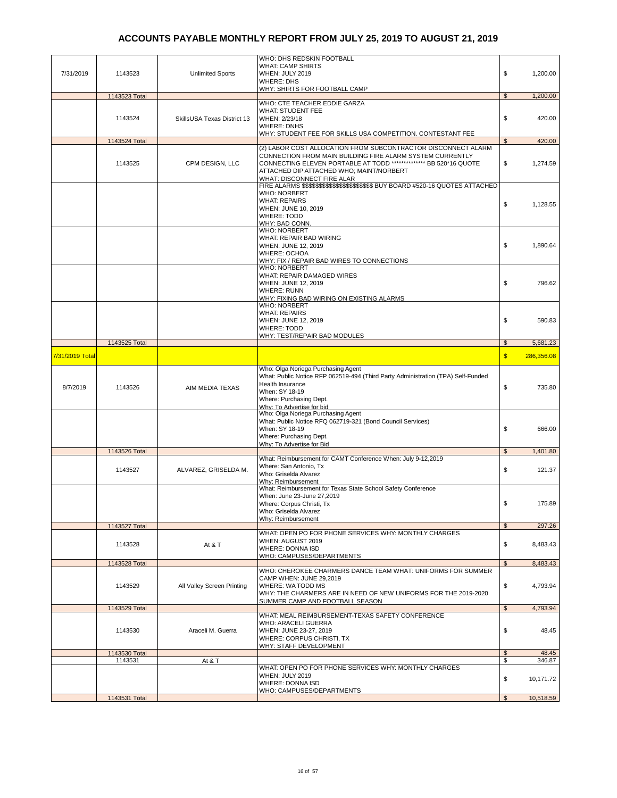| 7/31/2019       | 1143523       | <b>Unlimited Sports</b>     | WHO: DHS REDSKIN FOOTBALL<br>WHAT: CAMP SHIRTS<br>WHEN: JULY 2019<br><b>WHERE: DHS</b><br><u> WHY: SHIRTS FOR FOOTBALL CAMP</u>                                                                                                                                            | \$             | 1,200.00            |
|-----------------|---------------|-----------------------------|----------------------------------------------------------------------------------------------------------------------------------------------------------------------------------------------------------------------------------------------------------------------------|----------------|---------------------|
|                 | 1143523 Total |                             |                                                                                                                                                                                                                                                                            | $\mathfrak{S}$ | 1,200.00            |
|                 | 1143524       | SkillsUSA Texas District 13 | WHO: CTE TEACHER EDDIE GARZA<br><b>WHAT: STUDENT FEE</b><br>WHEN: 2/23/18<br><b>WHERE: DNHS</b><br>WHY: STUDENT FEE FOR SKILLS USA COMPETITION. CONTESTANT FEE                                                                                                             | \$             | 420.00              |
|                 | 1143524 Total |                             |                                                                                                                                                                                                                                                                            | $\mathfrak{s}$ | 420.00              |
|                 | 1143525       | CPM DESIGN, LLC             | (2) LABOR COST ALLOCATION FROM SUBCONTRACTOR DISCONNECT ALARM<br>CONNECTION FROM MAIN BUILDING FIRE ALARM SYSTEM CURRENTLY<br>CONNECTING ELEVEN PORTABLE AT TODD *************** BB 520*16 QUOTE<br>ATTACHED DIP ATTACHED WHO; MAINT/NORBERT<br>WHAT: DISCONNECT FIRE ALAR | \$             | 1,274.59            |
|                 |               |                             | FIRE ALARMS \$\$\$\$\$\$\$\$\$\$\$\$\$\$\$\$\$\$\$\$\$\$\$ BUY BOARD #520-16 QUOTES ATTACHED<br><b>WHO: NORBERT</b><br><b>WHAT: REPAIRS</b><br>WHEN: JUNE 10, 2019<br><b>WHERE: TODD</b><br>WHY: BAD CONN.                                                                 | \$             | 1,128.55            |
|                 |               |                             | <b>WHO: NORBERT</b><br>WHAT: REPAIR BAD WIRING<br>WHEN: JUNE 12, 2019<br><b>WHERE: OCHOA</b><br>WHY: FIX / REPAIR BAD WIRES TO CONNECTIONS<br><b>WHO: NORBERT</b>                                                                                                          | \$             | 1,890.64            |
|                 |               |                             | WHAT: REPAIR DAMAGED WIRES<br>WHEN: JUNE 12, 2019<br><b>WHERE: RUNN</b><br>WHY: FIXING BAD WIRING ON EXISTING ALARMS                                                                                                                                                       | \$             | 796.62              |
|                 |               |                             | <b>WHO: NORBERT</b><br><b>WHAT: REPAIRS</b><br>WHEN: JUNE 12, 2019<br><b>WHERE: TODD</b><br>WHY: TEST/REPAIR BAD MODULES                                                                                                                                                   | \$             | 590.83              |
|                 | 1143525 Total |                             |                                                                                                                                                                                                                                                                            | $\mathfrak{s}$ | 5,681.23            |
| 7/31/2019 Total |               |                             |                                                                                                                                                                                                                                                                            | $\mathbf{s}$   | 286,356.08          |
| 8/7/2019        | 1143526       | AIM MEDIA TEXAS             | Who: Olga Noriega Purchasing Agent<br>What: Public Notice RFP 062519-494 (Third Party Administration (TPA) Self-Funded<br>Health Insurance<br>When: SY 18-19<br>Where: Purchasing Dept.<br>Why: To Advertise for bid                                                       | \$             | 735.80              |
|                 |               |                             | Who: Olga Noriega Purchasing Agent<br>What: Public Notice RFQ 062719-321 (Bond Council Services)<br>When: SY 18-19<br>Where: Purchasing Dept.<br>Why: To Advertise for Bid                                                                                                 | \$             | 666.00              |
|                 | 1143526 Total |                             |                                                                                                                                                                                                                                                                            | $\mathfrak{s}$ | 1,401.80            |
|                 | 1143527       | ALVAREZ, GRISELDA M.        | What: Reimbursement for CAMT Conference When: July 9-12,2019<br>Where: San Antonio, Tx<br>Who: Griselda Alvarez<br>Why: Reimbursement                                                                                                                                      | \$             | 121.37              |
|                 |               |                             | What: Reimbursement for Texas State School Safety Conference                                                                                                                                                                                                               |                |                     |
|                 |               |                             | When: June 23-June 27,2019<br>Where: Corpus Christi, Tx<br>Who: Griselda Alvarez<br>Why: Reimbursement                                                                                                                                                                     | \$             | 175.89              |
|                 | 1143527 Total |                             |                                                                                                                                                                                                                                                                            | $\mathfrak s$  | 297.26              |
|                 | 1143528       | At & T                      | WHAT: OPEN PO FOR PHONE SERVICES WHY: MONTHLY CHARGES<br>WHEN: AUGUST 2019<br><b>WHERE: DONNA ISD</b>                                                                                                                                                                      | \$             | 8,483.43            |
|                 | 1143528 Total |                             | WHO: CAMPUSES/DEPARTMENTS                                                                                                                                                                                                                                                  | $\mathfrak{L}$ | 8,483.43            |
|                 | 1143529       | All Valley Screen Printing  | WHO: CHEROKEE CHARMERS DANCE TEAM WHAT: UNIFORMS FOR SUMMER<br>CAMP WHEN: JUNE 29,2019<br>WHERE: WA TODD MS<br>WHY: THE CHARMERS ARE IN NEED OF NEW UNIFORMS FOR THE 2019-2020                                                                                             | \$             | 4,793.94            |
|                 | 1143529 Total |                             | SUMMER CAMP AND FOOTBALL SEASON                                                                                                                                                                                                                                            | $\mathfrak{S}$ | 4,793.94            |
|                 | 1143530       | Araceli M. Guerra           | WHAT: MEAL REIMBURSEMENT-TEXAS SAFETY CONFERENCE<br>WHO: ARACELI GUERRA<br>WHEN: JUNE 23-27, 2019<br>WHERE: CORPUS CHRISTI, TX<br><b>WHY: STAFF DEVELOPMENT</b>                                                                                                            | \$             | 48.45               |
|                 | 1143530 Total |                             |                                                                                                                                                                                                                                                                            | \$             | 48.45               |
|                 | 1143531       | At $& 7$                    | WHAT: OPEN PO FOR PHONE SERVICES WHY: MONTHLY CHARGES<br>WHEN: JULY 2019<br>WHERE: DONNA ISD<br>WHO: CAMPUSES/DEPARTMENTS                                                                                                                                                  | \$<br>\$       | 346.87<br>10,171.72 |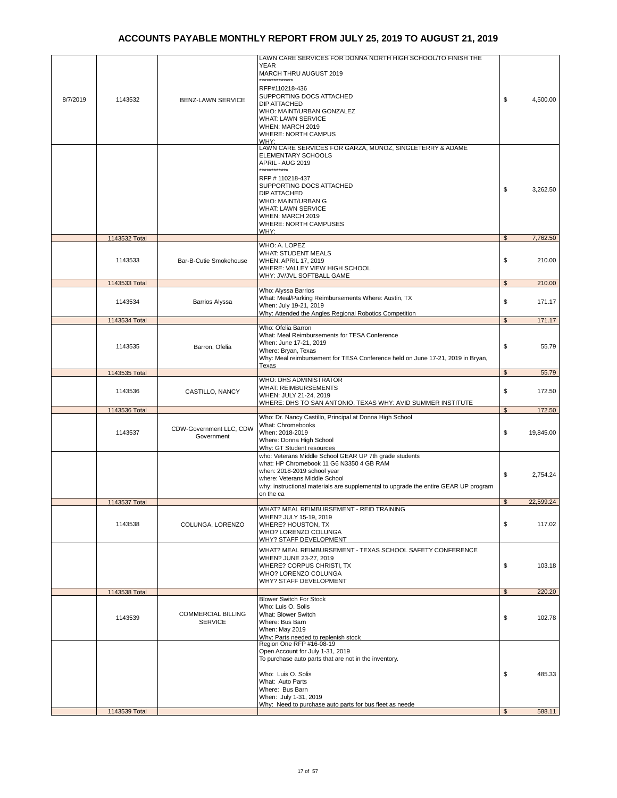|          |               |                                             | LAWN CARE SERVICES FOR DONNA NORTH HIGH SCHOOL/TO FINISH THE<br><b>YEAR</b><br>MARCH THRU AUGUST 2019<br>.<br>RFP#110218-436<br>SUPPORTING DOCS ATTACHED                                                                                                               |                |           |
|----------|---------------|---------------------------------------------|------------------------------------------------------------------------------------------------------------------------------------------------------------------------------------------------------------------------------------------------------------------------|----------------|-----------|
| 8/7/2019 | 1143532       | <b>BENZ-LAWN SERVICE</b>                    | <b>DIP ATTACHED</b><br>WHO: MAINT/URBAN GONZALEZ<br><b>WHAT: LAWN SERVICE</b><br>WHEN: MARCH 2019<br><b>WHERE: NORTH CAMPUS</b><br>WHY:                                                                                                                                | \$             | 4,500.00  |
|          |               |                                             | LAWN CARE SERVICES FOR GARZA, MUNOZ, SINGLETERRY & ADAME<br><b>ELEMENTARY SCHOOLS</b><br>APRIL - AUG 2019<br>************                                                                                                                                              |                |           |
|          |               |                                             | RFP #110218-437<br>SUPPORTING DOCS ATTACHED<br>DIP ATTACHED<br>WHO: MAINT/URBAN G<br>WHAT: LAWN SERVICE<br>WHEN: MARCH 2019<br>WHERE: NORTH CAMPUSES                                                                                                                   | \$             | 3,262.50  |
|          | 1143532 Total |                                             | WHY:                                                                                                                                                                                                                                                                   | $\mathfrak{S}$ | 7,762.50  |
|          | 1143533       | Bar-B-Cutie Smokehouse                      | WHO: A. LOPEZ<br><b>WHAT: STUDENT MEALS</b><br><b>WHEN: APRIL 17, 2019</b><br>WHERE: VALLEY VIEW HIGH SCHOOL<br>WHY: JV/JVL SOFTBALL GAME                                                                                                                              | \$             | 210.00    |
|          | 1143533 Total |                                             |                                                                                                                                                                                                                                                                        | $\mathfrak{s}$ | 210.00    |
|          | 1143534       | <b>Barrios Alyssa</b>                       | Who: Alyssa Barrios<br>What: Meal/Parking Reimbursements Where: Austin, TX<br>When: July 19-21, 2019<br>Why: Attended the Angles Regional Robotics Competition                                                                                                         | \$             | 171.17    |
|          | 1143534 Total |                                             |                                                                                                                                                                                                                                                                        | $\mathfrak{s}$ | 171.17    |
|          | 1143535       | Barron, Ofelia                              | Who: Ofelia Barron<br>What: Meal Reimbursements for TESA Conference<br>When: June 17-21, 2019<br>Where: Bryan, Texas<br>Why: Meal reimbursement for TESA Conference held on June 17-21, 2019 in Bryan,                                                                 | \$             | 55.79     |
|          |               |                                             | Texas                                                                                                                                                                                                                                                                  |                |           |
|          | 1143535 Total |                                             | WHO: DHS ADMINISTRATOR                                                                                                                                                                                                                                                 | $\mathfrak{S}$ | 55.79     |
|          | 1143536       | CASTILLO, NANCY                             | <b>WHAT: REIMBURSEMENTS</b><br>WHEN: JULY 21-24, 2019<br>WHERE: DHS TO SAN ANTONIO, TEXAS WHY: AVID SUMMER INSTITUTE                                                                                                                                                   | \$             | 172.50    |
|          | 1143536 Total |                                             | Who: Dr. Nancy Castillo, Principal at Donna High School                                                                                                                                                                                                                | \$             | 172.50    |
|          | 1143537       | CDW-Government LLC, CDW<br>Government       | What: Chromebooks<br>When: 2018-2019<br>Where: Donna High School<br>Why: GT Student resources                                                                                                                                                                          | \$             | 19,845.00 |
|          |               |                                             | who: Veterans Middle School GEAR UP 7th grade students<br>what: HP Chromebook 11 G6 N3350 4 GB RAM<br>when: 2018-2019 school year<br>where: Veterans Middle School<br>why: instructional materials are supplemental to upgrade the entire GEAR UP program<br>on the ca | \$             | 2,754.24  |
|          | 1143537 Total |                                             |                                                                                                                                                                                                                                                                        |                | 22,599.24 |
|          | 1143538       | COLUNGA, LORENZO                            | WHAT? MEAL REIMBURSEMENT - REID TRAINING<br>WHEN? JULY 15-19, 2019<br>WHERE? HOUSTON, TX<br>WHO? LORENZO COLUNGA<br>WHY? STAFF DEVELOPMENT                                                                                                                             | \$             | 117.02    |
|          |               |                                             | WHAT? MEAL REIMBURSEMENT - TEXAS SCHOOL SAFETY CONFERENCE<br>WHEN? JUNE 23-27, 2019<br>WHERE? CORPUS CHRISTI, TX<br>WHO? LORENZO COLUNGA<br>WHY? STAFF DEVELOPMENT                                                                                                     | \$             | 103.18    |
|          | 1143538 Total |                                             |                                                                                                                                                                                                                                                                        | $\mathfrak{S}$ | 220.20    |
|          |               |                                             | <b>Blower Switch For Stock</b>                                                                                                                                                                                                                                         |                |           |
|          | 1143539       | <b>COMMERCIAL BILLING</b><br><b>SERVICE</b> | Who: Luis O. Solis<br>What: Blower Switch<br>Where: Bus Barn<br>When: May 2019<br>Why: Parts needed to replenish stock                                                                                                                                                 | \$             | 102.78    |
|          |               |                                             | Region One RFP #16-08-19<br>Open Account for July 1-31, 2019<br>To purchase auto parts that are not in the inventory.                                                                                                                                                  |                |           |
|          |               |                                             | Who: Luis O. Solis<br>What: Auto Parts<br>Where: Bus Barn<br>When: July 1-31, 2019                                                                                                                                                                                     | \$             | 485.33    |
|          | 1143539 Total |                                             | Why: Need to purchase auto parts for bus fleet as neede                                                                                                                                                                                                                | \$             | 588.11    |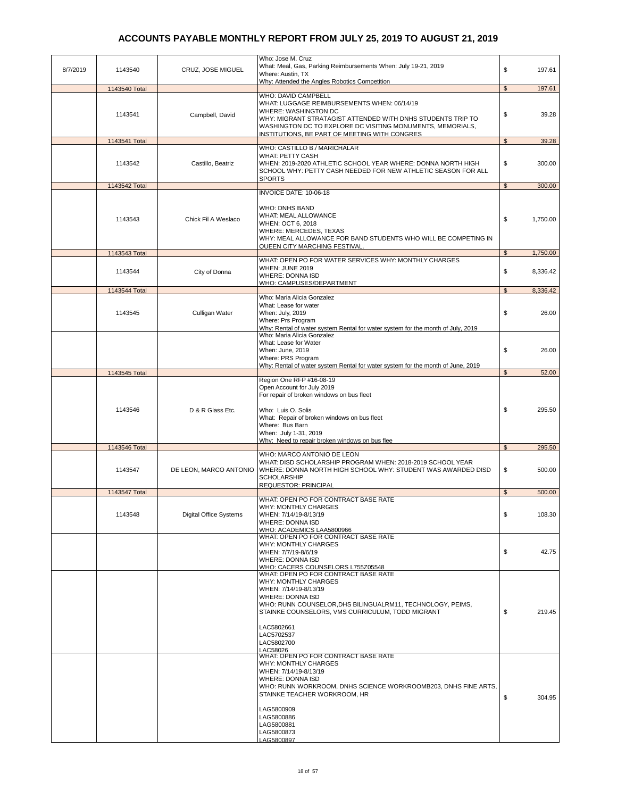| 8/7/2019 | 1143540       | CRUZ, JOSE MIGUEL             | Who: Jose M. Cruz<br>What: Meal, Gas, Parking Reimbursements When: July 19-21, 2019<br>Where: Austin, TX<br>Why: Attended the Angles Robotics Competition                                                                                                                                                   | \$             | 197.61   |
|----------|---------------|-------------------------------|-------------------------------------------------------------------------------------------------------------------------------------------------------------------------------------------------------------------------------------------------------------------------------------------------------------|----------------|----------|
|          | 1143540 Total |                               |                                                                                                                                                                                                                                                                                                             | $\mathfrak{s}$ | 197.61   |
|          | 1143541       | Campbell, David               | WHO: DAVID CAMPBELL<br>WHAT: LUGGAGE REIMBURSEMENTS WHEN: 06/14/19<br>WHERE: WASHINGTON DC<br>WHY: MIGRANT STRATAGIST ATTENDED WITH DNHS STUDENTS TRIP TO<br>WASHINGTON DC TO EXPLORE DC VISITING MONUMENTS, MEMORIALS,<br>INSTITUTIONS, BE PART OF MEETING WITH CONGRES                                    | \$             | 39.28    |
|          | 1143541 Total |                               |                                                                                                                                                                                                                                                                                                             | $\mathfrak{S}$ | 39.28    |
|          | 1143542       | Castillo, Beatriz             | WHO: CASTILLO B./ MARICHALAR<br>WHAT: PETTY CASH<br>WHEN: 2019-2020 ATHLETIC SCHOOL YEAR WHERE: DONNA NORTH HIGH<br>SCHOOL WHY: PETTY CASH NEEDED FOR NEW ATHLETIC SEASON FOR ALL<br><b>SPORTS</b>                                                                                                          | \$             | 300.00   |
|          | 1143542 Total |                               |                                                                                                                                                                                                                                                                                                             | $\mathfrak{S}$ | 300.00   |
|          | 1143543       | Chick Fil A Weslaco           | INVOICE DATE: 10-06-18<br>WHO: DNHS BAND<br>WHAT: MEAL ALLOWANCE<br>WHEN: OCT 6, 2018                                                                                                                                                                                                                       | \$             | 1,750.00 |
|          | 1143543 Total |                               | WHERE: MERCEDES, TEXAS<br>WHY: MEAL ALLOWANCE FOR BAND STUDENTS WHO WILL BE COMPETING IN<br><b>QUEEN CITY MARCHING FESTIVAL</b>                                                                                                                                                                             | \$             | 1,750.00 |
|          |               |                               | WHAT: OPEN PO FOR WATER SERVICES WHY: MONTHLY CHARGES                                                                                                                                                                                                                                                       |                |          |
|          | 1143544       | City of Donna                 | WHEN: JUNE 2019<br><b>WHERE: DONNA ISD</b><br>WHO: CAMPUSES/DEPARTMENT                                                                                                                                                                                                                                      | \$             | 8,336.42 |
|          | 1143544 Total |                               |                                                                                                                                                                                                                                                                                                             | \$             | 8,336.42 |
|          | 1143545       | Culligan Water                | Who: Maria Alicia Gonzalez<br>What: Lease for water<br>When: July, 2019                                                                                                                                                                                                                                     | \$             | 26.00    |
|          |               |                               | Where: Prs Program                                                                                                                                                                                                                                                                                          |                |          |
|          |               |                               | Why: Rental of water system Rental for water system for the month of July, 2019<br>Who: Maria Alicia Gonzalez                                                                                                                                                                                               |                |          |
|          |               |                               | What: Lease for Water                                                                                                                                                                                                                                                                                       |                |          |
|          |               |                               | When: June, 2019                                                                                                                                                                                                                                                                                            | \$             | 26.00    |
|          |               |                               | Where: PRS Program                                                                                                                                                                                                                                                                                          |                |          |
|          |               |                               | Why: Rental of water system Rental for water system for the month of June, 2019                                                                                                                                                                                                                             | $\mathfrak{L}$ |          |
|          | 1143545 Total |                               | Region One RFP #16-08-19                                                                                                                                                                                                                                                                                    |                | 52.00    |
|          |               |                               | Open Account for July 2019<br>For repair of broken windows on bus fleet                                                                                                                                                                                                                                     |                |          |
|          | 1143546       | D & R Glass Etc.              | Who: Luis O. Solis<br>What: Repair of broken windows on bus fleet<br>Where: Bus Barn                                                                                                                                                                                                                        | \$             | 295.50   |
|          |               |                               | When: July 1-31, 2019<br>Why: Need to repair broken windows on bus flee                                                                                                                                                                                                                                     |                |          |
|          | 1143546 Total |                               |                                                                                                                                                                                                                                                                                                             | $\mathfrak{S}$ | 295.50   |
|          | 1143547       | DE LEON, MARCO ANTONIO        | WHO: MARCO ANTONIO DE LEON<br>WHAT: DISD SCHOLARSHIP PROGRAM WHEN: 2018-2019 SCHOOL YEAR<br>WHERE: DONNA NORTH HIGH SCHOOL WHY: STUDENT WAS AWARDED DISD<br><b>SCHOLARSHIP</b><br><b>REQUESTOR: PRINCIPAL</b>                                                                                               | \$             | 500.00   |
|          | 1143547 Total |                               |                                                                                                                                                                                                                                                                                                             | \$             | 500.00   |
|          |               |                               | WHAT: OPEN PO FOR CONTRACT BASE RATE                                                                                                                                                                                                                                                                        |                |          |
|          | 1143548       | <b>Digital Office Systems</b> | WHY: MONTHLY CHARGES<br>WHEN: 7/14/19-8/13/19<br><b>WHERE: DONNA ISD</b><br>WHO: ACADEMICS LAA5800966                                                                                                                                                                                                       | \$             | 108.30   |
|          |               |                               | WHAT: OPEN PO FOR CONTRACT BASE RATE<br><b>WHY: MONTHLY CHARGES</b><br>WHEN: 7/7/19-8/6/19<br><b>WHERE: DONNA ISD</b><br>WHO: CACERS COUNSELORS L755Z05548                                                                                                                                                  | \$             | 42.75    |
|          |               |                               | WHAT: OPEN PO FOR CONTRACT BASE RATE<br>WHY: MONTHLY CHARGES<br>WHEN: 7/14/19-8/13/19<br><b>WHERE: DONNA ISD</b><br>WHO: RUNN COUNSELOR, DHS BILINGUALRM11, TECHNOLOGY, PEIMS,<br>STAINKE COUNSELORS, VMS CURRICULUM, TODD MIGRANT<br>LAC5802661<br>LAC5702537<br>LAC5802700                                | \$             | 219.45   |
|          |               |                               | LAC58026<br>WHAT: OPEN PO FOR CONTRACT BASE RATE<br><b>WHY: MONTHLY CHARGES</b><br>WHEN: 7/14/19-8/13/19<br><b>WHERE: DONNA ISD</b><br>WHO: RUNN WORKROOM, DNHS SCIENCE WORKROOMB203, DNHS FINE ARTS,<br>STAINKE TEACHER WORKROOM, HR<br>LAG5800909<br>LAG5800886<br>LAG5800881<br>LAG5800873<br>LAG5800897 | \$             | 304.95   |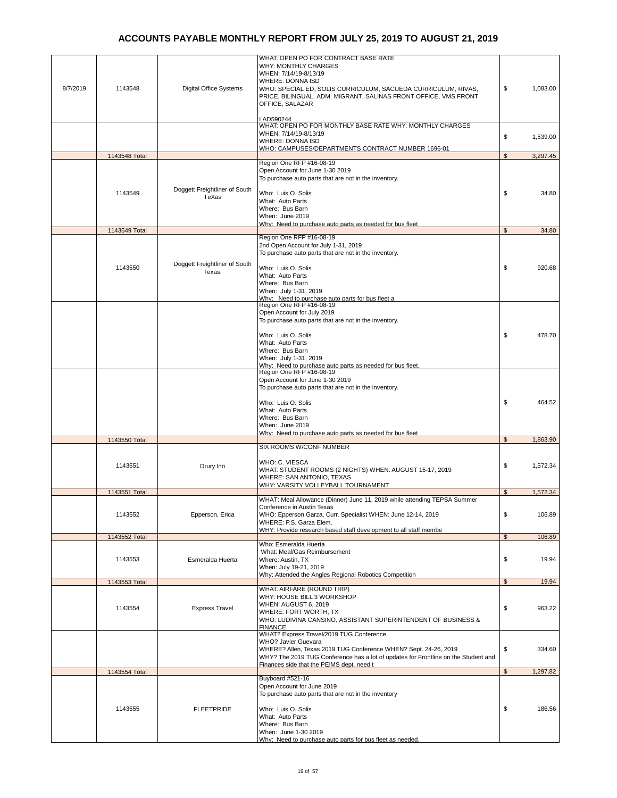| 8/7/2019 | 1143548       | <b>Digital Office Systems</b>           | WHAT: OPEN PO FOR CONTRACT BASE RATE<br><b>WHY: MONTHLY CHARGES</b><br>WHEN: 7/14/19-8/13/19<br>WHERE: DONNA ISD<br>WHO: SPECIAL ED, SOLIS CURRICULUM, SACUEDA CURRICULUM, RIVAS,<br>PRICE, BILINGUAL, ADM. MIGRANT, SALINAS FRONT OFFICE, VMS FRONT<br>OFFICE, SALAZAR | \$             | 1,083.00 |
|----------|---------------|-----------------------------------------|-------------------------------------------------------------------------------------------------------------------------------------------------------------------------------------------------------------------------------------------------------------------------|----------------|----------|
|          |               |                                         | LAD590244<br>WHAT: OPEN PO FOR MONTHLY BASE RATE WHY: MONTHLY CHARGES<br>WHEN: 7/14/19-8/13/19<br><b>WHERE: DONNA ISD</b><br>WHO: CAMPUSES/DEPARTMENTS CONTRACT NUMBER 1696-01                                                                                          | \$             | 1,539.00 |
|          | 1143548 Total |                                         |                                                                                                                                                                                                                                                                         | $\mathfrak s$  | 3,297.45 |
|          |               | Doggett Freightliner of South           | Region One RFP #16-08-19<br>Open Account for June 1-30 2019<br>To purchase auto parts that are not in the inventory.                                                                                                                                                    |                |          |
|          | 1143549       | TeXas                                   | Who: Luis O. Solis<br>What: Auto Parts<br>Where: Bus Barn<br>When: June 2019<br>Why: Need to purchase auto parts as needed for bus fleet                                                                                                                                | \$             | 34.80    |
|          | 1143549 Total |                                         |                                                                                                                                                                                                                                                                         | \$             | 34.80    |
|          | 1143550       | Doggett Freightliner of South<br>Texas, | Region One RFP #16-08-19<br>2nd Open Account for July 1-31, 2019<br>To purchase auto parts that are not in the inventory.<br>Who: Luis O. Solis<br>What: Auto Parts                                                                                                     | \$             | 920.68   |
|          |               |                                         | Where: Bus Barn<br>When: July 1-31, 2019<br>Why: Need to purchase auto parts for bus fleet a<br>Region One RFP #16-08-19<br>Open Account for July 2019                                                                                                                  |                |          |
|          |               |                                         | To purchase auto parts that are not in the inventory.<br>Who: Luis O. Solis<br>What: Auto Parts<br>Where: Bus Barn                                                                                                                                                      | \$             | 478.70   |
|          |               |                                         | When: July 1-31, 2019<br>Why: Need to purchase auto parts as needed for bus fleet.<br>Region One RFP #16-08-19<br>Open Account for June 1-30 2019                                                                                                                       |                |          |
|          |               |                                         | To purchase auto parts that are not in the inventory.<br>Who: Luis O. Solis<br>What: Auto Parts<br>Where: Bus Barn                                                                                                                                                      | \$             | 464.52   |
|          |               |                                         | When: June 2019                                                                                                                                                                                                                                                         |                |          |
|          | 1143550 Total |                                         | Why: Need to purchase auto parts as needed for bus fleet                                                                                                                                                                                                                | $\mathbb{S}$   | 1,863.90 |
|          |               |                                         | SIX ROOMS W/CONF NUMBER                                                                                                                                                                                                                                                 |                |          |
|          | 1143551       | Drury Inn                               | WHO: C. VIESCA<br>WHAT: STUDENT ROOMS (2 NIGHTS) WHEN: AUGUST 15-17, 2019<br>WHERE: SAN ANTONIO, TEXAS<br>WHY: VARSITY VOLLEYBALL TOURNAMENT                                                                                                                            | \$             | 1,572.34 |
|          | 1143551 Total |                                         |                                                                                                                                                                                                                                                                         | \$             | 1,572.34 |
|          | 1143552       | Epperson, Erica                         | WHAT: Meal Allowance (Dinner) June 11, 2019 while attending TEPSA Summer<br>Conference in Austin Texas<br>WHO: Epperson Garza, Curr. Specialist WHEN: June 12-14, 2019<br>WHERE: P.S. Garza Elem.<br>WHY: Provide research based staff development to all staff membe   | \$             | 106.89   |
|          | 1143552 Total |                                         |                                                                                                                                                                                                                                                                         | $\mathfrak{L}$ | 106.89   |
|          | 1143553       | Esmeralda Huerta                        | Who: Esmeralda Huerta<br>What: Meal/Gas Reimbursement<br>Where: Austin, TX<br>When: July 19-21, 2019                                                                                                                                                                    | \$             | 19.94    |
|          | 1143553 Total |                                         | Why: Attended the Angles Regional Robotics Competition                                                                                                                                                                                                                  | $\mathfrak{s}$ | 19.94    |
|          | 1143554       | <b>Express Travel</b>                   | WHAT: AIRFARE (ROUND TRIP)<br>WHY: HOUSE BILL 3 WORKSHOP<br>WHEN: AUGUST 6, 2019<br>WHERE: FORT WORTH, TX<br>WHO: LUDIVINA CANSINO, ASSISTANT SUPERINTENDENT OF BUSINESS &<br><b>FINANCE</b>                                                                            | \$             | 963.22   |
|          |               |                                         | WHAT? Express Travel/2019 TUG Conference<br>WHO? Javier Guevara<br>WHERE? Allen, Texas 2019 TUG Conference WHEN? Sept. 24-26, 2019<br>WHY? The 2019 TUG Conference has a lot of updates for Frontline on the Student and<br>Finances side that the PEIMS dept. need t   | \$             | 334.60   |
|          | 1143554 Total |                                         | Buyboard #521-16                                                                                                                                                                                                                                                        | $\frac{2}{3}$  | 1,297.82 |
|          |               |                                         | Open Account for June 2019<br>To purchase auto parts that are not in the inventory                                                                                                                                                                                      |                |          |
|          | 1143555       | <b>FLEETPRIDE</b>                       | Who: Luis O. Solis<br>What: Auto Parts<br>Where: Bus Barn<br>When: June 1-30 2019<br>Why: Need to purchase auto parts for bus fleet as needed.                                                                                                                          | \$             | 186.56   |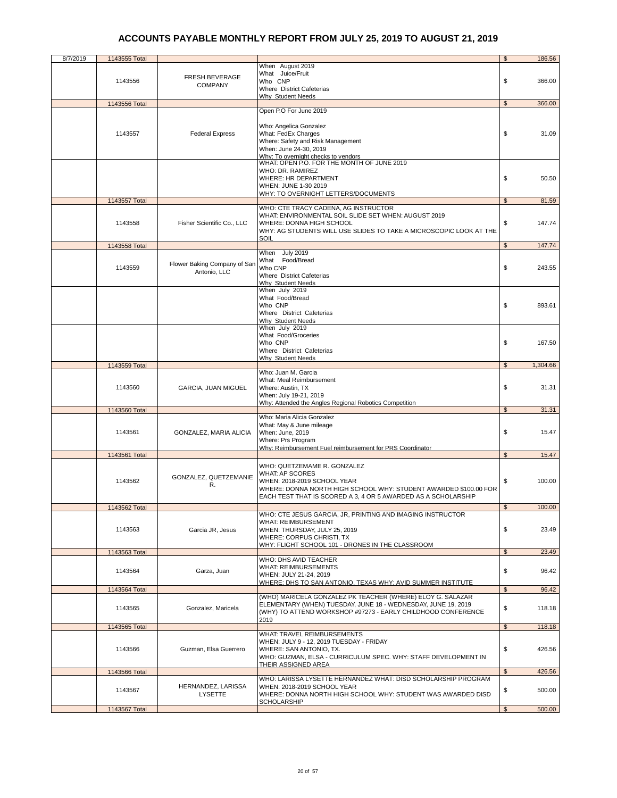| 8/7/2019 | 1143555 Total |                              |                                                                                       | \$             | 186.56   |
|----------|---------------|------------------------------|---------------------------------------------------------------------------------------|----------------|----------|
|          |               |                              | When August 2019                                                                      |                |          |
|          |               |                              | What Juice/Fruit                                                                      |                |          |
|          | 1143556       | FRESH BEVERAGE               | Who CNP                                                                               | \$             | 366.00   |
|          |               | <b>COMPANY</b>               | Where District Cafeterias                                                             |                |          |
|          |               |                              | Why Student Needs                                                                     |                |          |
|          | 1143556 Total |                              | Open P.O For June 2019                                                                | $\mathfrak{S}$ | 366.00   |
|          |               |                              |                                                                                       |                |          |
|          |               |                              | Who: Angelica Gonzalez                                                                |                |          |
|          | 1143557       | <b>Federal Express</b>       | What: FedEx Charges                                                                   | \$             | 31.09    |
|          |               |                              | Where: Safety and Risk Management                                                     |                |          |
|          |               |                              | When: June 24-30, 2019                                                                |                |          |
|          |               |                              | Why: To overnight checks to vendors<br>WHAT: OPEN P.O. FOR THE MONTH OF JUNE 2019     |                |          |
|          |               |                              |                                                                                       |                |          |
|          |               |                              | WHO: DR. RAMIREZ                                                                      |                |          |
|          |               |                              | WHERE: HR DEPARTMENT                                                                  | \$             | 50.50    |
|          |               |                              | WHEN: JUNE 1-30 2019                                                                  |                |          |
|          | 1143557 Total |                              | WHY: TO OVERNIGHT LETTERS/DOCUMENTS                                                   | $\mathfrak{L}$ | 81.59    |
|          |               |                              | WHO: CTE TRACY CADENA, AG INSTRUCTOR                                                  |                |          |
|          |               |                              | WHAT: ENVIRONMENTAL SOIL SLIDE SET WHEN: AUGUST 2019                                  |                |          |
|          | 1143558       | Fisher Scientific Co., LLC   | WHERE: DONNA HIGH SCHOOL                                                              | \$             | 147.74   |
|          |               |                              | WHY: AG STUDENTS WILL USE SLIDES TO TAKE A MICROSCOPIC LOOK AT THE                    |                |          |
|          |               |                              | SOIL                                                                                  |                |          |
|          | 1143558 Total |                              |                                                                                       | $\mathfrak{s}$ | 147.74   |
|          |               |                              | When July 2019<br>What Food/Bread                                                     |                |          |
|          | 1143559       | Flower Baking Company of San | Who CNP                                                                               | \$             | 243.55   |
|          |               | Antonio, LLC                 | Where District Cafeterias                                                             |                |          |
|          |               |                              | Why Student Needs                                                                     |                |          |
|          |               |                              | When July 2019                                                                        |                |          |
|          |               |                              | What Food/Bread                                                                       |                |          |
|          |               |                              | Who CNP                                                                               | \$             | 893.61   |
|          |               |                              | Where District Cafeterias                                                             |                |          |
|          |               |                              | Why Student Needs                                                                     |                |          |
|          |               |                              | When July 2019<br>What Food/Groceries                                                 |                |          |
|          |               |                              | Who CNP                                                                               | \$             | 167.50   |
|          |               |                              | Where District Cafeterias                                                             |                |          |
|          |               |                              | Why Student Needs                                                                     |                |          |
|          | 1143559 Total |                              |                                                                                       | $\mathfrak{s}$ | 1,304.66 |
|          |               |                              | Who: Juan M. Garcia                                                                   |                |          |
|          |               |                              | What: Meal Reimbursement                                                              |                |          |
|          | 1143560       | GARCIA, JUAN MIGUEL          | Where: Austin, TX                                                                     | \$             | 31.31    |
|          |               |                              | When: July 19-21, 2019                                                                |                |          |
|          | 1143560 Total |                              | Why: Attended the Angles Regional Robotics Competition                                | \$             | 31.31    |
|          |               |                              | Who: Maria Alicia Gonzalez                                                            |                |          |
|          |               |                              | What: May & June mileage                                                              |                |          |
|          | 1143561       | GONZALEZ, MARIA ALICIA       | When: June, 2019                                                                      | \$             | 15.47    |
|          |               |                              | Where: Prs Program                                                                    |                |          |
|          |               |                              | Why: Reimbursement Fuel reimbursement for PRS Coordinator                             |                |          |
|          | 1143561 Total |                              |                                                                                       | $\mathfrak{L}$ | 15.47    |
|          |               |                              | WHO: QUETZEMAME R. GONZALEZ                                                           |                |          |
|          |               | GONZALEZ, QUETZEMANIE        | WHAT: AP SCORES                                                                       |                |          |
|          | 1143562       | R.                           | WHEN: 2018-2019 SCHOOL YEAR                                                           | \$             | 100.00   |
|          |               |                              | WHERE: DONNA NORTH HIGH SCHOOL WHY: STUDENT AWARDED \$100.00 FOR                      |                |          |
|          |               |                              | EACH TEST THAT IS SCORED A 3, 4 OR 5 AWARDED AS A SCHOLARSHIP                         |                |          |
|          | 1143562 Total |                              |                                                                                       | $\mathbb{S}$   | 100.00   |
|          |               |                              | WHO: CTE JESUS GARCIA, JR, PRINTING AND IMAGING INSTRUCTOR                            |                |          |
|          |               |                              | <b>WHAT: REIMBURSEMENT</b>                                                            |                |          |
|          | 1143563       | Garcia JR, Jesus             | WHEN: THURSDAY, JULY 25, 2019                                                         | \$             | 23.49    |
|          |               |                              | WHERE: CORPUS CHRISTI, TX<br>WHY: FLIGHT SCHOOL 101 - DRONES IN THE CLASSROOM         |                |          |
|          | 1143563 Total |                              |                                                                                       | \$             | 23.49    |
|          |               |                              | WHO: DHS AVID TEACHER                                                                 |                |          |
|          | 1143564       | Garza, Juan                  | <b>WHAT: REIMBURSEMENTS</b>                                                           | \$             | 96.42    |
|          |               |                              | WHEN: JULY 21-24, 2019                                                                |                |          |
|          |               |                              | WHERE: DHS TO SAN ANTONIO, TEXAS WHY: AVID SUMMER INSTITUTE                           |                |          |
|          | 1143564 Total |                              | (WHO) MARICELA GONZALEZ PK TEACHER (WHERE) ELOY G. SALAZAR                            | \$             | 96.42    |
|          |               |                              | ELEMENTARY (WHEN) TUESDAY, JUNE 18 - WEDNESDAY, JUNE 19, 2019                         |                |          |
|          | 1143565       | Gonzalez, Maricela           | (WHY) TO ATTEND WORKSHOP #97273 - EARLY CHILDHOOD CONFERENCE                          | \$             | 118.18   |
|          |               |                              | 2019                                                                                  |                |          |
|          | 1143565 Total |                              |                                                                                       | \$             | 118.18   |
|          |               |                              | WHAT: TRAVEL REIMBURSEMENTS                                                           |                |          |
|          |               |                              | WHEN: JULY 9 - 12, 2019 TUESDAY - FRIDAY                                              |                |          |
|          | 1143566       | Guzman, Elsa Guerrero        | WHERE: SAN ANTONIO, TX.                                                               | \$             | 426.56   |
|          |               |                              | WHO: GUZMAN, ELSA - CURRICULUM SPEC. WHY: STAFF DEVELOPMENT IN<br>THEIR ASSIGNED AREA |                |          |
|          | 1143566 Total |                              |                                                                                       | $\mathfrak{S}$ | 426.56   |
|          |               |                              | WHO: LARISSA LYSETTE HERNANDEZ WHAT: DISD SCHOLARSHIP PROGRAM                         |                |          |
|          | 1143567       | HERNANDEZ, LARISSA           | WHEN: 2018-2019 SCHOOL YEAR                                                           | \$             | 500.00   |
|          |               | LYSETTE                      | WHERE: DONNA NORTH HIGH SCHOOL WHY: STUDENT WAS AWARDED DISD                          |                |          |
|          |               |                              | SCHOLARSHIP                                                                           |                |          |
|          | 1143567 Total |                              |                                                                                       | $\mathfrak{L}$ | 500.00   |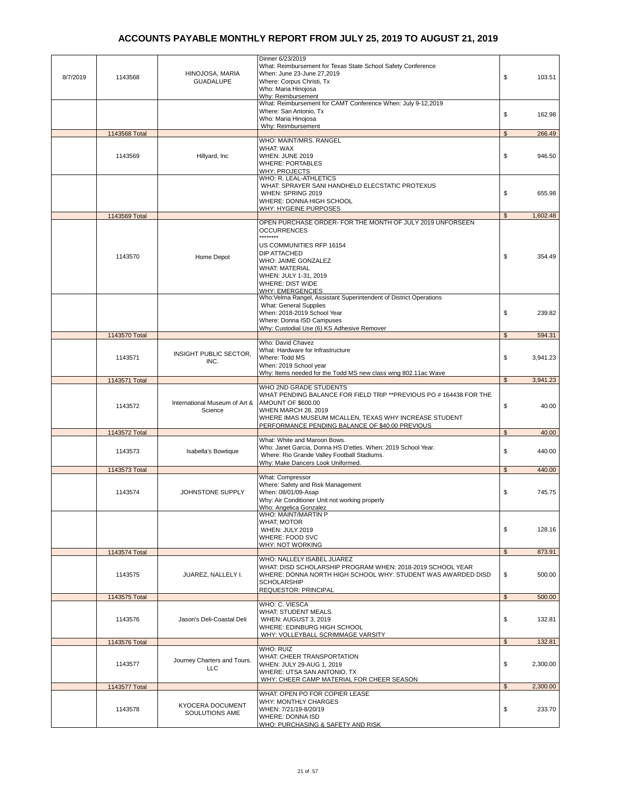| 8/7/2019 | 1143568       | HINOJOSA, MARIA<br><b>GUADALUPE</b>       | Dinner 6/23/2019<br>What: Reimbursement for Texas State School Safety Conference<br>When: June 23-June 27,2019<br>Where: Corpus Christi, Tx<br>Who: Maria Hinojosa<br>Why: Reimbursement                                                                                      | \$             | 103.51           |
|----------|---------------|-------------------------------------------|-------------------------------------------------------------------------------------------------------------------------------------------------------------------------------------------------------------------------------------------------------------------------------|----------------|------------------|
|          |               |                                           | What: Reimbursement for CAMT Conference When: July 9-12,2019<br>Where: San Antonio, Tx<br>Who: Maria Hinojosa<br>Why: Reimbursement                                                                                                                                           | \$             | 162.98           |
|          | 1143568 Total |                                           |                                                                                                                                                                                                                                                                               | $\mathbb{S}$   | 266.49           |
|          | 1143569       | Hillyard, Inc                             | WHO: MAINT/MRS. RANGEL<br><b>WHAT: WAX</b><br><b>WHEN: JUNE 2019</b><br><b>WHERE: PORTABLES</b><br>WHY: PROJECTS                                                                                                                                                              | \$             | 946.50           |
|          |               |                                           | WHO: R. LEAL-ATHLETICS<br>WHAT: SPRAYER SANI HANDHELD ELECSTATIC PROTEXUS<br>WHEN: SPRING 2019<br>WHERE: DONNA HIGH SCHOOL<br>WHY: HYGEINE PURPOSES                                                                                                                           | \$             | 655.98           |
|          | 1143569 Total |                                           |                                                                                                                                                                                                                                                                               | $\mathfrak{s}$ | 1,602.48         |
|          | 1143570       | Home Depot                                | OPEN PURCHASE ORDER- FOR THE MONTH OF JULY 2019 UNFORSEEN<br><b>OCCURRENCES</b><br>********<br>US COMMUNITIES RFP 16154<br><b>DIP ATTACHED</b><br>WHO: JAIME GONZALEZ<br><b>WHAT: MATERIAL</b><br>WHEN: JULY 1-31, 2019<br><b>WHERE: DIST WIDE</b><br><b>WHY: EMERGENCIES</b> | \$             | 354.49           |
|          | 1143570 Total |                                           | Who:Velma Rangel, Assistant Superintendent of District Operations<br>What: General Supplies<br>When: 2018-2019 School Year<br>Where: Donna ISD Campuses<br>Why: Custodial Use (6) KS Adhesive Remover                                                                         | \$<br>\$       | 239.82<br>594.31 |
|          |               |                                           | Who: David Chavez                                                                                                                                                                                                                                                             |                |                  |
|          | 1143571       | INSIGHT PUBLIC SECTOR,<br>INC.            | What: Hardware for Infrastructure<br>Where: Todd MS<br>When: 2019 School year<br>Why: Items needed for the Todd MS new class wing 802.11ac Wave                                                                                                                               | \$             | 3,941.23         |
|          | 1143571 Total |                                           |                                                                                                                                                                                                                                                                               | \$             | 3,941.23         |
|          |               |                                           | WHO 2ND GRADE STUDENTS                                                                                                                                                                                                                                                        |                |                  |
|          | 1143572       | International Museum of Art &<br>Science  | WHAT PENDING BALANCE FOR FIELD TRIP ** PREVIOUS PO # 164438 FOR THE<br><b>AMOUNT OF \$600.00</b><br><b>WHEN MARCH 28, 2019</b><br>WHERE IMAS MUSEUM MCALLEN, TEXAS WHY INCREASE STUDENT<br>PERFORMANCE PENDING BALANCE OF \$40.00 PREVIOUS                                    | \$             | 40.00            |
|          | 1143572 Total |                                           |                                                                                                                                                                                                                                                                               | $\mathbb{S}$   | 40.00            |
|          | 1143573       | Isabella's Bowtique                       | What: White and Maroon Bows.<br>Who: Janet Garcia, Donna HS D'ettes. When: 2019 School Year.<br>Where: Rio Grande Valley Football Stadiums.<br>Why: Make Dancers Look Uniformed.                                                                                              | \$             | 440.00           |
|          | 1143573 Total |                                           |                                                                                                                                                                                                                                                                               | $\mathfrak{s}$ | 440.00           |
|          | 1143574       | JOHNSTONE SUPPLY                          | What: Compressor<br>Where: Safety and Risk Management<br>When: 08/01/09-Asap<br>Why: Air Conditioner Unit not working properly<br><b>Who: Angelica Gonzalez</b>                                                                                                               | \$             | 745.75           |
|          |               |                                           | WHO: MAINT/MARTIN P<br><b>WHAT: MOTOR</b><br>WHEN: JULY 2019<br>WHERE: FOOD SVC<br>WHY: NOT WORKING                                                                                                                                                                           | \$             | 128.16           |
|          | 1143574 Total |                                           |                                                                                                                                                                                                                                                                               | $\mathfrak{S}$ | 873.91           |
|          | 1143575       | JUAREZ, NALLELY I.                        | WHO: NALLELY ISABEL JUAREZ<br>WHAT: DISD SCHOLARSHIP PROGRAM WHEN: 2018-2019 SCHOOL YEAR<br>WHERE: DONNA NORTH HIGH SCHOOL WHY: STUDENT WAS AWARDED DISD<br><b>SCHOLARSHIP</b><br><b>REQUESTOR: PRINCIPAL</b>                                                                 | \$             | 500.00           |
|          | 1143575 Total |                                           |                                                                                                                                                                                                                                                                               | \$             | 500.00           |
|          | 1143576       | Jason's Deli-Coastal Deli                 | WHO: C. VIESCA<br>WHAT: STUDENT MEALS.<br>WHEN: AUGUST 3, 2019<br>WHERE: EDINBURG HIGH SCHOOL<br>WHY: VOLLEYBALL SCRIMMAGE VARSITY                                                                                                                                            | \$             | 132.81           |
|          | 1143576 Total |                                           |                                                                                                                                                                                                                                                                               | $\mathfrak{L}$ | 132.81           |
|          | 1143577       | Journey Charters and Tours.<br><b>LLC</b> | <b>WHO: RUIZ</b><br>WHAT: CHEER TRANSPORTATION<br>WHEN: JULY 29-AUG 1, 2019<br>WHERE: UTSA SAN ANTONIO, TX<br>WHY: CHEER CAMP MATERIAL FOR CHEER SEASON                                                                                                                       | \$             | 2,300.00         |
|          | 1143577 Total |                                           | WHAT: OPEN PO FOR COPIER LEASE                                                                                                                                                                                                                                                | $\mathfrak{s}$ | 2,300.00         |
|          | 1143578       | <b>KYOCERA DOCUMENT</b><br>SOULUTIONS AME | WHY: MONTHLY CHARGES<br>WHEN: 7/21/19-8/20/19<br><b>WHERE: DONNA ISD</b><br>WHO: PURCHASING & SAFETY AND RISK                                                                                                                                                                 | \$             | 233.70           |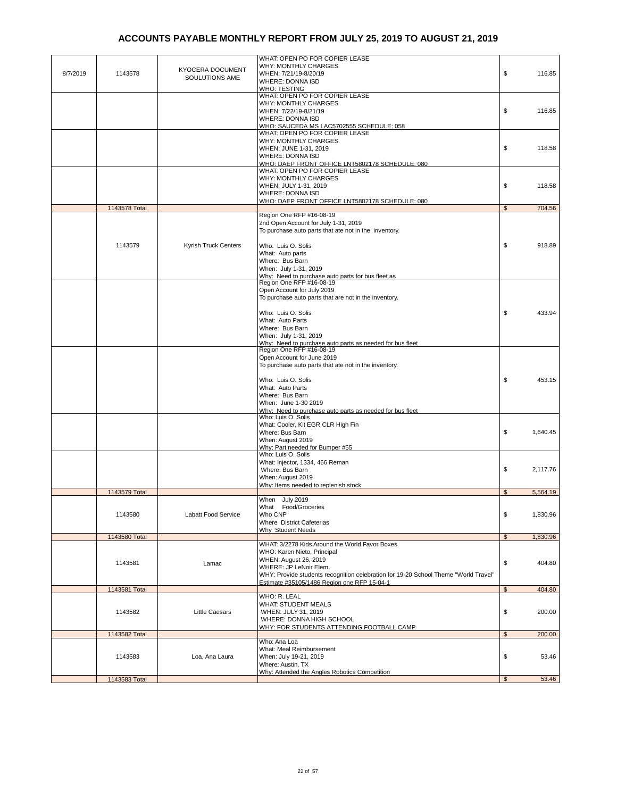| 8/7/2019 | 1143578       | KYOCERA DOCUMENT<br>SOULUTIONS AME | WHAT: OPEN PO FOR COPIER LEASE<br><b>WHY: MONTHLY CHARGES</b><br>WHEN: 7/21/19-8/20/19<br><b>WHERE: DONNA ISD</b><br>WHO: TESTING                                                                                       | \$             | 116.85   |
|----------|---------------|------------------------------------|-------------------------------------------------------------------------------------------------------------------------------------------------------------------------------------------------------------------------|----------------|----------|
|          |               |                                    | WHAT: OPEN PO FOR COPIER LEASE<br><b>WHY: MONTHLY CHARGES</b><br>WHEN: 7/22/19-8/21/19<br><b>WHERE: DONNA ISD</b><br>WHO: SAUCEDA MS LAC5702555 SCHEDULE: 058                                                           | \$             | 116.85   |
|          |               |                                    | WHAT: OPEN PO FOR COPIER LEASE<br>WHY: MONTHLY CHARGES<br>WHEN: JUNE 1-31, 2019<br><b>WHERE: DONNA ISD</b><br>WHO: DAEP FRONT OFFICE LNT5802178 SCHEDULE: 080                                                           | \$             | 118.58   |
|          |               |                                    | WHAT: OPEN PO FOR COPIER LEASE<br><b>WHY: MONTHLY CHARGES</b><br>WHEN; JULY 1-31, 2019<br>WHERE: DONNA ISD<br>WHO: DAEP FRONT OFFICE LNT5802178 SCHEDULE: 080                                                           | \$             | 118.58   |
|          | 1143578 Total |                                    |                                                                                                                                                                                                                         | $\mathfrak{s}$ | 704.56   |
|          |               |                                    | Region One RFP #16-08-19<br>2nd Open Account for July 1-31, 2019<br>To purchase auto parts that ate not in the inventory.                                                                                               |                |          |
|          | 1143579       | Kyrish Truck Centers               | Who: Luis O. Solis<br>What: Auto parts<br>Where: Bus Barn<br>When: July 1-31, 2019<br>Why: Need to purchase auto parts for bus fleet as                                                                                 | \$             | 918.89   |
|          |               |                                    | Region One RFP #16-08-19<br>Open Account for July 2019<br>To purchase auto parts that are not in the inventory.<br>Who: Luis O. Solis                                                                                   | \$             | 433.94   |
|          |               |                                    | What: Auto Parts<br>Where: Bus Barn<br>When: July 1-31, 2019<br>Why: Need to purchase auto parts as needed for bus fleet                                                                                                |                |          |
|          |               |                                    | Region One RFP #16-08-19<br>Open Account for June 2019<br>To purchase auto parts that ate not in the inventory.<br>Who: Luis O. Solis                                                                                   | \$             | 453.15   |
|          |               |                                    | What: Auto Parts<br>Where: Bus Barn<br>When: June 1-30 2019<br>Why: Need to purchase auto parts as needed for bus fleet                                                                                                 |                |          |
|          |               |                                    | Who: Luis O. Solis<br>What: Cooler, Kit EGR CLR High Fin<br>Where: Bus Barn<br>When: August 2019<br>Why: Part needed for Bumper #55                                                                                     | \$             | 1,640.45 |
|          |               |                                    | Who: Luis O. Solis<br>What: Injector, 1334, 466 Reman<br>Where: Bus Barn<br>When: August 2019<br>Why: Items needed to replenish stock                                                                                   | \$             | 2.117.76 |
|          | 1143579 Total |                                    |                                                                                                                                                                                                                         | $\mathfrak{L}$ | 5,564.19 |
|          | 1143580       | Labatt Food Service                | When July 2019<br>What Food/Groceries<br>Who CNP<br>Where District Cafeterias<br>Why Student Needs                                                                                                                      | \$             | 1,830.96 |
|          | 1143580 Total |                                    |                                                                                                                                                                                                                         | $\mathfrak{s}$ | 1,830.96 |
|          | 1143581       | Lamac                              | WHAT: 3/2278 Kids Around the World Favor Boxes<br>WHO: Karen Nieto, Principal<br>WHEN: August 26, 2019<br>WHERE: JP LeNoir Elem.<br>WHY: Provide students recognition celebration for 19-20 School Theme "World Travel" | \$             | 404.80   |
|          | 1143581 Total |                                    | Estimate #35105/1486 Region one RFP 15-04-1                                                                                                                                                                             | \$             | 404.80   |
|          | 1143582       | <b>Little Caesars</b>              | <b>WHO: R. LEAL</b><br>WHAT: STUDENT MEALS<br>WHEN: JULY 31, 2019<br>WHERE: DONNA HIGH SCHOOL<br>WHY: FOR STUDENTS ATTENDING FOOTBALL CAMP                                                                              | \$             | 200.00   |
|          | 1143582 Total |                                    |                                                                                                                                                                                                                         | $\mathfrak{S}$ | 200.00   |
|          | 1143583       | Loa, Ana Laura                     | Who: Ana Loa<br>What: Meal Reimbursement<br>When: July 19-21, 2019<br>Where: Austin, TX<br>Why: Attended the Angles Robotics Competition                                                                                | \$             | 53.46    |
|          | 1143583 Total |                                    |                                                                                                                                                                                                                         | $\mathfrak{s}$ | 53.46    |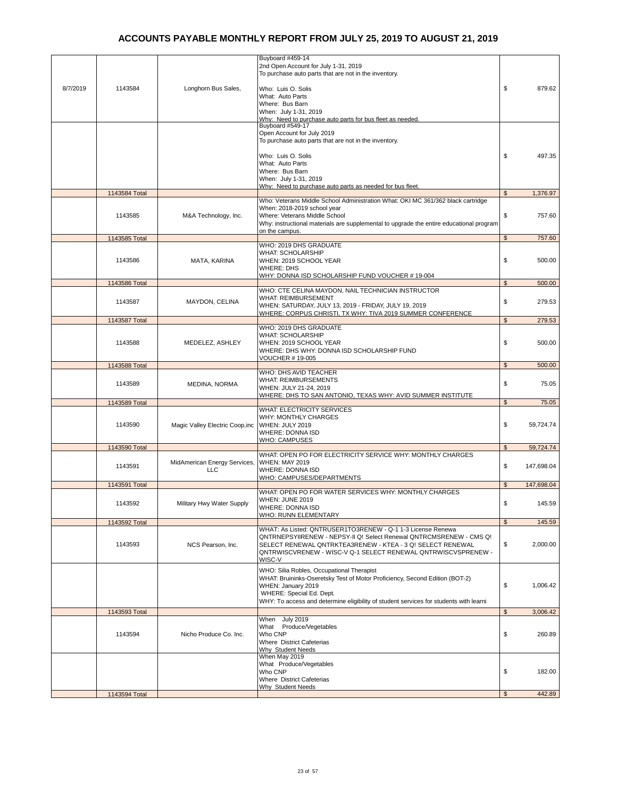| 8/7/2019 | 1143584       | Longhorn Bus Sales,                        | Buyboard #459-14<br>2nd Open Account for July 1-31, 2019<br>To purchase auto parts that are not in the inventory.<br>Who: Luis O. Solis<br>What: Auto Parts                                                                                                                 | \$             | 879.62     |
|----------|---------------|--------------------------------------------|-----------------------------------------------------------------------------------------------------------------------------------------------------------------------------------------------------------------------------------------------------------------------------|----------------|------------|
|          |               |                                            | Where: Bus Barn<br>When: July 1-31, 2019<br>Why: Need to purchase auto parts for bus fleet as needed.<br>Buyboard #549-17                                                                                                                                                   |                |            |
|          |               |                                            | Open Account for July 2019<br>To purchase auto parts that are not in the inventory.                                                                                                                                                                                         |                |            |
|          |               |                                            | Who: Luis O. Solis<br>What: Auto Parts<br>Where: Bus Barn<br>When: July 1-31, 2019<br>Why: Need to purchase auto parts as needed for bus fleet                                                                                                                              | \$             | 497.35     |
|          | 1143584 Total |                                            |                                                                                                                                                                                                                                                                             | $\mathfrak{s}$ | 1,376.97   |
|          | 1143585       | M&A Technology, Inc.                       | Who: Veterans Middle School Administration What: OKI MC 361/362 black cartridge<br>When: 2018-2019 school year<br>Where: Veterans Middle School<br>Why: instructional materials are supplemental to upgrade the entire educational program<br>on the campus.                | \$             | 757.60     |
|          | 1143585 Total |                                            |                                                                                                                                                                                                                                                                             | $\mathfrak{S}$ | 757.60     |
|          | 1143586       | MATA, KARINA                               | WHO: 2019 DHS GRADUATE<br><b>WHAT: SCHOLARSHIP</b><br>WHEN: 2019 SCHOOL YEAR<br><b>WHERE: DHS</b><br>WHY: DONNA ISD SCHOLARSHIP FUND VOUCHER #19-004                                                                                                                        | \$             | 500.00     |
|          | 1143586 Total |                                            |                                                                                                                                                                                                                                                                             | $\mathbb{S}$   | 500.00     |
|          | 1143587       | MAYDON, CELINA                             | WHO: CTE CELINA MAYDON, NAIL TECHNICIAN INSTRUCTOR<br><b>WHAT: REIMBURSEMENT</b><br>WHEN: SATURDAY, JULY 13, 2019 - FRIDAY, JULY 19, 2019                                                                                                                                   | \$             | 279.53     |
|          | 1143587 Total |                                            | WHERE: CORPUS CHRISTI, TX WHY: TIVA 2019 SUMMER CONFERENCE                                                                                                                                                                                                                  | \$             | 279.53     |
|          | 1143588       | MEDELEZ, ASHLEY                            | WHO: 2019 DHS GRADUATE<br><b>WHAT: SCHOLARSHIP</b><br>WHEN: 2019 SCHOOL YEAR<br>WHERE: DHS WHY: DONNA ISD SCHOLARSHIP FUND                                                                                                                                                  | \$             | 500.00     |
|          | 1143588 Total |                                            | <b>VOUCHER #19-005</b>                                                                                                                                                                                                                                                      | $\mathfrak{s}$ | 500.00     |
|          | 1143589       | MEDINA, NORMA                              | WHO: DHS AVID TEACHER<br>WHAT: REIMBURSEMENTS<br>WHEN: JULY 21-24, 2019<br><u>WHERE: DHS TO SAN ANTONIO, TEXAS WHY: AVID SUMMER INSTITUTE</u>                                                                                                                               | \$             | 75.05      |
|          | 1143589 Total |                                            |                                                                                                                                                                                                                                                                             | \$             | 75.05      |
|          | 1143590       | Magic Valley Electric Coop, inc            | <b>WHAT: ELECTRICITY SERVICES</b><br><b>WHY: MONTHLY CHARGES</b><br>WHEN: JULY 2019<br><b>WHERE: DONNA ISD</b><br><b>WHO: CAMPUSES</b>                                                                                                                                      | \$             | 59,724.74  |
|          | 1143590 Total |                                            |                                                                                                                                                                                                                                                                             | $\mathfrak{s}$ | 59,724.74  |
|          | 1143591       | MidAmerican Energy Services,<br><b>LLC</b> | WHAT: OPEN PO FOR ELECTRICITY SERVICE WHY: MONTHLY CHARGES<br><b>WHEN: MAY 2019</b><br>WHERE: DONNA ISD<br>WHO: CAMPUSES/DEPARTMENTS                                                                                                                                        | \$             | 147,698.04 |
|          | 1143591 Total |                                            |                                                                                                                                                                                                                                                                             | \$             | 147,698.04 |
|          | 1143592       | Military Hwy Water Supply                  | WHAT: OPEN PO FOR WATER SERVICES WHY: MONTHLY CHARGES<br>WHEN: JUNE 2019<br>WHERE: DONNA ISD<br><b>WHO: RUNN ELEMENTARY</b>                                                                                                                                                 | \$             | 145.59     |
|          | 1143592 Total |                                            |                                                                                                                                                                                                                                                                             | $\mathfrak{S}$ | 145.59     |
|          | 1143593       | NCS Pearson, Inc.                          | WHAT: As Listed: QNTRUSER1TO3RENEW - Q-1 1-3 License Renewa<br>QNTRNEPSYIIRENEW - NEPSY-II Q! Select Renewal QNTRCMSRENEW - CMS Q!<br>SELECT RENEWAL QNTRKTEA3RENEW - KTEA - 3 Q! SELECT RENEWAL<br>QNTRWISCVRENEW - WISC-V Q-1 SELECT RENEWAL QNTRWISCVSPRENEW -<br>WISC-V | \$             | 2.000.00   |
|          |               |                                            | WHO: Silia Robles, Occupational Therapist<br>WHAT: Bruininks-Oseretsky Test of Motor Proficiency, Second Edition (BOT-2)<br>WHEN: January 2019<br>WHERE: Special Ed. Dept.<br>WHY: To access and determine eligibility of student services for students with learni         | \$             | 1,006.42   |
|          | 1143593 Total |                                            |                                                                                                                                                                                                                                                                             | \$             | 3,006.42   |
|          | 1143594       | Nicho Produce Co. Inc.                     | When July 2019<br>What Produce/Vegetables<br>Who CNP<br>Where District Cafeterias<br>Why Student Needs                                                                                                                                                                      | \$             | 260.89     |
|          |               |                                            | When May 2019<br>What Produce/Vegetables<br>Who CNP<br>Where District Cafeterias<br>Why Student Needs                                                                                                                                                                       | \$             | 182.00     |
|          | 1143594 Total |                                            |                                                                                                                                                                                                                                                                             | $\mathfrak{s}$ | 442.89     |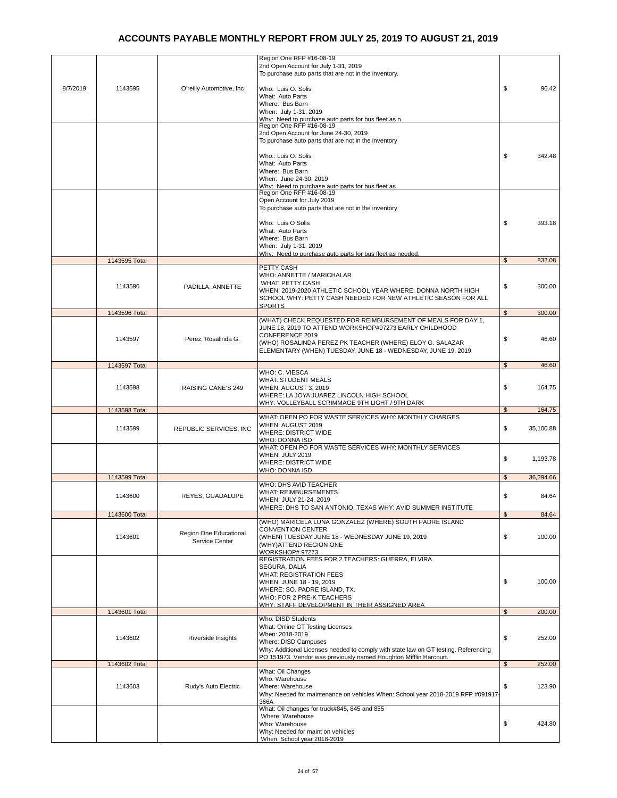|          |               |                                          | Region One RFP #16-08-19<br>2nd Open Account for July 1-31, 2019<br>To purchase auto parts that are not in the inventory.                                                                                                                                              |                |                |
|----------|---------------|------------------------------------------|------------------------------------------------------------------------------------------------------------------------------------------------------------------------------------------------------------------------------------------------------------------------|----------------|----------------|
| 8/7/2019 | 1143595       | O'reilly Automotive, Inc                 | Who: Luis O. Solis<br>What: Auto Parts<br>Where: Bus Barn<br>When: July 1-31, 2019<br>Why: Need to purchase auto parts for bus fleet as n<br>Region One RFP #16-08-19                                                                                                  | \$             | 96.42          |
|          |               |                                          | 2nd Open Account for June 24-30, 2019<br>To purchase auto parts that are not in the inventory<br>Who:: Luis O. Solis<br>What: Auto Parts<br>Where: Bus Barn                                                                                                            | \$             | 342.48         |
|          |               |                                          | When: June 24-30, 2019<br>Why: Need to purchase auto parts for bus fleet as<br>Region One RFP #16-08-19<br>Open Account for July 2019                                                                                                                                  |                |                |
|          |               |                                          | To purchase auto parts that are not in the inventory<br>Who: Luis O Solis<br>What: Auto Parts<br>Where: Bus Barn<br>When: July 1-31, 2019<br>Why: Need to purchase auto parts for bus fleet as needed.                                                                 | \$             | 393.18         |
|          | 1143595 Total |                                          |                                                                                                                                                                                                                                                                        | $\mathfrak s$  | 832.08         |
|          | 1143596       | PADILLA, ANNETTE                         | PETTY CASH<br>WHO: ANNETTE / MARICHALAR<br><b>WHAT: PETTY CASH</b><br>WHEN: 2019-2020 ATHLETIC SCHOOL YEAR WHERE: DONNA NORTH HIGH<br>SCHOOL WHY: PETTY CASH NEEDED FOR NEW ATHLETIC SEASON FOR ALL                                                                    | \$             | 300.00         |
|          | 1143596 Total |                                          | SPORTS                                                                                                                                                                                                                                                                 | $\mathfrak{s}$ | 300.00         |
|          | 1143597       | Perez. Rosalinda G.                      | (WHAT) CHECK REQUESTED FOR REIMBURSEMENT OF MEALS FOR DAY 1,<br>JUNE 18, 2019 TO ATTEND WORKSHOP#97273 EARLY CHILDHOOD<br>CONFERENCE 2019<br>(WHO) ROSALINDA PEREZ PK TEACHER (WHERE) ELOY G. SALAZAR<br>ELEMENTARY (WHEN) TUESDAY, JUNE 18 - WEDNESDAY, JUNE 19, 2019 | \$             | 46.60          |
|          | 1143597 Total |                                          |                                                                                                                                                                                                                                                                        | \$             | 46.60          |
|          | 1143598       | <b>RAISING CANE'S 249</b>                | WHO: C. VIESCA<br><b>WHAT: STUDENT MEALS</b><br>WHEN: AUGUST 3, 2019<br>WHERE: LA JOYA JUAREZ LINCOLN HIGH SCHOOL<br>WHY: VOLLEYBALL SCRIMMAGE 9TH LIGHT / 9TH DARK                                                                                                    | \$             | 164.75         |
|          | 1143598 Total |                                          |                                                                                                                                                                                                                                                                        | $\mathfrak{s}$ | 164.75         |
|          | 1143599       | REPUBLIC SERVICES, INC                   | WHAT: OPEN PO FOR WASTE SERVICES WHY: MONTHLY CHARGES<br>WHEN: AUGUST 2019<br><b>WHERE: DISTRICT WIDE</b><br>WHO: DONNA ISD                                                                                                                                            | \$             | 35,100.88      |
|          |               |                                          | WHAT: OPEN PO FOR WASTE SERVICES WHY: MONTHLY SERVICES<br>WHEN: JULY 2019<br><b>WHERE: DISTRICT WIDE</b><br>WHO: DONNA ISD                                                                                                                                             | \$             | 1,193.78       |
|          | 1143599 Total |                                          | WHO: DHS AVID TEACHER                                                                                                                                                                                                                                                  | \$             | 36,294.66      |
|          | 1143600       | REYES, GUADALUPE                         | <b>WHAT: REIMBURSEMENTS</b><br>WHEN: JULY 21-24, 2019<br>WHERE: DHS TO SAN ANTONIO, TEXAS WHY: AVID SUMMER INSTITUTE                                                                                                                                                   | \$             | 84.64<br>84.64 |
|          | 1143600 Total |                                          | (WHO) MARICELA LUNA GONZALEZ (WHERE) SOUTH PADRE ISLAND                                                                                                                                                                                                                | \$             |                |
|          | 1143601       | Region One Educational<br>Service Center | <b>CONVENTION CENTER</b><br>(WHEN) TUESDAY JUNE 18 - WEDNESDAY JUNE 19, 2019<br>(WHY) ATTEND REGION ONE<br>WORKSHOP# 97273<br>REGISTRATION FEES FOR 2 TEACHERS: GUERRA, ELVIRA                                                                                         | \$             | 100.00         |
|          |               |                                          | SEGURA, DALIA<br><b>WHAT: REGISTRATION FEES</b><br>WHEN: JUNE 18 - 19, 2019<br>WHERE: SO. PADRE ISLAND, TX.<br>WHO: FOR 2 PRE-K TEACHERS<br><u>WHY: STAFF DEVELOPMENT IN THEIR ASSIGNED AREA</u>                                                                       | \$             | 100.00         |
|          | 1143601 Total |                                          |                                                                                                                                                                                                                                                                        | $\mathfrak{s}$ | 200.00         |
|          | 1143602       | Riverside Insights                       | Who: DISD Students<br>What: Online GT Testing Licenses<br>When: 2018-2019<br>Where: DISD Campuses<br>Why: Additional Licenses needed to comply with state law on GT testing. Referencing<br>PO 151973. Vendor was previously named Houghton Mifflin Harcourt.          | \$             | 252.00         |
|          | 1143602 Total |                                          |                                                                                                                                                                                                                                                                        | $\mathfrak{S}$ | 252.00         |
|          | 1143603       | Rudy's Auto Electric                     | What: Oil Changes<br>Who: Warehouse<br>Where: Warehouse<br>Why: Needed for maintenance on vehicles When: School year 2018-2019 RFP #091917<br>366A                                                                                                                     | \$             | 123.90         |
|          |               |                                          | What: Oil changes for truck#845, 845 and 855<br>Where: Warehouse<br>Who: Warehouse<br>Why: Needed for maint on vehicles<br>When: School year 2018-2019                                                                                                                 | \$             | 424.80         |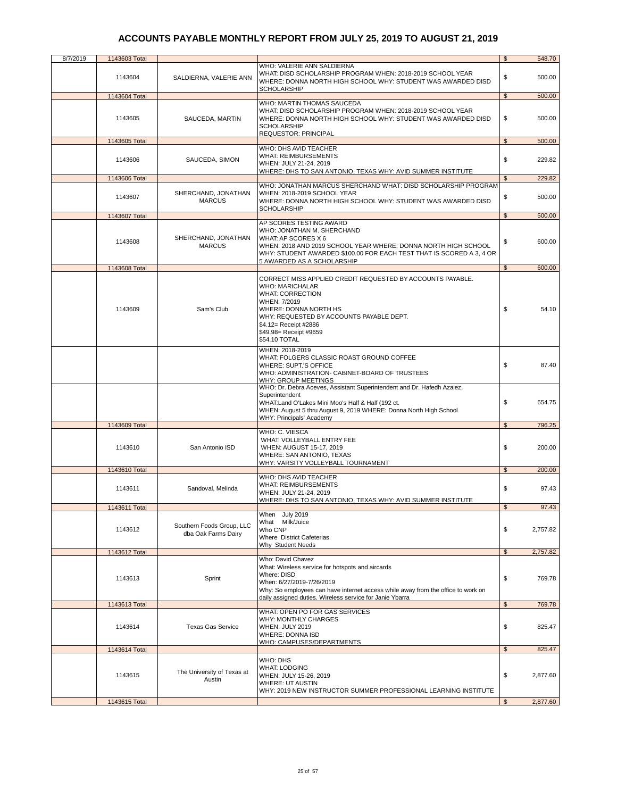| 8/7/2019 | 1143603 Total |                                                  |                                                                                                                                                                                                                                                                          | $\mathfrak{s}$ | 548.70   |
|----------|---------------|--------------------------------------------------|--------------------------------------------------------------------------------------------------------------------------------------------------------------------------------------------------------------------------------------------------------------------------|----------------|----------|
|          | 1143604       | SALDIERNA, VALERIE ANN                           | WHO: VALERIE ANN SALDIERNA<br>WHAT: DISD SCHOLARSHIP PROGRAM WHEN: 2018-2019 SCHOOL YEAR<br>WHERE: DONNA NORTH HIGH SCHOOL WHY: STUDENT WAS AWARDED DISD<br><b>SCHOLARSHIP</b>                                                                                           | \$             | 500.00   |
|          | 1143604 Total |                                                  |                                                                                                                                                                                                                                                                          | $\mathfrak{S}$ | 500.00   |
|          | 1143605       | SAUCEDA, MARTIN                                  | WHO: MARTIN THOMAS SAUCEDA<br>WHAT: DISD SCHOLARSHIP PROGRAM WHEN: 2018-2019 SCHOOL YEAR<br>WHERE: DONNA NORTH HIGH SCHOOL WHY: STUDENT WAS AWARDED DISD<br><b>SCHOLARSHIP</b><br>REQUESTOR: PRINCIPAL                                                                   | \$             | 500.00   |
|          | 1143605 Total |                                                  |                                                                                                                                                                                                                                                                          | $\mathbb{S}$   | 500.00   |
|          | 1143606       | SAUCEDA, SIMON                                   | WHO: DHS AVID TEACHER<br><b>WHAT: REIMBURSEMENTS</b><br>WHEN: JULY 21-24, 2019<br>WHERE: DHS TO SAN ANTONIO, TEXAS WHY: AVID SUMMER INSTITUTE                                                                                                                            | \$             | 229.82   |
|          | 1143606 Total |                                                  |                                                                                                                                                                                                                                                                          | \$             | 229.82   |
|          | 1143607       | SHERCHAND, JONATHAN<br><b>MARCUS</b>             | WHO: JONATHAN MARCUS SHERCHAND WHAT: DISD SCHOLARSHIP PROGRAM<br>WHEN: 2018-2019 SCHOOL YEAR<br>WHERE: DONNA NORTH HIGH SCHOOL WHY: STUDENT WAS AWARDED DISD<br><b>SCHOLARSHIP</b>                                                                                       | \$             | 500.00   |
|          | 1143607 Total |                                                  |                                                                                                                                                                                                                                                                          | $\mathfrak s$  | 500.00   |
|          | 1143608       | SHERCHAND, JONATHAN<br><b>MARCUS</b>             | AP SCORES TESTING AWARD<br>WHO: JONATHAN M. SHERCHAND<br>WHAT: AP SCORES X 6<br>WHEN: 2018 AND 2019 SCHOOL YEAR WHERE: DONNA NORTH HIGH SCHOOL<br>WHY: STUDENT AWARDED \$100.00 FOR EACH TEST THAT IS SCORED A 3, 4 OR<br>5 AWARDED AS A SCHOLARSHIP                     | \$             | 600.00   |
|          | 1143608 Total |                                                  |                                                                                                                                                                                                                                                                          | $\mathfrak{S}$ | 600.00   |
|          | 1143609       | Sam's Club                                       | CORRECT MISS APPLIED CREDIT REQUESTED BY ACCOUNTS PAYABLE.<br><b>WHO: MARICHALAR</b><br><b>WHAT: CORRECTION</b><br>WHEN: 7/2019<br>WHERE: DONNA NORTH HS<br>WHY: REQUESTED BY ACCOUNTS PAYABLE DEPT.<br>\$4.12= Receipt #2886<br>\$49.98= Receipt #9659<br>\$54.10 TOTAL | \$             | 54.10    |
|          |               |                                                  | WHEN: 2018-2019<br>WHAT: FOLGERS CLASSIC ROAST GROUND COFFEE<br>WHERE: SUPT.'S OFFICE<br>WHO: ADMINISTRATION- CABINET-BOARD OF TRUSTEES<br>WHY: GROUP MEETINGS                                                                                                           | \$             | 87.40    |
|          |               |                                                  | WHO: Dr. Debra Aceves, Assistant Superintendent and Dr. Hafedh Azaiez,<br>Superintendent<br>WHAT: Land O'Lakes Mini Moo's Half & Half (192 ct.<br>WHEN: August 5 thru August 9, 2019 WHERE: Donna North High School<br>WHY: Principals' Academy                          | \$             | 654.75   |
|          | 1143609 Total |                                                  |                                                                                                                                                                                                                                                                          | $\mathfrak{s}$ | 796.25   |
|          | 1143610       | San Antonio ISD                                  | WHO: C. VIESCA<br>WHAT: VOLLEYBALL ENTRY FEE<br>WHEN: AUGUST 15-17, 2019<br>WHERE: SAN ANTONIO, TEXAS<br>WHY: VARSITY VOLLEYBALL TOURNAMENT                                                                                                                              | \$             | 200.00   |
|          | 1143610 Total |                                                  |                                                                                                                                                                                                                                                                          | $\mathfrak{L}$ | 200.00   |
|          | 1143611       | Sandoval, Melinda                                | WHO: DHS AVID TEACHER<br><b>WHAT: REIMBURSEMENTS</b><br>WHEN: JULY 21-24, 2019<br>WHERE: DHS TO SAN ANTONIO, TEXAS WHY: AVID SUMMER INSTITUTE                                                                                                                            | \$             | 97.43    |
|          | 1143611 Total |                                                  |                                                                                                                                                                                                                                                                          | $\sqrt{2}$     | 97.43    |
|          | 1143612       | Southern Foods Group, LLC<br>dba Oak Farms Dairy | When July 2019<br>What Milk/Juice<br>Who CNP<br>Where District Cafeterias<br>Why Student Needs                                                                                                                                                                           | \$             | 2,757.82 |
|          | 1143612 Total |                                                  |                                                                                                                                                                                                                                                                          | $\mathfrak{s}$ | 2,757.82 |
|          | 1143613       | Sprint                                           | Who: David Chavez<br>What: Wireless service for hotspots and aircards<br>Where: DISD<br>When: 6/27/2019-7/26/2019<br>Why: So employees can have internet access while away from the office to work on<br>daily assigned duties. Wireless service for Janie Ybarra        | \$             | 769.78   |
|          | 1143613 Total |                                                  |                                                                                                                                                                                                                                                                          | $\mathfrak s$  | 769.78   |
|          | 1143614       | <b>Texas Gas Service</b>                         | WHAT: OPEN PO FOR GAS SERVICES<br>WHY: MONTHLY CHARGES<br>WHEN: JULY 2019<br><b>WHERE: DONNA ISD</b><br><b>WHO: CAMPUSES/DEPARTMENTS</b>                                                                                                                                 | \$             | 825.47   |
|          | 1143614 Total |                                                  |                                                                                                                                                                                                                                                                          | $\mathfrak s$  | 825.47   |
|          | 1143615       | The University of Texas at<br>Austin             | WHO: DHS<br><b>WHAT: LODGING</b><br>WHEN: JULY 15-26, 2019<br><b>WHERE: UT AUSTIN</b><br>WHY: 2019 NEW INSTRUCTOR SUMMER PROFESSIONAL LEARNING INSTITUTE                                                                                                                 | \$             | 2,877.60 |
|          | 1143615 Total |                                                  |                                                                                                                                                                                                                                                                          | $\mathbb{S}$   | 2,877.60 |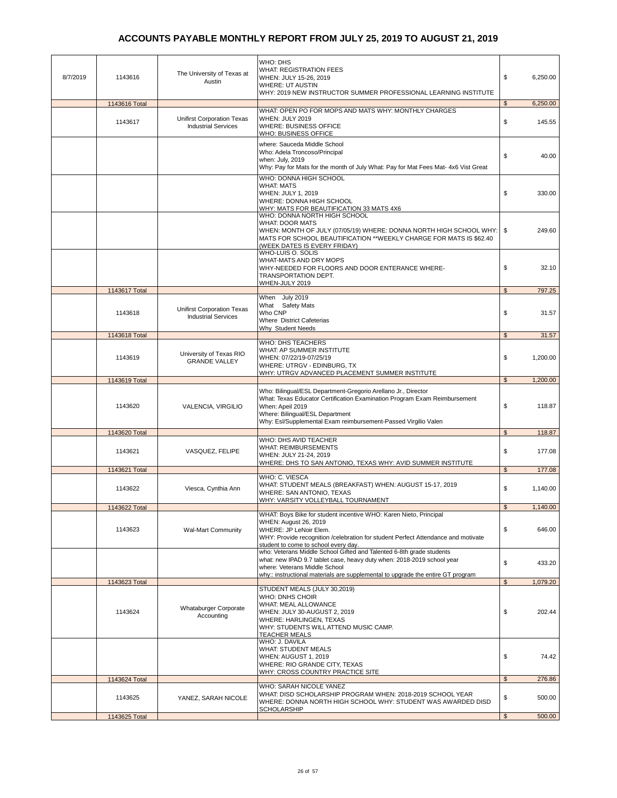| 8/7/2019 | 1143616       | The University of Texas at<br>Austin                            | WHO: DHS<br><b>WHAT: REGISTRATION FEES</b><br>WHEN: JULY 15-26, 2019<br><b>WHERE: UT AUSTIN</b><br>WHY: 2019 NEW INSTRUCTOR SUMMER PROFESSIONAL LEARNING INSTITUTE                                                                                                   | \$<br>6,250.00             |
|----------|---------------|-----------------------------------------------------------------|----------------------------------------------------------------------------------------------------------------------------------------------------------------------------------------------------------------------------------------------------------------------|----------------------------|
|          | 1143616 Total |                                                                 |                                                                                                                                                                                                                                                                      | $\mathfrak{S}$<br>6,250.00 |
|          | 1143617       | <b>Unifirst Corporation Texas</b><br><b>Industrial Services</b> | WHAT: OPEN PO FOR MOPS AND MATS WHY: MONTHLY CHARGES<br>WHEN: JULY 2019<br><b>WHERE: BUSINESS OFFICE</b><br>WHO: BUSINESS OFFICE                                                                                                                                     | \$<br>145.55               |
|          |               |                                                                 | where: Sauceda Middle School<br>Who: Adela Troncoso/Principal<br>when: July, 2019<br>Why: Pay for Mats for the month of July What: Pay for Mat Fees Mat- 4x6 Vist Great                                                                                              | \$<br>40.00                |
|          |               |                                                                 | WHO: DONNA HIGH SCHOOL<br><b>WHAT: MATS</b><br>WHEN: JULY 1, 2019<br>WHERE: DONNA HIGH SCHOOL<br>WHY: MATS FOR BEAUTIFICATION 33 MATS 4X6                                                                                                                            | \$<br>330.00               |
|          |               |                                                                 | WHO: DONNA NORTH HIGH SCHOOL<br><b>WHAT: DOOR MATS</b><br>WHEN: MONTH OF JULY (07/05/19) WHERE: DONNA NORTH HIGH SCHOOL WHY:   \$<br>MATS FOR SCHOOL BEAUTIFICATION ** WEEKLY CHARGE FOR MATS IS \$62.40<br>(WEEK DATES IS EVERY FRIDAY)<br><b>WHO-LUIS O. SOLIS</b> | 249.60                     |
|          |               |                                                                 | WHAT-MATS AND DRY MOPS<br>WHY-NEEDED FOR FLOORS AND DOOR ENTERANCE WHERE-<br>TRANSPORTATION DEPT.<br>WHEN-JULY 2019                                                                                                                                                  | \$<br>32.10                |
|          | 1143617 Total |                                                                 |                                                                                                                                                                                                                                                                      | 797.25<br>$\mathfrak{s}$   |
|          | 1143618       | <b>Unifirst Corporation Texas</b><br><b>Industrial Services</b> | When July 2019<br>What Safety Mats<br>Who CNP<br>Where District Cafeterias<br>Why Student Needs                                                                                                                                                                      | \$<br>31.57                |
|          | 1143618 Total |                                                                 | <b>WHO: DHS TEACHERS</b>                                                                                                                                                                                                                                             | $\mathfrak{s}$<br>31.57    |
|          | 1143619       | University of Texas RIO<br><b>GRANDE VALLEY</b>                 | WHAT: AP SUMMER INSTITUTE<br>WHEN: 07/22/19-07/25/19<br>WHERE: UTRGV - EDINBURG, TX<br>WHY: UTRGV ADVANCED PLACEMENT SUMMER INSTITUTE                                                                                                                                | \$<br>1,200.00             |
|          | 1143619 Total |                                                                 |                                                                                                                                                                                                                                                                      | $\mathfrak{s}$<br>1,200.00 |
|          | 1143620       | VALENCIA, VIRGILIO                                              | Who: Bilingual/ESL Department-Gregorio Arellano Jr., Director<br>What: Texas Educator Certification Examination Program Exam Reimbursement<br>When: Apeil 2019<br>Where: Bilingual/ESL Department<br>Why: Esl/Supplemental Exam reimbursement-Passed Virgilio Valen  | \$<br>118.87               |
|          | 1143620 Total |                                                                 |                                                                                                                                                                                                                                                                      | $\mathfrak{L}$<br>118.87   |
|          | 1143621       | VASQUEZ, FELIPE                                                 | WHO: DHS AVID TEACHER<br><b>WHAT: REIMBURSEMENTS</b><br>WHEN: JULY 21-24, 2019<br>WHERE: DHS TO SAN ANTONIO, TEXAS WHY: AVID SUMMER INSTITUTE                                                                                                                        | \$<br>177.08               |
|          | 1143621 Total |                                                                 |                                                                                                                                                                                                                                                                      | 177.08<br>$\mathfrak{s}$   |
|          | 1143622       | Viesca, Cynthia Ann                                             | WHO: C. VIESCA<br>WHAT: STUDENT MEALS (BREAKFAST) WHEN: AUGUST 15-17, 2019<br>WHERE: SAN ANTONIO, TEXAS<br>WHY: VARSITY VOLLEYBALL TOURNAMENT                                                                                                                        | \$<br>1,140.00             |
|          | 1143622 Total |                                                                 |                                                                                                                                                                                                                                                                      | \$<br>1,140.00             |
|          | 1143623       | <b>Wal-Mart Community</b>                                       | WHAT: Boys Bike for student incentive WHO: Karen Nieto, Principal<br>WHEN: August 26, 2019<br>WHERE: JP LeNoir Elem.<br>WHY: Provide recognition /celebration for student Perfect Attendance and motivate<br>student to come to school every day.                    | \$<br>646.00               |
|          |               |                                                                 | who: Veterans Middle School Gifted and Talented 6-8th grade students<br>what: new IPAD 9.7 tablet case, heavy duty when: 2018-2019 school year<br>where: Veterans Middle School<br>why:: instructional materials are supplemental to upgrade the entire GT program   | \$<br>433.20               |
|          | 1143623 Total |                                                                 |                                                                                                                                                                                                                                                                      | $\mathfrak{S}$<br>1,079.20 |
|          | 1143624       | <b>Whataburger Corporate</b><br>Accounting                      | STUDENT MEALS (JULY 30,2019)<br>WHO: DNHS CHOIR<br>WHAT: MEAL ALLOWANCE<br>WHEN: JULY 30-AUGUST 2, 2019<br>WHERE: HARLINGEN, TEXAS<br>WHY: STUDENTS WILL ATTEND MUSIC CAMP.<br><b>TEACHER MEALS</b><br>WHO: J. DAVILA                                                | \$<br>202.44               |
|          |               |                                                                 | <b>WHAT: STUDENT MEALS</b><br>WHEN: AUGUST 1, 2019<br>WHERE: RIO GRANDE CITY, TEXAS<br><b>WHY: CROSS COUNTRY PRACTICE SITE</b>                                                                                                                                       | \$<br>74.42                |
|          | 1143624 Total |                                                                 |                                                                                                                                                                                                                                                                      | $\mathfrak{s}$<br>276.86   |
|          | 1143625       | YANEZ, SARAH NICOLE                                             | WHO: SARAH NICOLE YANEZ<br>WHAT: DISD SCHOLARSHIP PROGRAM WHEN: 2018-2019 SCHOOL YEAR<br>WHERE: DONNA NORTH HIGH SCHOOL WHY: STUDENT WAS AWARDED DISD<br>SCHOLARSHIP                                                                                                 | \$<br>500.00               |
|          | 1143625 Total |                                                                 |                                                                                                                                                                                                                                                                      | 500.00<br>$\mathfrak{S}$   |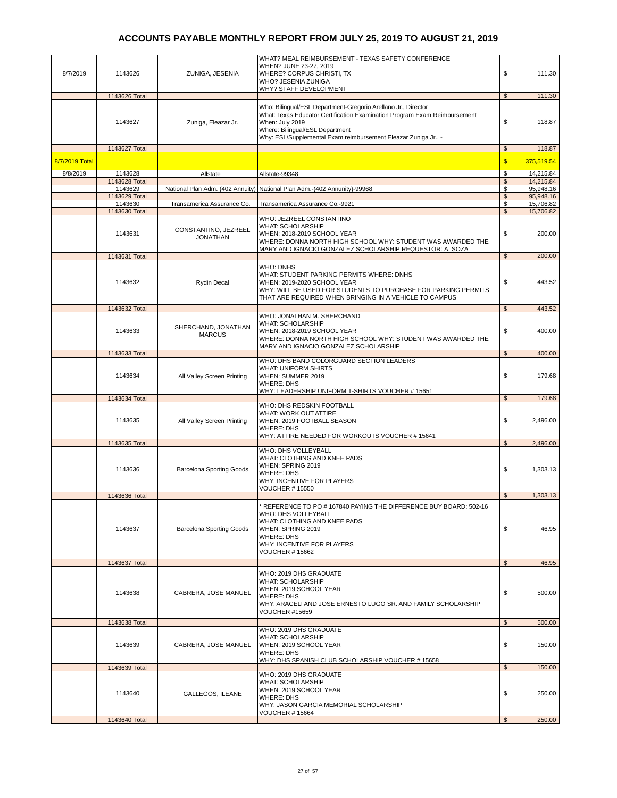|                |               |                                 | WHAT? MEAL REIMBURSEMENT - TEXAS SAFETY CONFERENCE                        |                |            |
|----------------|---------------|---------------------------------|---------------------------------------------------------------------------|----------------|------------|
|                |               |                                 | WHEN? JUNE 23-27, 2019                                                    |                |            |
| 8/7/2019       | 1143626       | ZUNIGA, JESENIA                 | WHERE? CORPUS CHRISTI, TX                                                 | \$             | 111.30     |
|                |               |                                 | WHO? JESENIA ZUNIGA                                                       |                |            |
|                |               |                                 | WHY? STAFF DEVELOPMENT                                                    |                |            |
|                | 1143626 Total |                                 |                                                                           | $\mathfrak s$  | 111.30     |
|                |               |                                 | Who: Bilingual/ESL Department-Gregorio Arellano Jr., Director             |                |            |
|                |               |                                 | What: Texas Educator Certification Examination Program Exam Reimbursement |                |            |
|                | 1143627       | Zuniga, Eleazar Jr.             | When: July 2019                                                           | \$             | 118.87     |
|                |               |                                 | Where: Bilingual/ESL Department                                           |                |            |
|                |               |                                 | Why: ESL/Supplemental Exam reimbursement Eleazar Zuniga Jr., -            |                |            |
|                |               |                                 |                                                                           |                |            |
|                | 1143627 Total |                                 |                                                                           | \$             | 118.87     |
| 8/7/2019 Total |               |                                 |                                                                           | $\sqrt{2}$     | 375,519.54 |
|                |               |                                 |                                                                           |                |            |
| 8/8/2019       | 1143628       | Allstate                        | Allstate-99348                                                            | \$             | 14,215.84  |
|                | 1143628 Total |                                 |                                                                           | $\mathfrak{s}$ | 14,215.84  |
|                | 1143629       |                                 | National Plan Adm. (402 Annuity) National Plan Adm.-(402 Annunity)-99968  | \$             | 95,948.16  |
|                | 1143629 Total |                                 |                                                                           | \$             | 95,948.16  |
|                | 1143630       | Transamerica Assurance Co.      | Transamerica Assurance Co.-9921                                           | \$             | 15,706.82  |
|                | 1143630 Total |                                 |                                                                           | $\mathfrak{s}$ | 15,706.82  |
|                |               |                                 | WHO: JEZREEL CONSTANTINO                                                  |                |            |
|                |               | CONSTANTINO, JEZREEL<br>1143631 | <b>WHAT: SCHOLARSHIP</b>                                                  |                |            |
|                |               | <b>JONATHAN</b>                 | WHEN: 2018-2019 SCHOOL YEAR                                               | \$             | 200.00     |
|                |               |                                 | WHERE: DONNA NORTH HIGH SCHOOL WHY: STUDENT WAS AWARDED THE               |                |            |
|                |               |                                 | MARY AND IGNACIO GONZALEZ SCHOLARSHIP REQUESTOR: A. SOZA                  |                |            |
|                | 1143631 Total |                                 |                                                                           | $\mathfrak{s}$ | 200.00     |
|                |               |                                 | WHO: DNHS                                                                 |                |            |
|                |               |                                 | WHAT: STUDENT PARKING PERMITS WHERE: DNHS                                 |                |            |
|                | 1143632       | <b>Rydin Decal</b>              | WHEN: 2019-2020 SCHOOL YEAR                                               | \$             | 443.52     |
|                |               |                                 | WHY: WILL BE USED FOR STUDENTS TO PURCHASE FOR PARKING PERMITS            |                |            |
|                |               |                                 | THAT ARE REQUIRED WHEN BRINGING IN A VEHICLE TO CAMPUS                    |                |            |
|                |               |                                 |                                                                           |                |            |
|                | 1143632 Total |                                 |                                                                           | \$             | 443.52     |
|                |               |                                 | WHO: JONATHAN M. SHERCHAND                                                |                |            |
|                |               | SHERCHAND, JONATHAN             | <b>WHAT: SCHOLARSHIP</b>                                                  |                |            |
|                | 1143633       | <b>MARCUS</b>                   | WHEN: 2018-2019 SCHOOL YEAR                                               | \$             | 400.00     |
|                |               |                                 | WHERE: DONNA NORTH HIGH SCHOOL WHY: STUDENT WAS AWARDED THE               |                |            |
|                |               |                                 | MARY AND IGNACIO GONZALEZ SCHOLARSHIP                                     |                |            |
|                | 1143633 Total |                                 |                                                                           | \$             | 400.00     |
|                |               |                                 | WHO: DHS BAND COLORGUARD SECTION LEADERS                                  |                |            |
|                |               |                                 | <b>WHAT: UNIFORM SHIRTS</b>                                               |                |            |
|                | 1143634       | All Valley Screen Printing      | WHEN: SUMMER 2019                                                         | \$             | 179.68     |
|                |               |                                 | <b>WHERE: DHS</b>                                                         |                |            |
|                |               |                                 | WHY: LEADERSHIP UNIFORM T-SHIRTS VOUCHER #15651                           |                |            |
|                | 1143634 Total |                                 |                                                                           | $\mathfrak{S}$ | 179.68     |
|                |               |                                 | WHO: DHS REDSKIN FOOTBALL                                                 |                |            |
|                |               |                                 | WHAT: WORK OUT ATTIRE                                                     |                |            |
|                | 1143635       | All Valley Screen Printing      | WHEN: 2019 FOOTBALL SEASON                                                | \$             | 2,496.00   |
|                |               |                                 | <b>WHERE: DHS</b>                                                         |                |            |
|                |               |                                 | WHY: ATTIRE NEEDED FOR WORKOUTS VOUCHER #15641                            |                |            |
|                | 1143635 Total |                                 |                                                                           | \$             | 2,496.00   |
|                |               |                                 | WHO: DHS VOLLEYBALL                                                       |                |            |
|                |               |                                 | WHAT: CLOTHING AND KNEE PADS                                              |                |            |
|                | 1143636       | <b>Barcelona Sporting Goods</b> | WHEN: SPRING 2019                                                         | \$             | 1,303.13   |
|                |               |                                 | <b>WHERE: DHS</b>                                                         |                |            |
|                |               |                                 | WHY: INCENTIVE FOR PLAYERS                                                |                |            |
|                |               |                                 | <b>VOUCHER #15550</b>                                                     |                |            |
|                | 1143636 Total |                                 |                                                                           | $\mathfrak{L}$ | 1,303.13   |
|                |               |                                 | REFERENCE TO PO # 167840 PAYING THE DIFFERENCE BUY BOARD: 502-16          |                |            |
|                |               |                                 | WHO: DHS VOLLEYBALL                                                       |                |            |
|                |               |                                 | WHAT: CLOTHING AND KNEE PADS                                              |                |            |
|                | 1143637       | <b>Barcelona Sporting Goods</b> | WHEN: SPRING 2019                                                         | \$             | 46.95      |
|                |               |                                 | <b>WHERE: DHS</b>                                                         |                |            |
|                |               |                                 | WHY: INCENTIVE FOR PLAYERS                                                |                |            |
|                |               |                                 | <b>VOUCHER #15662</b>                                                     |                |            |
|                |               |                                 |                                                                           |                |            |
|                | 1143637 Total |                                 |                                                                           | \$             | 46.95      |
|                |               |                                 | WHO: 2019 DHS GRADUATE                                                    |                |            |
|                |               |                                 | <b>WHAT: SCHOLARSHIP</b>                                                  |                |            |
|                |               |                                 | WHEN: 2019 SCHOOL YEAR                                                    |                |            |
|                | 1143638       | CABRERA, JOSE MANUEL            | <b>WHERE: DHS</b>                                                         | \$             | 500.00     |
|                |               |                                 | WHY: ARACELI AND JOSE ERNESTO LUGO SR. AND FAMILY SCHOLARSHIP             |                |            |
|                |               |                                 | <b>VOUCHER #15659</b>                                                     |                |            |
|                |               |                                 |                                                                           |                |            |
|                | 1143638 Total |                                 |                                                                           | $\mathfrak{L}$ | 500.00     |
|                |               |                                 | WHO: 2019 DHS GRADUATE                                                    |                |            |
|                |               |                                 | <b>WHAT: SCHOLARSHIP</b>                                                  |                |            |
|                | 1143639       | CABRERA, JOSE MANUEL            | WHEN: 2019 SCHOOL YEAR                                                    | \$             | 150.00     |
|                |               |                                 | <b>WHERE: DHS</b>                                                         |                |            |
|                |               |                                 | WHY: DHS SPANISH CLUB SCHOLARSHIP VOUCHER # 15658                         |                |            |
|                | 1143639 Total |                                 |                                                                           | $\mathfrak s$  | 150.00     |
|                |               |                                 | WHO: 2019 DHS GRADUATE                                                    |                |            |
|                |               |                                 | <b>WHAT: SCHOLARSHIP</b>                                                  |                |            |
|                | 1143640       | GALLEGOS, ILEANE                | WHEN: 2019 SCHOOL YEAR                                                    | \$             | 250.00     |
|                |               |                                 | WHERE: DHS                                                                |                |            |
|                |               |                                 | WHY: JASON GARCIA MEMORIAL SCHOLARSHIP                                    |                |            |
|                |               |                                 | VOUCHER # 15664                                                           |                |            |
|                | 1143640 Total |                                 |                                                                           | \$             | 250.00     |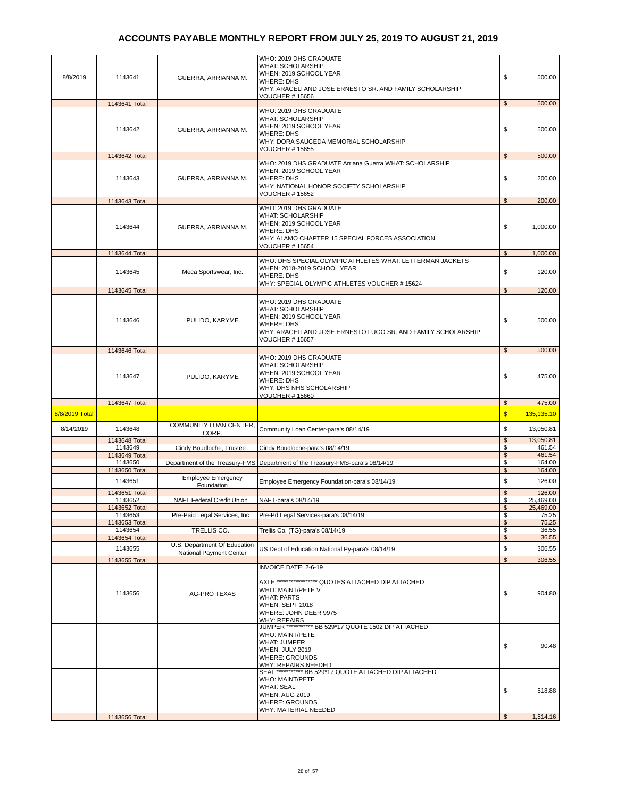| 8/8/2019       | 1143641                  | GUERRA, ARRIANNA M.                     | WHO: 2019 DHS GRADUATE<br><b>WHAT: SCHOLARSHIP</b><br>WHEN: 2019 SCHOOL YEAR<br><b>WHERE: DHS</b><br>WHY: ARACELI AND JOSE ERNESTO SR. AND FAMILY SCHOLARSHIP<br><b>VOUCHER # 15656</b>                                             | \$                   | 500.00              |
|----------------|--------------------------|-----------------------------------------|-------------------------------------------------------------------------------------------------------------------------------------------------------------------------------------------------------------------------------------|----------------------|---------------------|
|                | 1143641 Total            |                                         |                                                                                                                                                                                                                                     | $\mathfrak{S}$       | 500.00              |
|                | 1143642                  | GUERRA, ARRIANNA M.                     | WHO: 2019 DHS GRADUATE<br><b>WHAT: SCHOLARSHIP</b><br>WHEN: 2019 SCHOOL YEAR<br><b>WHERE: DHS</b><br>WHY: DORA SAUCEDA MEMORIAL SCHOLARSHIP<br><b>VOUCHER #15655</b>                                                                | \$                   | 500.00              |
|                | 1143642 Total            |                                         |                                                                                                                                                                                                                                     | $\mathfrak{L}$       | 500.00              |
|                | 1143643                  | GUERRA, ARRIANNA M.                     | WHO: 2019 DHS GRADUATE Arriana Guerra WHAT: SCHOLARSHIP<br>WHEN: 2019 SCHOOL YEAR<br><b>WHERE: DHS</b><br>WHY: NATIONAL HONOR SOCIETY SCHOLARSHIP<br><b>VOUCHER #15652</b>                                                          | \$                   | 200.00              |
|                | 1143643 Total            |                                         |                                                                                                                                                                                                                                     | $\mathfrak{s}$       | 200.00              |
|                | 1143644                  | GUERRA, ARRIANNA M.                     | WHO: 2019 DHS GRADUATE<br><b>WHAT: SCHOLARSHIP</b><br>WHEN: 2019 SCHOOL YEAR<br><b>WHERE: DHS</b><br>WHY: ALAMO CHAPTER 15 SPECIAL FORCES ASSOCIATION<br><b>VOUCHER # 15654</b>                                                     | \$                   | 1,000.00            |
|                | 1143644 Total            |                                         | WHO: DHS SPECIAL OLYMPIC ATHLETES WHAT: LETTERMAN JACKETS                                                                                                                                                                           | $\mathfrak{s}$       | 1,000.00            |
|                | 1143645                  | Meca Sportswear, Inc.                   | WHEN: 2018-2019 SCHOOL YEAR<br><b>WHERE: DHS</b><br>WHY: SPECIAL OLYMPIC ATHLETES VOUCHER #15624                                                                                                                                    | \$                   | 120.00              |
|                | 1143645 Total            |                                         |                                                                                                                                                                                                                                     | $\mathfrak s$        | 120.00              |
|                | 1143646                  | PULIDO, KARYME                          | WHO: 2019 DHS GRADUATE<br>WHAT: SCHOLARSHIP<br>WHEN: 2019 SCHOOL YEAR<br><b>WHERE: DHS</b><br>WHY: ARACELI AND JOSE ERNESTO LUGO SR. AND FAMILY SCHOLARSHIP<br><b>VOUCHER #15657</b>                                                | \$                   | 500.00              |
|                | 1143646 Total            |                                         |                                                                                                                                                                                                                                     | $\mathfrak{s}$       | 500.00              |
|                | 1143647                  | PULIDO, KARYME                          | WHO: 2019 DHS GRADUATE<br><b>WHAT: SCHOLARSHIP</b><br>WHEN: 2019 SCHOOL YEAR<br><b>WHERE: DHS</b><br>WHY: DHS NHS SCHOLARSHIP<br><b>VOUCHER #15660</b>                                                                              | \$                   | 475.00              |
|                | 1143647 Total            |                                         |                                                                                                                                                                                                                                     | $\frac{1}{2}$        | 475.00              |
| 8/8/2019 Total |                          |                                         |                                                                                                                                                                                                                                     | $\sqrt{3}$           | 135,135.10          |
| 8/14/2019      | 1143648                  | COMMUNITY LOAN CENTER,<br>CORP.         | Community Loan Center-para's 08/14/19                                                                                                                                                                                               | \$                   | 13,050.81           |
|                | 1143648 Total            |                                         |                                                                                                                                                                                                                                     | \$                   | 13,050.81           |
|                | 1143649<br>1143649 Total | Cindy Boudloche, Trustee                | Cindy Boudloche-para's 08/14/19                                                                                                                                                                                                     | \$<br>$\mathfrak{S}$ | 461.54<br>461.54    |
|                | 1143650                  |                                         | Department of the Treasury-FMS Department of the Treasury-FMS-para's 08/14/19                                                                                                                                                       | \$                   | 164.00              |
|                | 1143650 Total            |                                         |                                                                                                                                                                                                                                     | $\mathfrak{s}$       | 164.00              |
|                | 1143651                  | <b>Employee Emergency</b><br>Foundation | Employee Emergency Foundation-para's 08/14/19                                                                                                                                                                                       | \$                   | 126.00              |
|                | 1143651 Total<br>1143652 | NAFT Federal Credit Union               | NAFT-para's 08/14/19                                                                                                                                                                                                                | $\mathsf{\$}$<br>\$  | 126.00<br>25,469.00 |
|                | 1143652 Total            |                                         |                                                                                                                                                                                                                                     | \$                   | 25,469.00           |
|                | 1143653                  | Pre-Paid Legal Services, Inc.           | Pre-Pd Legal Services-para's 08/14/19                                                                                                                                                                                               | \$                   | 75.25               |
|                | 1143653 Total<br>1143654 | TRELLIS CO.                             | Trellis Co. (TG)-para's 08/14/19                                                                                                                                                                                                    | \$<br>\$             | 75.25<br>36.55      |
|                | 1143654 Total            |                                         |                                                                                                                                                                                                                                     | $\mathfrak{s}$       | 36.55               |
|                | 1143655                  | U.S. Department Of Education            | US Dept of Education National Py-para's 08/14/19                                                                                                                                                                                    | \$                   | 306.55              |
|                |                          |                                         |                                                                                                                                                                                                                                     |                      |                     |
|                |                          | National Payment Center                 |                                                                                                                                                                                                                                     |                      |                     |
|                | 1143655 Total<br>1143656 | <b>AG-PRO TEXAS</b>                     | <b>INVOICE DATE: 2-6-19</b><br>AXLE ***************** QUOTES ATTACHED DIP ATTACHED<br>WHO: MAINT/PETE V<br><b>WHAT: PARTS</b><br><b>WHEN: SEPT 2018</b><br>WHERE: JOHN DEER 9975<br><b>WHY: REPAIRS</b>                             | $$\mathbb{S}$$<br>\$ | 306.55<br>904.80    |
|                |                          |                                         | JUMPER ************ BB 529*17 QUOTE 1502 DIP ATTACHED<br><b>WHO: MAINT/PETE</b><br><b>WHAT: JUMPER</b><br>WHEN: JULY 2019<br><b>WHERE: GROUNDS</b><br>WHY: REPAIRS NEEDED<br>SEAL *********** BB 529*17 QUOTE ATTACHED DIP ATTACHED | \$                   | 90.48               |
|                |                          |                                         | <b>WHO: MAINT/PETE</b><br><b>WHAT: SEAL</b><br><b>WHEN: AUG 2019</b><br>WHERE: GROUNDS<br><b>WHY: MATERIAL NEEDED</b>                                                                                                               | \$                   | 518.88              |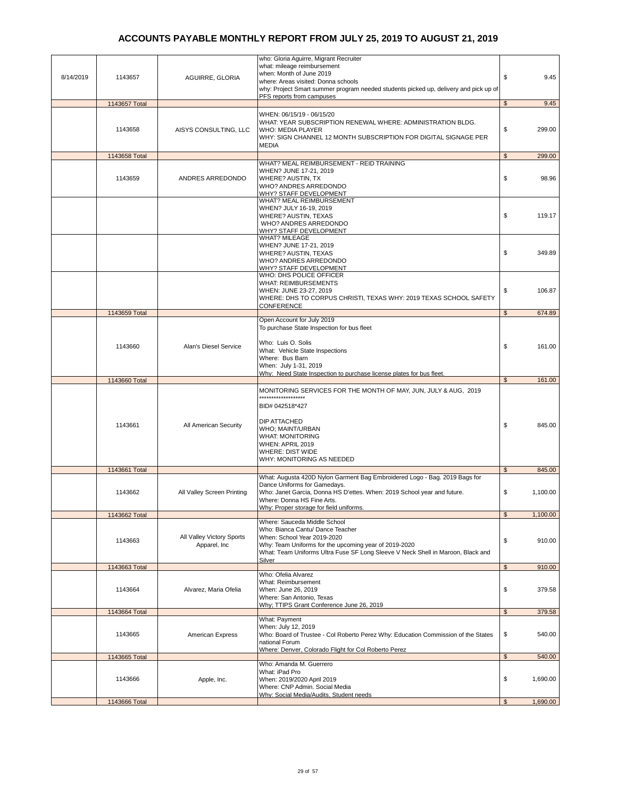| 8/14/2019 | 1143657                  | AGUIRRE, GLORIA                           | who: Gloria Aguirre, Migrant Recruiter<br>what: mileage reimbursement<br>when: Month of June 2019<br>where: Areas visited: Donna schools<br>why: Project Smart summer program needed students picked up, delivery and pick up of                               | \$<br>9.45                              |
|-----------|--------------------------|-------------------------------------------|----------------------------------------------------------------------------------------------------------------------------------------------------------------------------------------------------------------------------------------------------------------|-----------------------------------------|
|           |                          |                                           | PFS reports from campuses                                                                                                                                                                                                                                      |                                         |
|           | 1143657 Total<br>1143658 | AISYS CONSULTING, LLC                     | WHEN: 06/15/19 - 06/15/20<br>WHAT: YEAR SUBSCRIPTION RENEWAL WHERE: ADMINISTRATION BLDG.<br><b>WHO: MEDIA PLAYER</b><br>WHY: SIGN CHANNEL 12 MONTH SUBSCRIPTION FOR DIGITAL SIGNAGE PER<br><b>MEDIA</b>                                                        | \$<br>9.45<br>\$<br>299.00              |
|           |                          |                                           |                                                                                                                                                                                                                                                                |                                         |
|           | 1143658 Total<br>1143659 | ANDRES ARREDONDO                          | WHAT? MEAL REIMBURSEMENT - REID TRAINING<br>WHEN? JUNE 17-21, 2019<br>WHERE? AUSTIN, TX<br>WHO? ANDRES ARREDONDO<br>WHY? STAFF DEVELOPMENT                                                                                                                     | 299.00<br>$\mathfrak{L}$<br>\$<br>98.96 |
|           |                          |                                           | WHAT? MEAL REIMBURSEMENT<br>WHEN? JULY 16-19, 2019<br>WHERE? AUSTIN, TEXAS<br>WHO? ANDRES ARREDONDO<br>WHY? STAFF DEVELOPMENT                                                                                                                                  | \$<br>119.17                            |
|           |                          |                                           | <b>WHAT? MILEAGE</b><br>WHEN? JUNE 17-21, 2019<br>WHERE? AUSTIN, TEXAS<br>WHO? ANDRES ARREDONDO<br><b>WHY? STAFF DEVELOPMENT</b>                                                                                                                               | \$<br>349.89                            |
|           |                          |                                           | WHO: DHS POLICE OFFICER<br><b>WHAT: REIMBURSEMENTS</b><br>WHEN: JUNE 23-27, 2019<br>WHERE: DHS TO CORPUS CHRISTI, TEXAS WHY: 2019 TEXAS SCHOOL SAFETY<br>CONFERENCE                                                                                            | \$<br>106.87                            |
|           | 1143659 Total            |                                           | Open Account for July 2019                                                                                                                                                                                                                                     | $\mathfrak{S}$<br>674.89                |
|           | 1143660                  | Alan's Diesel Service                     | To purchase State Inspection for bus fleet<br>Who: Luis O. Solis<br>What: Vehicle State Inspections<br>Where: Bus Barn<br>When: July 1-31, 2019                                                                                                                | \$<br>161.00                            |
|           |                          |                                           | Why: Need State Inspection to purchase license plates for bus fleet.                                                                                                                                                                                           |                                         |
|           | 1143660 Total            |                                           |                                                                                                                                                                                                                                                                | $\mathfrak s$<br>161.00                 |
|           | 1143661                  | All American Security                     | MONITORING SERVICES FOR THE MONTH OF MAY, JUN, JULY & AUG, 2019<br>.<br>BID# 042518*427<br><b>DIP ATTACHED</b><br>WHO; MAINT/URBAN<br><b>WHAT: MONITORING</b><br>WHEN: APRIL 2019<br><b>WHERE: DIST WIDE</b><br>WHY: MONITORING AS NEEDED                      | \$<br>845.00                            |
|           | 1143661 Total            |                                           |                                                                                                                                                                                                                                                                | \$<br>845.00                            |
|           | 1143662                  | All Valley Screen Printing                | What: Augusta 420D Nylon Garment Bag Embroidered Logo - Bag. 2019 Bags for<br>Dance Uniforms for Gamedays.<br>Who: Janet Garcia, Donna HS D'ettes. When: 2019 School year and future.<br>Where: Donna HS Fine Arts.<br>Why: Proper storage for field uniforms. | \$<br>1,100.00                          |
|           | 1143662 Total            |                                           |                                                                                                                                                                                                                                                                | 1,100.00<br>\$                          |
|           | 1143663                  | All Valley Victory Sports<br>Apparel, Inc | Where: Sauceda Middle School<br>Who: Bianca Cantu/ Dance Teacher<br>When: School Year 2019-2020<br>Why: Team Uniforms for the upcoming year of 2019-2020<br>What: Team Uniforms Ultra Fuse SF Long Sleeve V Neck Shell in Maroon, Black and<br>Silver          | \$<br>910.00                            |
|           | 1143663 Total            |                                           |                                                                                                                                                                                                                                                                | $\frac{2}{3}$<br>910.00                 |
|           | 1143664                  | Alvarez, Maria Ofelia                     | Who: Ofelia Alvarez<br>What: Reimbursement<br>When: June 26, 2019<br>Where: San Antonio, Texas<br>Why; TTIPS Grant Conference June 26, 2019                                                                                                                    | \$<br>379.58                            |
|           | 1143664 Total            |                                           |                                                                                                                                                                                                                                                                | $\mathfrak{S}$<br>379.58                |
|           | 1143665                  | American Express                          | What: Payment<br>When: July 12, 2019<br>Who: Board of Trustee - Col Roberto Perez Why: Education Commission of the States<br>national Forum<br>Where: Denver, Colorado Flight for Col Roberto Perez                                                            | \$<br>540.00                            |
|           | 1143665 Total            |                                           |                                                                                                                                                                                                                                                                | 540.00<br>$\mathfrak s$                 |
|           | 1143666                  | Apple, Inc.                               | Who: Amanda M. Guerrero<br>What: iPad Pro<br>When: 2019/2020 April 2019<br>Where: CNP Admin. Social Media<br>Why: Social Media/Audits, Student needs                                                                                                           | \$<br>1,690.00                          |
|           | 1143666 Total            |                                           |                                                                                                                                                                                                                                                                | $\mathfrak{s}$<br>1,690.00              |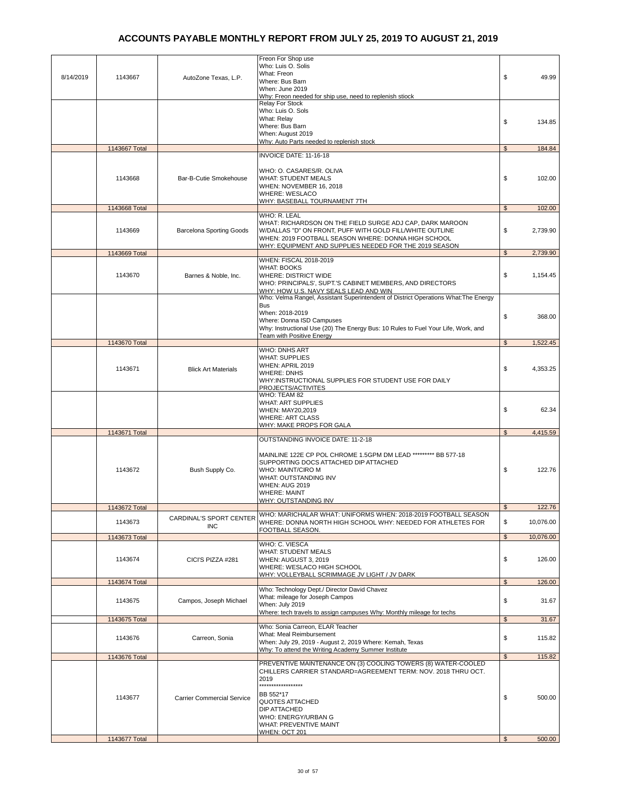| Who: Luis O. Solis<br>What: Freon<br>8/14/2019<br>1143667<br>\$<br>49.99<br>AutoZone Texas, L.P.<br>Where: Bus Barn<br>When: June 2019<br>Why: Freon needed for ship use, need to replenish stiock<br><b>Relay For Stock</b><br>Who: Luis O. Sols<br>What: Relav<br>\$<br>134.85<br>Where: Bus Barn<br>When: August 2019<br>Why: Auto Parts needed to replenish stock<br>1143667 Total<br>\$<br>184.84<br>INVOICE DATE: 11-16-18<br>WHO: O. CASARES/R. OLIVA<br>1143668<br>Bar-B-Cutie Smokehouse<br><b>WHAT: STUDENT MEALS</b><br>\$<br>102.00<br>WHEN: NOVEMBER 16, 2018<br><b>WHERE: WESLACO</b><br>WHY: BASEBALL TOURNAMENT 7TH<br>1143668 Total<br>$\mathfrak{s}$<br>102.00<br>WHO: R. LEAL<br>WHAT: RICHARDSON ON THE FIELD SURGE ADJ CAP, DARK MAROON<br>\$<br>2,739.90<br>1143669<br>W/DALLAS "D" ON FRONT, PUFF WITH GOLD FILL/WHITE OUTLINE<br><b>Barcelona Sporting Goods</b><br>WHEN: 2019 FOOTBALL SEASON WHERE: DONNA HIGH SCHOOL<br>WHY: EQUIPMENT AND SUPPLIES NEEDED FOR THE 2019 SEASON<br>$\mathbb{S}$<br>2,739.90<br>1143669 Total<br>WHEN: FISCAL 2018-2019<br><b>WHAT: BOOKS</b><br>1143670<br><b>WHERE: DISTRICT WIDE</b><br>\$<br>Barnes & Noble, Inc.<br>1,154.45<br>WHO: PRINCIPALS', SUPT.'S CABINET MEMBERS, AND DIRECTORS<br>WHY: HOW U.S. NAVY SEALS LEAD AND WIN<br>Who: Velma Rangel, Assistant Superintendent of District Operations What: The Energy<br><b>Bus</b><br>When: 2018-2019<br>\$<br>368.00<br>Where: Donna ISD Campuses<br>Why: Instructional Use (20) The Energy Bus: 10 Rules to Fuel Your Life, Work, and<br>Team with Positive Energy<br>1,522.45<br>1143670 Total<br>\$<br><b>WHO: DNHS ART</b><br><b>WHAT: SUPPLIES</b><br>WHEN: APRIL 2019<br>1143671<br>\$<br>4,353.25<br><b>Blick Art Materials</b><br><b>WHERE: DNHS</b><br>WHY:INSTRUCTIONAL SUPPLIES FOR STUDENT USE FOR DAILY<br>PROJECTS/ACTIVITES<br>WHO: TEAM 82<br><b>WHAT: ART SUPPLIES</b><br>\$<br>62.34<br>WHEN: MAY20,2019<br><b>WHERE: ART CLASS</b><br>WHY: MAKE PROPS FOR GALA<br>1143671 Total<br>\$<br>4,415.59<br>OUTSTANDING INVOICE DATE: 11-2-18<br>MAINLINE 122E CP POL CHROME 1.5GPM DM LEAD ********* BB 577-18<br>SUPPORTING DOCS ATTACHED DIP ATTACHED<br>\$<br>122.76<br>1143672<br>Bush Supply Co.<br>WHO: MAINT/CIRO M<br>WHAT: OUTSTANDING INV<br><b>WHEN: AUG 2019</b><br><b>WHERE: MAINT</b><br>WHY: OUTSTANDING INV<br>$$\mathbb{S}$$<br>122.76<br>1143672 Total<br>WHO: MARICHALAR WHAT: UNIFORMS WHEN: 2018-2019 FOOTBALL SEASON<br>CARDINAL'S SPORT CENTER<br>WHERE: DONNA NORTH HIGH SCHOOL WHY: NEEDED FOR ATHLETES FOR<br>\$<br>1143673<br>10.076.00<br><b>INC</b><br>FOOTBALL SEASON.<br>$\mathbb{S}$<br>10,076.00<br>1143673 Total<br>WHO: C. VIESCA<br><b>WHAT: STUDENT MEALS</b><br>\$<br>WHEN: AUGUST 3, 2019<br>126.00<br>1143674<br>CICI'S PIZZA #281<br>WHERE: WESLACO HIGH SCHOOL<br>WHY: VOLLEYBALL SCRIMMAGE JV LIGHT / JV DARK<br>1143674 Total<br>$\mathfrak s$<br>126.00<br>Who: Technology Dept./ Director David Chavez<br>What: mileage for Joseph Campos<br>\$<br>1143675<br>31.67<br>Campos, Joseph Michael<br>When: July 2019<br>Where: tech travels to assign campuses Why: Monthly mileage for techs<br>\$<br>31.67<br>1143675 Total<br>Who: Sonia Carreon, ELAR Teacher<br>What: Meal Reimbursement<br>1143676<br>\$<br>115.82<br>Carreon, Sonia<br>When: July 29, 2019 - August 2, 2019 Where: Kemah, Texas<br>Why: To attend the Writing Academy Summer Institute<br>$\mathfrak{S}$<br>115.82<br>1143676 Total<br>PREVENTIVE MAINTENANCE ON (3) COOLING TOWERS (8) WATER-COOLED<br>CHILLERS CARRIER STANDARD=AGREEMENT TERM: NOV. 2018 THRU OCT.<br>2019<br>******************<br>BB 552*17<br><b>Carrier Commercial Service</b><br>\$<br>500.00<br>1143677<br>QUOTES ATTACHED<br>DIP ATTACHED<br>WHO: ENERGY/URBAN G<br>WHAT: PREVENTIVE MAINT<br><b>WHEN: OCT 201</b><br>1143677 Total<br>500.00<br>$\mathfrak{L}$ |  |                    |  |
|--------------------------------------------------------------------------------------------------------------------------------------------------------------------------------------------------------------------------------------------------------------------------------------------------------------------------------------------------------------------------------------------------------------------------------------------------------------------------------------------------------------------------------------------------------------------------------------------------------------------------------------------------------------------------------------------------------------------------------------------------------------------------------------------------------------------------------------------------------------------------------------------------------------------------------------------------------------------------------------------------------------------------------------------------------------------------------------------------------------------------------------------------------------------------------------------------------------------------------------------------------------------------------------------------------------------------------------------------------------------------------------------------------------------------------------------------------------------------------------------------------------------------------------------------------------------------------------------------------------------------------------------------------------------------------------------------------------------------------------------------------------------------------------------------------------------------------------------------------------------------------------------------------------------------------------------------------------------------------------------------------------------------------------------------------------------------------------------------------------------------------------------------------------------------------------------------------------------------------------------------------------------------------------------------------------------------------------------------------------------------------------------------------------------------------------------------------------------------------------------------------------------------------------------------------------------------------------------------------------------------------------------------------------------------------------------------------------------------------------------------------------------------------------------------------------------------------------------------------------------------------------------------------------------------------------------------------------------------------------------------------------------------------------------------------------------------------------------------------------------------------------------------------------------------------------------------------------------------------------------------------------------------------------------------------------------------------------------------------------------------------------------------------------------------------------------------------------------------------------------------------------------------------------------------------------------------------------------------------------------------------------------------------------------------------------------------------------------------------------------------------------------------------------------------------------------------------------------------------------------------------------------|--|--------------------|--|
|                                                                                                                                                                                                                                                                                                                                                                                                                                                                                                                                                                                                                                                                                                                                                                                                                                                                                                                                                                                                                                                                                                                                                                                                                                                                                                                                                                                                                                                                                                                                                                                                                                                                                                                                                                                                                                                                                                                                                                                                                                                                                                                                                                                                                                                                                                                                                                                                                                                                                                                                                                                                                                                                                                                                                                                                                                                                                                                                                                                                                                                                                                                                                                                                                                                                                                                                                                                                                                                                                                                                                                                                                                                                                                                                                                                                                                                                                            |  | Freon For Shop use |  |
|                                                                                                                                                                                                                                                                                                                                                                                                                                                                                                                                                                                                                                                                                                                                                                                                                                                                                                                                                                                                                                                                                                                                                                                                                                                                                                                                                                                                                                                                                                                                                                                                                                                                                                                                                                                                                                                                                                                                                                                                                                                                                                                                                                                                                                                                                                                                                                                                                                                                                                                                                                                                                                                                                                                                                                                                                                                                                                                                                                                                                                                                                                                                                                                                                                                                                                                                                                                                                                                                                                                                                                                                                                                                                                                                                                                                                                                                                            |  |                    |  |
|                                                                                                                                                                                                                                                                                                                                                                                                                                                                                                                                                                                                                                                                                                                                                                                                                                                                                                                                                                                                                                                                                                                                                                                                                                                                                                                                                                                                                                                                                                                                                                                                                                                                                                                                                                                                                                                                                                                                                                                                                                                                                                                                                                                                                                                                                                                                                                                                                                                                                                                                                                                                                                                                                                                                                                                                                                                                                                                                                                                                                                                                                                                                                                                                                                                                                                                                                                                                                                                                                                                                                                                                                                                                                                                                                                                                                                                                                            |  |                    |  |
|                                                                                                                                                                                                                                                                                                                                                                                                                                                                                                                                                                                                                                                                                                                                                                                                                                                                                                                                                                                                                                                                                                                                                                                                                                                                                                                                                                                                                                                                                                                                                                                                                                                                                                                                                                                                                                                                                                                                                                                                                                                                                                                                                                                                                                                                                                                                                                                                                                                                                                                                                                                                                                                                                                                                                                                                                                                                                                                                                                                                                                                                                                                                                                                                                                                                                                                                                                                                                                                                                                                                                                                                                                                                                                                                                                                                                                                                                            |  |                    |  |
|                                                                                                                                                                                                                                                                                                                                                                                                                                                                                                                                                                                                                                                                                                                                                                                                                                                                                                                                                                                                                                                                                                                                                                                                                                                                                                                                                                                                                                                                                                                                                                                                                                                                                                                                                                                                                                                                                                                                                                                                                                                                                                                                                                                                                                                                                                                                                                                                                                                                                                                                                                                                                                                                                                                                                                                                                                                                                                                                                                                                                                                                                                                                                                                                                                                                                                                                                                                                                                                                                                                                                                                                                                                                                                                                                                                                                                                                                            |  |                    |  |
|                                                                                                                                                                                                                                                                                                                                                                                                                                                                                                                                                                                                                                                                                                                                                                                                                                                                                                                                                                                                                                                                                                                                                                                                                                                                                                                                                                                                                                                                                                                                                                                                                                                                                                                                                                                                                                                                                                                                                                                                                                                                                                                                                                                                                                                                                                                                                                                                                                                                                                                                                                                                                                                                                                                                                                                                                                                                                                                                                                                                                                                                                                                                                                                                                                                                                                                                                                                                                                                                                                                                                                                                                                                                                                                                                                                                                                                                                            |  |                    |  |
|                                                                                                                                                                                                                                                                                                                                                                                                                                                                                                                                                                                                                                                                                                                                                                                                                                                                                                                                                                                                                                                                                                                                                                                                                                                                                                                                                                                                                                                                                                                                                                                                                                                                                                                                                                                                                                                                                                                                                                                                                                                                                                                                                                                                                                                                                                                                                                                                                                                                                                                                                                                                                                                                                                                                                                                                                                                                                                                                                                                                                                                                                                                                                                                                                                                                                                                                                                                                                                                                                                                                                                                                                                                                                                                                                                                                                                                                                            |  |                    |  |
|                                                                                                                                                                                                                                                                                                                                                                                                                                                                                                                                                                                                                                                                                                                                                                                                                                                                                                                                                                                                                                                                                                                                                                                                                                                                                                                                                                                                                                                                                                                                                                                                                                                                                                                                                                                                                                                                                                                                                                                                                                                                                                                                                                                                                                                                                                                                                                                                                                                                                                                                                                                                                                                                                                                                                                                                                                                                                                                                                                                                                                                                                                                                                                                                                                                                                                                                                                                                                                                                                                                                                                                                                                                                                                                                                                                                                                                                                            |  |                    |  |
|                                                                                                                                                                                                                                                                                                                                                                                                                                                                                                                                                                                                                                                                                                                                                                                                                                                                                                                                                                                                                                                                                                                                                                                                                                                                                                                                                                                                                                                                                                                                                                                                                                                                                                                                                                                                                                                                                                                                                                                                                                                                                                                                                                                                                                                                                                                                                                                                                                                                                                                                                                                                                                                                                                                                                                                                                                                                                                                                                                                                                                                                                                                                                                                                                                                                                                                                                                                                                                                                                                                                                                                                                                                                                                                                                                                                                                                                                            |  |                    |  |
|                                                                                                                                                                                                                                                                                                                                                                                                                                                                                                                                                                                                                                                                                                                                                                                                                                                                                                                                                                                                                                                                                                                                                                                                                                                                                                                                                                                                                                                                                                                                                                                                                                                                                                                                                                                                                                                                                                                                                                                                                                                                                                                                                                                                                                                                                                                                                                                                                                                                                                                                                                                                                                                                                                                                                                                                                                                                                                                                                                                                                                                                                                                                                                                                                                                                                                                                                                                                                                                                                                                                                                                                                                                                                                                                                                                                                                                                                            |  |                    |  |
|                                                                                                                                                                                                                                                                                                                                                                                                                                                                                                                                                                                                                                                                                                                                                                                                                                                                                                                                                                                                                                                                                                                                                                                                                                                                                                                                                                                                                                                                                                                                                                                                                                                                                                                                                                                                                                                                                                                                                                                                                                                                                                                                                                                                                                                                                                                                                                                                                                                                                                                                                                                                                                                                                                                                                                                                                                                                                                                                                                                                                                                                                                                                                                                                                                                                                                                                                                                                                                                                                                                                                                                                                                                                                                                                                                                                                                                                                            |  |                    |  |
|                                                                                                                                                                                                                                                                                                                                                                                                                                                                                                                                                                                                                                                                                                                                                                                                                                                                                                                                                                                                                                                                                                                                                                                                                                                                                                                                                                                                                                                                                                                                                                                                                                                                                                                                                                                                                                                                                                                                                                                                                                                                                                                                                                                                                                                                                                                                                                                                                                                                                                                                                                                                                                                                                                                                                                                                                                                                                                                                                                                                                                                                                                                                                                                                                                                                                                                                                                                                                                                                                                                                                                                                                                                                                                                                                                                                                                                                                            |  |                    |  |
|                                                                                                                                                                                                                                                                                                                                                                                                                                                                                                                                                                                                                                                                                                                                                                                                                                                                                                                                                                                                                                                                                                                                                                                                                                                                                                                                                                                                                                                                                                                                                                                                                                                                                                                                                                                                                                                                                                                                                                                                                                                                                                                                                                                                                                                                                                                                                                                                                                                                                                                                                                                                                                                                                                                                                                                                                                                                                                                                                                                                                                                                                                                                                                                                                                                                                                                                                                                                                                                                                                                                                                                                                                                                                                                                                                                                                                                                                            |  |                    |  |
|                                                                                                                                                                                                                                                                                                                                                                                                                                                                                                                                                                                                                                                                                                                                                                                                                                                                                                                                                                                                                                                                                                                                                                                                                                                                                                                                                                                                                                                                                                                                                                                                                                                                                                                                                                                                                                                                                                                                                                                                                                                                                                                                                                                                                                                                                                                                                                                                                                                                                                                                                                                                                                                                                                                                                                                                                                                                                                                                                                                                                                                                                                                                                                                                                                                                                                                                                                                                                                                                                                                                                                                                                                                                                                                                                                                                                                                                                            |  |                    |  |
|                                                                                                                                                                                                                                                                                                                                                                                                                                                                                                                                                                                                                                                                                                                                                                                                                                                                                                                                                                                                                                                                                                                                                                                                                                                                                                                                                                                                                                                                                                                                                                                                                                                                                                                                                                                                                                                                                                                                                                                                                                                                                                                                                                                                                                                                                                                                                                                                                                                                                                                                                                                                                                                                                                                                                                                                                                                                                                                                                                                                                                                                                                                                                                                                                                                                                                                                                                                                                                                                                                                                                                                                                                                                                                                                                                                                                                                                                            |  |                    |  |
|                                                                                                                                                                                                                                                                                                                                                                                                                                                                                                                                                                                                                                                                                                                                                                                                                                                                                                                                                                                                                                                                                                                                                                                                                                                                                                                                                                                                                                                                                                                                                                                                                                                                                                                                                                                                                                                                                                                                                                                                                                                                                                                                                                                                                                                                                                                                                                                                                                                                                                                                                                                                                                                                                                                                                                                                                                                                                                                                                                                                                                                                                                                                                                                                                                                                                                                                                                                                                                                                                                                                                                                                                                                                                                                                                                                                                                                                                            |  |                    |  |
|                                                                                                                                                                                                                                                                                                                                                                                                                                                                                                                                                                                                                                                                                                                                                                                                                                                                                                                                                                                                                                                                                                                                                                                                                                                                                                                                                                                                                                                                                                                                                                                                                                                                                                                                                                                                                                                                                                                                                                                                                                                                                                                                                                                                                                                                                                                                                                                                                                                                                                                                                                                                                                                                                                                                                                                                                                                                                                                                                                                                                                                                                                                                                                                                                                                                                                                                                                                                                                                                                                                                                                                                                                                                                                                                                                                                                                                                                            |  |                    |  |
|                                                                                                                                                                                                                                                                                                                                                                                                                                                                                                                                                                                                                                                                                                                                                                                                                                                                                                                                                                                                                                                                                                                                                                                                                                                                                                                                                                                                                                                                                                                                                                                                                                                                                                                                                                                                                                                                                                                                                                                                                                                                                                                                                                                                                                                                                                                                                                                                                                                                                                                                                                                                                                                                                                                                                                                                                                                                                                                                                                                                                                                                                                                                                                                                                                                                                                                                                                                                                                                                                                                                                                                                                                                                                                                                                                                                                                                                                            |  |                    |  |
|                                                                                                                                                                                                                                                                                                                                                                                                                                                                                                                                                                                                                                                                                                                                                                                                                                                                                                                                                                                                                                                                                                                                                                                                                                                                                                                                                                                                                                                                                                                                                                                                                                                                                                                                                                                                                                                                                                                                                                                                                                                                                                                                                                                                                                                                                                                                                                                                                                                                                                                                                                                                                                                                                                                                                                                                                                                                                                                                                                                                                                                                                                                                                                                                                                                                                                                                                                                                                                                                                                                                                                                                                                                                                                                                                                                                                                                                                            |  |                    |  |
|                                                                                                                                                                                                                                                                                                                                                                                                                                                                                                                                                                                                                                                                                                                                                                                                                                                                                                                                                                                                                                                                                                                                                                                                                                                                                                                                                                                                                                                                                                                                                                                                                                                                                                                                                                                                                                                                                                                                                                                                                                                                                                                                                                                                                                                                                                                                                                                                                                                                                                                                                                                                                                                                                                                                                                                                                                                                                                                                                                                                                                                                                                                                                                                                                                                                                                                                                                                                                                                                                                                                                                                                                                                                                                                                                                                                                                                                                            |  |                    |  |
|                                                                                                                                                                                                                                                                                                                                                                                                                                                                                                                                                                                                                                                                                                                                                                                                                                                                                                                                                                                                                                                                                                                                                                                                                                                                                                                                                                                                                                                                                                                                                                                                                                                                                                                                                                                                                                                                                                                                                                                                                                                                                                                                                                                                                                                                                                                                                                                                                                                                                                                                                                                                                                                                                                                                                                                                                                                                                                                                                                                                                                                                                                                                                                                                                                                                                                                                                                                                                                                                                                                                                                                                                                                                                                                                                                                                                                                                                            |  |                    |  |
|                                                                                                                                                                                                                                                                                                                                                                                                                                                                                                                                                                                                                                                                                                                                                                                                                                                                                                                                                                                                                                                                                                                                                                                                                                                                                                                                                                                                                                                                                                                                                                                                                                                                                                                                                                                                                                                                                                                                                                                                                                                                                                                                                                                                                                                                                                                                                                                                                                                                                                                                                                                                                                                                                                                                                                                                                                                                                                                                                                                                                                                                                                                                                                                                                                                                                                                                                                                                                                                                                                                                                                                                                                                                                                                                                                                                                                                                                            |  |                    |  |
|                                                                                                                                                                                                                                                                                                                                                                                                                                                                                                                                                                                                                                                                                                                                                                                                                                                                                                                                                                                                                                                                                                                                                                                                                                                                                                                                                                                                                                                                                                                                                                                                                                                                                                                                                                                                                                                                                                                                                                                                                                                                                                                                                                                                                                                                                                                                                                                                                                                                                                                                                                                                                                                                                                                                                                                                                                                                                                                                                                                                                                                                                                                                                                                                                                                                                                                                                                                                                                                                                                                                                                                                                                                                                                                                                                                                                                                                                            |  |                    |  |
|                                                                                                                                                                                                                                                                                                                                                                                                                                                                                                                                                                                                                                                                                                                                                                                                                                                                                                                                                                                                                                                                                                                                                                                                                                                                                                                                                                                                                                                                                                                                                                                                                                                                                                                                                                                                                                                                                                                                                                                                                                                                                                                                                                                                                                                                                                                                                                                                                                                                                                                                                                                                                                                                                                                                                                                                                                                                                                                                                                                                                                                                                                                                                                                                                                                                                                                                                                                                                                                                                                                                                                                                                                                                                                                                                                                                                                                                                            |  |                    |  |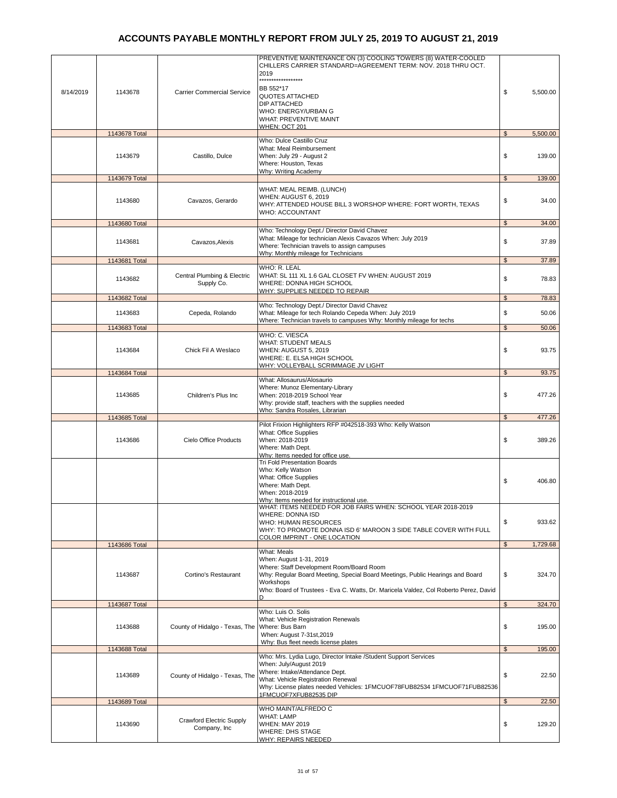| 8/14/2019 | 1143678                  | <b>Carrier Commercial Service</b>               | PREVENTIVE MAINTENANCE ON (3) COOLING TOWERS (8) WATER-COOLED<br>CHILLERS CARRIER STANDARD=AGREEMENT TERM: NOV. 2018 THRU OCT.<br>2019<br>*******<br>***********<br>BB 552*17<br><b>QUOTES ATTACHED</b><br><b>DIP ATTACHED</b><br>WHO: ENERGY/URBAN G<br>WHAT: PREVENTIVE MAINT | \$<br>5,500.00                        |
|-----------|--------------------------|-------------------------------------------------|---------------------------------------------------------------------------------------------------------------------------------------------------------------------------------------------------------------------------------------------------------------------------------|---------------------------------------|
|           | 1143678 Total            |                                                 | <b>WHEN: OCT 201</b>                                                                                                                                                                                                                                                            | 5,500.00<br>$\mathfrak{s}$            |
|           | 1143679                  | Castillo, Dulce                                 | Who: Dulce Castillo Cruz<br>What: Meal Reimbursement<br>When: July 29 - August 2<br>Where: Houston, Texas<br>Why: Writing Academy                                                                                                                                               | \$<br>139.00                          |
|           | 1143679 Total            |                                                 |                                                                                                                                                                                                                                                                                 | \$<br>139.00                          |
|           | 1143680                  | Cavazos, Gerardo                                | WHAT: MEAL REIMB. (LUNCH)<br>WHEN: AUGUST 6, 2019<br>WHY: ATTENDED HOUSE BILL 3 WORSHOP WHERE: FORT WORTH, TEXAS<br><b>WHO: ACCOUNTANT</b>                                                                                                                                      | \$<br>34.00                           |
|           | 1143680 Total            |                                                 |                                                                                                                                                                                                                                                                                 | 34.00<br>\$                           |
|           | 1143681                  | Cavazos, Alexis                                 | Who: Technology Dept./ Director David Chavez<br>What: Mileage for technician Alexis Cavazos When: July 2019<br>Where: Technician travels to assign campuses<br>Why: Monthly mileage for Technicians                                                                             | \$<br>37.89                           |
|           | 1143681 Total            |                                                 | WHO: R. LEAL                                                                                                                                                                                                                                                                    | $\mathfrak s$<br>37.89                |
|           | 1143682                  | Central Plumbing & Electric<br>Supply Co.       | WHAT: SL 111 XL 1.6 GAL CLOSET FV WHEN: AUGUST 2019<br>WHERE: DONNA HIGH SCHOOL<br>WHY: SUPPLIES NEEDED TO REPAIR                                                                                                                                                               | \$<br>78.83                           |
|           | 1143682 Total            |                                                 | Who: Technology Dept./ Director David Chavez                                                                                                                                                                                                                                    | $\mathfrak{s}$<br>78.83               |
|           | 1143683                  | Cepeda, Rolando                                 | What: Mileage for tech Rolando Cepeda When: July 2019<br>Where: Technician travels to campuses Why: Monthly mileage for techs                                                                                                                                                   | \$<br>50.06                           |
|           | 1143683 Total            |                                                 | WHO: C. VIESCA                                                                                                                                                                                                                                                                  | $\mathfrak{s}$<br>50.06               |
|           | 1143684                  | Chick Fil A Weslaco                             | <b>WHAT: STUDENT MEALS</b><br>WHEN: AUGUST 5, 2019<br>WHERE: E. ELSA HIGH SCHOOL<br>WHY: VOLLEYBALL SCRIMMAGE JV LIGHT                                                                                                                                                          | \$<br>93.75                           |
|           | 1143684 Total            |                                                 |                                                                                                                                                                                                                                                                                 | $\mathfrak{L}$<br>93.75               |
|           | 1143685                  | Children's Plus Inc                             | What: Allosaurus/Alosaurio<br>Where: Munoz Elementary-Library<br>When: 2018-2019 School Year<br>Why: provide staff, teachers with the supplies needed<br>Who: Sandra Rosales, Librarian                                                                                         | \$<br>477.26                          |
|           | 1143685 Total            |                                                 |                                                                                                                                                                                                                                                                                 | $\mathfrak{S}$<br>477.26              |
|           | 1143686                  | Cielo Office Products                           | Pilot Frixion Highlighters RFP #042518-393 Who: Kelly Watson<br>What: Office Supplies<br>When: 2018-2019<br>Where: Math Dept.<br>Why: Items needed for office use.                                                                                                              | \$<br>389.26                          |
|           |                          |                                                 | <b>Tri Fold Presentation Boards</b><br>Who: Kelly Watson<br>What: Office Supplies<br>Where: Math Dept.<br>When: 2018-2019<br>Why: Items needed for instructional use.                                                                                                           | \$<br>406.80                          |
|           |                          |                                                 | WHAT: ITEMS NEEDED FOR JOB FAIRS WHEN: SCHOOL YEAR 2018-2019<br>WHERE: DONNA ISD<br>WHO: HUMAN RESOURCES<br>WHY: TO PROMOTE DONNA ISD 6' MAROON 3 SIDE TABLE COVER WITH FULL<br><b>COLOR IMPRINT - ONE LOCATION</b>                                                             | \$<br>933.62                          |
|           | 1143686 Total            |                                                 | What: Meals                                                                                                                                                                                                                                                                     | 1,729.68<br>$\mathfrak s$             |
|           | 1143687                  | Cortino's Restaurant                            | When: August 1-31, 2019<br>Where: Staff Development Room/Board Room<br>Why: Regular Board Meeting, Special Board Meetings, Public Hearings and Board<br>Workshops<br>Who: Board of Trustees - Eva C. Watts, Dr. Maricela Valdez, Col Roberto Perez, David<br>D                  | \$<br>324.70                          |
|           | 1143687 Total            |                                                 |                                                                                                                                                                                                                                                                                 | \$<br>324.70                          |
|           | 1143688                  | County of Hidalgo - Texas, The                  | Who: Luis O. Solis<br>What: Vehicle Registration Renewals<br>Where: Bus Barn<br>When: August 7-31st, 2019<br>Why: Bus fleet needs license plates                                                                                                                                | \$<br>195.00                          |
|           | 1143688 Total            |                                                 |                                                                                                                                                                                                                                                                                 | $\mathfrak s$<br>195.00               |
|           | 1143689<br>1143689 Total | County of Hidalgo - Texas, The                  | Who: Mrs. Lydia Lugo, Director Intake /Student Support Services<br>When: July/August 2019<br>Where: Intake/Attendance Dept.<br>What: Vehicle Registration Renewal<br>Why: License plates needed Vehicles: 1FMCUOF78FUB82534 1FMCUOF71FUB82536<br>1FMCUOF7XFUB82535 DIP          | \$<br>22.50<br>$\mathfrak s$<br>22.50 |
|           |                          |                                                 | WHO MAINT/ALFREDO C                                                                                                                                                                                                                                                             |                                       |
|           | 1143690                  | <b>Crawford Electric Supply</b><br>Company, Inc | <b>WHAT: LAMP</b><br><b>WHEN: MAY 2019</b><br><b>WHERE: DHS STAGE</b><br><b>WHY: REPAIRS NEEDED</b>                                                                                                                                                                             | \$<br>129.20                          |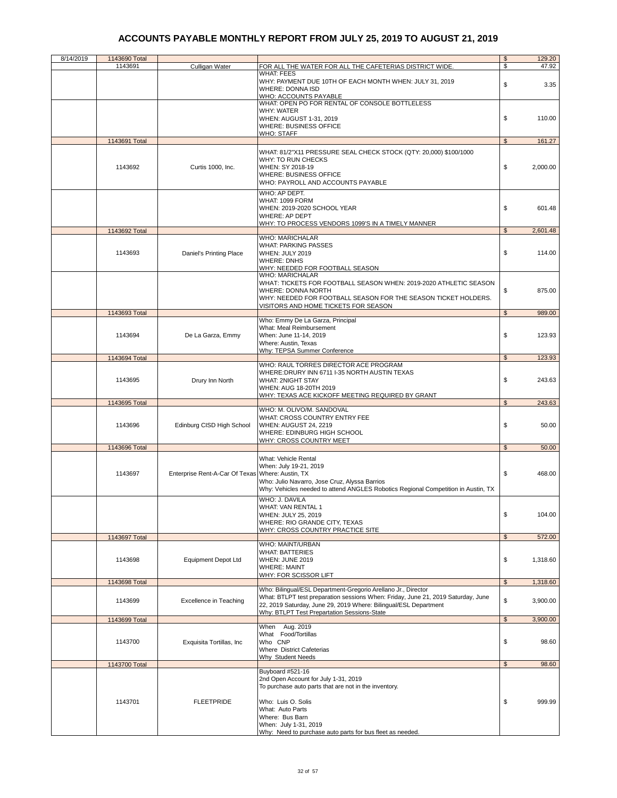| 8/14/2019 | 1143690 Total |                                                  |                                                                                                                                                                                                                                                                      | \$             | 129.20   |
|-----------|---------------|--------------------------------------------------|----------------------------------------------------------------------------------------------------------------------------------------------------------------------------------------------------------------------------------------------------------------------|----------------|----------|
|           | 1143691       | Culligan Water                                   | FOR ALL THE WATER FOR ALL THE CAFETERIAS DISTRICT WIDE.                                                                                                                                                                                                              | \$             | 47.92    |
|           |               |                                                  | <b>WHAT: FEES</b><br>WHY: PAYMENT DUE 10TH OF EACH MONTH WHEN: JULY 31, 2019<br><b>WHERE: DONNA ISD</b>                                                                                                                                                              | \$             | 3.35     |
|           |               |                                                  | WHO: ACCOUNTS PAYABLE<br>WHAT: OPEN PO FOR RENTAL OF CONSOLE BOTTLELESS                                                                                                                                                                                              |                |          |
|           |               |                                                  | <b>WHY: WATER</b><br>WHEN: AUGUST 1-31, 2019<br><b>WHERE: BUSINESS OFFICE</b>                                                                                                                                                                                        | \$             | 110.00   |
|           |               |                                                  | <b>WHO: STAFF</b>                                                                                                                                                                                                                                                    |                |          |
|           | 1143691 Total |                                                  |                                                                                                                                                                                                                                                                      | \$             | 161.27   |
|           | 1143692       | Curtis 1000, Inc.                                | WHAT: 81/2"X11 PRESSURE SEAL CHECK STOCK (QTY: 20,000) \$100/1000<br>WHY: TO RUN CHECKS<br>WHEN: SY 2018-19<br><b>WHERE: BUSINESS OFFICE</b><br>WHO: PAYROLL AND ACCOUNTS PAYABLE                                                                                    | \$             | 2,000.00 |
|           |               |                                                  | WHO: AP DEPT.<br>WHAT: 1099 FORM<br>WHEN: 2019-2020 SCHOOL YEAR<br><b>WHERE: AP DEPT</b><br>WHY: TO PROCESS VENDORS 1099'S IN A TIMELY MANNER.                                                                                                                       | \$             | 601.48   |
|           | 1143692 Total |                                                  |                                                                                                                                                                                                                                                                      | $\mathfrak{S}$ | 2,601.48 |
|           | 1143693       | Daniel's Printing Place                          | <b>WHO: MARICHALAR</b><br><b>WHAT: PARKING PASSES</b><br><b>WHEN: JULY 2019</b><br><b>WHERE: DNHS</b><br>WHY: NEEDED FOR FOOTBALL SEASON                                                                                                                             | \$             | 114.00   |
|           |               |                                                  | <b>WHO: MARICHALAR</b><br>WHAT: TICKETS FOR FOOTBALL SEASON WHEN: 2019-2020 ATHLETIC SEASON<br><b>WHERE: DONNA NORTH</b><br>WHY: NEEDED FOR FOOTBALL SEASON FOR THE SEASON TICKET HOLDERS.<br>VISITORS AND HOME TICKETS FOR SEASON                                   | \$             | 875.00   |
|           | 1143693 Total |                                                  |                                                                                                                                                                                                                                                                      | $\mathfrak{s}$ | 989.00   |
|           | 1143694       | De La Garza, Emmy                                | Who: Emmy De La Garza, Principal<br>What: Meal Reimbursement<br>When: June 11-14, 2019<br>Where: Austin, Texas<br>Why: TEPSA Summer Conference                                                                                                                       | \$             | 123.93   |
|           | 1143694 Total |                                                  |                                                                                                                                                                                                                                                                      | $\mathfrak{S}$ | 123.93   |
|           | 1143695       | Drury Inn North                                  | WHO: RAUL TORRES DIRECTOR ACE PROGRAM<br>WHERE: DRURY INN 6711 I-35 NORTH AUSTIN TEXAS<br><b>WHAT: 2NIGHT STAY</b><br>WHEN: AUG 18-20TH 2019<br>WHY: TEXAS ACE KICKOFF MEETING REQUIRED BY GRANT                                                                     | \$             | 243.63   |
|           | 1143695 Total |                                                  |                                                                                                                                                                                                                                                                      | \$             | 243.63   |
|           | 1143696       | Edinburg CISD High School                        | WHO: M. OLIVO/M. SANDOVAL<br>WHAT: CROSS COUNTRY ENTRY FEE<br>WHEN: AUGUST 24, 2219<br>WHERE: EDINBURG HIGH SCHOOL                                                                                                                                                   | \$             | 50.00    |
|           | 1143696 Total |                                                  | <b>WHY: CROSS COUNTRY MEET</b>                                                                                                                                                                                                                                       | $\mathsf{\$}$  | 50.00    |
|           | 1143697       | Enterprise Rent-A-Car Of Texas Where: Austin, TX | What: Vehicle Rental<br>When: July 19-21, 2019<br>Who: Julio Navarro, Jose Cruz, Alyssa Barrios<br>Why: Vehicles needed to attend ANGLES Robotics Regional Competition in Austin, TX                                                                                 | \$             | 468.00   |
|           |               |                                                  | WHO: J. DAVILA<br>WHAT: VAN RENTAL 1<br>WHEN: JULY 25, 2019<br>WHERE: RIO GRANDE CITY, TEXAS<br>WHY: CROSS COUNTRY PRACTICE SITE                                                                                                                                     | \$             | 104.00   |
|           | 1143697 Total |                                                  | WHO: MAINT/URBAN                                                                                                                                                                                                                                                     | $\mathfrak s$  | 572.00   |
|           | 1143698       | <b>Equipment Depot Ltd</b>                       | <b>WHAT: BATTERIES</b><br>WHEN: JUNE 2019<br><b>WHERE: MAINT</b><br>WHY: FOR SCISSOR LIFT                                                                                                                                                                            | \$             | 1,318.60 |
|           | 1143698 Total |                                                  |                                                                                                                                                                                                                                                                      | \$             | 1,318.60 |
|           | 1143699       | <b>Excellence in Teaching</b>                    | Who: Bilingual/ESL Department-Gregorio Arellano Jr., Director<br>What: BTLPT test preparation sessions When: Friday, June 21, 2019 Saturday, June<br>22, 2019 Saturday, June 29, 2019 Where: Bilingual/ESL Department<br>Why: BTLPT Test Prepartation Sessions-State | \$             | 3,900.00 |
|           | 1143699 Total |                                                  |                                                                                                                                                                                                                                                                      | $\sqrt[6]{2}$  | 3,900.00 |
|           | 1143700       | Exquisita Tortillas, Inc.                        | When Aug. 2019<br>What Food/Tortillas<br>Who CNP<br>Where District Cafeterias<br><b>Why Student Needs</b>                                                                                                                                                            | \$             | 98.60    |
|           | 1143700 Total |                                                  | Buyboard #521-16                                                                                                                                                                                                                                                     | $\mathfrak s$  | 98.60    |
|           | 1143701       | <b>FLEETPRIDE</b>                                | 2nd Open Account for July 1-31, 2019<br>To purchase auto parts that are not in the inventory.<br>Who: Luis O. Solis<br>What: Auto Parts<br>Where: Bus Barn<br>When: July 1-31, 2019<br>Why: Need to purchase auto parts for bus fleet as needed.                     | \$             | 999.99   |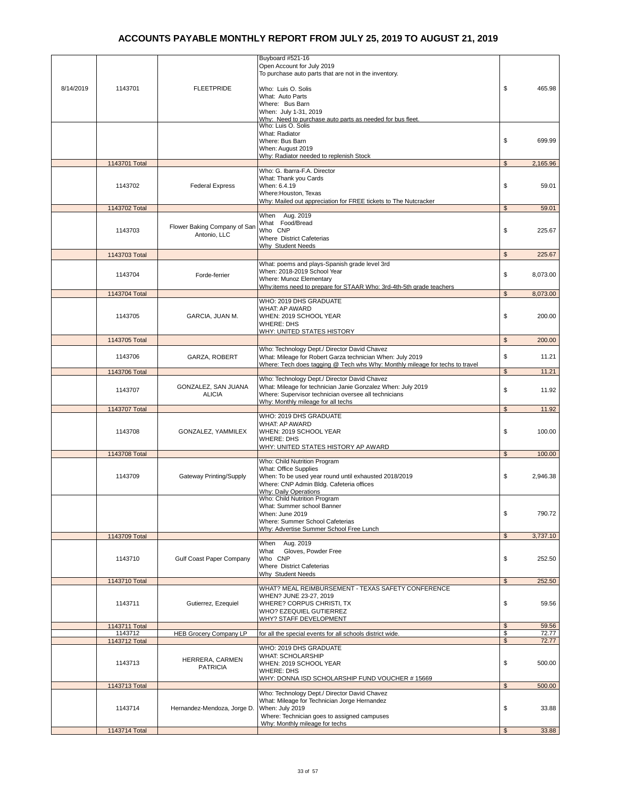|           |                          |                                              | Buyboard #521-16<br>Open Account for July 2019<br>To purchase auto parts that are not in the inventory.                                                                                          |                            |
|-----------|--------------------------|----------------------------------------------|--------------------------------------------------------------------------------------------------------------------------------------------------------------------------------------------------|----------------------------|
| 8/14/2019 | 1143701                  | <b>FLEETPRIDE</b>                            | Who: Luis O. Solis<br>What: Auto Parts<br>Where: Bus Barn                                                                                                                                        | \$<br>465.98               |
|           |                          |                                              | When: July 1-31, 2019<br>Why: Need to purchase auto parts as needed for bus fleet                                                                                                                |                            |
|           |                          |                                              | Who: Luis O. Solis<br>What: Radiator<br>Where: Bus Barn                                                                                                                                          | \$<br>699.99               |
|           |                          |                                              | When: August 2019<br>Why: Radiator needed to replenish Stock                                                                                                                                     |                            |
|           | 1143701 Total            |                                              | Who: G. Ibarra-F.A. Director                                                                                                                                                                     | $\mathfrak s$<br>2,165.96  |
|           | 1143702                  | <b>Federal Express</b>                       | What: Thank you Cards<br>When: 6.4.19<br>Where: Houston, Texas                                                                                                                                   | \$<br>59.01                |
|           | 1143702 Total            |                                              | Why: Mailed out appreciation for FREE tickets to The Nutcracker                                                                                                                                  | $\mathfrak s$<br>59.01     |
|           | 1143703                  | Flower Baking Company of San<br>Antonio, LLC | When Aug. 2019<br>What Food/Bread<br>Who CNP<br>Where District Cafeterias<br>Why Student Needs                                                                                                   | \$<br>225.67               |
|           | 1143703 Total            |                                              |                                                                                                                                                                                                  | $\mathfrak{s}$<br>225.67   |
|           | 1143704                  | Forde-ferrier                                | What: poems and plays-Spanish grade level 3rd<br>When: 2018-2019 School Year<br>Where: Munoz Elementary<br>Why: items need to prepare for STAAR Who: 3rd-4th-5th grade teachers                  | \$<br>8,073.00             |
|           | 1143704 Total            |                                              | WHO: 2019 DHS GRADUATE                                                                                                                                                                           | $\mathfrak{L}$<br>8,073.00 |
|           | 1143705                  | GARCIA, JUAN M.                              | WHAT: AP AWARD<br>WHEN: 2019 SCHOOL YEAR<br><b>WHERE: DHS</b><br>WHY: UNITED STATES HISTORY                                                                                                      | \$<br>200.00               |
|           | 1143705 Total            |                                              |                                                                                                                                                                                                  | $\mathsf{\$}$<br>200.00    |
|           | 1143706                  | GARZA, ROBERT                                | Who: Technology Dept./ Director David Chavez<br>What: Mileage for Robert Garza technician When: July 2019<br>Where: Tech does tagging @ Tech whs Why: Monthly mileage for techs to travel        | \$<br>11.21                |
|           | 1143706 Total            |                                              | Who: Technology Dept./ Director David Chavez                                                                                                                                                     | $\mathbb{S}$<br>11.21      |
|           | 1143707                  | GONZALEZ, SAN JUANA<br><b>ALICIA</b>         | What: Mileage for technician Janie Gonzalez When: July 2019<br>Where: Supervisor technician oversee all technicians<br>Why: Monthly mileage for all techs                                        | \$<br>11.92                |
|           | 1143707 Total            |                                              | WHO: 2019 DHS GRADUATE                                                                                                                                                                           | $\mathfrak s$<br>11.92     |
|           | 1143708                  | GONZALEZ, YAMMILEX                           | WHAT: AP AWARD<br>WHEN: 2019 SCHOOL YEAR<br><b>WHERE: DHS</b><br><b>WHY: UNITED STATES HISTORY AP AWARD</b>                                                                                      | \$<br>100.00               |
|           | 1143708 Total            |                                              | Who: Child Nutrition Program                                                                                                                                                                     | $\mathfrak{L}$<br>100.00   |
|           | 1143709                  | Gateway Printing/Supply                      | What: Office Supplies<br>When: To be used year round until exhausted 2018/2019<br>Where: CNP Admin Bldg. Cafeteria offices<br>Why: Daily Operations                                              | \$<br>2,946.38             |
|           |                          |                                              | Who: Child Nutrition Program<br>What: Summer school Banner<br>When: June 2019<br>Where: Summer School Cafeterias<br>Why: Advertise Summer School Free Lunch                                      | \$<br>790.72               |
|           | 1143709 Total            |                                              | Aug. 2019                                                                                                                                                                                        | $\mathfrak{s}$<br>3,737.10 |
|           | 1143710                  | Gulf Coast Paper Company                     | When<br>Gloves, Powder Free<br>What<br>Who CNP<br>Where District Cafeterias                                                                                                                      | \$<br>252.50               |
|           | 1143710 Total            |                                              | Why Student Needs                                                                                                                                                                                | 252.50<br>$\mathfrak{s}$   |
|           | 1143711                  | Gutierrez, Ezequiel                          | WHAT? MEAL REIMBURSEMENT - TEXAS SAFETY CONFERENCE<br>WHEN? JUNE 23-27, 2019<br>WHERE? CORPUS CHRISTI, TX<br>WHO? EZEQUIEL GUTIERREZ<br><b>WHY? STAFF DEVELOPMENT</b>                            | \$<br>59.56                |
|           | 1143711 Total<br>1143712 | <b>HEB Grocery Company LP</b>                | for all the special events for all schools district wide.                                                                                                                                        | 59.56<br>\$<br>\$<br>72.77 |
|           | 1143712 Total            |                                              |                                                                                                                                                                                                  | $\mathfrak{s}$<br>72.77    |
|           | 1143713                  | HERRERA, CARMEN<br><b>PATRICIA</b>           | WHO: 2019 DHS GRADUATE<br><b>WHAT: SCHOLARSHIP</b><br>WHEN: 2019 SCHOOL YEAR<br><b>WHERE: DHS</b><br>WHY: DONNA ISD SCHOLARSHIP FUND VOUCHER #15669                                              | \$<br>500.00               |
|           | 1143713 Total            |                                              |                                                                                                                                                                                                  | $\mathfrak{s}$<br>500.00   |
|           | 1143714                  | Hernandez-Mendoza, Jorge D.                  | Who: Technology Dept./ Director David Chavez<br>What: Mileage for Technician Jorge Hernandez<br>When: July 2019<br>Where: Technician goes to assigned campuses<br>Why: Monthly mileage for techs | \$<br>33.88                |
|           | 1143714 Total            |                                              |                                                                                                                                                                                                  | 33.88<br>$\mathfrak{s}$    |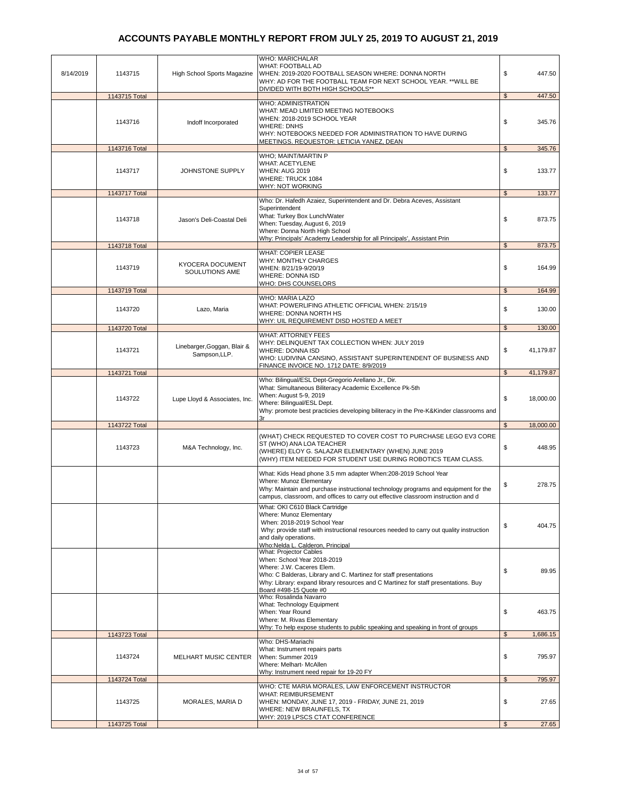| 8/14/2019 | 1143715       | High School Sports Magazine                  | <b>WHO: MARICHALAR</b><br>WHAT: FOOTBALL AD<br>WHEN: 2019-2020 FOOTBALL SEASON WHERE: DONNA NORTH<br>WHY: AD FOR THE FOOTBALL TEAM FOR NEXT SCHOOL YEAR. ** WILL BE<br>DIVIDED WITH BOTH HIGH SCHOOLS**                                                                       | \$             | 447.50    |
|-----------|---------------|----------------------------------------------|-------------------------------------------------------------------------------------------------------------------------------------------------------------------------------------------------------------------------------------------------------------------------------|----------------|-----------|
|           | 1143715 Total |                                              |                                                                                                                                                                                                                                                                               | $\mathbb{S}$   | 447.50    |
|           | 1143716       | Indoff Incorporated                          | <b>WHO: ADMINISTRATION</b><br>WHAT: MEAD LIMITED MEETING NOTEBOOKS<br>WHEN: 2018-2019 SCHOOL YEAR<br><b>WHERE: DNHS</b><br>WHY: NOTEBOOKS NEEDED FOR ADMINISTRATION TO HAVE DURING<br>MEETINGS. REQUESTOR: LETICIA YANEZ, DEAN                                                | \$             | 345.76    |
|           | 1143716 Total |                                              |                                                                                                                                                                                                                                                                               | \$             | 345.76    |
|           | 1143717       | JOHNSTONE SUPPLY                             | WHO; MAINT/MARTIN P<br><b>WHAT: ACETYLENE</b><br><b>WHEN: AUG 2019</b><br>WHERE: TRUCK 1084<br>WHY: NOT WORKING                                                                                                                                                               | \$             | 133.77    |
|           | 1143717 Total |                                              |                                                                                                                                                                                                                                                                               | $\mathbb{S}$   | 133.77    |
|           | 1143718       | Jason's Deli-Coastal Deli                    | Who: Dr. Hafedh Azaiez, Superintendent and Dr. Debra Aceves, Assistant<br>Superintendent<br>What: Turkey Box Lunch/Water<br>When: Tuesday, August 6, 2019<br>Where: Donna North High School<br>Why: Principals' Academy Leadership for all Principals', Assistant Prin        | \$             | 873.75    |
|           | 1143718 Total |                                              |                                                                                                                                                                                                                                                                               | \$             | 873.75    |
|           | 1143719       | KYOCERA DOCUMENT<br>SOULUTIONS AME           | <b>WHAT: COPIER LEASE</b><br><b>WHY: MONTHLY CHARGES</b><br>WHEN: 8/21/19-9/20/19<br><b>WHERE: DONNA ISD</b><br>WHO: DHS COUNSELORS                                                                                                                                           | \$             | 164.99    |
|           | 1143719 Total |                                              |                                                                                                                                                                                                                                                                               | \$             | 164.99    |
|           | 1143720       | Lazo, Maria                                  | WHO: MARIA LAZO<br>WHAT: POWERLIFING ATHLETIC OFFICIAL WHEN: 2/15/19<br>WHERE: DONNA NORTH HS<br>WHY: UIL REQUIREMENT DISD HOSTED A MEET                                                                                                                                      | \$             | 130.00    |
|           | 1143720 Total |                                              |                                                                                                                                                                                                                                                                               | $\mathfrak{s}$ | 130.00    |
|           | 1143721       | Linebarger, Goggan, Blair &<br>Sampson, LLP. | <b>WHAT: ATTORNEY FEES</b><br>WHY: DELINQUENT TAX COLLECTION WHEN: JULY 2019<br><b>WHERE: DONNA ISD</b><br>WHO: LUDIVINA CANSINO, ASSISTANT SUPERINTENDENT OF BUSINESS AND<br>FINANCE INVOICE NO. 1712 DATE: 8/9/2019                                                         | \$             | 41,179.87 |
|           | 1143721 Total |                                              |                                                                                                                                                                                                                                                                               | $\mathfrak{L}$ | 41,179.87 |
|           | 1143722       | Lupe Lloyd & Associates, Inc.                | Who: Bilingual/ESL Dept-Gregorio Arellano Jr., Dir.<br>What: Simultaneous Biliteracy Academic Excellence Pk-5th<br>When: August 5-9, 2019<br>Where: Bilingual/ESL Dept.<br>Why: promote best practicies developing biliteracy in the Pre-K&Kinder classrooms and<br>3r        | \$             | 18,000.00 |
|           | 1143722 Total |                                              |                                                                                                                                                                                                                                                                               | $\mathfrak{s}$ | 18,000.00 |
|           | 1143723       | M&A Technology, Inc.                         | (WHAT) CHECK REQUESTED TO COVER COST TO PURCHASE LEGO EV3 CORE<br>ST (WHO) ANA LOA TEACHER<br>(WHERE) ELOY G. SALAZAR ELEMENTARY (WHEN) JUNE 2019<br>(WHY) ITEM NEEDED FOR STUDENT USE DURING ROBOTICS TEAM CLASS.                                                            | \$             | 448.95    |
|           |               |                                              | What: Kids Head phone 3.5 mm adapter When:208-2019 School Year<br>Where: Munoz Elementary<br>Why: Maintain and purchase instructional technology programs and equipment for the<br>campus, classroom, and offices to carry out effective classroom instruction and d          | \$             | 278.75    |
|           |               |                                              | What: OKI C610 Black Cartridge<br>Where: Munoz Elementary<br>When: 2018-2019 School Year<br>Why: provide staff with instructional resources needed to carry out quality instruction<br>and daily operations.<br>Who:Nelda L. Calderon, Principal                              | \$             | 404.75    |
|           |               |                                              | <b>What: Projector Cables</b><br>When: School Year 2018-2019<br>Where: J.W. Caceres Elem.<br>Who: C Balderas, Library and C. Martinez for staff presentations<br>Why: Library: expand library resources and C Martinez for staff presentations. Buy<br>Board #498-15 Quote #0 | \$             | 89.95     |
|           |               |                                              | Who: Rosalinda Navarro<br>What: Technology Equipment<br>When: Year Round<br>Where: M. Rivas Elementary<br>Why: To help expose students to public speaking and speaking in front of groups                                                                                     | \$             | 463.75    |
|           | 1143723 Total |                                              |                                                                                                                                                                                                                                                                               | $\mathfrak{S}$ | 1,686.15  |
|           | 1143724       | <b>MELHART MUSIC CENTER</b>                  | Who: DHS-Mariachi<br>What: Instrument repairs parts<br>When: Summer 2019<br>Where: Melhart- McAllen<br>Why: Instrument need repair for 19-20 FY                                                                                                                               | \$             | 795.97    |
|           | 1143724 Total |                                              |                                                                                                                                                                                                                                                                               | $\mathfrak{s}$ | 795.97    |
|           | 1143725       | MORALES, MARIA D                             | WHO: CTE MARIA MORALES, LAW ENFORCEMENT INSTRUCTOR<br><b>WHAT: REIMBURSEMENT</b><br>WHEN: MONDAY, JUNE 17, 2019 - FRIDAY, JUNE 21, 2019<br>WHERE: NEW BRAUNFELS, TX<br>WHY: 2019 LPSCS CTAT CONFERENCE                                                                        | \$             | 27.65     |
|           | 1143725 Total |                                              |                                                                                                                                                                                                                                                                               | $\mathfrak{L}$ | 27.65     |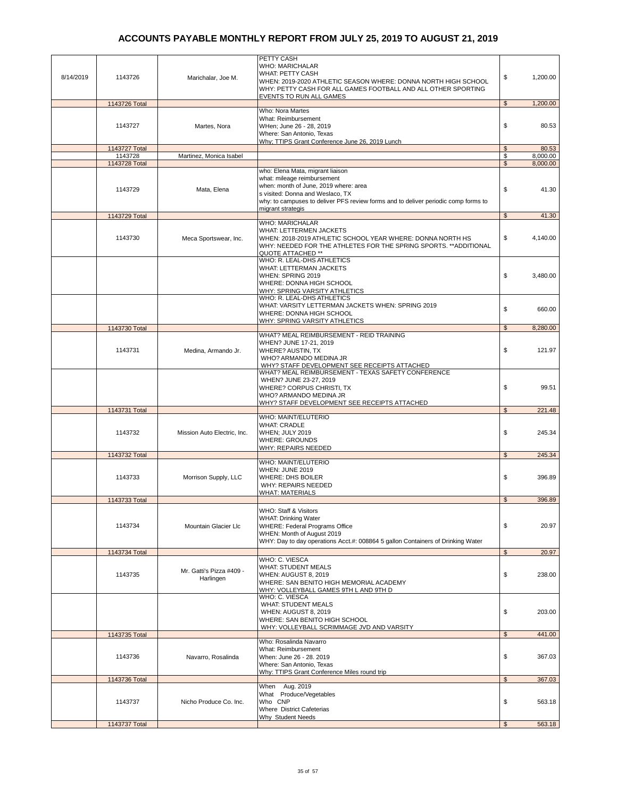|           |               |                             | PETTY CASH                                                                                              |                |          |
|-----------|---------------|-----------------------------|---------------------------------------------------------------------------------------------------------|----------------|----------|
|           |               |                             | <b>WHO: MARICHALAR</b>                                                                                  |                |          |
| 8/14/2019 | 1143726       | Marichalar, Joe M.          | <b>WHAT: PETTY CASH</b><br>WHEN: 2019-2020 ATHLETIC SEASON WHERE: DONNA NORTH HIGH SCHOOL               | \$             | 1,200.00 |
|           |               |                             | WHY: PETTY CASH FOR ALL GAMES FOOTBALL AND ALL OTHER SPORTING                                           |                |          |
|           |               |                             | EVENTS TO RUN ALL GAMES                                                                                 |                |          |
|           | 1143726 Total |                             | Who: Nora Martes                                                                                        | $\mathfrak{s}$ | 1,200.00 |
|           |               |                             | What: Reimbursement                                                                                     |                |          |
|           | 1143727       | Martes, Nora                | WHen; June 26 - 28, 2019                                                                                | \$             | 80.53    |
|           |               |                             | Where: San Antonio, Texas<br>Why; TTIPS Grant Conference June 26, 2019 Lunch                            |                |          |
|           | 1143727 Total |                             |                                                                                                         | $\mathfrak{s}$ | 80.53    |
|           | 1143728       | Martinez, Monica Isabel     |                                                                                                         | \$             | 8,000.00 |
|           | 1143728 Total |                             | who: Elena Mata, migrant liaison                                                                        | $\mathfrak{s}$ | 8,000.00 |
|           |               |                             | what: mileage reimbursement                                                                             |                |          |
|           | 1143729       | Mata, Elena                 | when: month of June, 2019 where: area                                                                   | \$             | 41.30    |
|           |               |                             | s visited: Donna and Weslaco, TX                                                                        |                |          |
|           |               |                             | why: to campuses to deliver PFS review forms and to deliver periodic comp forms to<br>migrant strategis |                |          |
|           | 1143729 Total |                             |                                                                                                         | $\mathfrak{L}$ | 41.30    |
|           |               |                             | <b>WHO: MARICHALAR</b>                                                                                  |                |          |
|           | 1143730       | Meca Sportswear, Inc.       | WHAT: LETTERMEN JACKETS<br>WHEN: 2018-2019 ATHLETIC SCHOOL YEAR WHERE: DONNA NORTH HS                   | \$             | 4,140.00 |
|           |               |                             | WHY: NEEDED FOR THE ATHLETES FOR THE SPRING SPORTS. ** ADDITIONAL                                       |                |          |
|           |               |                             | QUOTE ATTACHED **                                                                                       |                |          |
|           |               |                             | WHO: R. LEAL-DHS ATHLETICS<br>WHAT: LETTERMAN JACKETS                                                   |                |          |
|           |               |                             | WHEN: SPRING 2019                                                                                       | \$             | 3,480.00 |
|           |               |                             | WHERE: DONNA HIGH SCHOOL                                                                                |                |          |
|           |               |                             | WHY: SPRING VARSITY ATHLETICS                                                                           |                |          |
|           |               |                             | WHO: R. LEAL-DHS ATHLETICS<br>WHAT: VARSITY LETTERMAN JACKETS WHEN: SPRING 2019                         |                |          |
|           |               |                             | WHERE: DONNA HIGH SCHOOL                                                                                | \$             | 660.00   |
|           |               |                             | WHY: SPRING VARSITY ATHLETICS                                                                           |                |          |
|           | 1143730 Total |                             | WHAT? MEAL REIMBURSEMENT - REID TRAINING                                                                | $\mathfrak{s}$ | 8,280.00 |
|           |               |                             | WHEN? JUNE 17-21, 2019                                                                                  |                |          |
|           | 1143731       | Medina, Armando Jr.         | WHERE? AUSTIN, TX                                                                                       | \$             | 121.97   |
|           |               |                             | WHO? ARMANDO MEDINA JR<br>WHY? STAFF DEVELOPMENT SEE RECEIPTS ATTACHED                                  |                |          |
|           |               |                             | WHAT? MEAL REIMBURSEMENT - TEXAS SAFETY CONFERENCE                                                      |                |          |
|           |               |                             | WHEN? JUNE 23-27, 2019                                                                                  |                |          |
|           |               |                             | WHERE? CORPUS CHRISTI, TX                                                                               | \$             | 99.51    |
|           |               |                             | WHO? ARMANDO MEDINA JR<br>WHY? STAFF DEVELOPMENT SEE RECEIPTS ATTACHED                                  |                |          |
|           | 1143731 Total |                             |                                                                                                         | $\mathfrak{S}$ | 221.48   |
|           |               |                             | WHO: MAINT/ELUTERIO<br><b>WHAT: CRADLE</b>                                                              |                |          |
|           | 1143732       | Mission Auto Electric, Inc. | WHEN; JULY 2019                                                                                         | \$             | 245.34   |
|           |               |                             | <b>WHERE: GROUNDS</b>                                                                                   |                |          |
|           |               |                             | WHY: REPAIRS NEEDED                                                                                     | $\mathfrak{s}$ | 245.34   |
|           | 1143732 Total |                             | WHO: MAINT/ELUTERIO                                                                                     |                |          |
|           |               |                             | WHEN: JUNE 2019                                                                                         |                |          |
|           | 1143733       | Morrison Supply, LLC        | <b>WHERE: DHS BOILER</b>                                                                                | \$             | 396.89   |
|           |               |                             | <b>WHY: REPAIRS NEEDED</b><br><b>WHAT: MATERIALS</b>                                                    |                |          |
|           | 1143733 Total |                             |                                                                                                         | $\mathfrak{s}$ | 396.89   |
|           |               |                             | <b>WHO: Staff &amp; Visitors</b>                                                                        |                |          |
|           |               |                             | <b>WHAT: Drinking Water</b>                                                                             |                |          |
|           | 1143734       | Mountain Glacier Llc        | WHERE: Federal Programs Office<br>WHEN: Month of August 2019                                            | \$             | 20.97    |
|           |               |                             | WHY: Day to day operations Acct.#: 008864 5 gallon Containers of Drinking Water                         |                |          |
|           | 1143734 Total |                             |                                                                                                         | $\frac{2}{3}$  | 20.97    |
|           |               |                             | WHO: C. VIESCA                                                                                          |                |          |
|           |               | Mr. Gatti's Pizza #409 -    | <b>WHAT: STUDENT MEALS</b>                                                                              |                |          |
|           | 1143735       | Harlingen                   | WHEN: AUGUST 8, 2019<br>WHERE: SAN BENITO HIGH MEMORIAL ACADEMY                                         | \$             | 238.00   |
|           |               |                             | WHY: VOLLEYBALL GAMES 9TH L AND 9TH D                                                                   |                |          |
|           |               |                             | WHO: C. VIESCA                                                                                          |                |          |
|           |               |                             | WHAT: STUDENT MEALS<br>WHEN: AUGUST 8, 2019                                                             | \$             | 203.00   |
|           |               |                             | WHERE: SAN BENITO HIGH SCHOOL                                                                           |                |          |
|           |               |                             | WHY: VOLLEYBALL SCRIMMAGE JVD AND VARSITY                                                               |                |          |
|           | 1143735 Total |                             | Who: Rosalinda Navarro                                                                                  | $\mathbb{S}$   | 441.00   |
|           |               |                             | What: Reimbursement                                                                                     |                |          |
|           | 1143736       | Navarro, Rosalinda          | When: June 26 - 28. 2019                                                                                | \$             | 367.03   |
|           |               |                             | Where: San Antonio, Texas<br>Why: TTIPS Grant Conference Miles round trip                               |                |          |
|           | 1143736 Total |                             |                                                                                                         | $\mathfrak s$  | 367.03   |
|           |               |                             | Aug. 2019<br>When                                                                                       |                |          |
|           | 1143737       | Nicho Produce Co. Inc.      | What Produce/Vegetables<br>Who CNP                                                                      | \$             | 563.18   |
|           |               |                             | <b>Where District Cafeterias</b>                                                                        |                |          |
|           |               |                             | Why Student Needs                                                                                       |                |          |
|           | 1143737 Total |                             |                                                                                                         | $\mathfrak{S}$ | 563.18   |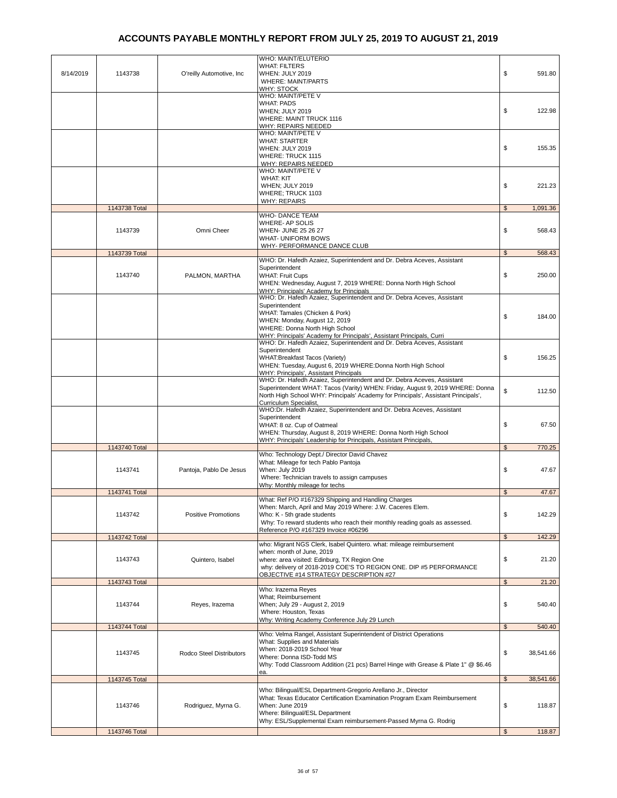| 8/14/2019 | 1143738       | O'reilly Automotive, Inc.  | <b>WHO: MAINT/ELUTERIO</b><br><b>WHAT: FILTERS</b><br>WHEN: JULY 2019<br><b>WHERE: MAINT/PARTS</b>                                                                                                                                                                      | \$<br>591.80             |
|-----------|---------------|----------------------------|-------------------------------------------------------------------------------------------------------------------------------------------------------------------------------------------------------------------------------------------------------------------------|--------------------------|
|           |               |                            | WHY: STOCK<br>WHO: MAINT/PETE V<br><b>WHAT: PADS</b><br>WHEN; JULY 2019<br><b>WHERE: MAINT TRUCK 1116</b>                                                                                                                                                               | \$<br>122.98             |
|           |               |                            | WHY: REPAIRS NEEDED<br>WHO: MAINT/PETE V<br><b>WHAT: STARTER</b><br>WHEN: JULY 2019<br><b>WHERE: TRUCK 1115</b><br>WHY: REPAIRS NEEDED                                                                                                                                  | \$<br>155.35             |
|           |               |                            | WHO: MAINT/PETE V<br><b>WHAT: KIT</b><br>WHEN; JULY 2019<br>WHERE; TRUCK 1103<br><b>WHY: REPAIRS</b>                                                                                                                                                                    | \$<br>221.23             |
|           | 1143738 Total |                            |                                                                                                                                                                                                                                                                         | \$<br>1,091.36           |
|           | 1143739       | Omni Cheer                 | <b>WHO- DANCE TEAM</b><br>WHERE- AP SOLIS<br>WHEN- JUNE 25 26 27<br><b>WHAT- UNIFORM BOWS</b>                                                                                                                                                                           | \$<br>568.43             |
|           | 1143739 Total |                            | WHY- PERFORMANCE DANCE CLUB                                                                                                                                                                                                                                             | $\mathsf{s}$<br>568.43   |
|           | 1143740       | PALMON, MARTHA             | WHO: Dr. Hafedh Azaiez, Superintendent and Dr. Debra Aceves, Assistant<br>Superintendent<br><b>WHAT: Fruit Cups</b><br>WHEN: Wednesday, August 7, 2019 WHERE: Donna North High School<br><b>WHY: Principals' Academy for Principals</b>                                 | \$<br>250.00             |
|           |               |                            | WHO: Dr. Hafedh Azaiez, Superintendent and Dr. Debra Aceves, Assistant<br>Superintendent<br>WHAT: Tamales (Chicken & Pork)<br>WHEN: Monday, August 12, 2019<br>WHERE: Donna North High School<br>WHY: Principals' Academy for Principals', Assistant Principals, Curri  | \$<br>184.00             |
|           |               |                            | WHO: Dr. Hafedh Azaiez, Superintendent and Dr. Debra Aceves, Assistant<br>Superintendent<br>WHAT: Breakfast Tacos (Variety)<br>WHEN: Tuesday, August 6, 2019 WHERE: Donna North High School<br>WHY: Principals', Assistant Principals                                   | \$<br>156.25             |
|           |               |                            | WHO: Dr. Hafedh Azaiez, Superintendent and Dr. Debra Aceves, Assistant<br>Superintendent WHAT: Tacos (Varity) WHEN: Friday, August 9, 2019 WHERE: Donna<br>North High School WHY: Principals' Academy for Principals', Assistant Principals',<br>Curriculum Specialist, | \$<br>112.50             |
|           |               |                            | WHO:Dr. Hafedh Azaiez, Superintendent and Dr. Debra Aceves, Assistant<br>Superintendent<br>WHAT: 8 oz. Cup of Oatmeal<br>WHEN: Thursday, August 8, 2019 WHERE: Donna North High School<br>WHY: Principals' Leadership for Principals, Assistant Principals,             | \$<br>67.50              |
|           | 1143740 Total |                            |                                                                                                                                                                                                                                                                         | 770.25<br>$\mathfrak{s}$ |
|           | 1143741       | Pantoja, Pablo De Jesus    | Who: Technology Dept./ Director David Chavez<br>What: Mileage for tech Pablo Pantoja<br>When: July 2019<br>Where: Technician travels to assign campuses<br>Why: Monthly mileage for techs                                                                               | \$<br>47.67              |
|           | 1143741 Total |                            |                                                                                                                                                                                                                                                                         | 47.67<br>\$              |
|           | 1143742       | <b>Positive Promotions</b> | What: Ref P/O #167329 Shipping and Handling Charges<br>When: March, April and May 2019 Where: J.W. Caceres Elem.<br>Who: K - 5th grade students<br>Why: To reward students who reach their monthly reading goals as assessed.<br>Reference P/O #167329 Invoice #06296   | \$<br>142.29             |
|           | 1143742 Total |                            |                                                                                                                                                                                                                                                                         | 142.29<br>\$             |
|           | 1143743       | Quintero, Isabel           | who: Migrant NGS Clerk, Isabel Quintero. what: mileage reimbursement<br>when: month of June, 2019<br>where: area visited: Edinburg, TX Region One<br>why: delivery of 2018-2019 COE'S TO REGION ONE. DIP #5 PERFORMANCE<br>OBJECTIVE #14 STRATEGY DESCRIPTION #27       | \$<br>21.20              |
|           | 1143743 Total |                            |                                                                                                                                                                                                                                                                         | $\mathfrak{s}$<br>21.20  |
|           | 1143744       | Reyes, Irazema             | Who: Irazema Reyes<br>What; Reimbursement<br>When; July 29 - August 2, 2019<br>Where: Houston, Texas<br>Why: Writing Academy Conference July 29 Lunch                                                                                                                   | \$<br>540.40             |
|           | 1143744 Total |                            |                                                                                                                                                                                                                                                                         | \$<br>540.40             |
|           | 1143745       | Rodco Steel Distributors   | Who: Velma Rangel, Assistant Superintendent of District Operations<br>What: Supplies and Materials<br>When: 2018-2019 School Year<br>Where: Donna ISD-Todd MS<br>Why: Todd Classroom Addition (21 pcs) Barrel Hinge with Grease & Plate 1" @ \$6.46<br>ea.              | \$<br>38,541.66          |
|           | 1143745 Total |                            |                                                                                                                                                                                                                                                                         | \$<br>38,541.66          |
|           | 1143746       | Rodriguez, Myrna G.        | Who: Bilingual/ESL Department-Gregorio Arellano Jr., Director<br>What: Texas Educator Certification Examination Program Exam Reimbursement<br>When: June 2019<br>Where: Bilingual/ESL Department<br>Why: ESL/Supplemental Exam reimbursement-Passed Myrna G. Rodrig     | \$<br>118.87             |
|           | 1143746 Total |                            |                                                                                                                                                                                                                                                                         | 118.87<br>$\mathfrak{s}$ |
|           |               |                            |                                                                                                                                                                                                                                                                         |                          |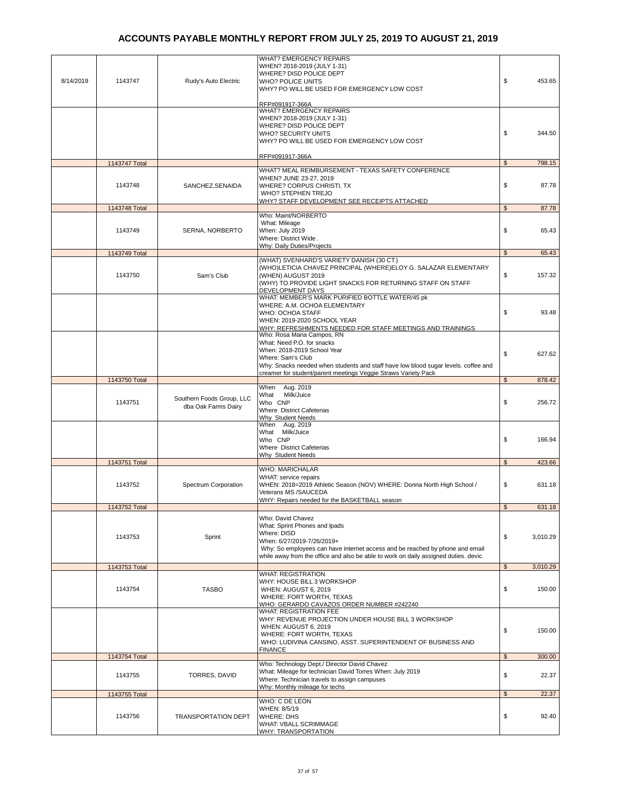| 8/14/2019 | 1143747       | Rudy's Auto Electric                             | <b>WHAT? EMERGENCY REPAIRS</b><br>WHEN? 2018-2019 (JULY 1-31)<br>WHERE? DISD POLICE DEPT<br><b>WHO? POLICE UNITS</b><br>WHY? PO WILL BE USED FOR EMERGENCY LOW COST                                                                                                    | \$                 | 453.65   |
|-----------|---------------|--------------------------------------------------|------------------------------------------------------------------------------------------------------------------------------------------------------------------------------------------------------------------------------------------------------------------------|--------------------|----------|
|           |               |                                                  | RFP#091917-366A<br><b>WHAT? EMERGENCY REPAIRS</b><br>WHEN? 2018-2019 (JULY 1-31)<br>WHERE? DISD POLICE DEPT<br><b>WHO? SECURITY UNITS</b><br>WHY? PO WILL BE USED FOR EMERGENCY LOW COST                                                                               | \$                 | 344.50   |
|           | 1143747 Total |                                                  | RFP#091917-366A                                                                                                                                                                                                                                                        | $\mathfrak{S}$     | 798.15   |
|           |               |                                                  | WHAT? MEAL REIMBURSEMENT - TEXAS SAFETY CONFERENCE                                                                                                                                                                                                                     |                    |          |
|           | 1143748       | SANCHEZ, SENAIDA                                 | WHEN? JUNE 23-27, 2019<br>WHERE? CORPUS CHRISTI, TX<br>WHO? STEPHEN TREJO<br><u>WHY? STAFF DEVELOPMENT SEE RECEIPTS ATTACHED</u>                                                                                                                                       | \$                 | 87.78    |
|           | 1143748 Total |                                                  |                                                                                                                                                                                                                                                                        | \$                 | 87.78    |
|           | 1143749       | SERNA, NORBERTO                                  | Who: Maint/NORBERTO<br>What: Mileage<br>When: July 2019<br>Where: District Wide.<br><b>Why: Daily Duties/Projects</b>                                                                                                                                                  | \$                 | 65.43    |
|           | 1143749 Total |                                                  |                                                                                                                                                                                                                                                                        | $\mathfrak{S}$     | 65.43    |
|           | 1143750       | Sam's Club                                       | (WHAT) SVENHARD'S VARIETY DANISH (30 CT.)<br>(WHO)LETICIA CHAVEZ PRINCIPAL (WHERE)ELOY G. SALAZAR ELEMENTARY<br>(WHEN) AUGUST 2019<br>(WHY) TO PROVIDE LIGHT SNACKS FOR RETURNING STAFF ON STAFF<br>DEVELOPMENT DAYS                                                   | \$                 | 157.32   |
|           |               |                                                  | WHAT: MEMBER'S MARK PURIFIED BOTTLE WATER/45 pk<br>WHERE: A.M. OCHOA ELEMENTARY<br>WHO: OCHOA STAFF<br>WHEN: 2019-2020 SCHOOL YEAR<br>WHY: REFRESHMENTS NEEDED FOR STAFF MEETINGS AND TRAININGS                                                                        | \$                 | 93.48    |
|           |               |                                                  | Who: Rosa Maria Campos, RN<br>What: Need P.O. for snacks<br>When: 2018-2019 School Year<br>Where: Sam's Club<br>Why: Snacks needed when students and staff have low blood sugar levels. coffee and<br>creamer for student/parent meetings Veggie Straws Variety Pack   | \$                 | 627.62   |
|           | 1143750 Total |                                                  |                                                                                                                                                                                                                                                                        | $\mathbb{S}$       | 878.42   |
|           | 1143751       | Southern Foods Group, LLC<br>dba Oak Farms Dairy | Aug. 2019<br>When<br>Milk/Juice<br>What<br>Who CNP<br>Where District Cafeterias<br>Why Student Needs                                                                                                                                                                   | \$                 | 256.72   |
|           |               |                                                  | When Aug. 2019<br>What Milk/Juice<br>Who CNP<br>Where District Cafeterias<br>Why Student Needs                                                                                                                                                                         | \$                 | 166.94   |
|           | 1143751 Total |                                                  |                                                                                                                                                                                                                                                                        | \$                 | 423.66   |
|           | 1143752       | Spectrum Corporation                             | <b>WHO: MARICHALAR</b><br>WHAT: service repairs<br>WHEN: 2018=2019 Athletic Season (NOV) WHERE: Donna North High School /<br>Veterans MS /SAUCEDA<br>WHY: Repairs needed for the BASKETBALL season                                                                     | \$                 | 631.18   |
|           | 1143752 Total |                                                  |                                                                                                                                                                                                                                                                        | $\mathbf{\hat{s}}$ | 631.18   |
|           | 1143753       | Sprint                                           | Who: David Chavez<br>What: Sprint Phones and Ipads<br>Where: DISD<br>When: 6/27/2019-7/26/2019+<br>Why: So employees can have internet access and be reached by phone and email<br>while away from the office and also be able to work on daily assigned duties. devic | \$                 | 3,010.29 |
|           | 1143753 Total |                                                  | <b>WHAT: REGISTRATION</b>                                                                                                                                                                                                                                              | $\mathfrak{s}$     | 3,010.29 |
|           | 1143754       | <b>TASBO</b>                                     | WHY: HOUSE BILL 3 WORKSHOP<br>WHEN: AUGUST 6, 2019<br>WHERE: FORT WORTH, TEXAS<br>WHO: GERARDO CAVAZOS ORDER NUMBER #242240                                                                                                                                            | \$                 | 150.00   |
|           |               |                                                  | <b>WHAT: REGISTRATION FEE</b><br>WHY: REVENUE PROJECTION UNDER HOUSE BILL 3 WORKSHOP<br>WHEN: AUGUST 6, 2019<br>WHERE: FORT WORTH, TEXAS<br>WHO: LUDIVINA CANSINO, ASST. SUPERINTENDENT OF BUSINESS AND<br><b>FINANCE</b>                                              | \$                 | 150.00   |
|           | 1143754 Total |                                                  | Who: Technology Dept./ Director David Chavez                                                                                                                                                                                                                           | \$                 | 300.00   |
|           | 1143755       | TORRES, DAVID                                    | What: Mileage for technician David Torres When: July 2019<br>Where: Technician travels to assign campuses<br>Why: Monthly mileage for techs                                                                                                                            | \$<br>$\mathbb{S}$ | 22.37    |
|           | 1143755 Total |                                                  | WHO: C DE LEON                                                                                                                                                                                                                                                         |                    | 22.37    |
|           | 1143756       | <b>TRANSPORTATION DEPT</b>                       | WHEN: 8/5/19<br><b>WHERE: DHS</b><br>WHAT: VBALL SCRIMMAGE<br>WHY: TRANSPORTATION                                                                                                                                                                                      | \$                 | 92.40    |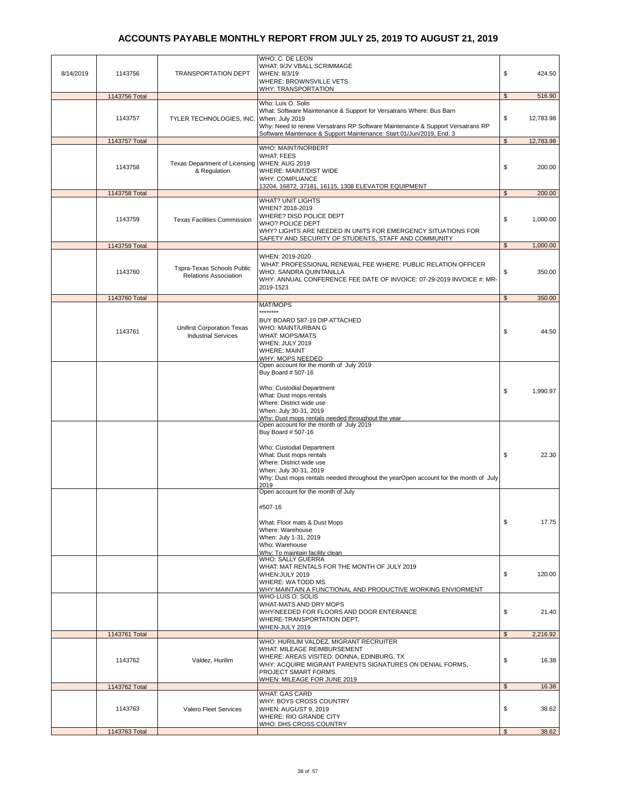|           |               |                                                            | WHO: C. DE LEON<br>WHAT: 9/JV VBALL SCRIMMAGE                                                                                                                                                                                    |                |           |
|-----------|---------------|------------------------------------------------------------|----------------------------------------------------------------------------------------------------------------------------------------------------------------------------------------------------------------------------------|----------------|-----------|
| 8/14/2019 | 1143756       | <b>TRANSPORTATION DEPT</b>                                 | WHEN: 8/3/19<br>WHERE: BROWNSVILLE VETS<br><b>WHY: TRANSPORTATION</b>                                                                                                                                                            | \$             | 424.50    |
|           | 1143756 Total |                                                            |                                                                                                                                                                                                                                  | \$             | 516.90    |
|           | 1143757       | TYLER TECHNOLOGIES, INC.                                   | Who: Luis O. Solis<br>What: Software Maintenance & Support for Versatrans Where: Bus Barn<br>When: July 2019<br>Why: Need to renew Versatrans RP Software Maintenance & Support Versatrans RP                                    | \$             | 12,783.98 |
|           | 1143757 Total |                                                            | Software Maintenace & Support Maintenance: Start:01/Jun/2019, End: 3                                                                                                                                                             | $\mathfrak s$  | 12,783.98 |
|           | 1143758       | Texas Department of Licensing<br>& Regulation              | WHO: MAINT/NORBERT<br><b>WHAT: FEES</b><br><b>WHEN: AUG 2019</b><br>WHERE: MAINT/DIST WIDE<br><b>WHY: COMPLIANCE</b><br>13204, 16872, 37181, 16115, 1308 ELEVATOR EQUIPMENT                                                      | \$             | 200.00    |
|           | 1143758 Total |                                                            |                                                                                                                                                                                                                                  | \$             | 200.00    |
|           | 1143759       | <b>Texas Facilities Commission</b>                         | <b>WHAT? UNIT LIGHTS</b><br>WHEN? 2018-2019<br>WHERE? DISD POLICE DEPT<br><b>WHO? POLICE DEPT</b><br>WHY? LIGHTS ARE NEEDED IN UNITS FOR EMERGENCY SITUATIONS FOR<br>SAFETY AND SECURITY OF STUDENTS, STAFF AND COMMUNITY        | \$             | 1,000.00  |
|           | 1143759 Total |                                                            |                                                                                                                                                                                                                                  | $\mathfrak{s}$ | 1,000.00  |
|           | 1143760       | Tspra-Texas Schools Public<br><b>Relations Association</b> | WHEN: 2019-2020<br>WHAT: PROFESSIONAL RENEWAL FEE WHERE: PUBLIC RELATION OFFICER<br>WHO: SANDRA QUINTANILLA<br>WHY: ANNUAL CONFERENCE FEE DATE OF INVOICE: 07-29-2019 INVOICE #: MR-<br>2019-1523                                | \$             | 350.00    |
|           | 1143760 Total |                                                            |                                                                                                                                                                                                                                  | $\mathfrak s$  | 350.00    |
|           | 1143761       | Unifirst Corporation Texas<br><b>Industrial Services</b>   | MAT/MOPS<br>********<br>BUY BOARD 587-19 DIP ATTACHED<br>WHO: MAINT/URBAN G<br><b>WHAT: MOPS/MATS</b><br>WHEN; JULY 2019<br><b>WHERE: MAINT</b>                                                                                  | \$             | 44.50     |
|           |               |                                                            | <b>WHY: MOPS NEEDED</b><br>Open account for the month of July 2019                                                                                                                                                               |                |           |
|           |               |                                                            | Buy Board # 507-16<br>Who: Custodial Department<br>What: Dust mops rentals<br>Where: District wide use<br>When: July 30-31, 2019<br>Why: Dust mops rentals needed throughout the year<br>Open account for the month of July 2019 | \$             | 1,990.97  |
|           |               |                                                            | Buy Board # 507-16<br>Who: Custodial Department<br>What: Dust mops rentals<br>Where: District wide use<br>When: July 30-31, 2019<br>Why: Dust mops rentals needed throughout the yearOpen account for the month of July<br>2019  | \$             | 22.30     |
|           |               |                                                            | Open account for the month of July<br>#507-16<br>What: Floor mats & Dust Mops<br>Where: Warehouse<br>When: July 1-31, 2019<br>Who: Warehouse<br>Why: To maintain facility clean                                                  | \$             | 17.75     |
|           |               |                                                            | <b>WHO: SALLY GUERRA</b><br>WHAT: MAT RENTALS FOR THE MONTH OF JULY 2019<br>WHEN: JULY 2019<br>WHERE: WA TODD MS<br>WHY: MAINTAIN A FUNCTIONAL AND PRODUCTIVE WORKING ENVIORMENT<br>WHO-LUIS O. SOLIS                            | \$             | 120.00    |
|           |               |                                                            | WHAT-MATS AND DRY MOPS<br>WHY-NEEDED FOR FLOORS AND DOOR ENTERANCE<br>WHERE-TRANSPORTATION DEPT.<br>WHEN-JULY 2019                                                                                                               | \$             | 21.40     |
|           | 1143761 Total |                                                            | WHO: HURILIM VALDEZ, MIGRANT RECRUITER                                                                                                                                                                                           | $\mathfrak{S}$ | 2,216.92  |
|           | 1143762       | Valdez, Hurilim                                            | WHAT: MILEAGE REIMBURSEMENT<br>WHERE: AREAS VISITED: DONNA, EDINBURG, TX<br>WHY: ACQUIRE MIGRANT PARENTS SIGNATURES ON DENIAL FORMS,<br>PROJECT SMART FORMS.<br>WHEN: MILEAGE FOR JUNE 2019                                      | \$             | 16.38     |
|           | 1143762 Total |                                                            |                                                                                                                                                                                                                                  | \$             | 16.38     |
|           | 1143763       | Valero Fleet Services                                      | WHAT: GAS CARD<br>WHY: BOYS CROSS COUNTRY<br>WHEN: AUGUST 9, 2019<br>WHERE: RIO GRANDE CITY                                                                                                                                      | \$             | 38.62     |
|           | 1143763 Total |                                                            | WHO: DHS CROSS COUNTRY                                                                                                                                                                                                           | $\mathfrak{S}$ | 38.62     |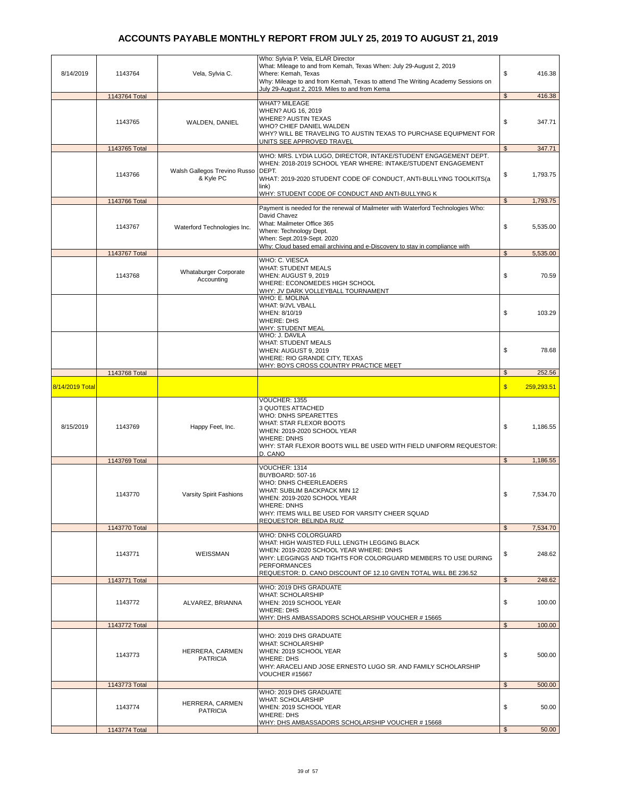| 8/14/2019       | 1143764       | Vela, Sylvia C.                           | Who: Sylvia P. Vela, ELAR Director<br>What: Mileage to and from Kemah, Texas When: July 29-August 2, 2019<br>Where: Kemah, Texas<br>Why: Mileage to and from Kemah, Texas to attend The Writing Academy Sessions on                                                        | \$<br>416.38               |
|-----------------|---------------|-------------------------------------------|----------------------------------------------------------------------------------------------------------------------------------------------------------------------------------------------------------------------------------------------------------------------------|----------------------------|
|                 |               |                                           | July 29-August 2, 2019. Miles to and from Kema                                                                                                                                                                                                                             |                            |
|                 | 1143764 Total |                                           | <b>WHAT? MILEAGE</b>                                                                                                                                                                                                                                                       | $\mathbb{S}$<br>416.38     |
|                 | 1143765       | WALDEN, DANIEL                            | WHEN? AUG 16, 2019<br><b>WHERE? AUSTIN TEXAS</b><br>WHO? CHIEF DANIEL WALDEN<br>WHY? WILL BE TRAVELING TO AUSTIN TEXAS TO PURCHASE EQUIPMENT FOR<br><u>UNITS SEE APPROVED TRAVEL</u>                                                                                       | \$<br>347.71               |
|                 | 1143765 Total |                                           |                                                                                                                                                                                                                                                                            | \$<br>347.71               |
|                 | 1143766       | Walsh Gallegos Trevino Russo<br>& Kyle PC | WHO: MRS. LYDIA LUGO, DIRECTOR, INTAKE/STUDENT ENGAGEMENT DEPT.<br>WHEN: 2018-2019 SCHOOL YEAR WHERE: INTAKE/STUDENT ENGAGEMENT<br>DEPT.<br>WHAT: 2019-2020 STUDENT CODE OF CONDUCT, ANTI-BULLYING TOOLKITS(a<br>link)<br>WHY: STUDENT CODE OF CONDUCT AND ANTI-BULLYING K | \$<br>1,793.75             |
|                 | 1143766 Total |                                           |                                                                                                                                                                                                                                                                            | $\mathfrak{S}$<br>1,793.75 |
|                 | 1143767       | Waterford Technologies Inc.               | Payment is needed for the renewal of Mailmeter with Waterford Technologies Who:<br>David Chavez<br>What: Mailmeter Office 365<br>Where: Technology Dept.<br>When: Sept.2019-Sept. 2020<br>Why: Cloud based email archiving and e-Discovery to stay in compliance with      | \$<br>5,535.00             |
|                 | 1143767 Total |                                           |                                                                                                                                                                                                                                                                            | $\mathfrak{S}$<br>5,535.00 |
|                 | 1143768       | Whataburger Corporate<br>Accounting       | WHO: C. VIESCA<br><b>WHAT: STUDENT MEALS</b><br>WHEN: AUGUST 9, 2019<br>WHERE: ECONOMEDES HIGH SCHOOL<br>WHY: JV DARK VOLLEYBALL TOURNAMENT                                                                                                                                | \$<br>70.59                |
|                 |               |                                           | WHO: E. MOLINA<br>WHAT: 9/JVL VBALL<br>WHEN: 8/10/19<br><b>WHERE: DHS</b><br>WHY: STUDENT MEAL                                                                                                                                                                             | \$<br>103.29               |
|                 |               |                                           | WHO: J. DAVILA<br><b>WHAT: STUDENT MEALS</b><br>WHEN: AUGUST 9, 2019<br>WHERE: RIO GRANDE CITY, TEXAS<br><b>WHY: BOYS CROSS COUNTRY PRACTICE MEET</b>                                                                                                                      | \$<br>78.68                |
|                 | 1143768 Total |                                           |                                                                                                                                                                                                                                                                            | $\mathfrak{S}$<br>252.56   |
| 8/14/2019 Total |               |                                           |                                                                                                                                                                                                                                                                            | $\mathsf{s}$<br>259,293.51 |
| 8/15/2019       | 1143769       | Happy Feet, Inc.                          | VOUCHER: 1355<br>3 QUOTES ATTACHED<br>WHO: DNHS SPEARETTES<br>WHAT: STAR FLEXOR BOOTS<br>WHEN: 2019-2020 SCHOOL YEAR<br><b>WHERE: DNHS</b><br>WHY: STAR FLEXOR BOOTS WILL BE USED WITH FIELD UNIFORM REQUESTOR:<br>D. CANO                                                 | \$<br>1,186.55             |
|                 | 1143769 Total |                                           | VOUCHER: 1314                                                                                                                                                                                                                                                              | 1,186.55<br>\$             |
|                 | 1143770       | Varsity Spirit Fashions                   | BUYBOARD: 507-16<br>WHO: DNHS CHEERLEADERS<br>WHAT: SUBLIM BACKPACK MIN 12<br>WHEN: 2019-2020 SCHOOL YEAR<br>WHERE: DNHS<br>WHY: ITEMS WILL BE USED FOR VARSITY CHEER SQUAD<br>REQUESTOR: BELINDA RUIZ                                                                     | \$<br>7,534.70             |
|                 | 1143770 Total |                                           |                                                                                                                                                                                                                                                                            | \$<br>7,534.70             |
|                 | 1143771       | WEISSMAN                                  | WHO: DNHS COLORGUARD<br>WHAT: HIGH WAISTED FULL LENGTH LEGGING BLACK<br>WHEN: 2019-2020 SCHOOL YEAR WHERE: DNHS<br>WHY: LEGGINGS AND TIGHTS FOR COLORGUARD MEMBERS TO USE DURING<br><b>PERFORMANCES</b><br>REQUESTOR: D. CANO DISCOUNT OF 12.10 GIVEN TOTAL WILL BE 236.52 | \$<br>248.62               |
|                 | 1143771 Total |                                           |                                                                                                                                                                                                                                                                            | $\frac{1}{2}$<br>248.62    |
|                 | 1143772       | ALVAREZ, BRIANNA                          | WHO: 2019 DHS GRADUATE<br><b>WHAT: SCHOLARSHIP</b><br>WHEN: 2019 SCHOOL YEAR<br><b>WHERE: DHS</b><br>WHY: DHS AMBASSADORS SCHOLARSHIP VOUCHER # 15665                                                                                                                      | \$<br>100.00               |
|                 | 1143772 Total |                                           |                                                                                                                                                                                                                                                                            | $\mathfrak{S}$<br>100.00   |
|                 | 1143773       | HERRERA, CARMEN<br><b>PATRICIA</b>        | WHO: 2019 DHS GRADUATE<br><b>WHAT: SCHOLARSHIP</b><br>WHEN: 2019 SCHOOL YEAR<br><b>WHERE: DHS</b><br>WHY: ARACELI AND JOSE ERNESTO LUGO SR. AND FAMILY SCHOLARSHIP<br>VOUCHER #15667                                                                                       | \$<br>500.00               |
|                 |               |                                           |                                                                                                                                                                                                                                                                            | $\mathfrak{S}$<br>500.00   |
|                 | 1143773 Total |                                           |                                                                                                                                                                                                                                                                            |                            |
|                 | 1143774       | HERRERA, CARMEN<br><b>PATRICIA</b>        | WHO: 2019 DHS GRADUATE<br><b>WHAT: SCHOLARSHIP</b><br>WHEN: 2019 SCHOOL YEAR<br><b>WHERE: DHS</b><br>WHY: DHS AMBASSADORS SCHOLARSHIP VOUCHER #15668                                                                                                                       | \$<br>50.00                |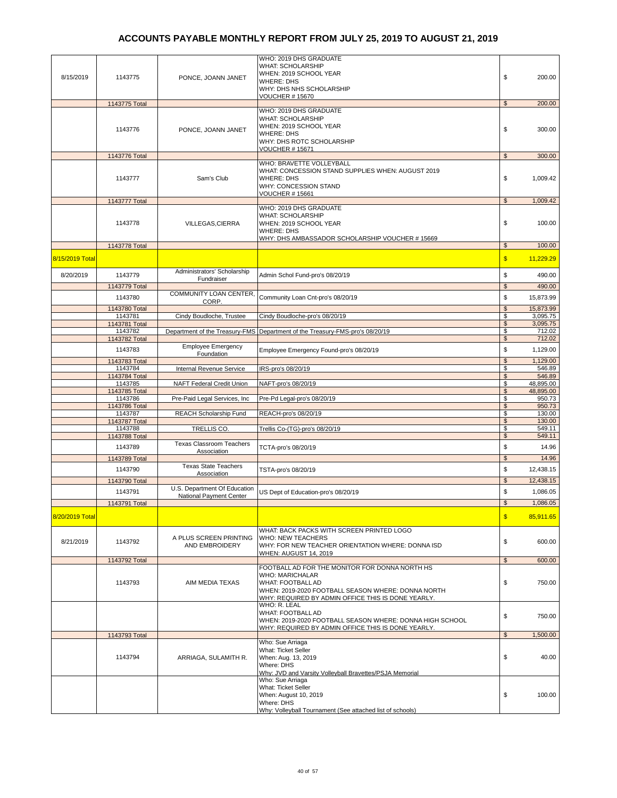| 8/15/2019       | 1143775                  | PONCE, JOANN JANET                                      | WHO: 2019 DHS GRADUATE<br><b>WHAT: SCHOLARSHIP</b><br>WHEN: 2019 SCHOOL YEAR<br><b>WHERE: DHS</b><br>WHY: DHS NHS SCHOLARSHIP<br><b>VOUCHER #15670</b>         | \$                  | 200.00                |
|-----------------|--------------------------|---------------------------------------------------------|----------------------------------------------------------------------------------------------------------------------------------------------------------------|---------------------|-----------------------|
|                 | 1143775 Total            |                                                         |                                                                                                                                                                | $\mathfrak{S}$      | 200.00                |
|                 | 1143776                  | PONCE, JOANN JANET                                      | WHO: 2019 DHS GRADUATE<br><b>WHAT: SCHOLARSHIP</b><br>WHEN: 2019 SCHOOL YEAR<br><b>WHERE: DHS</b><br>WHY: DHS ROTC SCHOLARSHIP<br><b>VOUCHER #15671</b>        | \$                  | 300.00                |
|                 | 1143776 Total            |                                                         |                                                                                                                                                                | \$                  | 300.00                |
|                 | 1143777                  | Sam's Club                                              | WHO: BRAVETTE VOLLEYBALL<br>WHAT: CONCESSION STAND SUPPLIES WHEN: AUGUST 2019<br><b>WHERE: DHS</b><br><b>WHY: CONCESSION STAND</b><br><b>VOUCHER #15661</b>    | \$                  | 1,009.42              |
|                 | 1143777 Total            |                                                         | WHO: 2019 DHS GRADUATE                                                                                                                                         | \$                  | 1,009.42              |
|                 | 1143778                  | VILLEGAS, CIERRA                                        | <b>WHAT: SCHOLARSHIP</b><br>WHEN: 2019 SCHOOL YEAR<br><b>WHERE: DHS</b><br>WHY: DHS AMBASSADOR SCHOLARSHIP VOUCHER # 15669                                     | \$                  | 100.00                |
|                 | 1143778 Total            |                                                         |                                                                                                                                                                | $\frac{1}{2}$       | 100.00                |
| 8/15/2019 Total |                          |                                                         |                                                                                                                                                                | $\mathbf{s}$        | 11,229.29             |
|                 |                          | Administrators' Scholarship                             |                                                                                                                                                                |                     |                       |
| 8/20/2019       | 1143779                  | Fundraiser                                              | Admin Schol Fund-pro's 08/20/19                                                                                                                                | \$                  | 490.00                |
|                 | 1143779 Total            | COMMUNITY LOAN CENTER.                                  |                                                                                                                                                                | $\mathfrak{L}$      | 490.00                |
|                 | 1143780                  | CORP.                                                   | Community Loan Cnt-pro's 08/20/19                                                                                                                              | \$                  | 15,873.99             |
|                 | 1143780 Total<br>1143781 | Cindy Boudloche, Trustee                                | Cindy Boudloche-pro's 08/20/19                                                                                                                                 | $\sqrt{2}$<br>\$    | 15,873.99<br>3,095.75 |
|                 | 1143781 Total            |                                                         |                                                                                                                                                                | $\frac{1}{2}$       | 3,095.75              |
|                 | 1143782                  |                                                         | Department of the Treasury-FMS Department of the Treasury-FMS-pro's 08/20/19                                                                                   | \$                  | 712.02                |
|                 | 1143782 Total            | <b>Employee Emergency</b>                               |                                                                                                                                                                | $\mathsf{\$}$       | 712.02                |
|                 | 1143783                  | Foundation                                              | Employee Emergency Found-pro's 08/20/19                                                                                                                        | \$                  | 1,129.00              |
|                 | 1143783 Total<br>1143784 | Internal Revenue Service                                | IRS-pro's 08/20/19                                                                                                                                             | $\mathcal{S}$<br>\$ | 1,129.00<br>546.89    |
|                 | 1143784 Total            |                                                         |                                                                                                                                                                | \$                  | 546.89                |
|                 | 1143785                  | NAFT Federal Credit Union                               | NAFT-pro's 08/20/19                                                                                                                                            | \$                  | 48,895.00             |
|                 | 1143785 Total<br>1143786 | Pre-Paid Legal Services, Inc.                           | Pre-Pd Legal-pro's 08/20/19                                                                                                                                    | \$<br>\$            | 48,895.00<br>950.73   |
|                 | 1143786 Total            |                                                         |                                                                                                                                                                | $\sqrt{2}$          | 950.73                |
|                 | 1143787<br>1143787 Total | REACH Scholarship Fund                                  | REACH-pro's 08/20/19                                                                                                                                           | \$<br>$\sqrt{2}$    | 130.00<br>130.00      |
|                 | 1143788                  | TRELLIS CO.                                             | Trellis Co-(TG)-pro's 08/20/19                                                                                                                                 | \$                  | 549.11                |
|                 | 1143788 Total            | <b>Texas Classroom Teachers</b>                         |                                                                                                                                                                | $\mathsf{\$}$       | 549.11                |
|                 | 1143789                  | Association                                             | TCTA-pro's 08/20/19                                                                                                                                            | \$                  | 14.96                 |
|                 | 1143789 Total            |                                                         |                                                                                                                                                                | $\mathfrak{S}$      | 14.96                 |
|                 | 1143790                  | <b>Texas State Teachers</b><br>Association              | TSTA-pro's 08/20/19                                                                                                                                            | \$                  | 12,438.15             |
|                 | 1143790 Total            |                                                         |                                                                                                                                                                | $\mathsf{\$}$       | 12,438.15             |
|                 | 1143791                  | U.S. Department Of Education<br>National Payment Center | US Dept of Education-pro's 08/20/19                                                                                                                            | \$                  | 1,086.05              |
|                 | 1143791 Total            |                                                         |                                                                                                                                                                | $\mathcal{S}$       | 1,086.05              |
| 8/20/2019 Total |                          |                                                         |                                                                                                                                                                | $\mathbf{s}$        | 85,911.65             |
|                 |                          |                                                         |                                                                                                                                                                |                     |                       |
| 8/21/2019       | 1143792                  | A PLUS SCREEN PRINTING<br>AND EMBROIDERY                | WHAT: BACK PACKS WITH SCREEN PRINTED LOGO<br><b>WHO: NEW TEACHERS</b><br>WHY: FOR NEW TEACHER ORIENTATION WHERE: DONNA ISD<br><b>WHEN: AUGUST 14, 2019</b>     | \$                  | 600.00                |
|                 | 1143792 Total            |                                                         | FOOTBALL AD FOR THE MONITOR FOR DONNA NORTH HS                                                                                                                 | \$                  | 600.00                |
|                 | 1143793                  | AIM MEDIA TEXAS                                         | <b>WHO: MARICHALAR</b><br><b>WHAT: FOOTBALL AD</b><br>WHEN: 2019-2020 FOOTBALL SEASON WHERE: DONNA NORTH<br>WHY: REQUIRED BY ADMIN OFFICE THIS IS DONE YEARLY. | \$                  | 750.00                |
|                 |                          |                                                         | WHO: R. LEAL<br><b>WHAT: FOOTBALL AD</b><br>WHEN: 2019-2020 FOOTBALL SEASON WHERE: DONNA HIGH SCHOOL<br>WHY: REQUIRED BY ADMIN OFFICE THIS IS DONE YEARLY.     | \$                  | 750.00                |
|                 | 1143793 Total            |                                                         | Who: Sue Arriaga                                                                                                                                               | $\mathfrak s$       | 1,500.00              |
|                 | 1143794                  | ARRIAGA, SULAMITH R.                                    | <b>What: Ticket Seller</b><br>When: Aug. 13, 2019<br>Where: DHS<br>Why: JVD and Varsity Volleyball Bravettes/PSJA Memorial                                     | \$                  | 40.00                 |
|                 |                          |                                                         | Who: Sue Arriaga<br>What: Ticket Seller<br>When: August 10, 2019<br>Where: DHS<br>Why: Volleyball Tournament (See attached list of schools)                    | \$                  | 100.00                |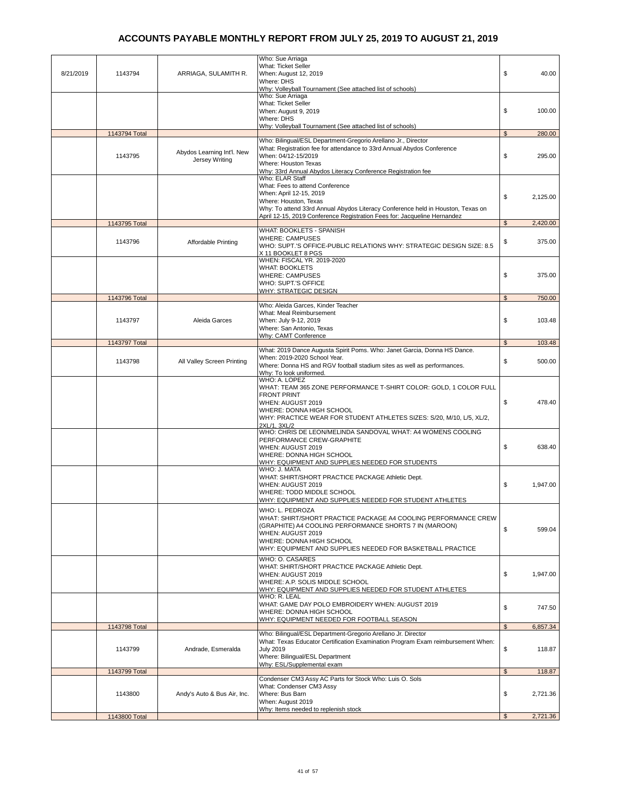| 8/21/2019 | 1143794       | ARRIAGA, SULAMITH R.                         | Who: Sue Arriaga<br>What: Ticket Seller<br>When: August 12, 2019<br>Where: DHS                                                                                                                                                                                        | \$             | 40.00    |
|-----------|---------------|----------------------------------------------|-----------------------------------------------------------------------------------------------------------------------------------------------------------------------------------------------------------------------------------------------------------------------|----------------|----------|
|           |               |                                              | Why: Volleyball Tournament (See attached list of schools)<br>Who: Sue Arriaga<br>What: Ticket Seller<br>When: August 9, 2019<br>Where: DHS                                                                                                                            | \$             | 100.00   |
|           | 1143794 Total |                                              | Why: Volleyball Tournament (See attached list of schools)                                                                                                                                                                                                             | \$             | 280.00   |
|           | 1143795       | Abydos Learning Int'l. New<br>Jersey Writing | Who: Bilingual/ESL Department-Gregorio Arellano Jr., Director<br>What: Registration fee for attendance to 33rd Annual Abydos Conference<br>When: 04/12-15/2019<br>Where: Houston Texas<br>Why: 33rd Annual Abydos Literacy Conference Registration fee                | \$             | 295.00   |
|           |               |                                              | Who: ELAR Staff<br>What: Fees to attend Conference<br>When: April 12-15, 2019<br>Where: Houston, Texas<br>Why: To attend 33rd Annual Abydos Literacy Conference held in Houston, Texas on<br>April 12-15, 2019 Conference Registration Fees for: Jacqueline Hernandez | \$             | 2,125.00 |
|           | 1143795 Total |                                              |                                                                                                                                                                                                                                                                       | $\mathbb{S}$   | 2,420.00 |
|           | 1143796       | Affordable Printing                          | WHAT: BOOKLETS - SPANISH<br><b>WHERE: CAMPUSES</b><br>WHO: SUPT.'S OFFICE-PUBLIC RELATIONS WHY: STRATEGIC DESIGN SIZE: 8.5<br>X 11 BOOKLET 8 PGS                                                                                                                      | \$             | 375.00   |
|           |               |                                              | WHEN: FISCAL YR. 2019-2020<br><b>WHAT: BOOKLETS</b><br><b>WHERE: CAMPUSES</b><br>WHO: SUPT.'S OFFICE                                                                                                                                                                  | \$             | 375.00   |
|           |               |                                              | <b>WHY: STRATEGIC DESIGN</b>                                                                                                                                                                                                                                          | $\mathfrak{L}$ |          |
|           | 1143796 Total |                                              | Who: Aleida Garces, Kinder Teacher                                                                                                                                                                                                                                    |                | 750.00   |
|           | 1143797       | Aleida Garces                                | What: Meal Reimbursement<br>When: July 9-12, 2019<br>Where: San Antonio, Texas                                                                                                                                                                                        | \$             | 103.48   |
|           | 1143797 Total |                                              | Why: CAMT Conference                                                                                                                                                                                                                                                  | $\mathfrak{L}$ | 103.48   |
|           | 1143798       | All Valley Screen Printing                   | What: 2019 Dance Augusta Spirit Poms. Who: Janet Garcia, Donna HS Dance.<br>When: 2019-2020 School Year.<br>Where: Donna HS and RGV football stadium sites as well as performances.<br>Why: To look uniformed.                                                        | \$             | 500.00   |
|           |               |                                              | WHO: A. LOPEZ<br>WHAT: TEAM 365 ZONE PERFORMANCE T-SHIRT COLOR: GOLD, 1 COLOR FULL<br><b>FRONT PRINT</b><br>WHEN: AUGUST 2019<br>WHERE: DONNA HIGH SCHOOL<br>WHY: PRACTICE WEAR FOR STUDENT ATHLETES SIZES: S/20, M/10, L/5, XL/2,<br>2XL/1, 3XL/2                    | \$             | 478.40   |
|           |               |                                              | WHO: CHRIS DE LEON/MELINDA SANDOVAL WHAT: A4 WOMENS COOLING<br>PERFORMANCE CREW-GRAPHITE<br>WHEN: AUGUST 2019<br>WHERE: DONNA HIGH SCHOOL<br>WHY: EQUIPMENT AND SUPPLIES NEEDED FOR STUDENTS                                                                          | \$             | 638.40   |
|           |               |                                              | WHO: J. MATA<br>WHAT: SHIRT/SHORT PRACTICE PACKAGE Athletic Dept.<br>WHEN: AUGUST 2019<br>WHERE: TODD MIDDLE SCHOOL<br>WHY: EQUIPMENT AND SUPPLIES NEEDED FOR STUDENT ATHLETES                                                                                        | \$             | 1.947.00 |
|           |               |                                              | WHO: L. PEDROZA<br>WHAT: SHIRT/SHORT PRACTICE PACKAGE A4 COOLING PERFORMANCE CREW<br>(GRAPHITE) A4 COOLING PERFORMANCE SHORTS 7 IN (MAROON)<br>WHEN: AUGUST 2019<br>WHERE: DONNA HIGH SCHOOL<br>WHY: EQUIPMENT AND SUPPLIES NEEDED FOR BASKETBALL PRACTICE            | \$             | 599.04   |
|           |               |                                              | WHO: O. CASARES<br>WHAT: SHIRT/SHORT PRACTICE PACKAGE Athletic Dept.<br>WHEN: AUGUST 2019<br>WHERE: A.P. SOLIS MIDDLE SCHOOL<br>WHY: EQUIPMENT AND SUPPLIES NEEDED FOR STUDENT ATHLETES                                                                               | \$             | 1,947.00 |
|           |               |                                              | WHO: R. LEAL<br>WHAT: GAME DAY POLO EMBROIDERY WHEN: AUGUST 2019<br>WHERE: DONNA HIGH SCHOOL<br>WHY: EQUIPMENT NEEDED FOR FOOTBALL SEASON                                                                                                                             | \$             | 747.50   |
|           | 1143798 Total |                                              |                                                                                                                                                                                                                                                                       | $\mathfrak{s}$ | 6,857.34 |
|           | 1143799       | Andrade, Esmeralda                           | Who: Bilingual/ESL Department-Gregorio Arellano Jr. Director<br>What: Texas Educator Certification Examination Program Exam reimbursement When:<br><b>July 2019</b><br>Where: Bilingual/ESL Department                                                                | \$             | 118.87   |
|           | 1143799 Total |                                              | Why: ESL/Supplemental exam                                                                                                                                                                                                                                            | $\mathfrak s$  | 118.87   |
|           | 1143800       | Andy's Auto & Bus Air, Inc.                  | Condenser CM3 Assy AC Parts for Stock Who: Luis O. Sols<br>What: Condenser CM3 Assy<br>Where: Bus Barn<br>When: August 2019                                                                                                                                           | \$             | 2,721.36 |
|           | 1143800 Total |                                              | Why: Items needed to replenish stock                                                                                                                                                                                                                                  | \$             | 2,721.36 |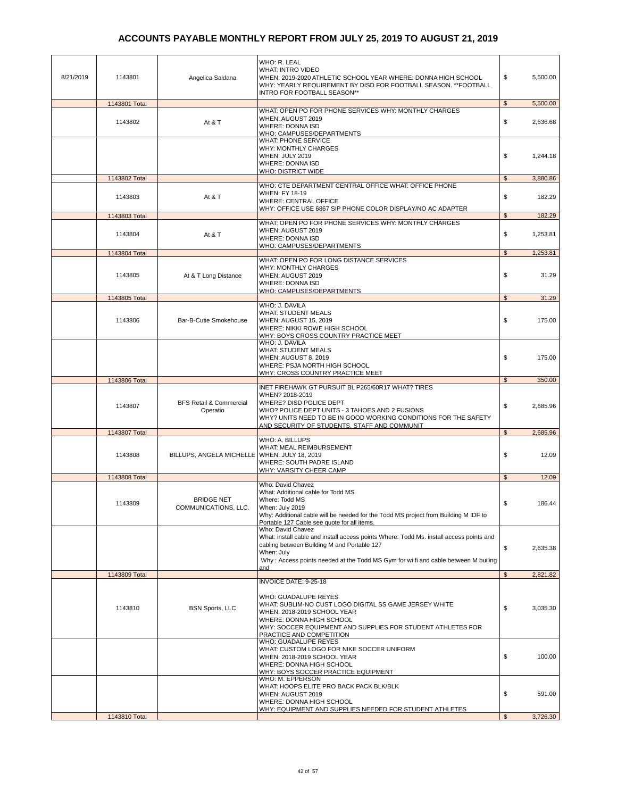| 8/21/2019 | 1143801       | Angelica Saldana                               | WHO: R. LEAL<br><b>WHAT: INTRO VIDEO</b><br>WHEN: 2019-2020 ATHLETIC SCHOOL YEAR WHERE: DONNA HIGH SCHOOL<br>WHY: YEARLY REQUIREMENT BY DISD FOR FOOTBALL SEASON. ** FOOTBALL<br>INTRO FOR FOOTBALL SEASON**                                                           | \$             | 5,500.00 |
|-----------|---------------|------------------------------------------------|------------------------------------------------------------------------------------------------------------------------------------------------------------------------------------------------------------------------------------------------------------------------|----------------|----------|
|           | 1143801 Total |                                                |                                                                                                                                                                                                                                                                        | $\frac{1}{2}$  | 5,500.00 |
|           | 1143802       | At & T                                         | WHAT: OPEN PO FOR PHONE SERVICES WHY: MONTHLY CHARGES<br>WHEN: AUGUST 2019<br><b>WHERE: DONNA ISD</b><br>WHO: CAMPUSES/DEPARTMENTS                                                                                                                                     | \$             | 2,636.68 |
|           |               |                                                | <b>WHAT: PHONE SERVICE</b><br>WHY: MONTHLY CHARGES<br>WHEN: JULY 2019<br><b>WHERE: DONNA ISD</b><br>WHO: DISTRICT WIDE                                                                                                                                                 | \$             | 1,244.18 |
|           | 1143802 Total |                                                |                                                                                                                                                                                                                                                                        | $\mathfrak{s}$ | 3,880.86 |
|           | 1143803       | At & T                                         | WHO: CTE DEPARTMENT CENTRAL OFFICE WHAT: OFFICE PHONE<br><b>WHEN: FY 18-19</b><br><b>WHERE: CENTRAL OFFICE</b><br>WHY: OFFICE USE 6867 SIP PHONE COLOR DISPLAY/NO AC ADAPTER                                                                                           | \$             | 182.29   |
|           | 1143803 Total |                                                |                                                                                                                                                                                                                                                                        | \$             | 182.29   |
|           | 1143804       | At & T                                         | WHAT: OPEN PO FOR PHONE SERVICES WHY: MONTHLY CHARGES<br>WHEN: AUGUST 2019<br>WHERE: DONNA ISD<br>WHO: CAMPUSES/DEPARTMENTS                                                                                                                                            | \$             | 1,253.81 |
|           | 1143804 Total |                                                |                                                                                                                                                                                                                                                                        | $\mathfrak{F}$ | 1,253.81 |
|           | 1143805       | At & T Long Distance                           | WHAT: OPEN PO FOR LONG DISTANCE SERVICES<br><b>WHY: MONTHLY CHARGES</b><br>WHEN: AUGUST 2019                                                                                                                                                                           | \$             | 31.29    |
|           |               |                                                | WHERE: DONNA ISD                                                                                                                                                                                                                                                       |                |          |
|           | 1143805 Total |                                                | WHO: CAMPUSES/DEPARTMENTS                                                                                                                                                                                                                                              | $\mathfrak s$  | 31.29    |
|           | 1143806       | Bar-B-Cutie Smokehouse                         | WHO: J. DAVILA<br><b>WHAT: STUDENT MEALS</b><br>WHEN: AUGUST 15, 2019<br>WHERE: NIKKI ROWE HIGH SCHOOL<br>WHY: BOYS CROSS COUNTRY PRACTICE MEET                                                                                                                        | \$             | 175.00   |
|           |               |                                                | WHO: J. DAVILA<br><b>WHAT: STUDENT MEALS</b><br>WHEN: AUGUST 8, 2019<br>WHERE: PSJA NORTH HIGH SCHOOL                                                                                                                                                                  | \$             | 175.00   |
|           | 1143806 Total |                                                | WHY: CROSS COUNTRY PRACTICE MEET                                                                                                                                                                                                                                       | $\mathfrak{s}$ | 350.00   |
|           | 1143807       | <b>BFS Retail &amp; Commercial</b><br>Operatio | INET FIREHAWK GT PURSUIT BL P265/60R17 WHAT? TIRES<br>WHEN? 2018-2019<br>WHERE? DISD POLICE DEPT<br>WHO? POLICE DEPT UNITS - 3 TAHOES AND 2 FUSIONS<br>WHY? UNITS NEED TO BE IN GOOD WORKING CONDITIONS FOR THE SAFETY                                                 | \$             | 2,685.96 |
|           | 1143807 Total |                                                | AND SECURITY OF STUDENTS, STAFF AND COMMUNIT                                                                                                                                                                                                                           | $\mathfrak{S}$ | 2,685.96 |
|           |               |                                                | WHO: A. BILLUPS                                                                                                                                                                                                                                                        |                |          |
|           | 1143808       | BILLUPS, ANGELA MICHELLE                       | WHAT: MEAL REIMBURSEMENT<br>WHEN: JULY 18, 2019<br>WHERE: SOUTH PADRE ISLAND<br>WHY: VARSITY CHEER CAMP                                                                                                                                                                | \$             | 12.09    |
|           | 1143808 Total |                                                |                                                                                                                                                                                                                                                                        | \$             | 12.09    |
|           | 1143809       | <b>BRIDGE NET</b><br>COMMUNICATIONS, LLC.      | Who: David Chavez<br>What: Additional cable for Todd MS<br>Where: Todd MS<br>When: July 2019<br>Why: Additional cable will be needed for the Todd MS project from Building M IDF to<br>Portable 127 Cable see quote for all items.                                     | \$             | 186.44   |
|           |               |                                                | Who: David Chavez<br>What: install cable and install access points Where: Todd Ms. install access points and<br>cabling between Building M and Portable 127<br>When: July<br>Why: Access points needed at the Todd MS Gym for wi fi and cable between M builing<br>and | \$             | 2,635.38 |
|           | 1143809 Total |                                                |                                                                                                                                                                                                                                                                        | $\mathfrak s$  | 2,821.82 |
|           |               |                                                | INVOICE DATE: 9-25-18                                                                                                                                                                                                                                                  |                |          |
|           | 1143810       | <b>BSN Sports, LLC</b>                         | WHO: GUADALUPE REYES<br>WHAT: SUBLIM-NO CUST LOGO DIGITAL SS GAME JERSEY WHITE<br>WHEN: 2018-2019 SCHOOL YEAR<br>WHERE: DONNA HIGH SCHOOL<br>WHY: SOCCER EQUIPMENT AND SUPPLIES FOR STUDENT ATHLETES FOR<br>PRACTICE AND COMPETITION                                   | \$             | 3,035.30 |
|           |               |                                                | WHO: GUADALUPE REYES<br>WHAT: CUSTOM LOGO FOR NIKE SOCCER UNIFORM<br>WHEN: 2018-2019 SCHOOL YEAR<br>WHERE: DONNA HIGH SCHOOL<br>WHY: BOYS SOCCER PRACTICE EQUIPMENT                                                                                                    | \$             | 100.00   |
|           |               |                                                | WHO: M. EPPERSON<br>WHAT: HOOPS ELITE PRO BACK PACK BLK/BLK<br>WHEN: AUGUST 2019<br>WHERE: DONNA HIGH SCHOOL                                                                                                                                                           | \$             | 591.00   |
|           | 1143810 Total |                                                | WHY: EQUIPMENT AND SUPPLIES NEEDED FOR STUDENT ATHLETES                                                                                                                                                                                                                | $\mathfrak{s}$ | 3,726.30 |
|           |               |                                                |                                                                                                                                                                                                                                                                        |                |          |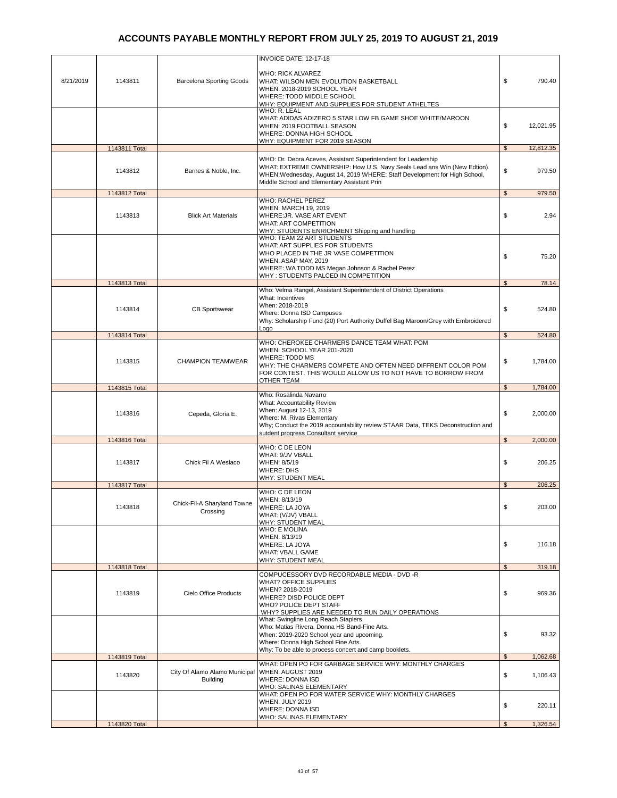|           |               |                                                  | INVOICE DATE: 12-17-18                                                                                                                                                                                                                                                |                |                   |
|-----------|---------------|--------------------------------------------------|-----------------------------------------------------------------------------------------------------------------------------------------------------------------------------------------------------------------------------------------------------------------------|----------------|-------------------|
| 8/21/2019 | 1143811       | <b>Barcelona Sporting Goods</b>                  | <b>WHO: RICK ALVAREZ</b><br>WHAT: WILSON MEN EVOLUTION BASKETBALL<br>WHEN: 2018-2019 SCHOOL YEAR<br>WHERE: TODD MIDDLE SCHOOL<br>WHY: EQUIPMENT AND SUPPLIES FOR STUDENT ATHELTES<br>WHO: R. LEAL                                                                     | \$             | 790.40            |
|           |               |                                                  | WHAT: ADIDAS ADIZERO 5 STAR LOW FB GAME SHOE WHITE/MAROON<br>WHEN: 2019 FOOTBALL SEASON<br>WHERE: DONNA HIGH SCHOOL<br><b>WHY: EQUIPMENT FOR 2019 SEASON</b>                                                                                                          | \$             | 12.021.95         |
|           | 1143811 Total |                                                  |                                                                                                                                                                                                                                                                       | \$             | 12,812.35         |
|           | 1143812       | Barnes & Noble, Inc.                             | WHO: Dr. Debra Aceves, Assistant Superintendent for Leadership<br>WHAT: EXTREME OWNERSHIP: How U.S. Navy Seals Lead ans Win (New Edtion)<br>WHEN: Wednesday, August 14, 2019 WHERE: Staff Development for High School,<br>Middle School and Elementary Assistant Prin | \$             | 979.50            |
|           | 1143812 Total |                                                  | WHO: RACHEL PEREZ                                                                                                                                                                                                                                                     | $\mathfrak{S}$ | 979.50            |
|           | 1143813       | <b>Blick Art Materials</b>                       | WHEN: MARCH 19, 2019<br>WHERE: JR. VASE ART EVENT<br><b>WHAT: ART COMPETITION</b><br>WHY: STUDENTS ENRICHMENT Shipping and handling<br>WHO: TEAM 22 ART STUDENTS                                                                                                      | \$             | 2.94              |
|           |               |                                                  | WHAT: ART SUPPLIES FOR STUDENTS<br>WHO PLACED IN THE JR VASE COMPETITION<br>WHEN: ASAP MAY, 2019<br>WHERE: WA TODD MS Megan Johnson & Rachel Perez<br>WHY: STUDENTS PALCED IN COMPETITION                                                                             | \$             | 75.20             |
|           | 1143813 Total |                                                  | Who: Velma Rangel, Assistant Superintendent of District Operations                                                                                                                                                                                                    | $\mathfrak{S}$ | 78.14             |
|           | 1143814       | <b>CB Sportswear</b>                             | What: Incentives<br>When: 2018-2019<br>Where: Donna ISD Campuses<br>Why: Scholarship Fund (20) Port Authority Duffel Bag Maroon/Grey with Embroidered<br>Logo                                                                                                         | \$             | 524.80            |
|           | 1143814 Total |                                                  | WHO: CHEROKEE CHARMERS DANCE TEAM WHAT: POM                                                                                                                                                                                                                           | $\mathfrak s$  | 524.80            |
|           | 1143815       | <b>CHAMPION TEAMWEAR</b>                         | WHEN: SCHOOL YEAR 201-2020<br>WHERE: TODD MS<br>WHY: THE CHARMERS COMPETE AND OFTEN NEED DIFFRENT COLOR POM<br>FOR CONTEST. THIS WOULD ALLOW US TO NOT HAVE TO BORROW FROM<br>OTHER TEAM                                                                              | \$             | 1,784.00          |
|           | 1143815 Total |                                                  |                                                                                                                                                                                                                                                                       | $\mathfrak{L}$ | 1,784.00          |
|           | 1143816       | Cepeda, Gloria E.                                | Who: Rosalinda Navarro<br>What: Accountability Review<br>When: August 12-13, 2019<br>Where: M. Rivas Elementary<br>Why; Conduct the 2019 accountability review STAAR Data, TEKS Deconstruction and<br>sutdent progress Consultant service                             | \$             | 2,000.00          |
|           | 1143816 Total |                                                  |                                                                                                                                                                                                                                                                       | $\mathfrak{s}$ | 2,000.00          |
|           | 1143817       | Chick Fil A Weslaco                              | WHO: C DE LEON<br>WHAT: 9/JV VBALL<br>WHEN: 8/5/19<br><b>WHERE: DHS</b><br>WHY: STUDENT MEAL                                                                                                                                                                          | \$             | 206.25            |
|           | 1143817 Total |                                                  | WHO: C DE LEON                                                                                                                                                                                                                                                        | \$             | 206.25            |
|           | 1143818       | Chick-Fil-A Sharyland Towne<br>Crossing          | WHEN: 8/13/19<br>WHERE: LA JOYA<br>WHAT: (V/JV) VBALL<br>WHY: STUDENT MEAL                                                                                                                                                                                            | \$             | 203.00            |
|           |               |                                                  | <b>WHO: E MOLINA</b><br>WHEN: 8/13/19<br>WHERE: LA JOYA<br><b>WHAT: VBALL GAME</b><br>WHY: STUDENT MEAL                                                                                                                                                               | \$             | 116.18            |
|           | 1143818 Total |                                                  | COMPUCESSORY DVD RECORDABLE MEDIA - DVD -R                                                                                                                                                                                                                            | $\mathfrak s$  | 319.18            |
|           | 1143819       | Cielo Office Products                            | <b>WHAT? OFFICE SUPPLIES</b><br>WHEN? 2018-2019<br>WHERE? DISD POLICE DEPT<br>WHO? POLICE DEPT STAFF<br>WHY? SUPPLIES ARE NEEDED TO RUN DAILY OPERATIONS                                                                                                              | \$             | 969.36            |
|           | 1143819 Total |                                                  | What: Swingline Long Reach Staplers.<br>Who: Matias Rivera, Donna HS Band-Fine Arts.<br>When: 2019-2020 School year and upcoming.<br>Where: Donna High School Fine Arts.<br>Why: To be able to process concert and camp booklets.                                     | \$<br>\$       | 93.32<br>1,062.68 |
|           |               |                                                  | WHAT: OPEN PO FOR GARBAGE SERVICE WHY: MONTHLY CHARGES                                                                                                                                                                                                                |                |                   |
|           | 1143820       | City Of Alamo Alamo Municipal<br><b>Building</b> | WHEN: AUGUST 2019<br>WHERE: DONNA ISD<br><b>WHO: SALINAS ELEMENTARY</b><br>WHAT: OPEN PO FOR WATER SERVICE WHY: MONTHLY CHARGES                                                                                                                                       | \$             | 1,106.43          |
|           |               |                                                  | WHEN: JULY 2019<br><b>WHERE: DONNA ISD</b><br>WHO: SALINAS ELEMENTARY                                                                                                                                                                                                 | \$             | 220.11            |
|           | 1143820 Total |                                                  |                                                                                                                                                                                                                                                                       | $\mathfrak{s}$ | 1,326.54          |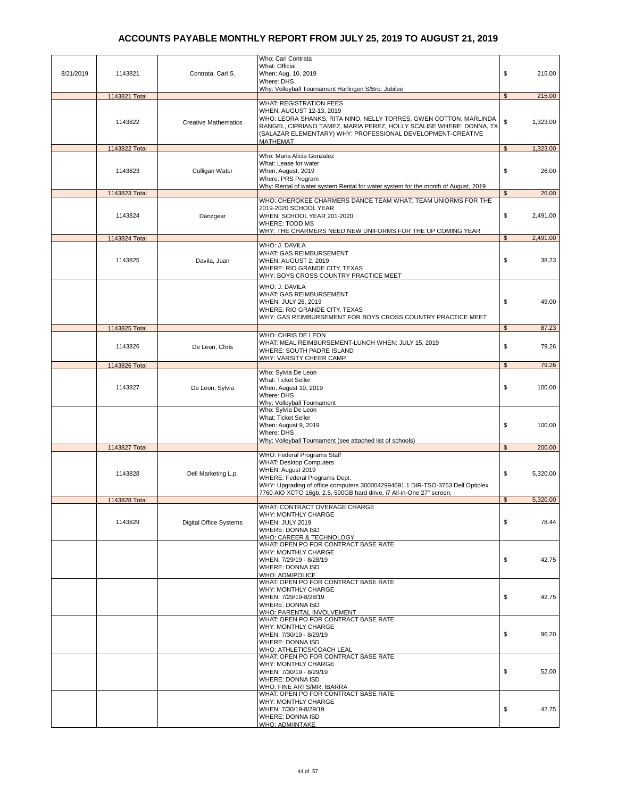|           |               |                               | Who: Carl Contrata                                                                                                                 |                |          |
|-----------|---------------|-------------------------------|------------------------------------------------------------------------------------------------------------------------------------|----------------|----------|
| 8/21/2019 | 1143821       | Contrata, Carl S.             | What: Official<br>When: Aug. 10, 2019                                                                                              | \$             | 215.00   |
|           |               |                               | Where: DHS                                                                                                                         |                |          |
|           |               |                               | Why: Volleyball Tournament Harlingen S/Bro. Jubilee                                                                                |                |          |
|           | 1143821 Total |                               | <b>WHAT: REGISTRATION FEES</b>                                                                                                     | $\mathfrak{s}$ | 215.00   |
|           |               |                               | WHEN: AUGUST 12-13, 2019                                                                                                           |                |          |
|           | 1143822       | <b>Creative Mathematics</b>   | WHO: LEORA SHANKS, RITA NINO, NELLY TORRES, GWEN COTTON, MARLINDA                                                                  | \$             | 1,323.00 |
|           |               |                               | RANGEL, CIPRIANO TAMEZ, MARIA PEREZ, HOLLY SCALISE WHERE: DONNA, TX<br>(SALAZAR ELEMENTARY) WHY: PROFESSIONAL DEVELOPMENT-CREATIVE |                |          |
|           |               |                               | MATHEMAT                                                                                                                           |                |          |
|           | 1143822 Total |                               |                                                                                                                                    | $\mathfrak s$  | 1,323.00 |
|           |               |                               | Who: Maria Alicia Gonzalez<br>What: Lease for water                                                                                |                |          |
|           | 1143823       | Culligan Water                | When: August, 2019                                                                                                                 | \$             | 26.00    |
|           |               |                               | Where: PRS Program                                                                                                                 |                |          |
|           |               |                               | Why: Rental of water system Rental for water system for the month of August, 2019                                                  | $\mathfrak{s}$ | 26.00    |
|           | 1143823 Total |                               | WHO: CHEROKEE CHARMERS DANCE TEAM WHAT: TEAM UNIORMS FOR THE                                                                       |                |          |
|           |               |                               | 2019-2020 SCHOOL YEAR                                                                                                              |                |          |
|           | 1143824       | Danzgear                      | WHEN: SCHOOL YEAR 201-2020                                                                                                         | \$             | 2,491.00 |
|           |               |                               | WHERE: TODD MS<br>WHY: THE CHARMERS NEED NEW UNIFORMS FOR THE UP COMING YEAR                                                       |                |          |
|           | 1143824 Total |                               |                                                                                                                                    | $\mathfrak{s}$ | 2,491.00 |
|           |               |                               | WHO: J. DAVILA                                                                                                                     |                |          |
|           | 1143825       | Davila, Juan                  | WHAT: GAS REIMBURSEMENT<br>WHEN: AUGUST 2, 2019                                                                                    | \$             | 38.23    |
|           |               |                               | WHERE: RIO GRANDE CITY, TEXAS                                                                                                      |                |          |
|           |               |                               | WHY: BOYS CROSS COUNTRY PRACTICE MEET                                                                                              |                |          |
|           |               |                               | WHO: J. DAVILA                                                                                                                     |                |          |
|           |               |                               | WHAT: GAS REIMBURSEMENT                                                                                                            |                |          |
|           |               |                               | WHEN: JULY 26, 2019<br>WHERE: RIO GRANDE CITY, TEXAS                                                                               | \$             | 49.00    |
|           |               |                               | WHY: GAS REIMBURSEMENT FOR BOYS CROSS COUNTRY PRACTICE MEET                                                                        |                |          |
|           | 1143825 Total |                               |                                                                                                                                    | $\mathfrak s$  | 87.23    |
|           |               |                               | WHO: CHRIS DE LEON                                                                                                                 |                |          |
|           | 1143826       | De Leon, Chris                | WHAT: MEAL REIMBURSEMENT-LUNCH WHEN: JULY 15, 2019                                                                                 | \$             | 79.26    |
|           |               |                               | WHERE: SOUTH PADRE ISLAND<br>WHY: VARSITY CHEER CAMP                                                                               |                |          |
|           | 1143826 Total |                               |                                                                                                                                    | \$             | 79.26    |
|           |               |                               | Who: Sylvia De Leon                                                                                                                |                |          |
|           | 1143827       | De Leon, Sylvia               | What: Ticket Seller<br>When: August 10, 2019                                                                                       | \$             | 100.00   |
|           |               |                               | Where: DHS                                                                                                                         |                |          |
|           |               |                               | Why: Volleyball Tournament                                                                                                         |                |          |
|           |               |                               | Who: Sylvia De Leon<br>What: Ticket Seller                                                                                         |                |          |
|           |               |                               | When: August 9, 2019                                                                                                               | \$             | 100.00   |
|           |               |                               | Where: DHS                                                                                                                         |                |          |
|           | 1143827 Total |                               | Why: Volleyball Tournament (see attached list of schools)                                                                          | $\mathbb{S}$   | 200.00   |
|           |               |                               | WHO: Federal Programs Staff                                                                                                        |                |          |
|           |               |                               | <b>WHAT: Desktop Computers</b>                                                                                                     |                |          |
|           | 1143828       | Dell Marketing L.p.           | WHEN: August 2019<br>WHERE: Federal Programs Dept.                                                                                 | \$             | 5,320.00 |
|           |               |                               | WHY: Upgrading of office computers 3000042994691.1 DIR-TSO-3763 Dell Optiplex                                                      |                |          |
|           |               |                               | 7760 AIO XCTO 16gb, 2.5, 500GB hard drive, i7 All-in-One 27" screen,                                                               |                |          |
|           | 1143828 Total |                               |                                                                                                                                    | \$             | 5,320.00 |
|           |               |                               | WHAT: CONTRACT OVERAGE CHARGE<br>WHY: MONTHLY CHARGE                                                                               |                |          |
|           | 1143829       | <b>Digital Office Systems</b> | WHEN: JULY 2019                                                                                                                    | \$             | 78.44    |
|           |               |                               | <b>WHERE: DONNA ISD</b>                                                                                                            |                |          |
|           |               |                               | WHO: CAREER & TECHNOLOGY<br>WHAT: OPEN PO FOR CONTRACT BASE RATE                                                                   |                |          |
|           |               |                               | WHY: MONTHLY CHARGE                                                                                                                |                |          |
|           |               |                               | WHEN: 7/29/19 - 8/28/19                                                                                                            | \$             | 42.75    |
|           |               |                               | <b>WHERE: DONNA ISD</b><br><b>WHO: ADM/POLICE</b>                                                                                  |                |          |
|           |               |                               | WHAT: OPEN PO FOR CONTRACT BASE RATE                                                                                               |                |          |
|           |               |                               | WHY: MONTHLY CHARGE                                                                                                                |                |          |
|           |               |                               | WHEN: 7/29/19-8/28/19<br><b>WHERE: DONNA ISD</b>                                                                                   | \$             | 42.75    |
|           |               |                               | WHO: PARENTAL INVOLVEMENT                                                                                                          |                |          |
|           |               |                               | WHAT: OPEN PO FOR CONTRACT BASE RATE                                                                                               |                |          |
|           |               |                               | WHY: MONTHLY CHARGE<br>WHEN: 7/30/19 - 8/29/19                                                                                     | \$             | 96.20    |
|           |               |                               | <b>WHERE: DONNA ISD</b>                                                                                                            |                |          |
|           |               |                               | WHO: ATHLETICS/COACH LEAL                                                                                                          |                |          |
|           |               |                               | WHAT: OPEN PO FOR CONTRACT BASE RATE                                                                                               |                |          |
|           |               |                               | WHY: MONTHLY CHARGE<br>WHEN: 7/30/19 - 8/29/19                                                                                     | \$             | 52.00    |
|           |               |                               | WHERE: DONNA ISD                                                                                                                   |                |          |
|           |               |                               | <b>WHO: FINE ARTS/MR. IBARRA</b>                                                                                                   |                |          |
|           |               |                               | WHAT: OPEN PO FOR CONTRACT BASE RATE<br>WHY: MONTHLY CHARGE                                                                        |                |          |
|           |               |                               | WHEN: 7/30/19-8/29/19                                                                                                              | \$             | 42.75    |
|           |               |                               | <b>WHERE: DONNA ISD</b>                                                                                                            |                |          |
|           |               |                               | WHO: ADM/INTAKE                                                                                                                    |                |          |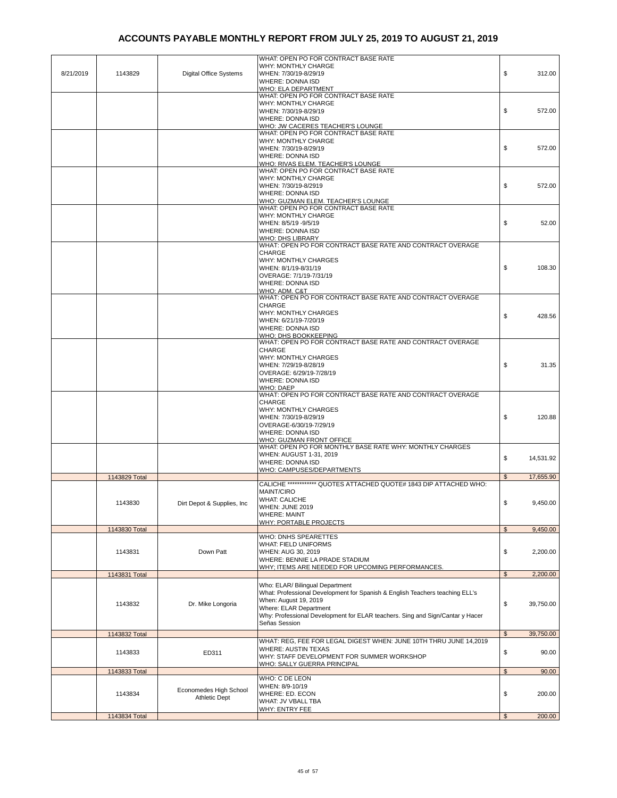|           |               |                               | WHAT: OPEN PO FOR CONTRACT BASE RATE                                                            |                |           |
|-----------|---------------|-------------------------------|-------------------------------------------------------------------------------------------------|----------------|-----------|
|           |               |                               | WHY: MONTHLY CHARGE                                                                             |                |           |
| 8/21/2019 | 1143829       | <b>Digital Office Systems</b> | WHEN: 7/30/19-8/29/19<br><b>WHERE: DONNA ISD</b>                                                | \$             | 312.00    |
|           |               |                               | WHO: ELA DEPARTMENT                                                                             |                |           |
|           |               |                               | WHAT: OPEN PO FOR CONTRACT BASE RATE                                                            |                |           |
|           |               |                               | WHY: MONTHLY CHARGE<br>WHEN: 7/30/19-8/29/19                                                    | \$             | 572.00    |
|           |               |                               | <b>WHERE: DONNA ISD</b>                                                                         |                |           |
|           |               |                               | WHO: JW CACERES TEACHER'S LOUNGE                                                                |                |           |
|           |               |                               | WHAT: OPEN PO FOR CONTRACT BASE RATE                                                            |                |           |
|           |               |                               | WHY: MONTHLY CHARGE<br>WHEN: 7/30/19-8/29/19                                                    | \$             | 572.00    |
|           |               |                               | <b>WHERE: DONNA ISD</b>                                                                         |                |           |
|           |               |                               | WHO: RIVAS ELEM. TEACHER'S LOUNGE                                                               |                |           |
|           |               |                               | WHAT: OPEN PO FOR CONTRACT BASE RATE                                                            |                |           |
|           |               |                               | WHY: MONTHLY CHARGE<br>WHEN: 7/30/19-8/2919                                                     | \$             | 572.00    |
|           |               |                               | <b>WHERE: DONNA ISD</b>                                                                         |                |           |
|           |               |                               | WHO: GUZMAN ELEM. TEACHER'S LOUNGE                                                              |                |           |
|           |               |                               | WHAT: OPEN PO FOR CONTRACT BASE RATE                                                            |                |           |
|           |               |                               | WHY: MONTHLY CHARGE                                                                             | \$             | 52.00     |
|           |               |                               | WHEN: 8/5/19 - 9/5/19<br><b>WHERE: DONNA ISD</b>                                                |                |           |
|           |               |                               | WHO: DHS LIBRARY                                                                                |                |           |
|           |               |                               | WHAT: OPEN PO FOR CONTRACT BASE RATE AND CONTRACT OVERAGE                                       |                |           |
|           |               |                               | <b>CHARGE</b>                                                                                   |                |           |
|           |               |                               | WHY: MONTHLY CHARGES<br>WHEN: 8/1/19-8/31/19                                                    | \$             | 108.30    |
|           |               |                               | OVERAGE: 7/1/19-7/31/19                                                                         |                |           |
|           |               |                               | <b>WHERE: DONNA ISD</b>                                                                         |                |           |
|           |               |                               | WHO: ADM. C&T                                                                                   |                |           |
|           |               |                               | WHAT: OPEN PO FOR CONTRACT BASE RATE AND CONTRACT OVERAGE                                       |                |           |
|           |               |                               | CHARGE<br><b>WHY: MONTHLY CHARGES</b>                                                           |                |           |
|           |               |                               | WHEN: 6/21/19-7/20/19                                                                           | \$             | 428.56    |
|           |               |                               | <b>WHERE: DONNA ISD</b>                                                                         |                |           |
|           |               |                               | WHO: DHS BOOKKEEPING                                                                            |                |           |
|           |               |                               | WHAT: OPEN PO FOR CONTRACT BASE RATE AND CONTRACT OVERAGE                                       |                |           |
|           |               |                               | <b>CHARGE</b><br><b>WHY: MONTHLY CHARGES</b>                                                    |                |           |
|           |               |                               | WHEN: 7/29/19-8/28/19                                                                           | \$             | 31.35     |
|           |               |                               | OVERAGE: 6/29/19-7/28/19                                                                        |                |           |
|           |               |                               | <b>WHERE: DONNA ISD</b>                                                                         |                |           |
|           |               |                               | <b>WHO: DAEP</b><br>WHAT: OPEN PO FOR CONTRACT BASE RATE AND CONTRACT OVERAGE                   |                |           |
|           |               |                               | <b>CHARGE</b>                                                                                   |                |           |
|           |               |                               | WHY: MONTHLY CHARGES                                                                            |                |           |
|           |               |                               | WHEN: 7/30/19-8/29/19                                                                           | \$             | 120.88    |
|           |               |                               | OVERAGE-6/30/19-7/29/19                                                                         |                |           |
|           |               |                               | WHERE: DONNA ISD<br><b>WHO: GUZMAN FRONT OFFICE</b>                                             |                |           |
|           |               |                               | WHAT: OPEN PO FOR MONTHLY BASE RATE WHY: MONTHLY CHARGES                                        |                |           |
|           |               |                               | WHEN: AUGUST 1-31, 2019                                                                         | \$             | 14,531.92 |
|           |               |                               | <b>WHERE: DONNA ISD</b>                                                                         |                |           |
|           |               |                               | WHO: CAMPUSES/DEPARTMENTS                                                                       | \$             | 17,655.90 |
|           | 1143829 Total |                               | CALICHE ************* QUOTES ATTACHED QUOTE# 1843 DIP ATTACHED WHO:                             |                |           |
|           |               |                               | <b>MAINT/CIRO</b>                                                                               |                |           |
|           | 1143830       | Dirt Depot & Supplies, Inc.   | <b>WHAT: CALICHE</b>                                                                            | \$             | 9,450.00  |
|           |               |                               | WHEN: JUNE 2019                                                                                 |                |           |
|           |               |                               | <b>WHERE: MAINT</b>                                                                             |                |           |
|           | 1143830 Total |                               | <b>WHY: PORTABLE PROJECTS</b>                                                                   | $\mathfrak{s}$ | 9,450.00  |
|           |               |                               | WHO: DNHS SPEARETTES                                                                            |                |           |
|           |               |                               | <b>WHAT: FIELD UNIFORMS</b>                                                                     |                |           |
|           | 1143831       | Down Patt                     | WHEN: AUG 30, 2019                                                                              | \$             | 2,200.00  |
|           |               |                               | WHERE: BENNIE LA PRADE STADIUM                                                                  |                |           |
|           | 1143831 Total |                               | WHY; ITEMS ARE NEEDED FOR UPCOMING PERFORMANCES.                                                | $\mathfrak{S}$ | 2,200.00  |
|           |               |                               | Who: ELAR/ Bilingual Department                                                                 |                |           |
|           |               |                               | What: Professional Development for Spanish & English Teachers teaching ELL's                    |                |           |
|           |               |                               | When: August 19, 2019                                                                           |                |           |
|           | 1143832       | Dr. Mike Longoria             | Where: ELAR Department                                                                          | \$             | 39,750.00 |
|           |               |                               | Why: Professional Development for ELAR teachers. Sing and Sign/Cantar y Hacer                   |                |           |
|           |               |                               | Señas Session                                                                                   |                |           |
|           | 1143832 Total |                               |                                                                                                 | $\mathfrak{s}$ | 39,750.00 |
|           |               |                               | WHAT: REG, FEE FOR LEGAL DIGEST WHEN: JUNE 10TH THRU JUNE 14,2019<br><b>WHERE: AUSTIN TEXAS</b> |                |           |
|           | 1143833       | ED311                         | WHY: STAFF DEVELOPMENT FOR SUMMER WORKSHOP                                                      | \$             | 90.00     |
|           |               |                               | WHO: SALLY GUERRA PRINCIPAL                                                                     |                |           |
|           | 1143833 Total |                               |                                                                                                 | $\mathfrak{S}$ | 90.00     |
|           |               |                               | WHO: C DE LEON                                                                                  |                |           |
|           | 1143834       | Economedes High School        | WHEN: 8/9-10/19<br>WHERE: ED. ECON                                                              | \$             | 200.00    |
|           |               | <b>Athletic Dept</b>          | WHAT: JV VBALL TBA                                                                              |                |           |
|           |               |                               | WHY: ENTRY FEE                                                                                  |                |           |
|           | 1143834 Total |                               |                                                                                                 | $\mathfrak{s}$ | 200.00    |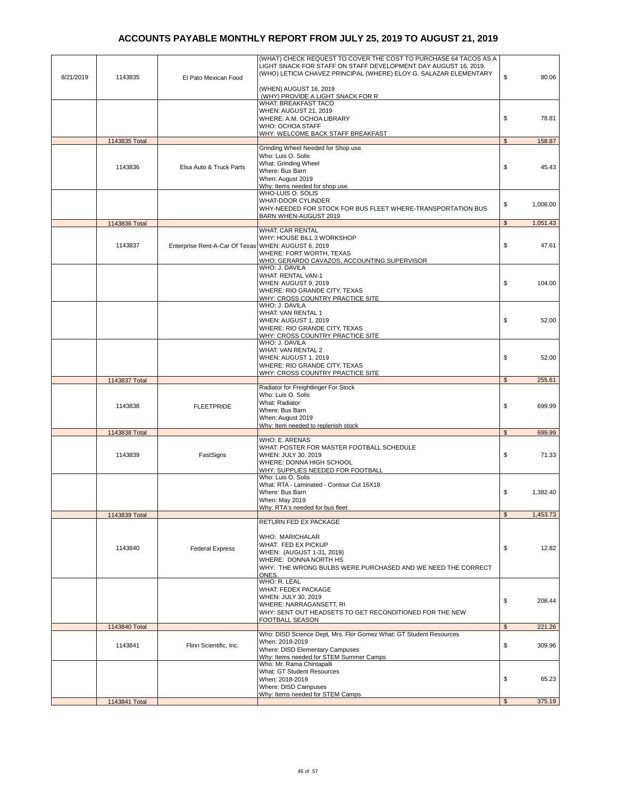| 8/21/2019 | 1143835       | El Pato Mexican Food                                | (WHAT) CHECK REQUEST TO COVER THE COST TO PURCHASE 64 TACOS AS A<br>LIGHT SNACK FOR STAFF ON STAFF DEVELOPMENT DAY AUGUST 16, 2019.<br>(WHO) LETICIA CHAVEZ PRINCIPAL (WHERE) ELOY G. SALAZAR ELEMENTARY | \$             | 80.06    |
|-----------|---------------|-----------------------------------------------------|----------------------------------------------------------------------------------------------------------------------------------------------------------------------------------------------------------|----------------|----------|
|           |               |                                                     | (WHEN) AUGUST 16, 2019                                                                                                                                                                                   |                |          |
|           |               |                                                     | (WHY) PROVIDE A LIGHT SNACK FOR R<br>WHAT: BREAKFAST TACO                                                                                                                                                |                |          |
|           |               |                                                     | WHEN: AUGUST 21, 2019                                                                                                                                                                                    |                |          |
|           |               |                                                     | WHERE: A.M. OCHOA LIBRARY<br>WHO: OCHOA STAFF                                                                                                                                                            | \$             | 78.81    |
|           |               |                                                     | WHY: WELCOME BACK STAFF BREAKFAST                                                                                                                                                                        |                |          |
|           | 1143835 Total |                                                     |                                                                                                                                                                                                          | $\mathfrak{s}$ | 158.87   |
|           |               |                                                     | Grinding Wheel Needed for Shop use.                                                                                                                                                                      |                |          |
|           |               |                                                     | Who: Luis O. Solis<br>What: Grinding Wheel                                                                                                                                                               |                |          |
|           | 1143836       | Elsa Auto & Truck Parts                             | Where: Bus Barn                                                                                                                                                                                          | \$             | 45.43    |
|           |               |                                                     | When: August 2019                                                                                                                                                                                        |                |          |
|           |               |                                                     | Why: Items needed for shop use.<br>WHO-LUIS O. SOLIS                                                                                                                                                     |                |          |
|           |               |                                                     | <b>WHAT-DOOR CYLINDER</b>                                                                                                                                                                                |                |          |
|           |               |                                                     | WHY-NEEDED FOR STOCK FOR BUS FLEET WHERE-TRANSPORTATION BUS                                                                                                                                              | \$             | 1,006.00 |
|           | 1143836 Total |                                                     | BARN WHEN-AUGUST 2019                                                                                                                                                                                    | $\mathfrak s$  | 1,051.43 |
|           |               |                                                     | <b>WHAT: CAR RENTAL</b>                                                                                                                                                                                  |                |          |
|           |               |                                                     | WHY: HOUSE BILL 3 WORKSHOP                                                                                                                                                                               |                |          |
|           | 1143837       | Enterprise Rent-A-Car Of Texas WHEN: AUGUST 6, 2019 |                                                                                                                                                                                                          | \$             | 47.61    |
|           |               |                                                     | WHERE: FORT WORTH, TEXAS<br>WHO: GERARDO CAVAZOS, ACCOUNTING SUPERVISOR                                                                                                                                  |                |          |
|           |               |                                                     | WHO: J. DAVILA                                                                                                                                                                                           |                |          |
|           |               |                                                     | WHAT: RENTAL VAN-1                                                                                                                                                                                       |                |          |
|           |               |                                                     | WHEN: AUGUST 9, 2019                                                                                                                                                                                     | \$             | 104.00   |
|           |               |                                                     | WHERE: RIO GRANDE CITY, TEXAS<br><b>WHY: CROSS COUNTRY PRACTICE SITE</b>                                                                                                                                 |                |          |
|           |               |                                                     | WHO: J. DAVILA                                                                                                                                                                                           |                |          |
|           |               |                                                     | WHAT: VAN RENTAL 1                                                                                                                                                                                       |                |          |
|           |               |                                                     | WHEN: AUGUST 1, 2019                                                                                                                                                                                     | \$             | 52.00    |
|           |               |                                                     | WHERE: RIO GRANDE CITY, TEXAS<br>WHY: CROSS COUNTRY PRACTICE SITE                                                                                                                                        |                |          |
|           |               |                                                     | WHO: J. DAVILA                                                                                                                                                                                           |                |          |
|           |               |                                                     | WHAT: VAN RENTAL 2                                                                                                                                                                                       |                |          |
|           |               |                                                     | WHEN: AUGUST 1, 2019                                                                                                                                                                                     | \$             | 52.00    |
|           |               |                                                     | WHERE: RIO GRANDE CITY, TEXAS<br>WHY: CROSS COUNTRY PRACTICE SITE                                                                                                                                        |                |          |
|           | 1143837 Total |                                                     |                                                                                                                                                                                                          | $\mathfrak s$  | 255.61   |
|           |               |                                                     | Radiator for Freightlinger For Stock                                                                                                                                                                     |                |          |
|           |               |                                                     | Who: Luis O. Solis<br>What: Radiator                                                                                                                                                                     |                |          |
|           | 1143838       | <b>FLEETPRIDE</b>                                   | Where: Bus Barn                                                                                                                                                                                          | \$             | 699.99   |
|           |               |                                                     | When: August 2019                                                                                                                                                                                        |                |          |
|           |               |                                                     | Why: Item needed to replenish stock                                                                                                                                                                      |                |          |
|           | 1143838 Total |                                                     | WHO: E. ARENAS                                                                                                                                                                                           | \$             | 699.99   |
|           |               |                                                     | WHAT: POSTER FOR MASTER FOOTBALL SCHEDULE                                                                                                                                                                |                |          |
|           | 1143839       | FastSigns                                           | WHEN: JULY 30, 2019                                                                                                                                                                                      | \$             | 71.33    |
|           |               |                                                     | WHERE: DONNA HIGH SCHOOL<br>WHY: SUPPLIES NEEDED FOR FOOTBALL                                                                                                                                            |                |          |
|           |               |                                                     | Who: Luis O. Solis                                                                                                                                                                                       |                |          |
|           |               |                                                     | What: RTA - Laminated - Contour Cut 16X18                                                                                                                                                                |                |          |
|           |               |                                                     | Where: Bus Barn                                                                                                                                                                                          | \$             | 1,382.40 |
|           |               |                                                     | When: May 2019<br>Why: RTA's needed for bus fleet                                                                                                                                                        |                |          |
|           | 1143839 Total |                                                     |                                                                                                                                                                                                          | \$             | 1,453.73 |
|           |               |                                                     | RETURN FED EX PACKAGE                                                                                                                                                                                    |                |          |
|           |               |                                                     | WHO: MARICHALAR                                                                                                                                                                                          |                |          |
|           |               |                                                     | WHAT: FED EX PICKUP                                                                                                                                                                                      |                |          |
|           | 1143840       | <b>Federal Express</b>                              | WHEN: (AUGUST 1-31, 2019)                                                                                                                                                                                | \$             | 12.82    |
|           |               |                                                     | WHERE: DONNA NORTH HS                                                                                                                                                                                    |                |          |
|           |               |                                                     | WHY: THE WRONG BULBS WERE PURCHASED AND WE NEED THE CORRECT<br>ONES.                                                                                                                                     |                |          |
|           |               |                                                     | WHO: R. LEAL                                                                                                                                                                                             |                |          |
|           |               |                                                     | <b>WHAT: FEDEX PACKAGE</b>                                                                                                                                                                               |                |          |
|           |               |                                                     | WHEN: JULY 30, 2019                                                                                                                                                                                      | \$             | 208.44   |
|           |               |                                                     | WHERE: NARRAGANSETT, RI<br>WHY: SENT OUT HEADSETS TO GET RECONDITIONED FOR THE NEW                                                                                                                       |                |          |
|           |               |                                                     | FOOTBALL SEASON                                                                                                                                                                                          |                |          |
|           | 1143840 Total |                                                     |                                                                                                                                                                                                          | $\mathfrak{S}$ | 221.26   |
|           |               |                                                     | Who: DISD Science Dept, Mrs. Flor Gomez What: GT Student Resources<br>When: 2018-2019                                                                                                                    |                |          |
|           | 1143841       | Flinn Scientific, Inc.                              | Where: DISD Elementary Campuses                                                                                                                                                                          | \$             | 309.96   |
|           |               |                                                     | Why: Items needed for STEM Summer Camps                                                                                                                                                                  |                |          |
|           |               |                                                     |                                                                                                                                                                                                          |                |          |
|           |               |                                                     | Who: Mr. Rama Chintapalli                                                                                                                                                                                |                |          |
|           |               |                                                     | What: GT Student Resources                                                                                                                                                                               |                |          |
|           |               |                                                     | When: 2018-2019<br>Where: DISD Campuses                                                                                                                                                                  | \$             | 65.23    |
|           | 1143841 Total |                                                     | Why: Items needed for STEM Camps                                                                                                                                                                         | $\mathfrak{s}$ | 375.19   |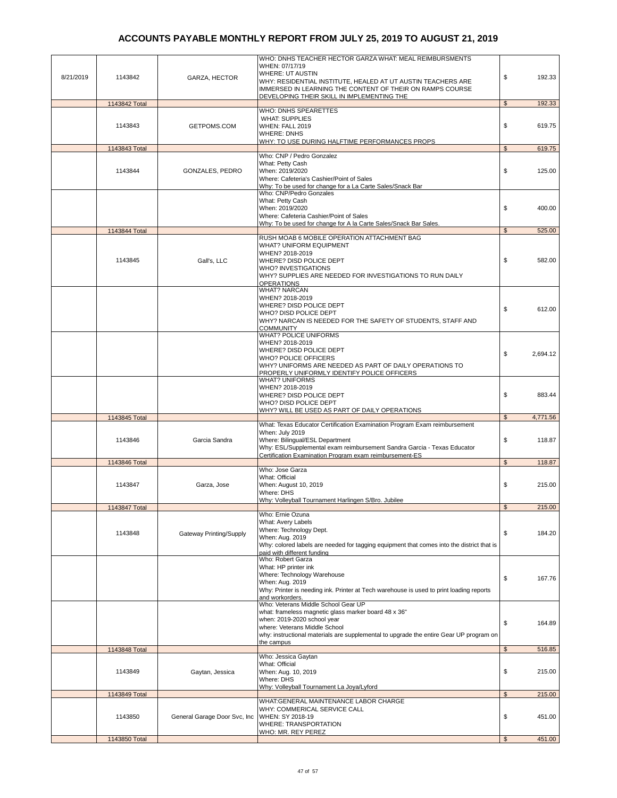| 8/21/2019 | 1143842       | GARZA, HECTOR                | WHO: DNHS TEACHER HECTOR GARZA WHAT: MEAL REIMBURSMENTS<br>WHEN: 07/17/19<br><b>WHERE: UT AUSTIN</b><br>WHY: RESIDENTIAL INSTITUTE, HEALED AT UT AUSTIN TEACHERS ARE<br>IMMERSED IN LEARNING THE CONTENT OF THEIR ON RAMPS COURSE | \$             | 192.33   |
|-----------|---------------|------------------------------|-----------------------------------------------------------------------------------------------------------------------------------------------------------------------------------------------------------------------------------|----------------|----------|
|           | 1143842 Total |                              | DEVELOPING THEIR SKILL IN IMPLEMENTING THE                                                                                                                                                                                        | $\mathfrak{s}$ | 192.33   |
|           |               |                              | WHO: DNHS SPEARETTES                                                                                                                                                                                                              |                |          |
|           | 1143843       | GETPOMS.COM                  | <b>WHAT: SUPPLIES</b><br>WHEN: FALL 2019<br><b>WHERE: DNHS</b>                                                                                                                                                                    | \$             | 619.75   |
|           |               |                              | WHY: TO USE DURING HALFTIME PERFORMANCES PROPS                                                                                                                                                                                    |                |          |
|           | 1143843 Total |                              | Who: CNP / Pedro Gonzalez                                                                                                                                                                                                         | \$             | 619.75   |
|           |               |                              | What: Petty Cash                                                                                                                                                                                                                  |                |          |
|           | 1143844       | <b>GONZALES, PEDRO</b>       | When: 2019/2020<br>Where: Cafeteria's Cashier/Point of Sales                                                                                                                                                                      | \$             | 125.00   |
|           |               |                              | Why: To be used for change for a La Carte Sales/Snack Bar                                                                                                                                                                         |                |          |
|           |               |                              | Who: CNP/Pedro Gonzales                                                                                                                                                                                                           |                |          |
|           |               |                              | What: Petty Cash<br>When: 2019/2020                                                                                                                                                                                               | \$             | 400.00   |
|           |               |                              | Where: Cafeteria Cashier/Point of Sales                                                                                                                                                                                           |                |          |
|           |               |                              | Why: To be used for change for A la Carte Sales/Snack Bar Sales.                                                                                                                                                                  |                |          |
|           | 1143844 Total |                              | RUSH MOAB 6 MOBILE OPERATION ATTACHMENT BAG                                                                                                                                                                                       | $\mathfrak{s}$ | 525.00   |
|           |               |                              | WHAT? UNIFORM EQUIPMENT                                                                                                                                                                                                           |                |          |
|           |               |                              | WHEN? 2018-2019                                                                                                                                                                                                                   |                |          |
|           | 1143845       | Gall's, LLC                  | WHERE? DISD POLICE DEPT<br><b>WHO? INVESTIGATIONS</b>                                                                                                                                                                             | \$             | 582.00   |
|           |               |                              | WHY? SUPPLIES ARE NEEDED FOR INVESTIGATIONS TO RUN DAILY                                                                                                                                                                          |                |          |
|           |               |                              | <b>OPERATIONS</b>                                                                                                                                                                                                                 |                |          |
|           |               |                              | <b>WHAT? NARCAN</b><br>WHEN? 2018-2019                                                                                                                                                                                            |                |          |
|           |               |                              | WHERE? DISD POLICE DEPT                                                                                                                                                                                                           |                |          |
|           |               |                              | WHO? DISD POLICE DEPT                                                                                                                                                                                                             | \$             | 612.00   |
|           |               |                              | WHY? NARCAN IS NEEDED FOR THE SAFETY OF STUDENTS, STAFF AND                                                                                                                                                                       |                |          |
|           |               |                              | <b>COMMUNITY</b><br><b>WHAT? POLICE UNIFORMS</b>                                                                                                                                                                                  |                |          |
|           |               |                              | WHEN? 2018-2019                                                                                                                                                                                                                   |                |          |
|           |               |                              | WHERE? DISD POLICE DEPT                                                                                                                                                                                                           | \$             | 2,694.12 |
|           |               |                              | <b>WHO? POLICE OFFICERS</b><br>WHY? UNIFORMS ARE NEEDED AS PART OF DAILY OPERATIONS TO                                                                                                                                            |                |          |
|           |               |                              | PROPERLY UNIFORMLY IDENTIFY POLICE OFFICERS                                                                                                                                                                                       |                |          |
|           |               |                              | <b>WHAT? UNIFORMS</b>                                                                                                                                                                                                             |                |          |
|           |               |                              | WHEN? 2018-2019<br>WHERE? DISD POLICE DEPT                                                                                                                                                                                        | \$             | 883.44   |
|           |               |                              | WHO? DISD POLICE DEPT                                                                                                                                                                                                             |                |          |
|           |               |                              | WHY? WILL BE USED AS PART OF DAILY OPERATIONS                                                                                                                                                                                     |                |          |
|           | 1143845 Total |                              | What: Texas Educator Certification Examination Program Exam reimbursement                                                                                                                                                         | $\mathfrak{S}$ | 4,771.56 |
|           |               |                              | When: July 2019                                                                                                                                                                                                                   |                |          |
|           | 1143846       | Garcia Sandra                | Where: Bilingual/ESL Department                                                                                                                                                                                                   | \$             | 118.87   |
|           |               |                              | Why: ESL/Supplemental exam reimbursement Sandra Garcia - Texas Educator<br>Certification Examination Program exam reimbursement-ES                                                                                                |                |          |
|           | 1143846 Total |                              |                                                                                                                                                                                                                                   | \$             | 118.87   |
|           |               |                              | Who: Jose Garza                                                                                                                                                                                                                   |                |          |
|           |               |                              | What: Official                                                                                                                                                                                                                    |                |          |
|           | 1143847       | Garza, Jose                  | When: August 10, 2019<br>Where: DHS                                                                                                                                                                                               | \$             | 215.00   |
|           |               |                              | Why: Volleyball Tournament Harlingen S/Bro. Jubilee                                                                                                                                                                               |                |          |
|           | 1143847 Total |                              |                                                                                                                                                                                                                                   | \$             | 215.00   |
|           |               |                              | Who: Ernie Ozuna<br>What: Avery Labels                                                                                                                                                                                            |                |          |
|           |               |                              | Where: Technology Dept.                                                                                                                                                                                                           | \$             |          |
|           | 1143848       | Gateway Printing/Supply      | When: Aug. 2019                                                                                                                                                                                                                   |                | 184.20   |
|           |               |                              | Why: colored labels are needed for tagging equipment that comes into the district that is<br>paid with different funding                                                                                                          |                |          |
|           |               |                              | Who: Robert Garza                                                                                                                                                                                                                 |                |          |
|           |               |                              | What: HP printer ink                                                                                                                                                                                                              |                |          |
|           |               |                              | Where: Technology Warehouse<br>When: Aug. 2019                                                                                                                                                                                    | \$             | 167.76   |
|           |               |                              | Why: Printer is needing ink. Printer at Tech warehouse is used to print loading reports                                                                                                                                           |                |          |
|           |               |                              | and workorders.                                                                                                                                                                                                                   |                |          |
|           |               |                              | Who: Veterans Middle School Gear UP                                                                                                                                                                                               |                |          |
|           |               |                              | what: frameless magnetic glass marker board 48 x 36"<br>when: 2019-2020 school year                                                                                                                                               |                |          |
|           |               |                              | where: Veterans Middle School                                                                                                                                                                                                     | \$             | 164.89   |
|           |               |                              | why: instructional materials are supplemental to upgrade the entire Gear UP program on<br>the campus                                                                                                                              |                |          |
|           | 1143848 Total |                              |                                                                                                                                                                                                                                   | \$             | 516.85   |
|           |               |                              | Who: Jessica Gaytan                                                                                                                                                                                                               |                |          |
|           |               |                              | What: Official                                                                                                                                                                                                                    | \$             |          |
|           | 1143849       | Gaytan, Jessica              | When: Aug. 10, 2019<br>Where: DHS                                                                                                                                                                                                 |                | 215.00   |
|           |               |                              | Why: Volleyball Tournament La Joya/Lyford                                                                                                                                                                                         |                |          |
|           | 1143849 Total |                              |                                                                                                                                                                                                                                   | \$             | 215.00   |
|           |               |                              | WHAT:GENERAL MAINTENANCE LABOR CHARGE<br>WHY: COMMERICAL SERVICE CALL                                                                                                                                                             |                |          |
|           | 1143850       | General Garage Door Svc, Inc | WHEN: SY 2018-19                                                                                                                                                                                                                  | \$             | 451.00   |
|           |               |                              | WHERE: TRANSPORTATION                                                                                                                                                                                                             |                |          |
|           | 1143850 Total |                              | WHO: MR. REY PEREZ                                                                                                                                                                                                                | \$             | 451.00   |
|           |               |                              |                                                                                                                                                                                                                                   |                |          |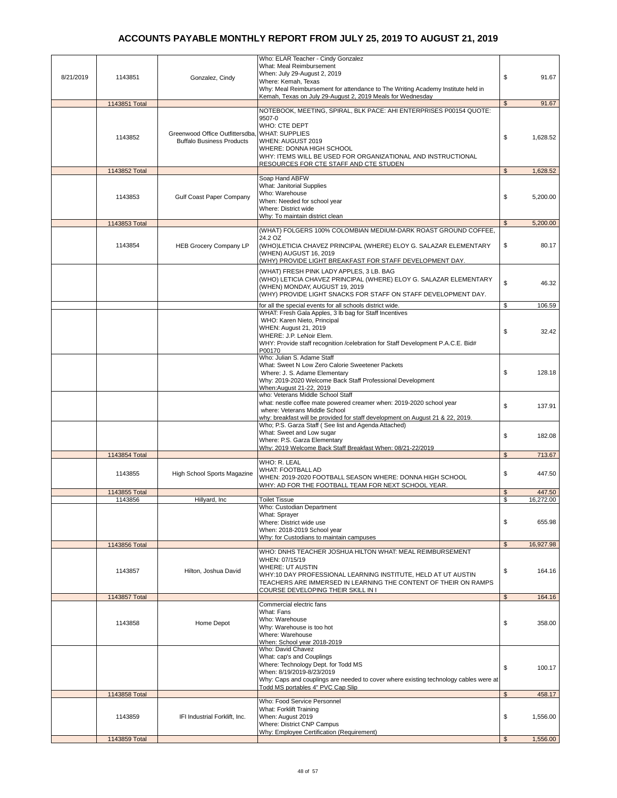| 8/21/2019 | 1143851       | Gonzalez, Cindy                                                                    | Who: ELAR Teacher - Cindy Gonzalez<br>What: Meal Reimbursement<br>When: July 29-August 2, 2019<br>Where: Kemah, Texas<br>Why: Meal Reimbursement for attendance to The Writing Academy Institute held in<br>Kemah, Texas on July 29-August 2, 2019 Meals for Wednesday | \$             | 91.67     |
|-----------|---------------|------------------------------------------------------------------------------------|------------------------------------------------------------------------------------------------------------------------------------------------------------------------------------------------------------------------------------------------------------------------|----------------|-----------|
|           | 1143851 Total |                                                                                    |                                                                                                                                                                                                                                                                        | $\mathfrak{L}$ | 91.67     |
|           | 1143852       | Greenwood Office Outfittersdba, WHAT: SUPPLIES<br><b>Buffalo Business Products</b> | NOTEBOOK, MEETING, SPIRAL, BLK PACE: AHI ENTERPRISES P00154 QUOTE:<br>9507-0<br>WHO: CTE DEPT<br>WHEN: AUGUST 2019<br>WHERE: DONNA HIGH SCHOOL<br>WHY: ITEMS WILL BE USED FOR ORGANIZATIONAL AND INSTRUCTIONAL<br>RESOURCES FOR CTE STAFF AND CTE STUDEN               | \$             | 1,628.52  |
|           | 1143852 Total |                                                                                    |                                                                                                                                                                                                                                                                        | $\mathfrak{s}$ | 1,628.52  |
|           | 1143853       | Gulf Coast Paper Company                                                           | Soap Hand ABFW<br>What: Janitorial Supplies<br>Who: Warehouse<br>When: Needed for school year<br>Where: District wide<br>Why: To maintain district clean                                                                                                               | \$             | 5,200.00  |
|           | 1143853 Total |                                                                                    |                                                                                                                                                                                                                                                                        | $\mathbf{s}$   | 5,200.00  |
|           | 1143854       | <b>HEB Grocery Company LP</b>                                                      | (WHAT) FOLGERS 100% COLOMBIAN MEDIUM-DARK ROAST GROUND COFFEE,<br>24.2 OZ<br>(WHO)LETICIA CHAVEZ PRINCIPAL (WHERE) ELOY G. SALAZAR ELEMENTARY<br>(WHEN) AUGUST 16, 2019<br>(WHY) PROVIDE LIGHT BREAKFAST FOR STAFF DEVELOPMENT DAY.                                    | \$             | 80.17     |
|           |               |                                                                                    | (WHAT) FRESH PINK LADY APPLES, 3 LB. BAG<br>(WHO) LETICIA CHAVEZ PRINCIPAL (WHERE) ELOY G. SALAZAR ELEMENTARY<br>(WHEN) MONDAY, AUGUST 19, 2019<br>(WHY) PROVIDE LIGHT SNACKS FOR STAFF ON STAFF DEVELOPMENT DAY.                                                      | \$             | 46.32     |
|           |               |                                                                                    | for all the special events for all schools district wide.                                                                                                                                                                                                              | \$             | 106.59    |
|           |               |                                                                                    | WHAT: Fresh Gala Apples, 3 lb bag for Staff Incentives<br>WHO: Karen Nieto, Principal<br>WHEN: August 21, 2019<br>WHERE: J.P. LeNoir Elem.<br>WHY: Provide staff recognition /celebration for Staff Development P.A.C.E. Bid#<br>P00170                                | \$             | 32.42     |
|           |               |                                                                                    | Who: Julian S. Adame Staff<br>What: Sweet N Low Zero Calorie Sweetener Packets<br>Where: J. S. Adame Elementary<br>Why: 2019-2020 Welcome Back Staff Professional Development<br>When:August 21-22, 2019                                                               | \$             | 128.18    |
|           |               |                                                                                    | who: Veterans Middle School Staff<br>what: nestle coffee mate powered creamer when: 2019-2020 school year<br>where: Veterans Middle School<br>why: breakfast will be provided for staff development on August 21 & 22, 2019.                                           | \$             | 137.91    |
|           |               |                                                                                    | Who; P.S. Garza Staff (See list and Agenda Attached)<br>What: Sweet and Low sugar<br>Where: P.S. Garza Elementary<br>Why: 2019 Welcome Back Staff Breakfast When: 08/21-22/2019                                                                                        | \$             | 182.08    |
|           | 1143854 Total |                                                                                    |                                                                                                                                                                                                                                                                        | \$             | 713.67    |
|           | 1143855       | High School Sports Magazine                                                        | WHO: R. LEAL<br><b>WHAT: FOOTBALL AD</b><br>WHEN: 2019-2020 FOOTBALL SEASON WHERE: DONNA HIGH SCHOOL<br>WHY: AD FOR THE FOOTBALL TEAM FOR NEXT SCHOOL YEAR.                                                                                                            | \$             | 447.50    |
|           | 1143855 Total |                                                                                    |                                                                                                                                                                                                                                                                        | \$             | 447.50    |
|           | 1143856       | Hillyard, Inc.                                                                     | <b>Toilet Tissue</b><br>Who: Custodian Department                                                                                                                                                                                                                      | \$             | 16,272.00 |
|           |               |                                                                                    | What: Sprayer<br>Where: District wide use<br>When: 2018-2019 School year<br>Why: for Custodians to maintain campuses                                                                                                                                                   | \$             | 655.98    |
|           | 1143856 Total |                                                                                    | WHO: DNHS TEACHER JOSHUA HILTON WHAT: MEAL REIMBURSEMENT                                                                                                                                                                                                               | $\mathfrak{S}$ | 16,927.98 |
|           | 1143857       | Hilton, Joshua David                                                               | WHEN: 07/15/19<br><b>WHERE: UT AUSTIN</b><br>WHY:10 DAY PROFESSIONAL LEARNING INSTITUTE, HELD AT UT AUSTIN<br>TEACHERS ARE IMMERSED IN LEARNING THE CONTENT OF THEIR ON RAMPS<br>COURSE DEVELOPING THEIR SKILL IN I                                                    | \$             | 164.16    |
|           | 1143857 Total |                                                                                    |                                                                                                                                                                                                                                                                        | $\mathfrak{L}$ | 164.16    |
|           | 1143858       | Home Depot                                                                         | Commercial electric fans<br>What: Fans<br>Who: Warehouse<br>Why: Warehouse is too hot<br>Where: Warehouse<br>When: School year 2018-2019                                                                                                                               | \$             | 358.00    |
|           |               |                                                                                    | Who: David Chavez<br>What: cap's and Couplings<br>Where: Technology Dept. for Todd MS<br>When: 8/19/2019-8/23/2019<br>Why: Caps and couplings are needed to cover where existing technology cables were at<br>Todd MS portables 4" PVC Cap Slip                        | \$             | 100.17    |
|           | 1143858 Total |                                                                                    |                                                                                                                                                                                                                                                                        | $\mathfrak{s}$ | 458.17    |
|           | 1143859       | IFI Industrial Forklift, Inc.                                                      | Who: Food Service Personnel<br><b>What: Forklift Training</b><br>When: August 2019<br>Where: District CNP Campus<br>Why: Employee Certification (Requirement)                                                                                                          | \$             | 1,556.00  |
|           | 1143859 Total |                                                                                    |                                                                                                                                                                                                                                                                        | $\mathfrak{L}$ | 1,556.00  |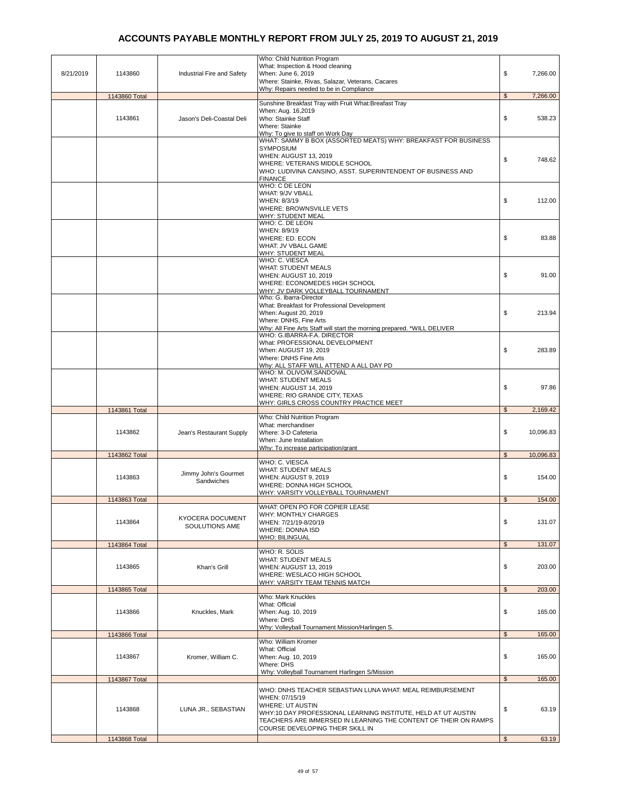| 8/21/2019 | 1143860       | Industrial Fire and Safety                | Who: Child Nutrition Program<br>What: Inspection & Hood cleaning<br>When: June 6, 2019<br>Where: Stainke, Rivas, Salazar, Veterans, Cacares                                                                       | \$             | 7,266.00  |
|-----------|---------------|-------------------------------------------|-------------------------------------------------------------------------------------------------------------------------------------------------------------------------------------------------------------------|----------------|-----------|
|           | 1143860 Total |                                           | Why: Repairs needed to be in Compliance                                                                                                                                                                           | $\mathfrak s$  | 7,266.00  |
|           | 1143861       | Jason's Deli-Coastal Deli                 | Sunshine Breakfast Tray with Fruit What: Breafast Tray<br>When: Aug. 16,2019<br>Who: Stainke Staff                                                                                                                | \$             | 538.23    |
|           |               |                                           | Where: Stainke<br>Why: To give to staff on Work Day<br>WHAT: SAMMY B BOX (ASSORTED MEATS) WHY: BREAKFAST FOR BUSINESS                                                                                             |                |           |
|           |               |                                           | <b>SYMPOSIUM</b><br>WHEN: AUGUST 13, 2019<br>WHERE: VETERANS MIDDLE SCHOOL<br>WHO: LUDIVINA CANSINO, ASST. SUPERINTENDENT OF BUSINESS AND                                                                         | \$             | 748.62    |
|           |               |                                           | <b>FINANCE</b><br>WHO: C DE LEON<br>WHAT: 9/JV VBALL<br>WHEN: 8/3/19<br>WHERE: BROWNSVILLE VETS<br><u> WHY: STUDENT MEAL</u>                                                                                      | \$             | 112.00    |
|           |               |                                           | WHO: C. DE LEON<br>WHEN: 8/9/19<br>WHERE: ED. ECON<br>WHAT: JV VBALL GAME<br>WHY: STUDENT MEAL                                                                                                                    | \$             | 83.88     |
|           |               |                                           | WHO: C. VIESCA<br><b>WHAT: STUDENT MEALS</b><br><b>WHEN: AUGUST 10, 2019</b><br>WHERE: ECONOMEDES HIGH SCHOOL<br>WHY: JV DARK VOLLEYBALL TOURNAMENT                                                               | \$             | 91.00     |
|           |               |                                           | Who: G. Ibarra-Director<br>What: Breakfast for Professional Development<br>When: August 20, 2019<br>Where: DNHS, Fine Arts<br>Why: All Fine Arts Staff will start the morning prepared. *WILL DELIVER             | \$             | 213.94    |
|           |               |                                           | WHO: G.IBARRA-F.A. DIRECTOR<br>What: PROFESSIONAL DEVELOPMENT<br>When: AUGUST 19, 2019<br>Where: DNHS Fine Arts<br>Why: ALL STAFF WILL ATTEND A ALL DAY PD                                                        | \$             | 283.89    |
|           |               |                                           | WHO: M. OLIVO/M.SANDOVAL<br><b>WHAT: STUDENT MEALS</b><br>WHEN: AUGUST 14, 2019<br>WHERE: RIO GRANDE CITY, TEXAS<br>WHY: GIRLS CROSS COUNTRY PRACTICE MEET                                                        | \$             | 97.86     |
|           | 1143861 Total |                                           |                                                                                                                                                                                                                   | $\mathfrak s$  | 2,169.42  |
|           | 1143862       | Jean's Restaurant Supply                  | Who: Child Nutrition Program<br>What: merchandiser<br>Where: 3-D Cafeteria<br>When: June Installation<br>Why: To increase participation/grant                                                                     | \$             | 10,096.83 |
|           | 1143862 Total |                                           |                                                                                                                                                                                                                   | \$             | 10,096.83 |
|           | 1143863       | Jimmy John's Gourmet<br>Sandwiches        | WHO: C. VIESCA<br><b>WHAT: STUDENT MEALS</b><br>WHEN: AUGUST 9, 2019<br>WHERE: DONNA HIGH SCHOOL<br>WHY: VARSITY VOLLEYBALL TOURNAMENT                                                                            | \$             | 154.00    |
|           | 1143863 Total |                                           |                                                                                                                                                                                                                   | $\mathfrak{L}$ | 154.00    |
|           | 1143864       | <b>KYOCERA DOCUMENT</b><br>SOULUTIONS AME | WHAT: OPEN PO FOR COPIER LEASE<br>WHY: MONTHLY CHARGES<br>WHEN: 7/21/19-8/20/19<br>WHERE: DONNA ISD<br>WHO: BILINGUAL                                                                                             | \$             | 131.07    |
|           | 1143864 Total |                                           |                                                                                                                                                                                                                   | $\mathfrak{S}$ | 131.07    |
|           | 1143865       | Khan's Grill                              | WHO: R. SOLIS<br><b>WHAT: STUDENT MEALS</b><br>WHEN: AUGUST 13, 2019<br>WHERE: WESLACO HIGH SCHOOL<br>WHY: VARSITY TEAM TENNIS MATCH                                                                              | \$             | 203.00    |
|           | 1143865 Total |                                           |                                                                                                                                                                                                                   | $\mathfrak{s}$ | 203.00    |
|           | 1143866       | Knuckles, Mark                            | Who: Mark Knuckles<br>What: Official<br>When: Aug. 10, 2019<br>Where: DHS<br>Why: Volleyball Tournament Mission/Harlingen S.                                                                                      | \$             | 165.00    |
|           | 1143866 Total |                                           |                                                                                                                                                                                                                   | $\mathfrak{S}$ | 165.00    |
|           | 1143867       | Kromer, William C.                        | Who: William Kromer<br>What: Official<br>When: Aug. 10, 2019<br>Where: DHS                                                                                                                                        | \$             | 165.00    |
|           | 1143867 Total |                                           | Why: Volleyball Tournament Harlingen S/Mission                                                                                                                                                                    | $\mathfrak{S}$ | 165.00    |
|           |               |                                           | WHO: DNHS TEACHER SEBASTIAN LUNA WHAT: MEAL REIMBURSEMENT                                                                                                                                                         |                |           |
|           | 1143868       | LUNA JR., SEBASTIAN                       | WHEN: 07/15/19<br><b>WHERE: UT AUSTIN</b><br>WHY:10 DAY PROFESSIONAL LEARNING INSTITUTE, HELD AT UT AUSTIN<br>TEACHERS ARE IMMERSED IN LEARNING THE CONTENT OF THEIR ON RAMPS<br>COURSE DEVELOPING THEIR SKILL IN | \$             | 63.19     |
|           | 1143868 Total |                                           |                                                                                                                                                                                                                   | $\mathbb{S}$   | 63.19     |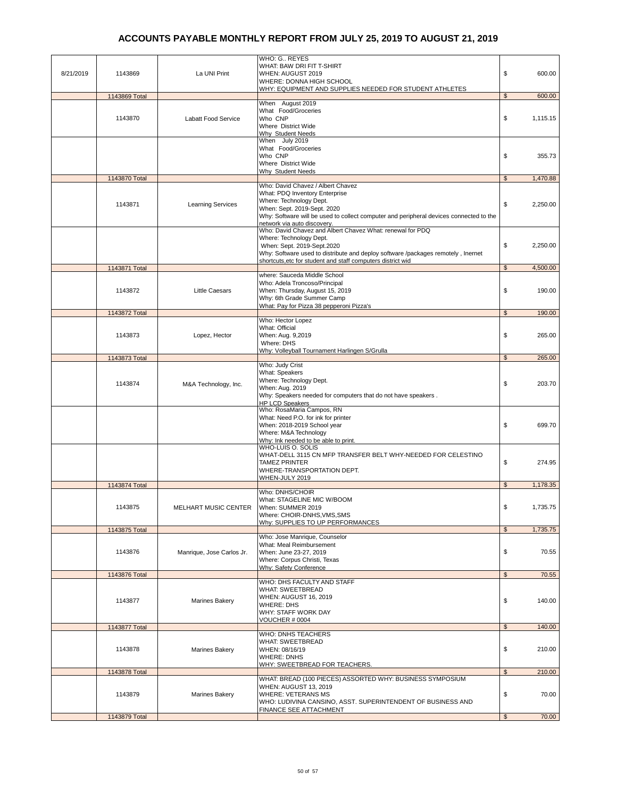| 8/21/2019 | 1143869                  | La UNI Print              | WHO: G., REYES<br>WHAT: BAW DRI FIT T-SHIRT<br>WHEN: AUGUST 2019<br>WHERE: DONNA HIGH SCHOOL<br>WHY: EQUIPMENT AND SUPPLIES NEEDED FOR STUDENT ATHLETES                                                                                                               | \$                   | 600.00             |
|-----------|--------------------------|---------------------------|-----------------------------------------------------------------------------------------------------------------------------------------------------------------------------------------------------------------------------------------------------------------------|----------------------|--------------------|
|           | 1143869 Total<br>1143870 | Labatt Food Service       | When August 2019<br>What Food/Groceries<br>Who CNP<br>Where District Wide<br>Why Student Needs                                                                                                                                                                        | $\mathfrak{s}$<br>\$ | 600.00<br>1,115.15 |
|           |                          |                           | When July 2019<br>What Food/Groceries<br>Who CNP<br>Where District Wide<br>Why Student Needs                                                                                                                                                                          | \$                   | 355.73             |
|           | 1143870 Total            |                           | Who: David Chavez / Albert Chavez                                                                                                                                                                                                                                     | $\mathfrak s$        | 1,470.88           |
|           | 1143871                  | <b>Learning Services</b>  | What: PDQ Inventory Enterprise<br>Where: Technology Dept.<br>When: Sept. 2019-Sept. 2020<br>Why: Software will be used to collect computer and peripheral devices connected to the<br>network via auto discovery.                                                     | \$                   | 2,250.00           |
|           |                          |                           | Who: David Chavez and Albert Chavez What: renewal for PDQ<br>Where: Technology Dept.<br>When: Sept. 2019-Sept.2020<br>Why: Software used to distribute and deploy software /packages remotely, Inernet<br>shortcuts, etc for student and staff computers district wid | \$                   | 2,250.00           |
|           | 1143871 Total            |                           |                                                                                                                                                                                                                                                                       | $\mathbb{S}$         | 4,500.00           |
|           | 1143872                  | <b>Little Caesars</b>     | where: Sauceda Middle School<br>Who: Adela Troncoso/Principal<br>When: Thursday, August 15, 2019<br>Why: 6th Grade Summer Camp<br>What: Pay for Pizza 38 pepperoni Pizza's                                                                                            | \$                   | 190.00             |
|           | 1143872 Total            |                           |                                                                                                                                                                                                                                                                       | \$                   | 190.00             |
|           | 1143873                  | Lopez, Hector             | Who: Hector Lopez<br>What: Official<br>When: Aug. 9,2019<br>Where: DHS<br>Why: Volleyball Tournament Harlingen S/Grulla                                                                                                                                               | \$                   | 265.00             |
|           | 1143873 Total            |                           |                                                                                                                                                                                                                                                                       | $\mathfrak s$        | 265.00             |
|           | 1143874                  | M&A Technology, Inc.      | Who: Judy Crist<br><b>What: Speakers</b><br>Where: Technology Dept.<br>When: Aug. 2019<br>Why: Speakers needed for computers that do not have speakers.<br><b>HP LCD Speakers</b>                                                                                     | \$                   | 203.70             |
|           |                          |                           | Who: RosaMaria Campos, RN<br>What: Need P.O. for ink for printer<br>When: 2018-2019 School year<br>Where: M&A Technology<br>Why: Ink needed to be able to print.                                                                                                      | \$                   | 699.70             |
|           |                          |                           | WHO-LUIS O. SOLIS<br>WHAT-DELL 3115 CN MFP TRANSFER BELT WHY-NEEDED FOR CELESTINO<br><b>TAMEZ PRINTER</b><br>WHERE-TRANSPORTATION DEPT.<br>WHEN-JULY 2019                                                                                                             | \$                   | 274.95             |
|           | 1143874 Total            |                           | Who: DNHS/CHOIR                                                                                                                                                                                                                                                       | \$                   | 1,178.35           |
|           | 1143875                  | MELHART MUSIC CENTER      | What: STAGELINE MIC W/BOOM<br>When: SUMMER 2019<br>Where: CHOIR-DNHS, VMS, SMS<br>Why: SUPPLIES TO UP PERFORMANCES                                                                                                                                                    | \$                   | 1,735.75           |
|           | 1143875 Total            |                           | Who: Jose Manrique, Counselor                                                                                                                                                                                                                                         | $\mathfrak{S}$       | 1,735.75           |
|           | 1143876                  | Manrique, Jose Carlos Jr. | What: Meal Reimbursement<br>When: June 23-27, 2019<br>Where: Corpus Christi, Texas<br>Why: Safety Conference                                                                                                                                                          | \$                   | 70.55              |
|           | 1143876 Total            |                           |                                                                                                                                                                                                                                                                       | $\mathfrak{S}$       | 70.55              |
|           | 1143877                  | Marines Bakery            | WHO: DHS FACULTY AND STAFF<br>WHAT: SWEETBREAD<br>WHEN: AUGUST 16, 2019<br><b>WHERE: DHS</b><br>WHY: STAFF WORK DAY<br><b>VOUCHER # 0004</b>                                                                                                                          | \$                   | 140.00             |
|           | 1143877 Total            |                           |                                                                                                                                                                                                                                                                       | \$                   | 140.00             |
|           | 1143878                  | Marines Bakery            | <b>WHO: DNHS TEACHERS</b><br>WHAT: SWEETBREAD<br>WHEN: 08/16/19<br><b>WHERE: DNHS</b><br>WHY: SWEETBREAD FOR TEACHERS.                                                                                                                                                | \$                   | 210.00             |
|           | 1143878 Total            |                           | WHAT: BREAD (100 PIECES) ASSORTED WHY: BUSINESS SYMPOSIUM                                                                                                                                                                                                             | $\mathfrak{S}$       | 210.00             |
|           | 1143879                  | Marines Bakery            | WHEN: AUGUST 13, 2019<br><b>WHERE: VETERANS MS</b><br>WHO: LUDIVINA CANSINO, ASST. SUPERINTENDENT OF BUSINESS AND<br><b>FINANCE SEE ATTACHMENT</b>                                                                                                                    | \$                   | 70.00              |
|           | 1143879 Total            |                           |                                                                                                                                                                                                                                                                       | $\mathfrak{S}$       | 70.00              |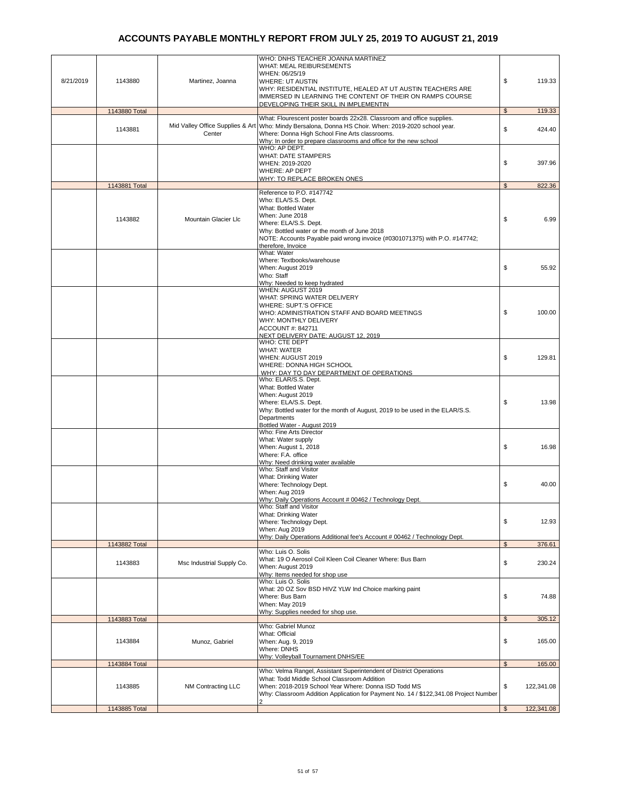| 8/21/2019 | 1143880                  | Martinez, Joanna          | WHO: DNHS TEACHER JOANNA MARTINEZ<br><b>WHAT: MEAL REIBURSEMENTS</b><br>WHEN: 06/25/19<br><b>WHERE: UT AUSTIN</b><br>WHY: RESIDENTIAL INSTITUTE, HEALED AT UT AUSTIN TEACHERS ARE<br>IMMERSED IN LEARNING THE CONTENT OF THEIR ON RAMPS COURSE<br>DEVELOPING THEIR SKILL IN IMPLEMENTIN             | \$            | 119.33               |
|-----------|--------------------------|---------------------------|-----------------------------------------------------------------------------------------------------------------------------------------------------------------------------------------------------------------------------------------------------------------------------------------------------|---------------|----------------------|
|           | 1143880 Total            |                           |                                                                                                                                                                                                                                                                                                     | \$            | 119.33               |
|           | 1143881                  | Center                    | What: Flourescent poster boards 22x28. Classroom and office supplies.<br>Mid Valley Office Supplies & Art Who: Mindy Bersalona, Donna HS Choir. When: 2019-2020 school year.<br>Where: Donna High School Fine Arts classrooms.<br>Why: In order to prepare classrooms and office for the new school | \$            | 424.40               |
|           |                          |                           | WHO: AP DEPT.<br><b>WHAT: DATE STAMPERS</b><br>WHEN: 2019-2020<br><b>WHERE: AP DEPT</b><br>WHY: TO REPLACE BROKEN ONES                                                                                                                                                                              | \$            | 397.96               |
|           | 1143881 Total            |                           |                                                                                                                                                                                                                                                                                                     | \$            | 822.36               |
|           | 1143882                  | Mountain Glacier Llc      | Reference to P.O. #147742<br>Who: ELA/S.S. Dept.<br>What: Bottled Water<br>When: June 2018<br>Where: ELA/S.S. Dept.<br>Why: Bottled water or the month of June 2018<br>NOTE: Accounts Payable paid wrong invoice (#0301071375) with P.O. #147742;<br>therefore, Invoice                             | \$            | 6.99                 |
|           |                          |                           | What: Water<br>Where: Textbooks/warehouse<br>When: August 2019<br>Who: Staff<br>Why: Needed to keep hydrated                                                                                                                                                                                        | \$            | 55.92                |
|           |                          |                           | WHEN: AUGUST 2019<br>WHAT: SPRING WATER DELIVERY<br>WHERE: SUPT.'S OFFICE<br>WHO: ADMINISTRATION STAFF AND BOARD MEETINGS<br>WHY: MONTHLY DELIVERY<br>ACCOUNT #: 842711<br>NEXT DELIVERY DATE: AUGUST 12, 2019                                                                                      | \$            | 100.00               |
|           |                          |                           | WHO: CTE DEPT<br><b>WHAT: WATER</b><br>WHEN: AUGUST 2019<br>WHERE: DONNA HIGH SCHOOL<br>WHY: DAY TO DAY DEPARTMENT OF OPERATIONS<br>Who: ELAR/S.S. Dept.                                                                                                                                            | \$            | 129.81               |
|           |                          |                           | What: Bottled Water<br>When: August 2019<br>Where: ELA/S.S. Dept.<br>Why: Bottled water for the month of August, 2019 to be used in the ELAR/S.S.<br>Departments<br>Bottled Water - August 2019                                                                                                     | \$            | 13.98                |
|           |                          |                           | Who: Fine Arts Director<br>What: Water supply<br>When: August 1, 2018<br>Where: F.A. office<br>Why: Need drinking water available                                                                                                                                                                   | \$            | 16.98                |
|           |                          |                           | Who: Staff and Visitor<br>What: Drinking Water<br>Where: Technology Dept.<br>When: Aug 2019<br>Why: Daily Operations Account # 00462 / Technology Dept.                                                                                                                                             | \$            | 40.00                |
|           |                          |                           | Who: Staff and Visitor<br>What: Drinking Water<br>Where: Technology Dept.<br>When: Aug 2019<br>Why: Daily Operations Additional fee's Account # 00462 / Technology Dept.                                                                                                                            | \$            | 12.93                |
|           | 1143882 Total            |                           |                                                                                                                                                                                                                                                                                                     | $\mathfrak s$ | 376.61               |
|           | 1143883                  | Msc Industrial Supply Co. | Who: Luis O. Solis<br>What: 19 O Aerosol Coil Kleen Coil Cleaner Where: Bus Barn<br>When: August 2019<br>Why: Items needed for shop use                                                                                                                                                             | \$            | 230.24               |
|           |                          |                           | Who: Luis O. Solis<br>What: 20 OZ Sov BSD HIVZ YLW Ind Choice marking paint<br>Where: Bus Barn<br>When: May 2019<br>Why: Supplies needed for shop use.                                                                                                                                              | \$            | 74.88                |
|           | 1143883 Total            |                           |                                                                                                                                                                                                                                                                                                     | \$            | 305.12               |
|           | 1143884                  | Munoz, Gabriel            | Who: Gabriel Munoz<br>What: Official<br>When: Aug. 9, 2019<br>Where: DNHS<br>Why: Volleyball Tournament DNHS/EE                                                                                                                                                                                     | \$            | 165.00               |
|           | 1143884 Total<br>1143885 | NM Contracting LLC        | Who: Velma Rangel, Assistant Superintendent of District Operations<br>What: Todd Middle School Classroom Addition<br>When: 2018-2019 School Year Where: Donna ISD Todd MS<br>Why: Classroom Addition Application for Payment No. 14 / \$122,341.08 Project Number                                   | \$<br>\$      | 165.00<br>122,341.08 |
|           |                          |                           |                                                                                                                                                                                                                                                                                                     |               |                      |
|           | 1143885 Total            |                           |                                                                                                                                                                                                                                                                                                     | $\mathbb{S}$  | 122,341.08           |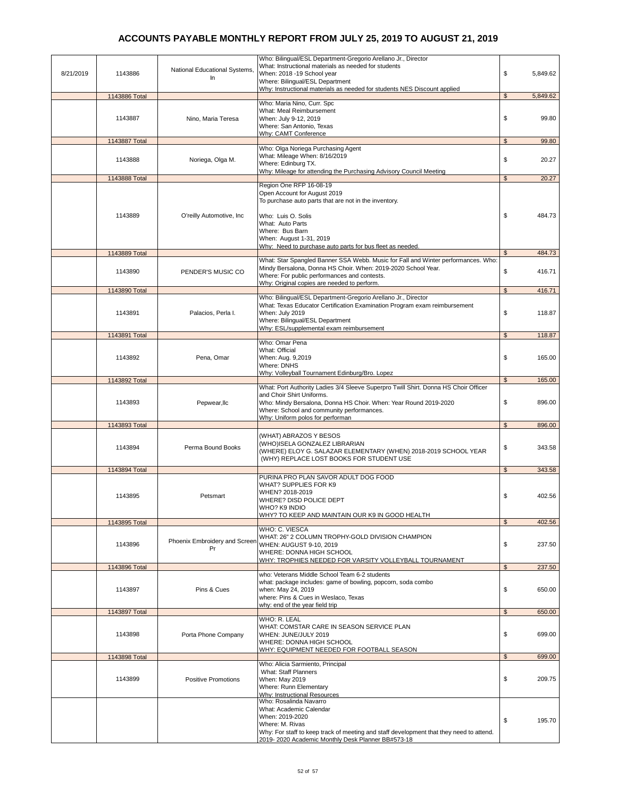| 8/21/2019 | 1143886       | National Educational Systems,<br>In | Who: Bilingual/ESL Department-Gregorio Arellano Jr., Director<br>What: Instructional materials as needed for students<br>When: 2018 -19 School year<br>Where: Bilingual/ESL Department<br>Why: Instructional materials as needed for students NES Discount applied    | \$             | 5,849.62 |
|-----------|---------------|-------------------------------------|-----------------------------------------------------------------------------------------------------------------------------------------------------------------------------------------------------------------------------------------------------------------------|----------------|----------|
|           | 1143886 Total |                                     |                                                                                                                                                                                                                                                                       | $\mathfrak{s}$ | 5,849.62 |
|           | 1143887       | Nino, Maria Teresa                  | Who: Maria Nino, Curr. Spc<br>What: Meal Reimbursement<br>When: July 9-12, 2019<br>Where: San Antonio, Texas<br>Why: CAMT Conference                                                                                                                                  | \$             | 99.80    |
|           | 1143887 Total |                                     |                                                                                                                                                                                                                                                                       | \$             | 99.80    |
|           | 1143888       | Noriega, Olga M.                    | Who: Olga Noriega Purchasing Agent<br>What: Mileage When: 8/16/2019<br>Where: Edinburg TX.<br>Why: Mileage for attending the Purchasing Advisory Council Meeting                                                                                                      | \$             | 20.27    |
|           | 1143888 Total |                                     |                                                                                                                                                                                                                                                                       | $\mathfrak s$  | 20.27    |
|           | 1143889       | O'reilly Automotive, Inc.           | Region One RFP 16-08-19<br>Open Account for August 2019<br>To purchase auto parts that are not in the inventory.<br>Who: Luis O. Solis<br>What: Auto Parts<br>Where: Bus Barn<br>When: August 1-31, 2019<br>Why: Need to purchase auto parts for bus fleet as needed. | \$             | 484.73   |
|           | 1143889 Total |                                     |                                                                                                                                                                                                                                                                       | $\mathfrak{s}$ | 484.73   |
|           | 1143890       | PENDER'S MUSIC CO                   | What: Star Spangled Banner SSA Webb. Music for Fall and Winter performances. Who:<br>Mindy Bersalona, Donna HS Choir. When: 2019-2020 School Year.<br>Where: For public performances and contests.<br>Why: Original copies are needed to perform.                     | \$             | 416.71   |
|           | 1143890 Total |                                     |                                                                                                                                                                                                                                                                       | $\mathbb{S}$   | 416.71   |
|           | 1143891       | Palacios, Perla I.                  | Who: Bilingual/ESL Department-Gregorio Arellano Jr., Director<br>What: Texas Educator Certification Examination Program exam reimbursement<br>When: July 2019<br>Where: Bilingual/ESL Department<br>Why: ESL/supplemental exam reimbursement                          | \$             | 118.87   |
|           | 1143891 Total |                                     |                                                                                                                                                                                                                                                                       | $\mathfrak{s}$ | 118.87   |
|           | 1143892       | Pena, Omar                          | Who: Omar Pena<br>What: Official<br>When: Aug. 9,2019<br>Where: DNHS                                                                                                                                                                                                  | \$             | 165.00   |
|           | 1143892 Total |                                     | Why: Volleyball Tournament Edinburg/Bro. Lopez                                                                                                                                                                                                                        | $\mathfrak{s}$ | 165.00   |
|           | 1143893       | Pepwear, Ilc                        | What: Port Authority Ladies 3/4 Sleeve Superpro Twill Shirt. Donna HS Choir Officer<br>and Choir Shirt Uniforms.<br>Who: Mindy Bersalona, Donna HS Choir. When: Year Round 2019-2020<br>Where: School and community performances.<br>Why: Uniform polos for performan | \$             | 896.00   |
|           | 1143893 Total |                                     |                                                                                                                                                                                                                                                                       | $\mathfrak{s}$ | 896.00   |
|           | 1143894       | Perma Bound Books                   | (WHAT) ABRAZOS Y BESOS<br>(WHO)ISELA GONZALEZ LIBRARIAN<br>(WHERE) ELOY G. SALAZAR ELEMENTARY (WHEN) 2018-2019 SCHOOL YEAR<br>(WHY) REPLACE LOST BOOKS FOR STUDENT USE                                                                                                | \$             | 343.58   |
|           | 1143894 Total |                                     |                                                                                                                                                                                                                                                                       | $\mathfrak{s}$ | 343.58   |
|           | 1143895       | Petsmart                            | PURINA PRO PLAN SAVOR ADULT DOG FOOD<br>WHAT? SUPPLIES FOR K9<br>WHEN? 2018-2019<br>WHERE? DISD POLICE DEPT<br>WHO? K9 INDIO<br>WHY? TO KEEP AND MAINTAIN OUR K9 IN GOOD HEALTH                                                                                       | \$             | 402.56   |
|           | 1143895 Total |                                     |                                                                                                                                                                                                                                                                       | \$             | 402.56   |
|           | 1143896       | Phoenix Embroidery and Screen<br>Pr | WHO: C. VIESCA<br>WHAT: 26" 2 COLUMN TROPHY-GOLD DIVISION CHAMPION<br>WHEN: AUGUST 9-10, 2019<br>WHERE: DONNA HIGH SCHOOL<br>WHY: TROPHIES NEEDED FOR VARSITY VOLLEYBALL TOURNAMENT                                                                                   | \$             | 237.50   |
|           | 1143896 Total |                                     | who: Veterans Middle School Team 6-2 students                                                                                                                                                                                                                         | $\mathfrak{s}$ | 237.50   |
|           | 1143897       | Pins & Cues                         | what: package includes: game of bowling, popcorn, soda combo<br>when: May 24, 2019<br>where: Pins & Cues in Weslaco, Texas<br>why: end of the year field trip                                                                                                         | \$             | 650.00   |
|           | 1143897 Total |                                     |                                                                                                                                                                                                                                                                       | $\mathfrak{L}$ | 650.00   |
|           | 1143898       | Porta Phone Company                 | <b>WHO: R. LEAL</b><br>WHAT: COMSTAR CARE IN SEASON SERVICE PLAN<br>WHEN: JUNE/JULY 2019<br>WHERE: DONNA HIGH SCHOOL<br>WHY: EQUIPMENT NEEDED FOR FOOTBALL SEASON                                                                                                     | \$             | 699.00   |
|           | 1143898 Total |                                     |                                                                                                                                                                                                                                                                       | $\mathfrak{s}$ | 699.00   |
|           | 1143899       | <b>Positive Promotions</b>          | Who: Alicia Sarmiento, Principal<br>What: Staff Planners<br>When: May 2019<br>Where: Runn Elementary<br>Why: Instructional Resources                                                                                                                                  | \$             | 209.75   |
|           |               |                                     | Who: Rosalinda Navarro<br>What: Academic Calendar<br>When: 2019-2020<br>Where: M. Rivas<br>Why: For staff to keep track of meeting and staff development that they need to attend.<br>2019-2020 Academic Monthly Desk Planner BB#573-18                               | \$             | 195.70   |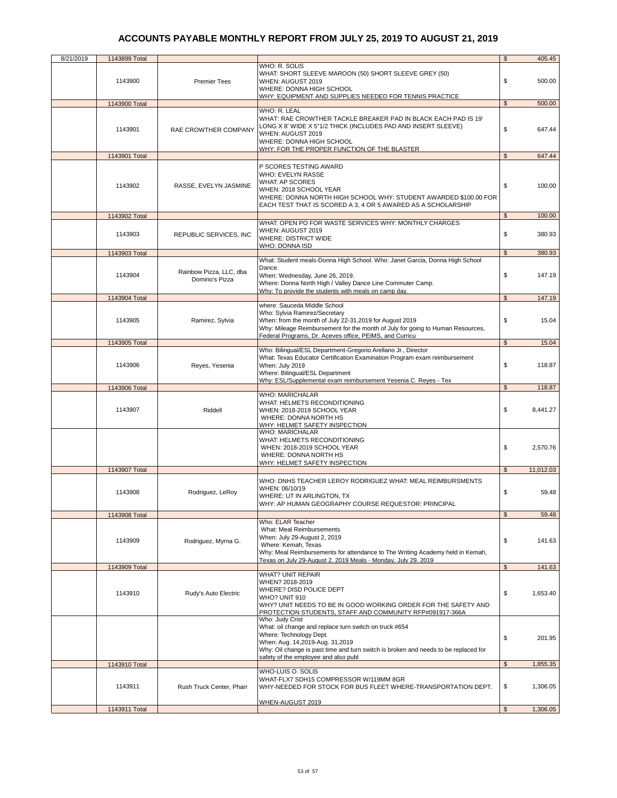| 8/21/2019 | 1143899 Total            |                                           |                                                                                                                                                                                                                                                                        | \$             | 405.45           |
|-----------|--------------------------|-------------------------------------------|------------------------------------------------------------------------------------------------------------------------------------------------------------------------------------------------------------------------------------------------------------------------|----------------|------------------|
|           | 1143900                  | <b>Premier Tees</b>                       | WHO: R. SOLIS<br>WHAT: SHORT SLEEVE MAROON (50) SHORT SLEEVE GREY (50)<br>WHEN: AUGUST 2019<br>WHERE: DONNA HIGH SCHOOL<br>WHY: EQUIPMENT AND SUPPLIES NEEDED FOR TENNIS PRACTICE                                                                                      | \$             | 500.00           |
|           | 1143900 Total            |                                           |                                                                                                                                                                                                                                                                        | $\mathfrak{s}$ | 500.00           |
|           | 1143901                  | RAE CROWTHER COMPANY                      | WHO: R. LEAL<br>WHAT: RAE CROWTHER TACKLE BREAKER PAD IN BLACK EACH PAD IS 19'<br>LONG X 8' WIDE X 5"1/2 THICK (INCLUDES PAD AND INSERT SLEEVE)<br>WHEN: AUGUST 2019<br>WHERE: DONNA HIGH SCHOOL<br>WHY: FOR THE PROPER FUNCTION OF THE BLASTER                        | \$             | 647.44           |
|           | 1143901 Total            |                                           |                                                                                                                                                                                                                                                                        | \$             | 647.44           |
|           |                          |                                           |                                                                                                                                                                                                                                                                        |                |                  |
|           | 1143902                  | RASSE, EVELYN JASMINE                     | P SCORES TESTING AWARD<br>WHO: EVELYN RASSE<br>WHAT: AP SCORES<br>WHEN: 2018 SCHOOL YEAR<br>WHERE: DONNA NORTH HIGH SCHOOL WHY: STUDENT AWARDED \$100.00 FOR<br>EACH TEST THAT IS SCORED A 3, 4 OR 5 AWARED AS A SCHOLARSHIP                                           | \$             | 100.00           |
|           | 1143902 Total            |                                           |                                                                                                                                                                                                                                                                        | $\mathfrak{s}$ | 100.00           |
|           | 1143903                  | REPUBLIC SERVICES, INC.                   | WHAT: OPEN PO FOR WASTE SERVICES WHY: MONTHLY CHARGES<br>WHEN: AUGUST 2019<br><b>WHERE: DISTRICT WIDE</b><br>WHO: DONNA ISD                                                                                                                                            | \$             | 380.93           |
|           | 1143903 Total            |                                           |                                                                                                                                                                                                                                                                        | \$             | 380.93           |
|           | 1143904<br>1143904 Total | Rainbow Pizza, LLC, dba<br>Domino's Pizza | What: Student meals-Donna High School. Who: Janet Garcia, Donna High School<br>Dance.<br>When: Wednesday, June 26, 2019.<br>Where: Donna North High / Valley Dance Line Commuter Camp.<br>Why: To provide the students with meals on camp day.                         | \$<br>\$       | 147.19<br>147.19 |
|           |                          |                                           | where: Sauceda Middle School                                                                                                                                                                                                                                           |                |                  |
|           | 1143905                  | Ramirez, Sylvia                           | Who: Sylvia Ramirez/Secretary<br>When: from the month of July 22-31,2019 for August 2019<br>Why: Mileage Reimbursement for the month of July for going to Human Resources,<br>Federal Programs, Dr. Aceves office, PEIMS, and Curricu                                  | \$             | 15.04            |
|           | 1143905 Total            |                                           |                                                                                                                                                                                                                                                                        | \$             | 15.04            |
|           | 1143906                  | Reyes, Yesenia                            | Who: Bilingual/ESL Department-Gregorio Arellano Jr., Director<br>What: Texas Educator Certification Examination Program exam reimbursement<br>When: July 2019<br>Where: Bilingual/ESL Department<br>Why: ESL/Supplemental exam reimbursement Yesenia C. Reyes - Tex    | \$             | 118.87           |
|           |                          |                                           |                                                                                                                                                                                                                                                                        |                |                  |
|           | 1143906 Total            |                                           |                                                                                                                                                                                                                                                                        | $\mathfrak{L}$ | 118.87           |
|           | 1143907                  | Riddell                                   | <b>WHO: MARICHALAR</b><br>WHAT: HELMETS RECONDITIONING<br>WHEN: 2018-2019 SCHOOL YEAR<br>WHERE: DONNA NORTH HS<br>WHY: HELMET SAFETY INSPECTION                                                                                                                        | \$             | 8,441.27         |
|           |                          |                                           | WHO: MARICHALAR<br>WHAT: HELMETS RECONDITIONING<br>WHEN: 2018-2019 SCHOOL YEAR<br>WHERE: DONNA NORTH HS<br><u> WHY: HELMET SAFETY INSPECTION</u>                                                                                                                       | \$             | 2,570.76         |
|           | 1143907 Total            |                                           |                                                                                                                                                                                                                                                                        | $\mathfrak{s}$ | 11,012.03        |
|           | 1143908                  | Rodriguez, LeRoy                          | WHO: DNHS TEACHER LEROY RODRIGUEZ WHAT: MEAL REIMBURSMENTS<br>WHEN: 06/10/19<br>WHERE: UT IN ARLINGTON, TX<br>WHY: AP HUMAN GEOGRAPHY COURSE REQUESTOR: PRINCIPAL                                                                                                      | \$             | 59.48            |
|           | 1143908 Total            |                                           |                                                                                                                                                                                                                                                                        | \$             | 59.48            |
|           | 1143909                  | Rodriguez, Myrna G.                       | Who: ELAR Teacher<br>What: Meal Reimbursements<br>When: July 29-August 2, 2019<br>Where: Kemah, Texas<br>Why: Meal Reimbursements for attendance to The Writing Academy held in Kemah,                                                                                 | \$             | 141.63           |
|           | 1143909 Total            |                                           | Texas on July 29-August 2, 2019 Meals - Monday, July 29, 2019                                                                                                                                                                                                          | $\mathfrak{s}$ | 141.63           |
|           | 1143910                  | Rudy's Auto Electric                      | <b>WHAT? UNIT REPAIR</b><br>WHEN? 2018-2019<br>WHERE? DISD POLICE DEPT<br>WHO? UNIT 910<br>WHY? UNIT NEEDS TO BE IN GOOD WORKING ORDER FOR THE SAFETY AND<br>PROTECTION STUDENTS, STAFF AND COMMUNITY RFP#091917-366A                                                  | \$             | 1,653.40         |
|           |                          |                                           | Who: Judy Crist<br>What: oil change and replace turn switch on truck #654<br>Where: Technology Dept.<br>When: Aug. 14,2019-Aug. 31,2019<br>Why: Oil change is past time and turn switch is broken and needs to be replaced for<br>safety of the employee and also publ | \$             | 201.95           |
|           | 1143910 Total            |                                           |                                                                                                                                                                                                                                                                        | \$             | 1,855.35         |
|           | 1143911                  | Rush Truck Center, Pharr                  | WHO-LUIS O. SOLIS<br>WHAT-FLX7 SDH15 COMPRESSOR W/119MM 8GR<br>WHY-NEEDED FOR STOCK FOR BUS FLEET WHERE-TRANSPORTATION DEPT.<br>WHEN-AUGUST 2019                                                                                                                       | \$             | 1,306.05         |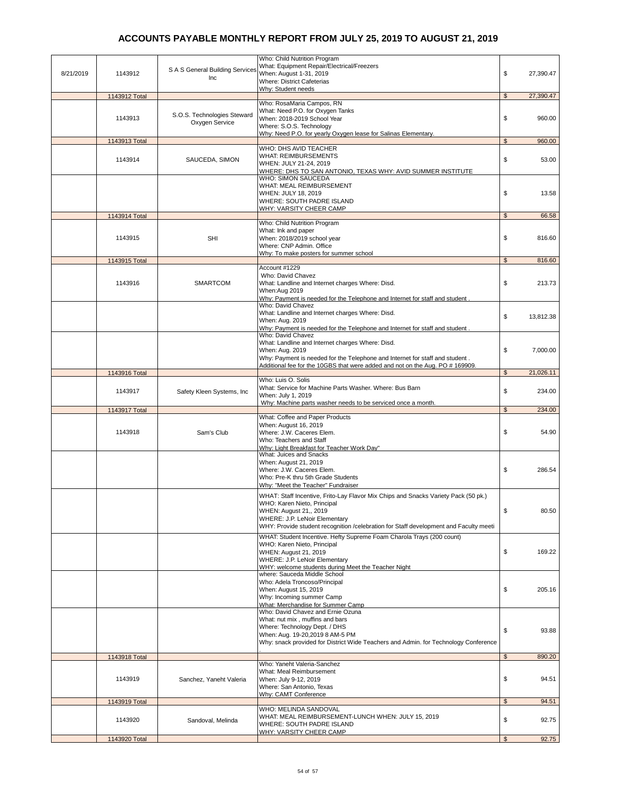|           |               |                                               | Who: Child Nutrition Program<br>What: Equipment Repair/Electrical/Freezers                                             |                |           |
|-----------|---------------|-----------------------------------------------|------------------------------------------------------------------------------------------------------------------------|----------------|-----------|
| 8/21/2019 | 1143912       | S A S General Building Services<br>Inc        | When: August 1-31, 2019<br>Where: District Cafeterias                                                                  | \$             | 27,390.47 |
|           | 1143912 Total |                                               | Why: Student needs                                                                                                     | $\mathfrak{L}$ | 27,390.47 |
|           |               |                                               | Who: RosaMaria Campos, RN<br>What: Need P.O. for Oxygen Tanks                                                          |                |           |
|           | 1143913       | S.O.S. Technologies Steward<br>Oxygen Service | When: 2018-2019 School Year                                                                                            | \$             | 960.00    |
|           |               |                                               | Where: S.O.S. Technology<br>Why: Need P.O. for yearly Oxygen lease for Salinas Elementary.                             |                |           |
|           | 1143913 Total |                                               | WHO: DHS AVID TEACHER                                                                                                  | $\mathfrak s$  | 960.00    |
|           | 1143914       | SAUCEDA, SIMON                                | <b>WHAT: REIMBURSEMENTS</b>                                                                                            | \$             | 53.00     |
|           |               |                                               | WHEN: JULY 21-24, 2019<br>WHERE: DHS TO SAN ANTONIO, TEXAS WHY: AVID SUMMER INSTITUTE                                  |                |           |
|           |               |                                               | WHO: SIMON SAUCEDA<br>WHAT: MEAL REIMBURSEMENT                                                                         |                |           |
|           |               |                                               | WHEN: JULY 18, 2019                                                                                                    | \$             | 13.58     |
|           |               |                                               | WHERE: SOUTH PADRE ISLAND<br><b>WHY: VARSITY CHEER CAMP</b>                                                            |                |           |
|           | 1143914 Total |                                               | Who: Child Nutrition Program                                                                                           | \$             | 66.58     |
|           |               |                                               | What: Ink and paper                                                                                                    |                |           |
|           | 1143915       | <b>SHI</b>                                    | When: 2018/2019 school year<br>Where: CNP Admin. Office                                                                | \$             | 816.60    |
|           |               |                                               | Why: To make posters for summer school                                                                                 |                |           |
|           | 1143915 Total |                                               | Account #1229                                                                                                          | $\mathfrak s$  | 816.60    |
|           |               |                                               | Who: David Chavez                                                                                                      |                |           |
|           | 1143916       | <b>SMARTCOM</b>                               | What: Landline and Internet charges Where: Disd.<br>When:Aug 2019                                                      | \$             | 213.73    |
|           |               |                                               | Why: Payment is needed for the Telephone and Internet for staff and student<br>Who: David Chavez                       |                |           |
|           |               |                                               | What: Landline and Internet charges Where: Disd.                                                                       | \$             | 13,812.38 |
|           |               |                                               | When: Aug. 2019<br>Why: Payment is needed for the Telephone and Internet for staff and student                         |                |           |
|           |               |                                               | Who: David Chavez                                                                                                      |                |           |
|           |               |                                               | What: Landline and Internet charges Where: Disd.<br>When: Aug. 2019                                                    | \$             | 7,000.00  |
|           |               |                                               | Why: Payment is needed for the Telephone and Internet for staff and student.                                           |                |           |
|           | 1143916 Total |                                               | Additional fee for the 10GBS that were added and not on the Aug. PO # 169909.                                          | $\mathfrak{s}$ | 21,026.11 |
|           |               |                                               | Who: Luis O. Solis<br>What: Service for Machine Parts Washer. Where: Bus Barn                                          |                |           |
|           | 1143917       | Safety Kleen Systems, Inc.                    | When: July 1, 2019                                                                                                     | \$             | 234.00    |
|           | 1143917 Total |                                               | Why: Machine parts washer needs to be serviced once a month.                                                           | \$             | 234.00    |
|           |               |                                               | What: Coffee and Paper Products<br>When: August 16, 2019                                                               |                |           |
|           | 1143918       | Sam's Club                                    | Where: J.W. Caceres Elem.                                                                                              | \$             | 54.90     |
|           |               |                                               | Who: Teachers and Staff<br>Why: Light Breakfast for Teacher Work Day"                                                  |                |           |
|           |               |                                               | What: Juices and Snacks                                                                                                |                |           |
|           |               |                                               | When: August 21, 2019<br>Where: J.W. Caceres Elem.                                                                     | \$             | 286.54    |
|           |               |                                               | Who: Pre-K thru 5th Grade Students<br>Why: "Meet the Teacher" Fundraiser                                               |                |           |
|           |               |                                               | WHAT: Staff Incentive, Frito-Lay Flavor Mix Chips and Snacks Variety Pack (50 pk.)                                     |                |           |
|           |               |                                               | WHO: Karen Nieto, Principal                                                                                            |                |           |
|           |               |                                               | WHEN: August 21,, 2019<br>WHERE: J.P. LeNoir Elementary                                                                | \$             | 80.50     |
|           |               |                                               | WHY: Provide student recognition /celebration for Staff development and Faculty meeti                                  |                |           |
|           |               |                                               | WHAT: Student Incentive. Hefty Supreme Foam Charola Trays (200 count)<br>WHO: Karen Nieto, Principal                   |                |           |
|           |               |                                               | WHEN: August 21, 2019                                                                                                  | \$             | 169.22    |
|           |               |                                               | WHERE: J.P. LeNoir Elementary<br>WHY: welcome students during Meet the Teacher Night                                   |                |           |
|           |               |                                               | where: Sauceda Middle School<br>Who: Adela Troncoso/Principal                                                          |                |           |
|           |               |                                               | When: August 15, 2019                                                                                                  | \$             | 205.16    |
|           |               |                                               | Why: Incoming summer Camp<br>What: Merchandise for Summer Camp                                                         |                |           |
|           |               |                                               | Who: David Chavez and Ernie Ozuna                                                                                      |                |           |
|           |               |                                               | What: nut mix, muffins and bars<br>Where: Technology Dept. / DHS                                                       | \$             | 93.88     |
|           |               |                                               | When: Aug. 19-20,2019 8 AM-5 PM<br>Why: snack provided for District Wide Teachers and Admin. for Technology Conference |                |           |
|           |               |                                               |                                                                                                                        |                |           |
|           | 1143918 Total |                                               | Who: Yaneht Valeria-Sanchez                                                                                            | $\mathfrak{S}$ | 890.20    |
|           | 1143919       | Sanchez, Yaneht Valeria                       | What: Meal Reimbursement<br>When: July 9-12, 2019                                                                      | \$             | 94.51     |
|           |               |                                               | Where: San Antonio, Texas                                                                                              |                |           |
|           | 1143919 Total |                                               | Why: CAMT Conference                                                                                                   | $\mathfrak{s}$ | 94.51     |
|           |               |                                               | WHO: MELINDA SANDOVAL                                                                                                  |                |           |
|           | 1143920       | Sandoval, Melinda                             | WHAT: MEAL REIMBURSEMENT-LUNCH WHEN: JULY 15, 2019<br>WHERE: SOUTH PADRE ISLAND                                        | \$             | 92.75     |
|           | 1143920 Total |                                               | WHY: VARSITY CHEER CAMP                                                                                                | \$             | 92.75     |
|           |               |                                               |                                                                                                                        |                |           |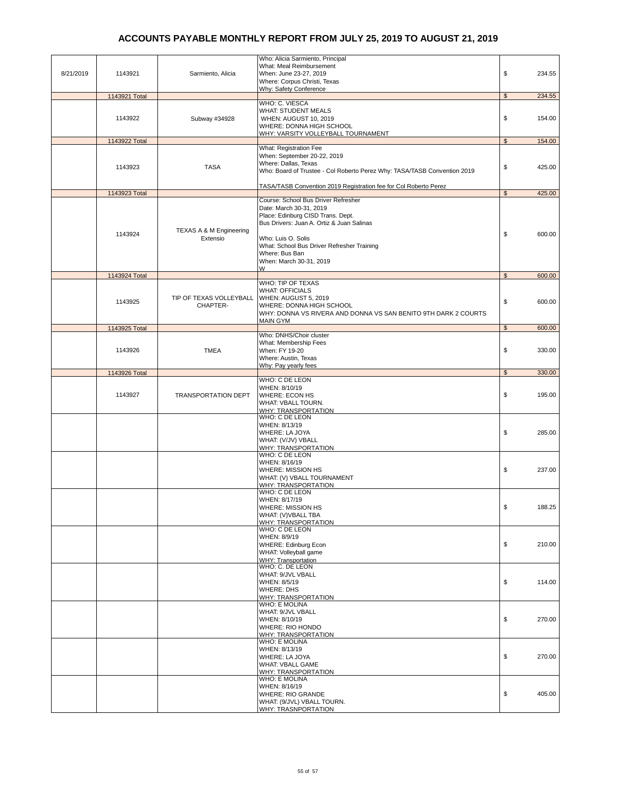|           |               |                            | Who: Alicia Sarmiento, Principal<br>What: Meal Reimbursement             |                |        |
|-----------|---------------|----------------------------|--------------------------------------------------------------------------|----------------|--------|
| 8/21/2019 | 1143921       | Sarmiento, Alicia          | When: June 23-27, 2019                                                   | \$             | 234.55 |
|           |               |                            | Where: Corpus Christi, Texas                                             |                |        |
|           |               |                            | Why: Safety Conference                                                   |                |        |
|           | 1143921 Total |                            | WHO: C. VIESCA                                                           | $\mathfrak{s}$ | 234.55 |
|           |               |                            | <b>WHAT: STUDENT MEALS</b>                                               |                |        |
|           | 1143922       | Subway #34928              | WHEN: AUGUST 10, 2019                                                    | \$             | 154.00 |
|           |               |                            | WHERE: DONNA HIGH SCHOOL                                                 |                |        |
|           | 1143922 Total |                            | WHY: VARSITY VOLLEYBALL TOURNAMENT                                       | $\mathfrak s$  | 154.00 |
|           |               |                            | What: Registration Fee                                                   |                |        |
|           |               |                            | When: September 20-22, 2019                                              |                |        |
|           | 1143923       | <b>TASA</b>                | Where: Dallas, Texas                                                     | \$             | 425.00 |
|           |               |                            | Who: Board of Trustee - Col Roberto Perez Why: TASA/TASB Convention 2019 |                |        |
|           |               |                            | TASA/TASB Convention 2019 Registration fee for Col Roberto Perez         |                |        |
|           | 1143923 Total |                            |                                                                          | $\mathfrak{S}$ | 425.00 |
|           |               |                            | Course: School Bus Driver Refresher                                      |                |        |
|           |               |                            | Date: March 30-31, 2019<br>Place: Edinburg CISD Trans. Dept.             |                |        |
|           |               |                            | Bus Drivers: Juan A. Ortiz & Juan Salinas                                |                |        |
|           | 1143924       | TEXAS A & M Engineering    |                                                                          |                | 600.00 |
|           |               | Extensio                   | Who: Luis O. Solis                                                       | \$             |        |
|           |               |                            | What: School Bus Driver Refresher Training                               |                |        |
|           |               |                            | Where: Bus Ban<br>When: March 30-31, 2019                                |                |        |
|           |               |                            | W                                                                        |                |        |
|           | 1143924 Total |                            |                                                                          | $\mathfrak s$  | 600.00 |
|           |               |                            | WHO: TIP OF TEXAS                                                        |                |        |
|           |               | TIP OF TEXAS VOLLEYBALL    | <b>WHAT: OFFICIALS</b><br>WHEN: AUGUST 5, 2019                           |                |        |
|           | 1143925       | CHAPTER-                   | WHERE: DONNA HIGH SCHOOL                                                 | \$             | 600.00 |
|           |               |                            | WHY: DONNA VS RIVERA AND DONNA VS SAN BENITO 9TH DARK 2 COURTS           |                |        |
|           |               |                            | <b>MAIN GYM</b>                                                          |                |        |
|           | 1143925 Total |                            | Who: DNHS/Choir cluster                                                  | $\mathfrak s$  | 600.00 |
|           |               |                            | What: Membership Fees                                                    |                |        |
|           | 1143926       | <b>TMEA</b>                | When: FY 19-20                                                           | \$             | 330.00 |
|           |               |                            | Where: Austin, Texas                                                     |                |        |
|           |               |                            | Why: Pay yearly fees                                                     | $\mathfrak{s}$ | 330.00 |
|           | 1143926 Total |                            | WHO: C DE LEON                                                           |                |        |
|           |               |                            | WHEN: 8/10/19                                                            |                |        |
|           | 1143927       | <b>TRANSPORTATION DEPT</b> | <b>WHERE: ECON HS</b>                                                    | \$             | 195.00 |
|           |               |                            | WHAT: VBALL TOURN.<br><b>WHY: TRANSPORTATION</b>                         |                |        |
|           |               |                            | WHO: C DE LEON                                                           |                |        |
|           |               |                            | WHEN: 8/13/19                                                            |                |        |
|           |               |                            | WHERE: LA JOYA                                                           | \$             | 285.00 |
|           |               |                            | WHAT: (V/JV) VBALL<br>WHY: TRANSPORTATION                                |                |        |
|           |               |                            | WHO: C DE LEON                                                           |                |        |
|           |               |                            | WHEN: 8/16/19                                                            |                |        |
|           |               |                            | WHERE: MISSION HS                                                        | \$             | 237.00 |
|           |               |                            | WHAT: (V) VBALL TOURNAMENT<br>WHY: TRANSPORTATION                        |                |        |
|           |               |                            | <b>WHO: C DE LEON</b>                                                    |                |        |
|           |               |                            | WHEN: 8/17/19                                                            |                |        |
|           |               |                            | WHERE: MISSION HS                                                        | \$             | 188.25 |
|           |               |                            | WHAT: (V)VBALL TBA<br>WHY: TRANSPORTATION                                |                |        |
|           |               |                            | WHO: C DE LEON                                                           |                |        |
|           |               |                            | WHEN: 8/9/19                                                             |                |        |
|           |               |                            | <b>WHERE: Edinburg Econ</b>                                              | \$             | 210.00 |
|           |               |                            | WHAT: Volleyball game<br>WHY: Transportation                             |                |        |
|           |               |                            | WHO: C. DE LEON                                                          |                |        |
|           |               |                            | WHAT: 9/JVL VBALL                                                        |                |        |
|           |               |                            | WHEN: 8/5/19                                                             | \$             | 114.00 |
|           |               |                            | WHERE: DHS<br>WHY: TRANSPORTATION                                        |                |        |
|           |               |                            | WHO: E MOLINA                                                            |                |        |
|           |               |                            | WHAT: 9/JVL VBALL                                                        |                |        |
|           |               |                            | WHEN: 8/10/19                                                            | \$             | 270.00 |
|           |               |                            | <b>WHERE: RIO HONDO</b><br>WHY: TRANSPORTATION                           |                |        |
|           |               |                            | WHO: E MOLINA                                                            |                |        |
|           |               |                            | WHEN: 8/13/19                                                            |                |        |
|           |               |                            | <b>WHERE: LA JOYA</b>                                                    | \$             | 270.00 |
|           |               |                            | WHAT: VBALL GAME<br>WHY: TRANSPORTATION                                  |                |        |
|           |               |                            | <b>WHO: E MOLINA</b>                                                     |                |        |
|           |               |                            | WHEN: 8/16/19                                                            |                |        |
|           |               |                            | <b>WHERE: RIO GRANDE</b>                                                 | \$             | 405.00 |
|           |               |                            | WHAT: (9/JVL) VBALL TOURN.<br><b>WHY: TRASNPORTATION</b>                 |                |        |
|           |               |                            |                                                                          |                |        |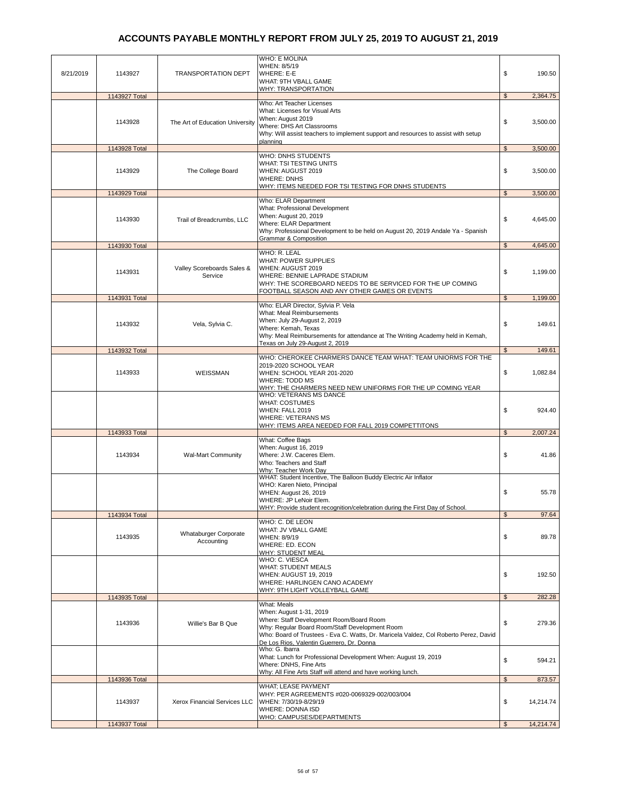| <b>WHO: E MOLINA</b><br>WHEN: 8/5/19<br>\$<br>8/21/2019<br><b>WHERE: E-E</b><br>1143927<br><b>TRANSPORTATION DEPT</b><br>WHAT: 9TH VBALL GAME<br><b>WHY: TRANSPORTATION</b><br>$\mathfrak{s}$<br>1143927 Total<br>Who: Art Teacher Licenses<br>What: Licenses for Visual Arts<br>When: August 2019<br>\$<br>1143928<br>The Art of Education University<br>Where: DHS Art Classrooms<br>Why: Will assist teachers to implement support and resources to assist with setup<br>planning<br>1143928 Total<br>$\mathfrak{s}$<br><b>WHO: DNHS STUDENTS</b><br>WHAT: TSI TESTING UNITS<br>\$<br>1143929<br>The College Board<br>WHEN: AUGUST 2019<br><b>WHERE: DNHS</b><br><u>WHY: ITEMS NEEDED FOR TSI TESTING FOR DNHS STUDENTS</u><br>$\mathfrak{S}$<br>1143929 Total<br>Who: ELAR Department<br>What: Professional Development<br>When: August 20, 2019<br>1143930<br>Trail of Breadcrumbs, LLC<br>\$<br>Where: ELAR Department<br>Why: Professional Development to be held on August 20, 2019 Andale Ya - Spanish<br><b>Grammar &amp; Composition</b><br>\$<br>1143930 Total<br>WHO: R. LEAL<br><b>WHAT: POWER SUPPLIES</b><br>WHEN: AUGUST 2019<br>Valley Scoreboards Sales &<br>1143931<br>\$<br>WHERE: BENNIE LAPRADE STADIUM<br>Service<br>WHY: THE SCOREBOARD NEEDS TO BE SERVICED FOR THE UP COMING<br>FOOTBALL SEASON AND ANY OTHER GAMES OR EVENTS<br>1143931 Total<br>$\mathfrak{S}$<br>Who: ELAR Director, Sylvia P. Vela<br>What: Meal Reimbursements<br>When: July 29-August 2, 2019<br>\$<br>1143932<br>Vela, Sylvia C.<br>Where: Kemah, Texas<br>Why: Meal Reimbursements for attendance at The Writing Academy held in Kemah,<br>Texas on July 29-August 2, 2019<br>$\mathfrak{S}$<br>1143932 Total<br>WHO: CHEROKEE CHARMERS DANCE TEAM WHAT: TEAM UNIORMS FOR THE<br>2019-2020 SCHOOL YEAR<br>\$<br>1143933<br>WEISSMAN<br>WHEN: SCHOOL YEAR 201-2020<br><b>WHERE: TODD MS</b><br><u>WHY: THE CHARMERS NEED NEW UNIFORMS FOR THE UP COMING YEAR</u><br>WHO: VETERANS MS DANCE<br><b>WHAT: COSTUMES</b><br>\$<br>WHEN: FALL 2019<br><b>WHERE: VETERANS MS</b><br>WHY: ITEMS AREA NEEDED FOR FALL 2019 COMPETTITONS<br>1143933 Total<br>\$<br>What: Coffee Bags<br>When: August 16, 2019<br>\$<br>1143934<br>Where: J.W. Caceres Elem.<br>Wal-Mart Community<br>Who: Teachers and Staff<br>Why: Teacher Work Day<br>WHAT: Student Incentive, The Balloon Buddy Electric Air Inflator<br>WHO: Karen Nieto, Principal<br>\$<br>WHEN: August 26, 2019<br>WHERE: JP LeNoir Elem.<br>WHY: Provide student recognition/celebration during the First Day of School.<br>1143934 Total<br>\$<br>WHO: C. DE LEON<br>WHAT: JV VBALL GAME<br><b>Whataburger Corporate</b><br>1143935<br>WHEN: 8/9/19<br>\$<br>Accounting<br>WHERE: ED. ECON<br>WHY: STUDENT MEAL<br>WHO: C. VIESCA<br><b>WHAT: STUDENT MEALS</b><br>\$<br>WHEN: AUGUST 19, 2019<br>WHERE: HARLINGEN CANO ACADEMY<br>WHY: 9TH LIGHT VOLLEYBALL GAME<br>1143935 Total<br>$\mathfrak{s}$<br>What: Meals<br>When: August 1-31, 2019<br>Where: Staff Development Room/Board Room<br>1143936<br>\$<br>Willie's Bar B Que<br>Why: Regular Board Room/Staff Development Room<br>Who: Board of Trustees - Eva C. Watts, Dr. Maricela Valdez, Col Roberto Perez, David<br>De Los Rios, Valentin Guerrero, Dr. Donna<br>Who: G. Ibarra<br>What: Lunch for Professional Development When: August 19, 2019<br>\$<br>Where: DNHS, Fine Arts<br>Why: All Fine Arts Staff will attend and have working lunch.<br>1143936 Total<br>\$<br>WHAT; LEASE PAYMENT<br>WHY: PER AGREEMENTS #020-0069329-002/003/004<br>1143937<br>\$<br>Xerox Financial Services LLC<br>WHEN: 7/30/19-8/29/19<br><b>WHERE: DONNA ISD</b> | 1143937 Total | WHO: CAMPUSES/DEPARTMENTS | $\mathfrak{L}$ | 14,214.74            |
|-------------------------------------------------------------------------------------------------------------------------------------------------------------------------------------------------------------------------------------------------------------------------------------------------------------------------------------------------------------------------------------------------------------------------------------------------------------------------------------------------------------------------------------------------------------------------------------------------------------------------------------------------------------------------------------------------------------------------------------------------------------------------------------------------------------------------------------------------------------------------------------------------------------------------------------------------------------------------------------------------------------------------------------------------------------------------------------------------------------------------------------------------------------------------------------------------------------------------------------------------------------------------------------------------------------------------------------------------------------------------------------------------------------------------------------------------------------------------------------------------------------------------------------------------------------------------------------------------------------------------------------------------------------------------------------------------------------------------------------------------------------------------------------------------------------------------------------------------------------------------------------------------------------------------------------------------------------------------------------------------------------------------------------------------------------------------------------------------------------------------------------------------------------------------------------------------------------------------------------------------------------------------------------------------------------------------------------------------------------------------------------------------------------------------------------------------------------------------------------------------------------------------------------------------------------------------------------------------------------------------------------------------------------------------------------------------------------------------------------------------------------------------------------------------------------------------------------------------------------------------------------------------------------------------------------------------------------------------------------------------------------------------------------------------------------------------------------------------------------------------------------------------------------------------------------------------------------------------------------------------------------------------------------------------------------------------------------------------------------------------------------------------------------------------------------------------------------------------------------------------------------------------------------------------------------------------------------------------------------------------------------------------------------------|---------------|---------------------------|----------------|----------------------|
|                                                                                                                                                                                                                                                                                                                                                                                                                                                                                                                                                                                                                                                                                                                                                                                                                                                                                                                                                                                                                                                                                                                                                                                                                                                                                                                                                                                                                                                                                                                                                                                                                                                                                                                                                                                                                                                                                                                                                                                                                                                                                                                                                                                                                                                                                                                                                                                                                                                                                                                                                                                                                                                                                                                                                                                                                                                                                                                                                                                                                                                                                                                                                                                                                                                                                                                                                                                                                                                                                                                                                                                                                                                                   |               |                           |                | 14,214.74            |
|                                                                                                                                                                                                                                                                                                                                                                                                                                                                                                                                                                                                                                                                                                                                                                                                                                                                                                                                                                                                                                                                                                                                                                                                                                                                                                                                                                                                                                                                                                                                                                                                                                                                                                                                                                                                                                                                                                                                                                                                                                                                                                                                                                                                                                                                                                                                                                                                                                                                                                                                                                                                                                                                                                                                                                                                                                                                                                                                                                                                                                                                                                                                                                                                                                                                                                                                                                                                                                                                                                                                                                                                                                                                   |               |                           |                | 873.57               |
|                                                                                                                                                                                                                                                                                                                                                                                                                                                                                                                                                                                                                                                                                                                                                                                                                                                                                                                                                                                                                                                                                                                                                                                                                                                                                                                                                                                                                                                                                                                                                                                                                                                                                                                                                                                                                                                                                                                                                                                                                                                                                                                                                                                                                                                                                                                                                                                                                                                                                                                                                                                                                                                                                                                                                                                                                                                                                                                                                                                                                                                                                                                                                                                                                                                                                                                                                                                                                                                                                                                                                                                                                                                                   |               |                           |                | 594.21               |
|                                                                                                                                                                                                                                                                                                                                                                                                                                                                                                                                                                                                                                                                                                                                                                                                                                                                                                                                                                                                                                                                                                                                                                                                                                                                                                                                                                                                                                                                                                                                                                                                                                                                                                                                                                                                                                                                                                                                                                                                                                                                                                                                                                                                                                                                                                                                                                                                                                                                                                                                                                                                                                                                                                                                                                                                                                                                                                                                                                                                                                                                                                                                                                                                                                                                                                                                                                                                                                                                                                                                                                                                                                                                   |               |                           |                | 279.36               |
|                                                                                                                                                                                                                                                                                                                                                                                                                                                                                                                                                                                                                                                                                                                                                                                                                                                                                                                                                                                                                                                                                                                                                                                                                                                                                                                                                                                                                                                                                                                                                                                                                                                                                                                                                                                                                                                                                                                                                                                                                                                                                                                                                                                                                                                                                                                                                                                                                                                                                                                                                                                                                                                                                                                                                                                                                                                                                                                                                                                                                                                                                                                                                                                                                                                                                                                                                                                                                                                                                                                                                                                                                                                                   |               |                           |                | 282.28               |
|                                                                                                                                                                                                                                                                                                                                                                                                                                                                                                                                                                                                                                                                                                                                                                                                                                                                                                                                                                                                                                                                                                                                                                                                                                                                                                                                                                                                                                                                                                                                                                                                                                                                                                                                                                                                                                                                                                                                                                                                                                                                                                                                                                                                                                                                                                                                                                                                                                                                                                                                                                                                                                                                                                                                                                                                                                                                                                                                                                                                                                                                                                                                                                                                                                                                                                                                                                                                                                                                                                                                                                                                                                                                   |               |                           |                | 192.50               |
|                                                                                                                                                                                                                                                                                                                                                                                                                                                                                                                                                                                                                                                                                                                                                                                                                                                                                                                                                                                                                                                                                                                                                                                                                                                                                                                                                                                                                                                                                                                                                                                                                                                                                                                                                                                                                                                                                                                                                                                                                                                                                                                                                                                                                                                                                                                                                                                                                                                                                                                                                                                                                                                                                                                                                                                                                                                                                                                                                                                                                                                                                                                                                                                                                                                                                                                                                                                                                                                                                                                                                                                                                                                                   |               |                           |                | 89.78                |
|                                                                                                                                                                                                                                                                                                                                                                                                                                                                                                                                                                                                                                                                                                                                                                                                                                                                                                                                                                                                                                                                                                                                                                                                                                                                                                                                                                                                                                                                                                                                                                                                                                                                                                                                                                                                                                                                                                                                                                                                                                                                                                                                                                                                                                                                                                                                                                                                                                                                                                                                                                                                                                                                                                                                                                                                                                                                                                                                                                                                                                                                                                                                                                                                                                                                                                                                                                                                                                                                                                                                                                                                                                                                   |               |                           |                | 97.64                |
|                                                                                                                                                                                                                                                                                                                                                                                                                                                                                                                                                                                                                                                                                                                                                                                                                                                                                                                                                                                                                                                                                                                                                                                                                                                                                                                                                                                                                                                                                                                                                                                                                                                                                                                                                                                                                                                                                                                                                                                                                                                                                                                                                                                                                                                                                                                                                                                                                                                                                                                                                                                                                                                                                                                                                                                                                                                                                                                                                                                                                                                                                                                                                                                                                                                                                                                                                                                                                                                                                                                                                                                                                                                                   |               |                           |                | 55.78                |
|                                                                                                                                                                                                                                                                                                                                                                                                                                                                                                                                                                                                                                                                                                                                                                                                                                                                                                                                                                                                                                                                                                                                                                                                                                                                                                                                                                                                                                                                                                                                                                                                                                                                                                                                                                                                                                                                                                                                                                                                                                                                                                                                                                                                                                                                                                                                                                                                                                                                                                                                                                                                                                                                                                                                                                                                                                                                                                                                                                                                                                                                                                                                                                                                                                                                                                                                                                                                                                                                                                                                                                                                                                                                   |               |                           |                | 2,007.24<br>41.86    |
|                                                                                                                                                                                                                                                                                                                                                                                                                                                                                                                                                                                                                                                                                                                                                                                                                                                                                                                                                                                                                                                                                                                                                                                                                                                                                                                                                                                                                                                                                                                                                                                                                                                                                                                                                                                                                                                                                                                                                                                                                                                                                                                                                                                                                                                                                                                                                                                                                                                                                                                                                                                                                                                                                                                                                                                                                                                                                                                                                                                                                                                                                                                                                                                                                                                                                                                                                                                                                                                                                                                                                                                                                                                                   |               |                           |                | 924.40               |
|                                                                                                                                                                                                                                                                                                                                                                                                                                                                                                                                                                                                                                                                                                                                                                                                                                                                                                                                                                                                                                                                                                                                                                                                                                                                                                                                                                                                                                                                                                                                                                                                                                                                                                                                                                                                                                                                                                                                                                                                                                                                                                                                                                                                                                                                                                                                                                                                                                                                                                                                                                                                                                                                                                                                                                                                                                                                                                                                                                                                                                                                                                                                                                                                                                                                                                                                                                                                                                                                                                                                                                                                                                                                   |               |                           |                | 1,082.84             |
|                                                                                                                                                                                                                                                                                                                                                                                                                                                                                                                                                                                                                                                                                                                                                                                                                                                                                                                                                                                                                                                                                                                                                                                                                                                                                                                                                                                                                                                                                                                                                                                                                                                                                                                                                                                                                                                                                                                                                                                                                                                                                                                                                                                                                                                                                                                                                                                                                                                                                                                                                                                                                                                                                                                                                                                                                                                                                                                                                                                                                                                                                                                                                                                                                                                                                                                                                                                                                                                                                                                                                                                                                                                                   |               |                           |                | 149.61               |
|                                                                                                                                                                                                                                                                                                                                                                                                                                                                                                                                                                                                                                                                                                                                                                                                                                                                                                                                                                                                                                                                                                                                                                                                                                                                                                                                                                                                                                                                                                                                                                                                                                                                                                                                                                                                                                                                                                                                                                                                                                                                                                                                                                                                                                                                                                                                                                                                                                                                                                                                                                                                                                                                                                                                                                                                                                                                                                                                                                                                                                                                                                                                                                                                                                                                                                                                                                                                                                                                                                                                                                                                                                                                   |               |                           |                | 149.61               |
|                                                                                                                                                                                                                                                                                                                                                                                                                                                                                                                                                                                                                                                                                                                                                                                                                                                                                                                                                                                                                                                                                                                                                                                                                                                                                                                                                                                                                                                                                                                                                                                                                                                                                                                                                                                                                                                                                                                                                                                                                                                                                                                                                                                                                                                                                                                                                                                                                                                                                                                                                                                                                                                                                                                                                                                                                                                                                                                                                                                                                                                                                                                                                                                                                                                                                                                                                                                                                                                                                                                                                                                                                                                                   |               |                           |                | 1,199.00             |
|                                                                                                                                                                                                                                                                                                                                                                                                                                                                                                                                                                                                                                                                                                                                                                                                                                                                                                                                                                                                                                                                                                                                                                                                                                                                                                                                                                                                                                                                                                                                                                                                                                                                                                                                                                                                                                                                                                                                                                                                                                                                                                                                                                                                                                                                                                                                                                                                                                                                                                                                                                                                                                                                                                                                                                                                                                                                                                                                                                                                                                                                                                                                                                                                                                                                                                                                                                                                                                                                                                                                                                                                                                                                   |               |                           |                | 1,199.00             |
|                                                                                                                                                                                                                                                                                                                                                                                                                                                                                                                                                                                                                                                                                                                                                                                                                                                                                                                                                                                                                                                                                                                                                                                                                                                                                                                                                                                                                                                                                                                                                                                                                                                                                                                                                                                                                                                                                                                                                                                                                                                                                                                                                                                                                                                                                                                                                                                                                                                                                                                                                                                                                                                                                                                                                                                                                                                                                                                                                                                                                                                                                                                                                                                                                                                                                                                                                                                                                                                                                                                                                                                                                                                                   |               |                           |                | 4,645.00             |
|                                                                                                                                                                                                                                                                                                                                                                                                                                                                                                                                                                                                                                                                                                                                                                                                                                                                                                                                                                                                                                                                                                                                                                                                                                                                                                                                                                                                                                                                                                                                                                                                                                                                                                                                                                                                                                                                                                                                                                                                                                                                                                                                                                                                                                                                                                                                                                                                                                                                                                                                                                                                                                                                                                                                                                                                                                                                                                                                                                                                                                                                                                                                                                                                                                                                                                                                                                                                                                                                                                                                                                                                                                                                   |               |                           |                | 4,645.00             |
|                                                                                                                                                                                                                                                                                                                                                                                                                                                                                                                                                                                                                                                                                                                                                                                                                                                                                                                                                                                                                                                                                                                                                                                                                                                                                                                                                                                                                                                                                                                                                                                                                                                                                                                                                                                                                                                                                                                                                                                                                                                                                                                                                                                                                                                                                                                                                                                                                                                                                                                                                                                                                                                                                                                                                                                                                                                                                                                                                                                                                                                                                                                                                                                                                                                                                                                                                                                                                                                                                                                                                                                                                                                                   |               |                           |                | 3,500.00             |
|                                                                                                                                                                                                                                                                                                                                                                                                                                                                                                                                                                                                                                                                                                                                                                                                                                                                                                                                                                                                                                                                                                                                                                                                                                                                                                                                                                                                                                                                                                                                                                                                                                                                                                                                                                                                                                                                                                                                                                                                                                                                                                                                                                                                                                                                                                                                                                                                                                                                                                                                                                                                                                                                                                                                                                                                                                                                                                                                                                                                                                                                                                                                                                                                                                                                                                                                                                                                                                                                                                                                                                                                                                                                   |               |                           |                | 3,500.00<br>3.500.00 |
|                                                                                                                                                                                                                                                                                                                                                                                                                                                                                                                                                                                                                                                                                                                                                                                                                                                                                                                                                                                                                                                                                                                                                                                                                                                                                                                                                                                                                                                                                                                                                                                                                                                                                                                                                                                                                                                                                                                                                                                                                                                                                                                                                                                                                                                                                                                                                                                                                                                                                                                                                                                                                                                                                                                                                                                                                                                                                                                                                                                                                                                                                                                                                                                                                                                                                                                                                                                                                                                                                                                                                                                                                                                                   |               |                           |                | 3,500.00             |
|                                                                                                                                                                                                                                                                                                                                                                                                                                                                                                                                                                                                                                                                                                                                                                                                                                                                                                                                                                                                                                                                                                                                                                                                                                                                                                                                                                                                                                                                                                                                                                                                                                                                                                                                                                                                                                                                                                                                                                                                                                                                                                                                                                                                                                                                                                                                                                                                                                                                                                                                                                                                                                                                                                                                                                                                                                                                                                                                                                                                                                                                                                                                                                                                                                                                                                                                                                                                                                                                                                                                                                                                                                                                   |               |                           |                | 2,364.75             |
|                                                                                                                                                                                                                                                                                                                                                                                                                                                                                                                                                                                                                                                                                                                                                                                                                                                                                                                                                                                                                                                                                                                                                                                                                                                                                                                                                                                                                                                                                                                                                                                                                                                                                                                                                                                                                                                                                                                                                                                                                                                                                                                                                                                                                                                                                                                                                                                                                                                                                                                                                                                                                                                                                                                                                                                                                                                                                                                                                                                                                                                                                                                                                                                                                                                                                                                                                                                                                                                                                                                                                                                                                                                                   |               |                           |                | 190.50               |